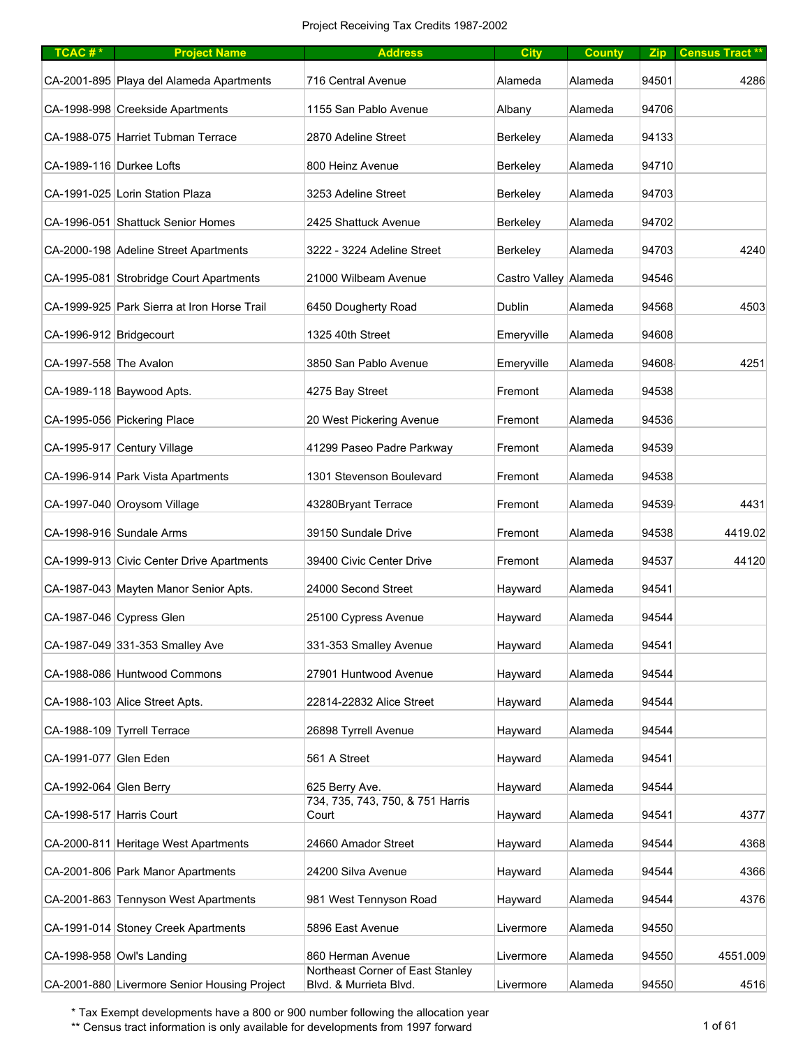| TCAC#*                   | <b>Project Name</b>                          | <b>Address</b>                                             | <b>City</b>           | <b>County</b> | Zip   | <b>Census Tract **</b> |
|--------------------------|----------------------------------------------|------------------------------------------------------------|-----------------------|---------------|-------|------------------------|
|                          | CA-2001-895 Playa del Alameda Apartments     | <b>716 Central Avenue</b>                                  | Alameda               | Alameda       | 94501 | 4286                   |
|                          | CA-1998-998 Creekside Apartments             | 1155 San Pablo Avenue                                      | Albany                | Alameda       | 94706 |                        |
|                          | CA-1988-075 Harriet Tubman Terrace           | 2870 Adeline Street                                        | Berkeley              | Alameda       | 94133 |                        |
| CA-1989-116 Durkee Lofts |                                              | 800 Heinz Avenue                                           | <b>Berkeley</b>       | Alameda       | 94710 |                        |
|                          | CA-1991-025 Lorin Station Plaza              | 3253 Adeline Street                                        | <b>Berkeley</b>       | Alameda       | 94703 |                        |
|                          | CA-1996-051 Shattuck Senior Homes            | 2425 Shattuck Avenue                                       | Berkeley              | Alameda       | 94702 |                        |
|                          | CA-2000-198 Adeline Street Apartments        | 3222 - 3224 Adeline Street                                 | Berkeley              | Alameda       | 94703 | 4240                   |
|                          | CA-1995-081 Strobridge Court Apartments      | 21000 Wilbeam Avenue                                       | Castro Valley Alameda |               | 94546 |                        |
|                          | CA-1999-925 Park Sierra at Iron Horse Trail  | 6450 Dougherty Road                                        | Dublin                | Alameda       | 94568 | 4503                   |
| CA-1996-912 Bridgecourt  |                                              | 1325 40th Street                                           | Emeryville            | Alameda       | 94608 |                        |
| CA-1997-558 The Avalon   |                                              | 3850 San Pablo Avenue                                      | Emeryville            | Alameda       | 94608 | 4251                   |
|                          | CA-1989-118 Baywood Apts.                    | 4275 Bay Street                                            | Fremont               | Alameda       | 94538 |                        |
|                          | CA-1995-056 Pickering Place                  | 20 West Pickering Avenue                                   | Fremont               | Alameda       | 94536 |                        |
|                          | CA-1995-917 Century Village                  | 41299 Paseo Padre Parkway                                  | Fremont               | Alameda       | 94539 |                        |
|                          | CA-1996-914 Park Vista Apartments            | 1301 Stevenson Boulevard                                   | Fremont               | Alameda       | 94538 |                        |
|                          | CA-1997-040 Oroysom Village                  | 43280Bryant Terrace                                        | Fremont               | Alameda       | 94539 | 4431                   |
|                          | CA-1998-916 Sundale Arms                     | 39150 Sundale Drive                                        | Fremont               | Alameda       | 94538 | 4419.02                |
|                          | CA-1999-913 Civic Center Drive Apartments    | 39400 Civic Center Drive                                   | Fremont               | Alameda       | 94537 | 44120                  |
|                          | CA-1987-043 Mayten Manor Senior Apts.        | 24000 Second Street                                        | Hayward               | Alameda       | 94541 |                        |
|                          | CA-1987-046 Cypress Glen                     | 25100 Cypress Avenue                                       | Hayward               | Alameda       | 94544 |                        |
|                          | CA-1987-049 331-353 Smalley Ave              | 331-353 Smalley Avenue                                     | Hayward               | Alameda       | 94541 |                        |
|                          | CA-1988-086 Huntwood Commons                 | 27901 Huntwood Avenue                                      | Hayward               | Alameda       | 94544 |                        |
|                          | CA-1988-103 Alice Street Apts.               | 22814-22832 Alice Street                                   | Hayward               | Alameda       | 94544 |                        |
|                          | CA-1988-109 Tyrrell Terrace                  | 26898 Tyrrell Avenue                                       | Hayward               | Alameda       | 94544 |                        |
| CA-1991-077 Glen Eden    |                                              | 561 A Street                                               | Hayward               | Alameda       | 94541 |                        |
| CA-1992-064 Glen Berry   |                                              | 625 Berry Ave.                                             | Hayward               | Alameda       | 94544 |                        |
| CA-1998-517 Harris Court |                                              | 734, 735, 743, 750, & 751 Harris<br>Court                  | Hayward               | Alameda       | 94541 | 4377                   |
|                          | CA-2000-811 Heritage West Apartments         | 24660 Amador Street                                        | Hayward               | Alameda       | 94544 | 4368                   |
|                          | CA-2001-806 Park Manor Apartments            | 24200 Silva Avenue                                         | Hayward               | Alameda       | 94544 | 4366                   |
|                          | CA-2001-863 Tennyson West Apartments         | 981 West Tennyson Road                                     | Hayward               | Alameda       | 94544 | 4376                   |
|                          | CA-1991-014 Stoney Creek Apartments          | 5896 East Avenue                                           | Livermore             | Alameda       | 94550 |                        |
|                          | CA-1998-958 Owl's Landing                    | 860 Herman Avenue                                          | Livermore             | Alameda       | 94550 | 4551.009               |
|                          | CA-2001-880 Livermore Senior Housing Project | Northeast Corner of East Stanley<br>Blvd. & Murrieta Blvd. | Livermore             | Alameda       | 94550 | 4516                   |

\*\* Census tract information is only available for developments from 1997 forward 1 of 61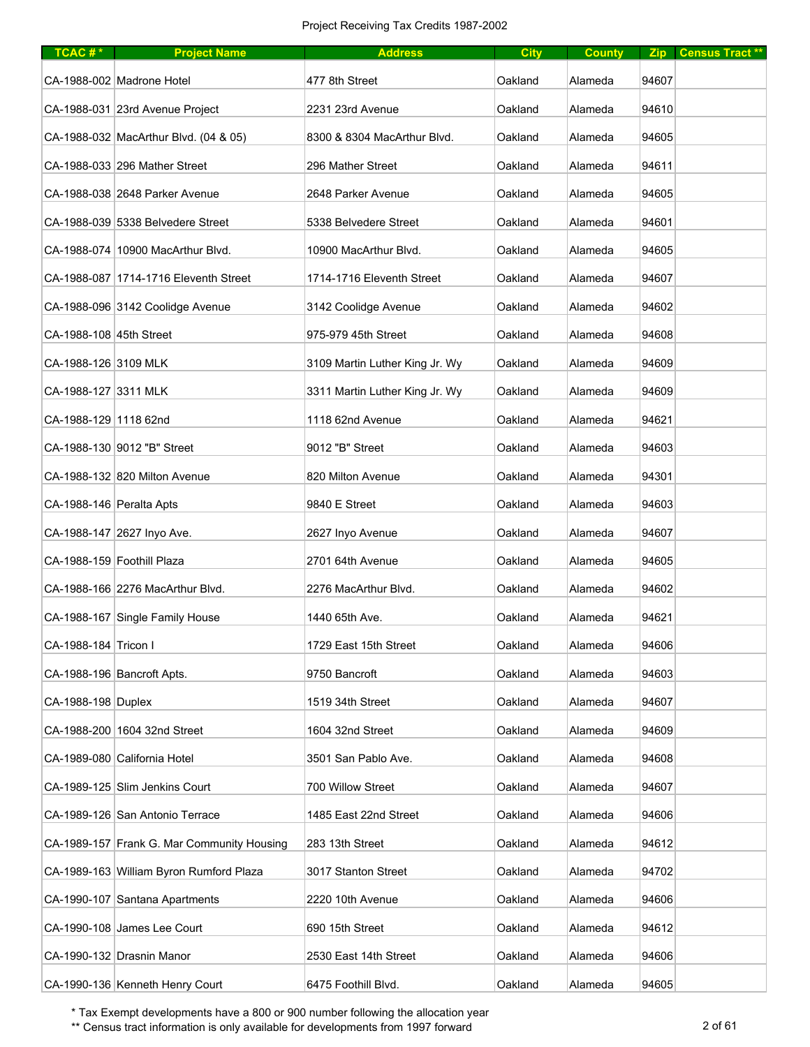| TCAC# $*$                | <b>Project Name</b>                        | <b>Address</b>                 | <b>City</b> | <b>County</b> |       | Zip Census Tract** |
|--------------------------|--------------------------------------------|--------------------------------|-------------|---------------|-------|--------------------|
|                          | CA-1988-002 Madrone Hotel                  | 477 8th Street                 | Oakland     | Alameda       | 94607 |                    |
|                          | CA-1988-031 23rd Avenue Project            | 2231 23rd Avenue               | Oakland     | Alameda       | 94610 |                    |
|                          | CA-1988-032 MacArthur Blvd. (04 & 05)      | 8300 & 8304 MacArthur Blvd.    | Oakland     | Alameda       | 94605 |                    |
|                          | CA-1988-033 296 Mather Street              | 296 Mather Street              | Oakland     | Alameda       | 94611 |                    |
|                          | CA-1988-038 2648 Parker Avenue             | 2648 Parker Avenue             | Oakland     | Alameda       | 94605 |                    |
|                          | CA-1988-039 5338 Belvedere Street          | 5338 Belvedere Street          | Oakland     | Alameda       | 94601 |                    |
|                          | CA-1988-074 10900 MacArthur Blvd.          | 10900 MacArthur Blvd.          | Oakland     | Alameda       | 94605 |                    |
|                          | CA-1988-087 1714-1716 Eleventh Street      | 1714-1716 Eleventh Street      | Oakland     | Alameda       | 94607 |                    |
|                          | CA-1988-096 3142 Coolidge Avenue           | 3142 Coolidge Avenue           | Oakland     | Alameda       | 94602 |                    |
| CA-1988-108 45th Street  |                                            | 975-979 45th Street            | Oakland     | Alameda       | 94608 |                    |
| CA-1988-126 3109 MLK     |                                            | 3109 Martin Luther King Jr. Wy | Oakland     | Alameda       | 94609 |                    |
| CA-1988-127 3311 MLK     |                                            | 3311 Martin Luther King Jr. Wy | Oakland     | Alameda       | 94609 |                    |
| CA-1988-129 1118 62nd    |                                            | 1118 62nd Avenue               | Oakland     | Alameda       | 94621 |                    |
|                          | CA-1988-130 9012 "B" Street                | 9012 "B" Street                | Oakland     | Alameda       | 94603 |                    |
|                          | CA-1988-132 820 Milton Avenue              | 820 Milton Avenue              | Oakland     | Alameda       | 94301 |                    |
| CA-1988-146 Peralta Apts |                                            | 9840 E Street                  | Oakland     | Alameda       | 94603 |                    |
|                          | CA-1988-147 2627 Inyo Ave.                 | 2627 Inyo Avenue               | Oakland     | Alameda       | 94607 |                    |
|                          | CA-1988-159 Foothill Plaza                 | 2701 64th Avenue               | Oakland     | Alameda       | 94605 |                    |
|                          | CA-1988-166 2276 MacArthur Blvd.           | 2276 MacArthur Blvd.           | Oakland     | Alameda       | 94602 |                    |
|                          | CA-1988-167 Single Family House            | 1440 65th Ave.                 | Oakland     | Alameda       | 94621 |                    |
| CA-1988-184 Tricon I     |                                            | 1729 East 15th Street          | Oakland     | Alameda       | 94606 |                    |
|                          | CA-1988-196 Bancroft Apts.                 | 9750 Bancroft                  | Oakland     | Alameda       | 94603 |                    |
| CA-1988-198 Duplex       |                                            | 1519 34th Street               | Oakland     | Alameda       | 94607 |                    |
|                          | CA-1988-200 1604 32nd Street               | 1604 32nd Street               | Oakland     | Alameda       | 94609 |                    |
|                          | CA-1989-080 California Hotel               | 3501 San Pablo Ave.            | Oakland     | Alameda       | 94608 |                    |
|                          | CA-1989-125 Slim Jenkins Court             | 700 Willow Street              | Oakland     | Alameda       | 94607 |                    |
|                          | CA-1989-126 San Antonio Terrace            | 1485 East 22nd Street          | Oakland     | Alameda       | 94606 |                    |
|                          | CA-1989-157 Frank G. Mar Community Housing | 283 13th Street                | Oakland     | Alameda       | 94612 |                    |
|                          | CA-1989-163 William Byron Rumford Plaza    | 3017 Stanton Street            | Oakland     | Alameda       | 94702 |                    |
|                          | CA-1990-107 Santana Apartments             | 2220 10th Avenue               | Oakland     | Alameda       | 94606 |                    |
|                          | CA-1990-108 James Lee Court                | 690 15th Street                | Oakland     | Alameda       | 94612 |                    |
|                          | CA-1990-132 Drasnin Manor                  | 2530 East 14th Street          | Oakland     | Alameda       | 94606 |                    |
|                          | CA-1990-136 Kenneth Henry Court            | 6475 Foothill Blvd.            | Oakland     | Alameda       | 94605 |                    |

\*\* Census tract information is only available for developments from 1997 forward 2 of 61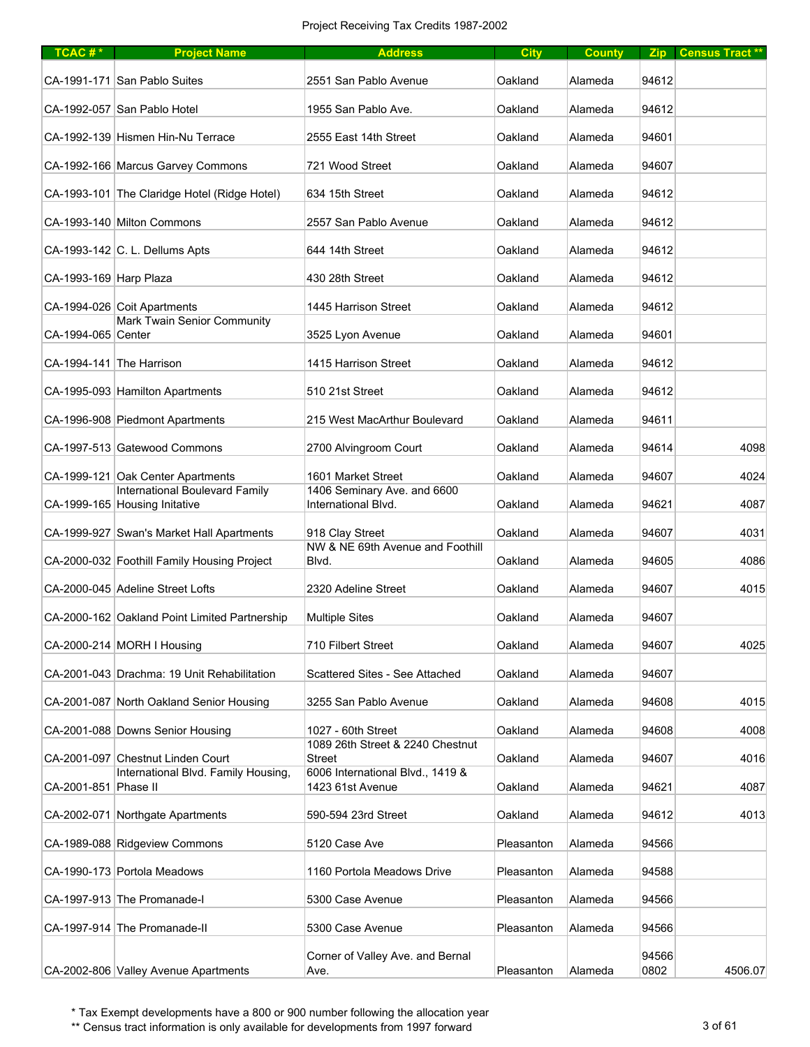| $TCAC#*$               | <b>Project Name</b>                                                        | <b>Address</b>                                       | <b>City</b> | <b>County</b> |               | Zip Census Tract** |
|------------------------|----------------------------------------------------------------------------|------------------------------------------------------|-------------|---------------|---------------|--------------------|
|                        | CA-1991-171 San Pablo Suites                                               | 2551 San Pablo Avenue                                | Oakland     | Alameda       | 94612         |                    |
|                        | CA-1992-057 San Pablo Hotel                                                | 1955 San Pablo Ave.                                  | Oakland     | Alameda       | 94612         |                    |
|                        | CA-1992-139 Hismen Hin-Nu Terrace                                          | 2555 East 14th Street                                | Oakland     | Alameda       | 94601         |                    |
|                        | CA-1992-166 Marcus Garvey Commons                                          | 721 Wood Street                                      | Oakland     | Alameda       | 94607         |                    |
|                        | CA-1993-101 The Claridge Hotel (Ridge Hotel)                               | 634 15th Street                                      | Oakland     | Alameda       | 94612         |                    |
|                        | CA-1993-140 Milton Commons                                                 | 2557 San Pablo Avenue                                | Oakland     | Alameda       | 94612         |                    |
|                        | CA-1993-142 C. L. Dellums Apts                                             | 644 14th Street                                      | Oakland     | Alameda       | 94612         |                    |
| CA-1993-169 Harp Plaza |                                                                            | 430 28th Street                                      | Oakland     | Alameda       | 94612         |                    |
|                        | CA-1994-026 Coit Apartments                                                | 1445 Harrison Street                                 | Oakland     | Alameda       | 94612         |                    |
| CA-1994-065 Center     | Mark Twain Senior Community                                                | 3525 Lyon Avenue                                     | Oakland     | Alameda       | 94601         |                    |
|                        | CA-1994-141 The Harrison                                                   | 1415 Harrison Street                                 | Oakland     | Alameda       | 94612         |                    |
|                        | CA-1995-093 Hamilton Apartments                                            | 510 21st Street                                      | Oakland     | Alameda       | 94612         |                    |
|                        | CA-1996-908 Piedmont Apartments                                            | 215 West MacArthur Boulevard                         | Oakland     | Alameda       | 94611         |                    |
|                        | CA-1997-513 Gatewood Commons                                               | 2700 Alvingroom Court                                | Oakland     | Alameda       | 94614         | 4098               |
|                        | CA-1999-121 Oak Center Apartments<br><b>International Boulevard Family</b> | 1601 Market Street<br>1406 Seminary Ave. and 6600    | Oakland     | Alameda       | 94607         | 4024               |
|                        | CA-1999-165 Housing Initative                                              | International Blvd.                                  | Oakland     | Alameda       | 94621         | 4087               |
|                        | CA-1999-927 Swan's Market Hall Apartments                                  | 918 Clay Street                                      | Oakland     | Alameda       | 94607         | 4031               |
|                        | CA-2000-032 Foothill Family Housing Project                                | NW & NE 69th Avenue and Foothill<br>Blvd.            | Oakland     | Alameda       | 94605         | 4086               |
|                        | CA-2000-045 Adeline Street Lofts                                           | 2320 Adeline Street                                  | Oakland     | Alameda       | 94607         | 4015               |
|                        | CA-2000-162 Oakland Point Limited Partnership                              | <b>Multiple Sites</b>                                | Oakland     | Alameda       | 94607         |                    |
|                        | CA-2000-214 MORH I Housing                                                 | 710 Filbert Street                                   | Oakland     | Alameda       | 94607         | 4025               |
|                        | CA-2001-043 Drachma: 19 Unit Rehabilitation                                | Scattered Sites - See Attached                       | Oakland     | Alameda       | 94607         |                    |
|                        | CA-2001-087 North Oakland Senior Housing                                   | 3255 San Pablo Avenue                                | Oakland     | Alameda       | 94608         | 4015               |
|                        | CA-2001-088 Downs Senior Housing                                           | 1027 - 60th Street                                   | Oakland     | Alameda       | 94608         | 4008               |
|                        | CA-2001-097 Chestnut Linden Court                                          | 1089 26th Street & 2240 Chestnut<br><b>Street</b>    | Oakland     | Alameda       | 94607         | 4016               |
| CA-2001-851 Phase II   | International Blvd. Family Housing,                                        | 6006 International Blvd., 1419 &<br>1423 61st Avenue | Oakland     | Alameda       | 94621         | 4087               |
|                        | CA-2002-071 Northgate Apartments                                           | 590-594 23rd Street                                  | Oakland     | Alameda       | 94612         | 4013               |
|                        | CA-1989-088 Ridgeview Commons                                              | 5120 Case Ave                                        | Pleasanton  | Alameda       | 94566         |                    |
|                        | CA-1990-173 Portola Meadows                                                | 1160 Portola Meadows Drive                           | Pleasanton  | Alameda       | 94588         |                    |
|                        | CA-1997-913 The Promanade-I                                                | 5300 Case Avenue                                     | Pleasanton  | Alameda       | 94566         |                    |
|                        | CA-1997-914 The Promanade-II                                               | 5300 Case Avenue                                     | Pleasanton  | Alameda       | 94566         |                    |
|                        | CA-2002-806 Valley Avenue Apartments                                       | Corner of Valley Ave. and Bernal<br>Ave.             | Pleasanton  | Alameda       | 94566<br>0802 | 4506.07            |

\*\* Census tract information is only available for developments from 1997 forward 3 of 61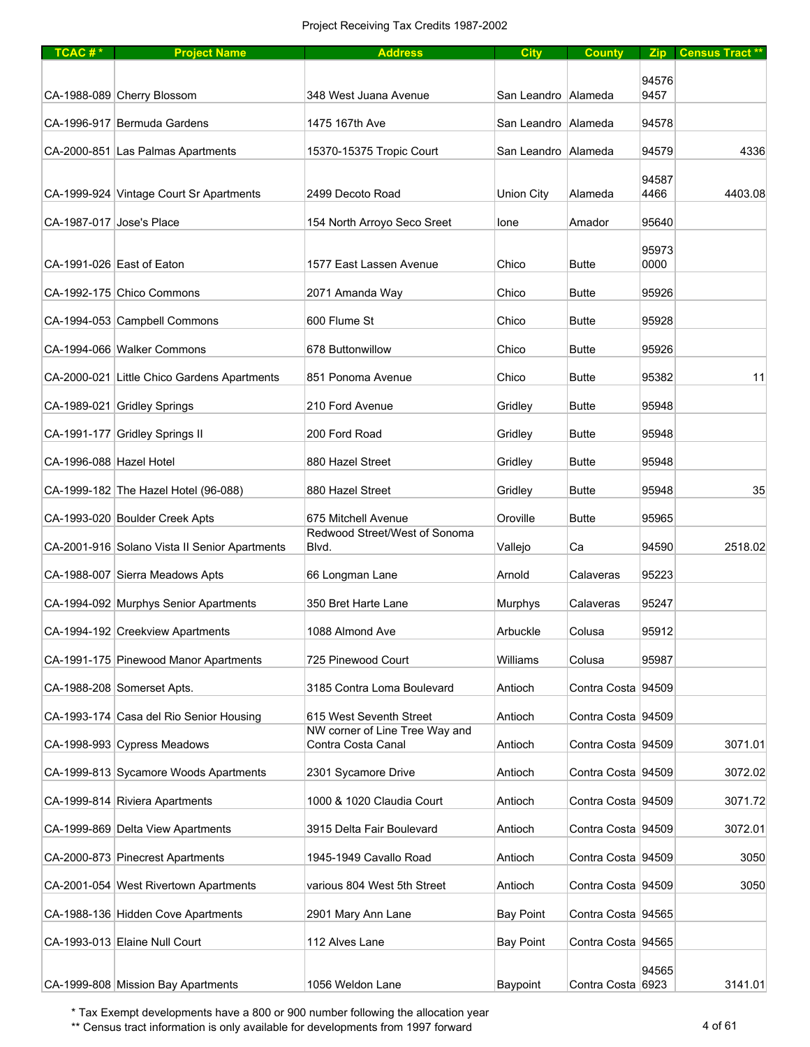| $TCAC #*$                | <b>Project Name</b>                           | <b>Address</b>                                       | <b>City</b>           | <b>County</b>      |               | Zip Census Tract** |
|--------------------------|-----------------------------------------------|------------------------------------------------------|-----------------------|--------------------|---------------|--------------------|
|                          |                                               |                                                      |                       |                    |               |                    |
|                          | CA-1988-089 Cherry Blossom                    | 348 West Juana Avenue                                | San Leandro Alameda   |                    | 94576<br>9457 |                    |
|                          | CA-1996-917 Bermuda Gardens                   | 1475 167th Ave                                       | San Leandro   Alameda |                    | 94578         |                    |
|                          | CA-2000-851 Las Palmas Apartments             | 15370-15375 Tropic Court                             | San Leandro   Alameda |                    | 94579         | 4336               |
|                          |                                               |                                                      |                       |                    |               |                    |
|                          | CA-1999-924 Vintage Court Sr Apartments       | 2499 Decoto Road                                     | <b>Union City</b>     | Alameda            | 94587<br>4466 | 4403.08            |
| CA-1987-017 Jose's Place |                                               | 154 North Arroyo Seco Sreet                          | lone                  | Amador             | 95640         |                    |
|                          |                                               |                                                      |                       |                    | 95973         |                    |
|                          | CA-1991-026 East of Eaton                     | 1577 East Lassen Avenue                              | Chico                 | <b>Butte</b>       | 0000          |                    |
|                          | CA-1992-175 Chico Commons                     | 2071 Amanda Way                                      | Chico                 | <b>Butte</b>       | 95926         |                    |
|                          | CA-1994-053 Campbell Commons                  | 600 Flume St                                         | Chico                 | <b>Butte</b>       | 95928         |                    |
|                          | CA-1994-066 Walker Commons                    | 678 Buttonwillow                                     | Chico                 | <b>Butte</b>       | 95926         |                    |
|                          | CA-2000-021 Little Chico Gardens Apartments   | 851 Ponoma Avenue                                    | Chico                 | <b>Butte</b>       | 95382         | 11                 |
|                          | CA-1989-021 Gridley Springs                   | 210 Ford Avenue                                      | Gridley               | <b>Butte</b>       | 95948         |                    |
|                          | CA-1991-177 Gridley Springs II                | 200 Ford Road                                        | Gridley               | <b>Butte</b>       | 95948         |                    |
| CA-1996-088 Hazel Hotel  |                                               | 880 Hazel Street                                     | Gridley               | <b>Butte</b>       | 95948         |                    |
|                          | CA-1999-182 The Hazel Hotel (96-088)          | 880 Hazel Street                                     | Gridley               | <b>Butte</b>       | 95948         | 35                 |
|                          | CA-1993-020 Boulder Creek Apts                | 675 Mitchell Avenue                                  | Oroville              | <b>Butte</b>       | 95965         |                    |
|                          | CA-2001-916 Solano Vista II Senior Apartments | Redwood Street/West of Sonoma<br>Blvd.               | Vallejo               | Ca                 | 94590         | 2518.02            |
|                          | CA-1988-007 Sierra Meadows Apts               | 66 Longman Lane                                      | Arnold                | Calaveras          | 95223         |                    |
|                          | CA-1994-092 Murphys Senior Apartments         | 350 Bret Harte Lane                                  | Murphys               | Calaveras          | 95247         |                    |
|                          | CA-1994-192 Creekview Apartments              | 1088 Almond Ave                                      | Arbuckle              | Colusa             | 95912         |                    |
|                          | CA-1991-175 Pinewood Manor Apartments         | 725 Pinewood Court                                   | Williams              | Colusa             | 95987         |                    |
|                          | CA-1988-208 Somerset Apts.                    | 3185 Contra Loma Boulevard                           | Antioch               | Contra Costa 94509 |               |                    |
|                          | CA-1993-174 Casa del Rio Senior Housing       | 615 West Seventh Street                              | Antioch               | Contra Costa 94509 |               |                    |
|                          | CA-1998-993 Cypress Meadows                   | NW corner of Line Tree Way and<br>Contra Costa Canal | Antioch               | Contra Costa 94509 |               | 3071.01            |
|                          | CA-1999-813 Sycamore Woods Apartments         | 2301 Sycamore Drive                                  | Antioch               | Contra Costa 94509 |               | 3072.02            |
|                          | CA-1999-814 Riviera Apartments                | 1000 & 1020 Claudia Court                            | Antioch               | Contra Costa 94509 |               | 3071.72            |
|                          | CA-1999-869 Delta View Apartments             | 3915 Delta Fair Boulevard                            | Antioch               | Contra Costa 94509 |               | 3072.01            |
|                          |                                               | 1945-1949 Cavallo Road                               | Antioch               | Contra Costa 94509 |               | 3050               |
|                          | CA-2000-873 Pinecrest Apartments              |                                                      |                       |                    |               |                    |
|                          | CA-2001-054 West Rivertown Apartments         | various 804 West 5th Street                          | Antioch               | Contra Costa 94509 |               | 3050               |
|                          | CA-1988-136 Hidden Cove Apartments            | 2901 Mary Ann Lane                                   | <b>Bay Point</b>      | Contra Costa 94565 |               |                    |
|                          | CA-1993-013 Elaine Null Court                 | 112 Alves Lane                                       | <b>Bay Point</b>      | Contra Costa 94565 |               |                    |
|                          | CA-1999-808 Mission Bay Apartments            | 1056 Weldon Lane                                     | Baypoint              | Contra Costa 6923  | 94565         | 3141.01            |

\*\* Census tract information is only available for developments from 1997 forward 4 of 61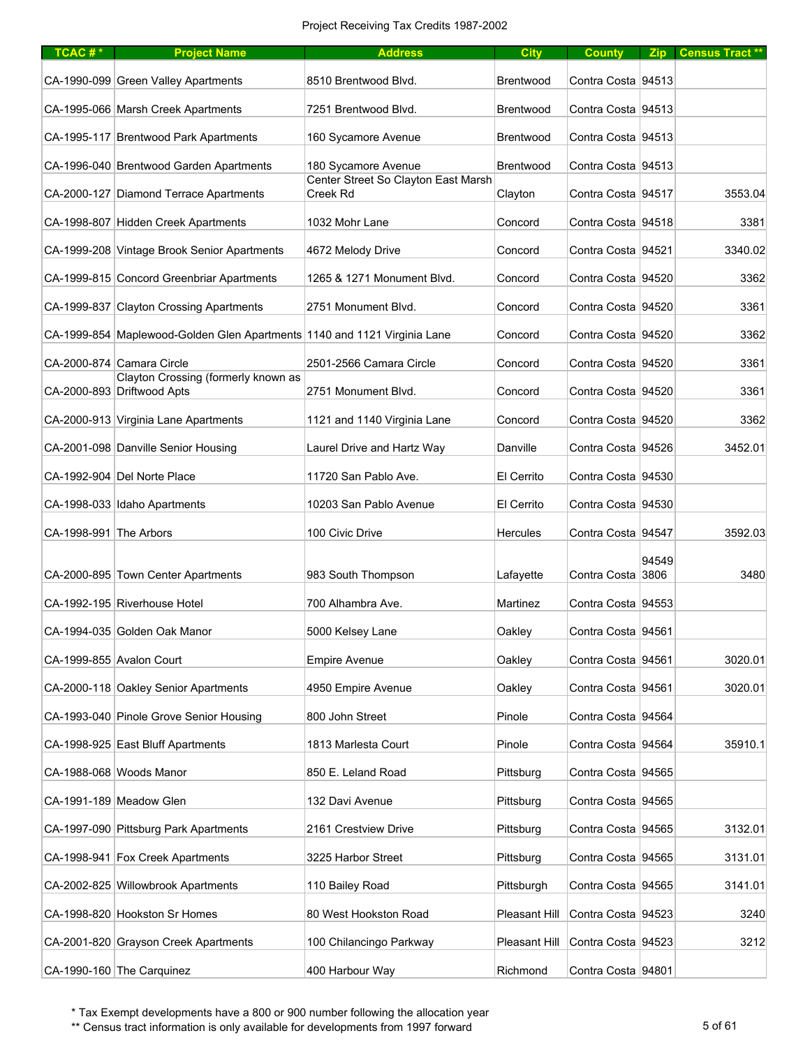| TCAC <sup>#*</sup>     | <b>Project Name</b>                                                      | <b>Address</b>                                  | <b>City</b>      | <b>County</b>      |       | Zip Census Tract** |
|------------------------|--------------------------------------------------------------------------|-------------------------------------------------|------------------|--------------------|-------|--------------------|
|                        | CA-1990-099 Green Valley Apartments                                      | 8510 Brentwood Blvd.                            | <b>Brentwood</b> | Contra Costa 94513 |       |                    |
|                        | CA-1995-066 Marsh Creek Apartments                                       | 7251 Brentwood Blvd.                            | <b>Brentwood</b> | Contra Costa 94513 |       |                    |
|                        | CA-1995-117 Brentwood Park Apartments                                    | 160 Sycamore Avenue                             | Brentwood        | Contra Costa 94513 |       |                    |
|                        | CA-1996-040 Brentwood Garden Apartments                                  | 180 Sycamore Avenue                             | <b>Brentwood</b> | Contra Costa 94513 |       |                    |
|                        | CA-2000-127 Diamond Terrace Apartments                                   | Center Street So Clayton East Marsh<br>Creek Rd | Clayton          | Contra Costa 94517 |       | 3553.04            |
|                        | CA-1998-807 Hidden Creek Apartments                                      | 1032 Mohr Lane                                  | Concord          | Contra Costa 94518 |       | 3381               |
|                        | CA-1999-208 Vintage Brook Senior Apartments                              | 4672 Melody Drive                               | Concord          | Contra Costa 94521 |       | 3340.02            |
|                        | CA-1999-815 Concord Greenbriar Apartments                                | 1265 & 1271 Monument Blvd.                      | Concord          | Contra Costa 94520 |       | 3362               |
|                        | CA-1999-837 Clayton Crossing Apartments                                  | 2751 Monument Blvd.                             | Concord          | Contra Costa 94520 |       | 3361               |
|                        | CA-1999-854 Maplewood-Golden Glen Apartments 1140 and 1121 Virginia Lane |                                                 | Concord          | Contra Costa 94520 |       | 3362               |
|                        | CA-2000-874 Camara Circle                                                | 2501-2566 Camara Circle                         | Concord          | Contra Costa 94520 |       | 3361               |
|                        | Clayton Crossing (formerly known as<br>CA-2000-893 Driftwood Apts        | 2751 Monument Blvd.                             | Concord          | Contra Costa 94520 |       | 3361               |
|                        | CA-2000-913 Virginia Lane Apartments                                     | 1121 and 1140 Virginia Lane                     | Concord          | Contra Costa 94520 |       | 3362               |
|                        | CA-2001-098 Danville Senior Housing                                      | Laurel Drive and Hartz Way                      | Danville         | Contra Costa 94526 |       | 3452.01            |
|                        | CA-1992-904 Del Norte Place                                              | 11720 San Pablo Ave.                            | El Cerrito       | Contra Costa 94530 |       |                    |
|                        | CA-1998-033 Idaho Apartments                                             | 10203 San Pablo Avenue                          | El Cerrito       | Contra Costa 94530 |       |                    |
| CA-1998-991 The Arbors |                                                                          | 100 Civic Drive                                 | <b>Hercules</b>  | Contra Costa 94547 |       | 3592.03            |
|                        |                                                                          |                                                 |                  |                    | 94549 |                    |
|                        | CA-2000-895 Town Center Apartments                                       | 983 South Thompson                              | Lafayette        | Contra Costa 3806  |       | 3480               |
|                        | CA-1992-195 Riverhouse Hotel                                             | 700 Alhambra Ave.                               | Martinez         | Contra Costa 94553 |       |                    |
|                        | CA-1994-035 Golden Oak Manor                                             | 5000 Kelsey Lane                                | Oakley           | Contra Costa 94561 |       |                    |
|                        | CA-1999-855 Avalon Court                                                 | <b>Empire Avenue</b>                            | Oakley           | Contra Costa 94561 |       | 3020.01            |
|                        | CA-2000-118 Oakley Senior Apartments                                     | 4950 Empire Avenue                              | Oakley           | Contra Costa 94561 |       | 3020.01            |
|                        | CA-1993-040 Pinole Grove Senior Housing                                  | 800 John Street                                 | Pinole           | Contra Costa 94564 |       |                    |
|                        | CA-1998-925 East Bluff Apartments                                        | 1813 Marlesta Court                             | Pinole           | Contra Costa 94564 |       | 35910.1            |
|                        | CA-1988-068 Woods Manor                                                  | 850 E. Leland Road                              | Pittsburg        | Contra Costa 94565 |       |                    |
|                        | CA-1991-189 Meadow Glen                                                  | 132 Davi Avenue                                 | Pittsburg        | Contra Costa 94565 |       |                    |
|                        | CA-1997-090 Pittsburg Park Apartments                                    | 2161 Crestview Drive                            | Pittsburg        | Contra Costa 94565 |       | 3132.01            |
|                        | CA-1998-941 Fox Creek Apartments                                         | 3225 Harbor Street                              | Pittsburg        | Contra Costa 94565 |       | 3131.01            |
|                        | CA-2002-825 Willowbrook Apartments                                       | 110 Bailey Road                                 | Pittsburgh       | Contra Costa 94565 |       | 3141.01            |
|                        | CA-1998-820 Hookston Sr Homes                                            | 80 West Hookston Road                           | Pleasant Hill    | Contra Costa 94523 |       | 3240               |
|                        | CA-2001-820 Grayson Creek Apartments                                     | 100 Chilancingo Parkway                         | Pleasant Hill    | Contra Costa 94523 |       | 3212               |
|                        | CA-1990-160 The Carquinez                                                | 400 Harbour Way                                 | Richmond         | Contra Costa 94801 |       |                    |

\*\* Census tract information is only available for developments from 1997 forward 5 of 61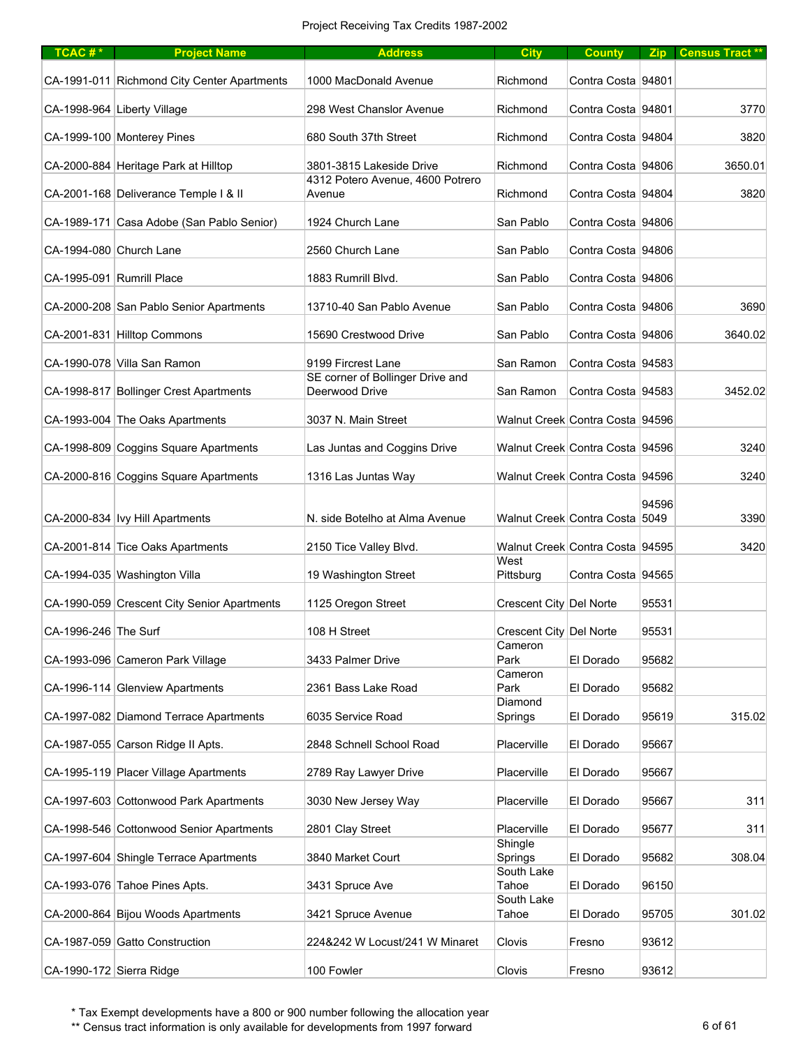| $TCAC #*$                 | <b>Project Name</b>                         | <b>Address</b>                                     | <b>City</b>             | <b>County</b>                   |       | Zip Census Tract** |
|---------------------------|---------------------------------------------|----------------------------------------------------|-------------------------|---------------------------------|-------|--------------------|
|                           | CA-1991-011 Richmond City Center Apartments | 1000 MacDonald Avenue                              | Richmond                | Contra Costa 94801              |       |                    |
|                           | CA-1998-964 Liberty Village                 | 298 West Chanslor Avenue                           | Richmond                | Contra Costa 94801              |       | 3770               |
|                           | CA-1999-100 Monterey Pines                  | 680 South 37th Street                              | Richmond                | Contra Costa 94804              |       | 3820               |
|                           | CA-2000-884 Heritage Park at Hilltop        | 3801-3815 Lakeside Drive                           | Richmond                | Contra Costa 94806              |       | 3650.01            |
|                           | CA-2001-168 Deliverance Temple I & II       | 4312 Potero Avenue, 4600 Potrero<br>Avenue         | Richmond                | Contra Costa 94804              |       | 3820               |
|                           | CA-1989-171 Casa Adobe (San Pablo Senior)   | 1924 Church Lane                                   | San Pablo               | Contra Costa 94806              |       |                    |
| CA-1994-080 Church Lane   |                                             | 2560 Church Lane                                   | San Pablo               | Contra Costa 94806              |       |                    |
| CA-1995-091 Rumrill Place |                                             | 1883 Rumrill Blvd.                                 | San Pablo               | Contra Costa 94806              |       |                    |
|                           | CA-2000-208 San Pablo Senior Apartments     | 13710-40 San Pablo Avenue                          | San Pablo               | Contra Costa 94806              |       | 3690               |
|                           | CA-2001-831 Hilltop Commons                 | 15690 Crestwood Drive                              | San Pablo               | Contra Costa 94806              |       | 3640.02            |
|                           | CA-1990-078 Villa San Ramon                 | 9199 Fircrest Lane                                 | San Ramon               | Contra Costa 94583              |       |                    |
|                           | CA-1998-817 Bollinger Crest Apartments      | SE corner of Bollinger Drive and<br>Deerwood Drive | San Ramon               | Contra Costa 94583              |       | 3452.02            |
|                           | CA-1993-004 The Oaks Apartments             | 3037 N. Main Street                                |                         | Walnut Creek Contra Costa 94596 |       |                    |
|                           | CA-1998-809 Coggins Square Apartments       | Las Juntas and Coggins Drive                       |                         | Walnut Creek Contra Costa 94596 |       | 3240               |
|                           | CA-2000-816 Coggins Square Apartments       | 1316 Las Juntas Way                                |                         | Walnut Creek Contra Costa 94596 |       | 3240               |
|                           |                                             |                                                    |                         |                                 |       |                    |
|                           | CA-2000-834   Ivy Hill Apartments           | N. side Botelho at Alma Avenue                     |                         | Walnut Creek Contra Costa 5049  | 94596 | 3390               |
|                           | CA-2001-814 Tice Oaks Apartments            | 2150 Tice Valley Blvd.                             |                         | Walnut Creek Contra Costa 94595 |       | 3420               |
|                           | CA-1994-035 Washington Villa                | 19 Washington Street                               | West<br>Pittsburg       | Contra Costa 94565              |       |                    |
|                           | CA-1990-059 Crescent City Senior Apartments | 1125 Oregon Street                                 | Crescent City Del Norte |                                 | 95531 |                    |
| CA-1996-246 The Surf      |                                             | 108 H Street                                       | Crescent City Del Norte |                                 | 95531 |                    |
|                           | CA-1993-096 Cameron Park Village            | 3433 Palmer Drive                                  | Cameron<br>Park         | El Dorado                       | 95682 |                    |
|                           | CA-1996-114 Glenview Apartments             | 2361 Bass Lake Road                                | Cameron<br>Park         | El Dorado                       | 95682 |                    |
|                           | CA-1997-082 Diamond Terrace Apartments      | 6035 Service Road                                  | Diamond<br>Springs      | El Dorado                       | 95619 | 315.02             |
|                           | CA-1987-055 Carson Ridge II Apts.           | 2848 Schnell School Road                           | Placerville             | El Dorado                       | 95667 |                    |
|                           | CA-1995-119 Placer Village Apartments       | 2789 Ray Lawyer Drive                              | Placerville             | El Dorado                       | 95667 |                    |
|                           | CA-1997-603 Cottonwood Park Apartments      | 3030 New Jersey Way                                | Placerville             | El Dorado                       | 95667 | 311                |
|                           | CA-1998-546 Cottonwood Senior Apartments    | 2801 Clay Street                                   | Placerville             | El Dorado                       | 95677 | 311                |
|                           | CA-1997-604 Shingle Terrace Apartments      | 3840 Market Court                                  | Shingle<br>Springs      | El Dorado                       | 95682 | 308.04             |
|                           | CA-1993-076 Tahoe Pines Apts.               | 3431 Spruce Ave                                    | South Lake<br>Tahoe     | El Dorado                       | 96150 |                    |
|                           | CA-2000-864 Bijou Woods Apartments          | 3421 Spruce Avenue                                 | South Lake<br>Tahoe     | El Dorado                       | 95705 | 301.02             |
|                           | CA-1987-059 Gatto Construction              | 224&242 W Locust/241 W Minaret                     | Clovis                  | Fresno                          | 93612 |                    |
| CA-1990-172 Sierra Ridge  |                                             | 100 Fowler                                         | Clovis                  | Fresno                          | 93612 |                    |

\*\* Census tract information is only available for developments from 1997 forward 6 of 61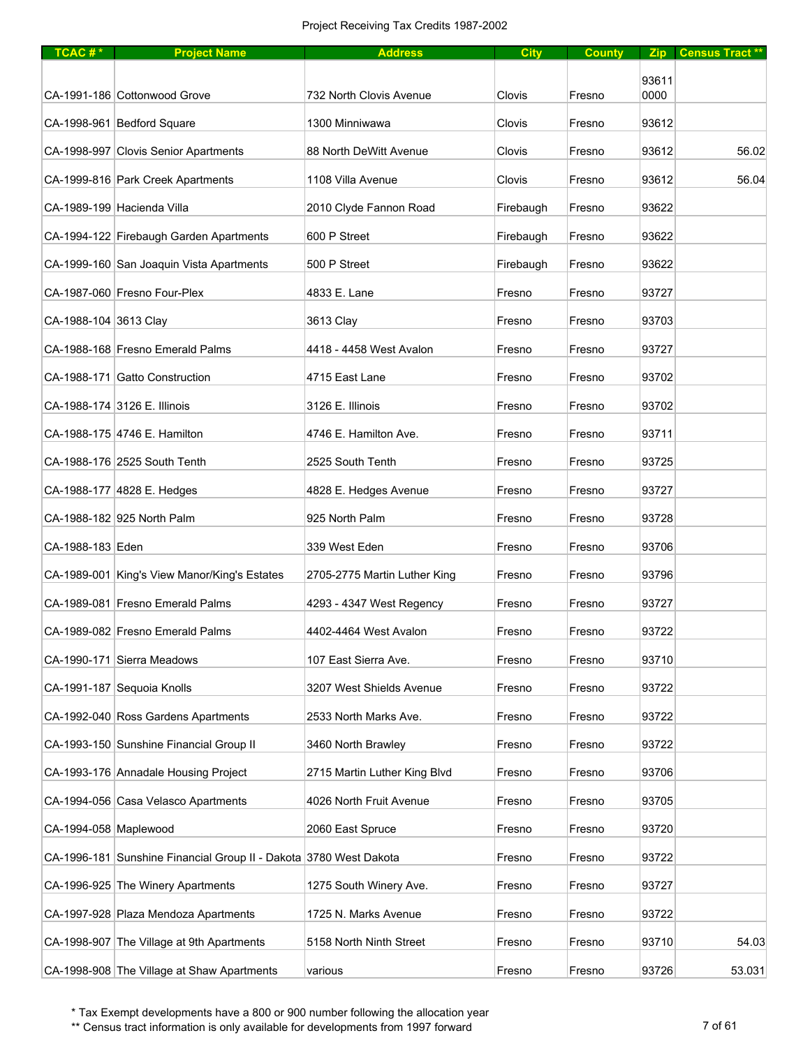| TCAC#*                | <b>Project Name</b>                                               | <b>Address</b>               | <b>City</b> | <b>County</b> |       | Zip Census Tract** |
|-----------------------|-------------------------------------------------------------------|------------------------------|-------------|---------------|-------|--------------------|
|                       |                                                                   |                              |             |               | 93611 |                    |
|                       | CA-1991-186 Cottonwood Grove                                      | 732 North Clovis Avenue      | Clovis      | Fresno        | 0000  |                    |
|                       | CA-1998-961 Bedford Square                                        | 1300 Minniwawa               | Clovis      | Fresno        | 93612 |                    |
|                       | CA-1998-997 Clovis Senior Apartments                              | 88 North DeWitt Avenue       | Clovis      | Fresno        | 93612 | 56.02              |
|                       | CA-1999-816 Park Creek Apartments                                 | 1108 Villa Avenue            | Clovis      | Fresno        | 93612 | 56.04              |
|                       | CA-1989-199 Hacienda Villa                                        | 2010 Clyde Fannon Road       | Firebaugh   | Fresno        | 93622 |                    |
|                       | CA-1994-122 Firebaugh Garden Apartments                           | 600 P Street                 | Firebaugh   | Fresno        | 93622 |                    |
|                       | CA-1999-160 San Joaquin Vista Apartments                          | 500 P Street                 | Firebaugh   | Fresno        | 93622 |                    |
|                       | CA-1987-060 Fresno Four-Plex                                      | 4833 E. Lane                 | Fresno      | Fresno        | 93727 |                    |
| CA-1988-104 3613 Clay |                                                                   | 3613 Clay                    | Fresno      | Fresno        | 93703 |                    |
|                       | CA-1988-168 Fresno Emerald Palms                                  | 4418 - 4458 West Avalon      | Fresno      | Fresno        | 93727 |                    |
|                       | CA-1988-171 Gatto Construction                                    | 4715 East Lane               | Fresno      | Fresno        | 93702 |                    |
|                       | CA-1988-174 3126 E. Illinois                                      | 3126 E. Illinois             | Fresno      | Fresno        | 93702 |                    |
|                       | CA-1988-175 4746 E. Hamilton                                      | 4746 E. Hamilton Ave.        | Fresno      | Fresno        | 93711 |                    |
|                       | CA-1988-176 2525 South Tenth                                      | 2525 South Tenth             | Fresno      | Fresno        | 93725 |                    |
|                       | CA-1988-177 4828 E. Hedges                                        | 4828 E. Hedges Avenue        | Fresno      | Fresno        | 93727 |                    |
|                       | CA-1988-182 925 North Palm                                        | 925 North Palm               | Fresno      | Fresno        | 93728 |                    |
| CA-1988-183 Eden      |                                                                   | 339 West Eden                | Fresno      | Fresno        | 93706 |                    |
|                       | CA-1989-001 King's View Manor/King's Estates                      | 2705-2775 Martin Luther King | Fresno      | Fresno        | 93796 |                    |
|                       | CA-1989-081 Fresno Emerald Palms                                  | 4293 - 4347 West Regency     | Fresno      | Fresno        | 93727 |                    |
|                       | CA-1989-082 Fresno Emerald Palms                                  | 4402-4464 West Avalon        | Fresno      | Fresno        | 93722 |                    |
|                       | CA-1990-171 Sierra Meadows                                        | 107 East Sierra Ave.         | Fresno      | Fresno        | 93710 |                    |
|                       | CA-1991-187 Sequoia Knolls                                        | 3207 West Shields Avenue     | Fresno      | Fresno        | 93722 |                    |
|                       | CA-1992-040 Ross Gardens Apartments                               | 2533 North Marks Ave.        | Fresno      | Fresno        | 93722 |                    |
|                       | CA-1993-150 Sunshine Financial Group II                           | 3460 North Brawley           | Fresno      | Fresno        | 93722 |                    |
|                       | CA-1993-176 Annadale Housing Project                              | 2715 Martin Luther King Blvd | Fresno      | Fresno        | 93706 |                    |
|                       | CA-1994-056 Casa Velasco Apartments                               | 4026 North Fruit Avenue      | Fresno      | Fresno        | 93705 |                    |
| CA-1994-058 Maplewood |                                                                   | 2060 East Spruce             | Fresno      | Fresno        | 93720 |                    |
|                       | CA-1996-181 Sunshine Financial Group II - Dakota 3780 West Dakota |                              | Fresno      | Fresno        | 93722 |                    |
|                       | CA-1996-925 The Winery Apartments                                 | 1275 South Winery Ave.       | Fresno      | Fresno        | 93727 |                    |
|                       | CA-1997-928 Plaza Mendoza Apartments                              | 1725 N. Marks Avenue         | Fresno      | Fresno        | 93722 |                    |
|                       | CA-1998-907 The Village at 9th Apartments                         | 5158 North Ninth Street      | Fresno      | Fresno        | 93710 | 54.03              |
|                       | CA-1998-908 The Village at Shaw Apartments                        | various                      | Fresno      | Fresno        | 93726 | 53.031             |

\*\* Census tract information is only available for developments from 1997 forward 7 of 61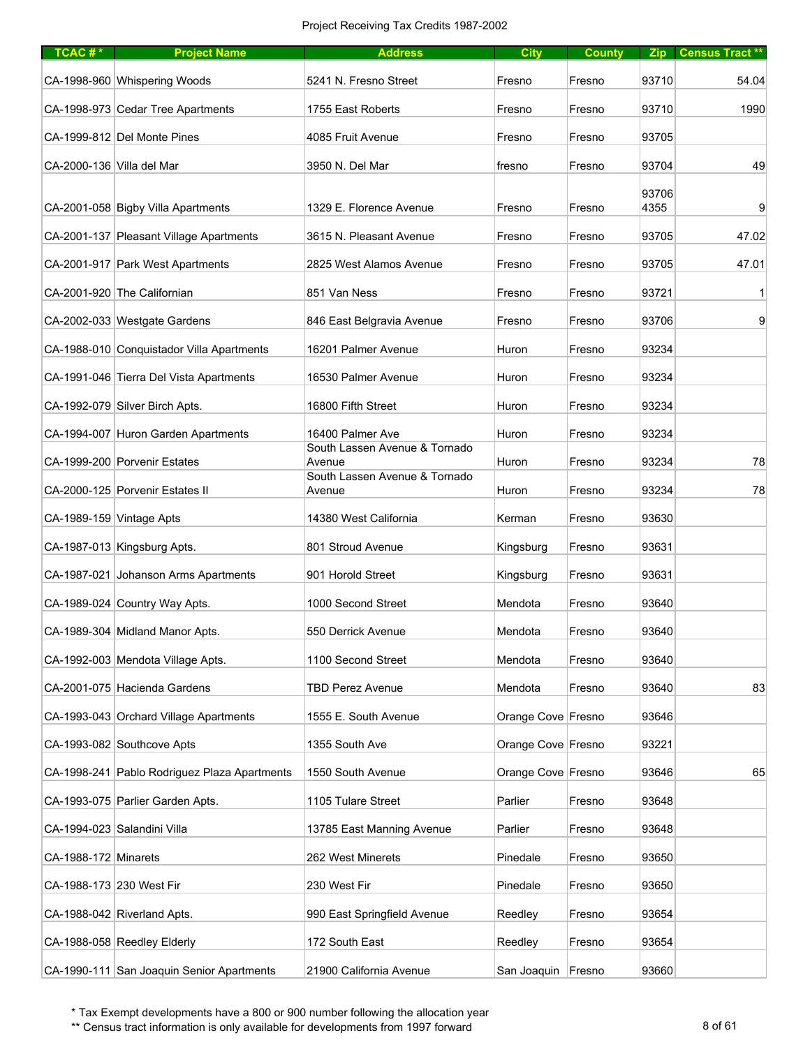| TCAC#*                    | <b>Project Name</b>                          | <b>Address</b>                          | <b>City</b>        | <b>County</b> |       | Zip Census Tract** |
|---------------------------|----------------------------------------------|-----------------------------------------|--------------------|---------------|-------|--------------------|
|                           | CA-1998-960 Whispering Woods                 | 5241 N. Fresno Street                   | Fresno             | Fresno        | 93710 | 54.04              |
|                           | CA-1998-973 Cedar Tree Apartments            | 1755 East Roberts                       | Fresno             | Fresno        | 93710 | 1990               |
|                           | CA-1999-812 Del Monte Pines                  | 4085 Fruit Avenue                       | Fresno             | Fresno        | 93705 |                    |
| CA-2000-136 Villa del Mar |                                              | 3950 N. Del Mar                         | fresno             | Fresno        | 93704 | 49                 |
|                           |                                              |                                         |                    |               | 93706 |                    |
|                           | CA-2001-058 Bigby Villa Apartments           | 1329 E. Florence Avenue                 | Fresno             | Fresno        | 4355  | 9                  |
|                           | CA-2001-137 Pleasant Village Apartments      | 3615 N. Pleasant Avenue                 | Fresno             | Fresno        | 93705 | 47.02              |
|                           | CA-2001-917 Park West Apartments             | 2825 West Alamos Avenue                 | Fresno             | Fresno        | 93705 | 47.01              |
|                           | CA-2001-920 The Californian                  | 851 Van Ness                            | Fresno             | Fresno        | 93721 | 1                  |
|                           | CA-2002-033 Westgate Gardens                 | 846 East Belgravia Avenue               | Fresno             | Fresno        | 93706 | $\overline{9}$     |
|                           | CA-1988-010 Conquistador Villa Apartments    | 16201 Palmer Avenue                     | Huron              | Fresno        | 93234 |                    |
|                           | CA-1991-046 Tierra Del Vista Apartments      | 16530 Palmer Avenue                     | Huron              | Fresno        | 93234 |                    |
|                           | CA-1992-079 Silver Birch Apts.               | 16800 Fifth Street                      | Huron              | Fresno        | 93234 |                    |
|                           | CA-1994-007 Huron Garden Apartments          | 16400 Palmer Ave                        | Huron              | Fresno        | 93234 |                    |
|                           | CA-1999-200 Porvenir Estates                 | South Lassen Avenue & Tornado<br>Avenue | Huron              | Fresno        | 93234 | 78                 |
|                           | CA-2000-125 Porvenir Estates II              | South Lassen Avenue & Tornado<br>Avenue | Huron              | Fresno        | 93234 | 78                 |
|                           |                                              | 14380 West California                   |                    |               | 93630 |                    |
| CA-1989-159 Vintage Apts  |                                              |                                         | Kerman             | Fresno        |       |                    |
|                           | CA-1987-013 Kingsburg Apts.                  | 801 Stroud Avenue                       | Kingsburg          | Fresno        | 93631 |                    |
|                           | CA-1987-021 Johanson Arms Apartments         | 901 Horold Street                       | Kingsburg          | Fresno        | 93631 |                    |
|                           | CA-1989-024 Country Way Apts.                | 1000 Second Street                      | Mendota            | Fresno        | 93640 |                    |
|                           | CA-1989-304 Midland Manor Apts.              | 550 Derrick Avenue                      | Mendota            | Fresno        | 93640 |                    |
|                           | CA-1992-003 Mendota Village Apts.            | 1100 Second Street                      | Mendota            | Fresno        | 93640 |                    |
|                           | CA-2001-075 Hacienda Gardens                 | <b>TBD Perez Avenue</b>                 | Mendota            | Fresno        | 93640 | 83                 |
|                           | CA-1993-043 Orchard Village Apartments       | 1555 E. South Avenue                    | Orange Cove Fresno |               | 93646 |                    |
|                           | CA-1993-082 Southcove Apts                   | 1355 South Ave                          | Orange Cove Fresno |               | 93221 |                    |
|                           | CA-1998-241 Pablo Rodriguez Plaza Apartments | 1550 South Avenue                       | Orange Cove Fresno |               | 93646 | 65                 |
|                           | CA-1993-075 Parlier Garden Apts.             | 1105 Tulare Street                      | Parlier            | Fresno        | 93648 |                    |
|                           | CA-1994-023 Salandini Villa                  | 13785 East Manning Avenue               | Parlier            | Fresno        | 93648 |                    |
| CA-1988-172 Minarets      |                                              | 262 West Minerets                       | Pinedale           | Fresno        | 93650 |                    |
| CA-1988-173 230 West Fir  |                                              | 230 West Fir                            | Pinedale           | Fresno        | 93650 |                    |
|                           | CA-1988-042 Riverland Apts.                  | 990 East Springfield Avenue             | Reedley            | Fresno        | 93654 |                    |
|                           | CA-1988-058 Reedley Elderly                  | 172 South East                          | Reedley            | Fresno        | 93654 |                    |
|                           | CA-1990-111 San Joaquin Senior Apartments    | 21900 California Avenue                 | San Joaquin Fresno |               | 93660 |                    |

\*\* Census tract information is only available for developments from 1997 forward 8 of 61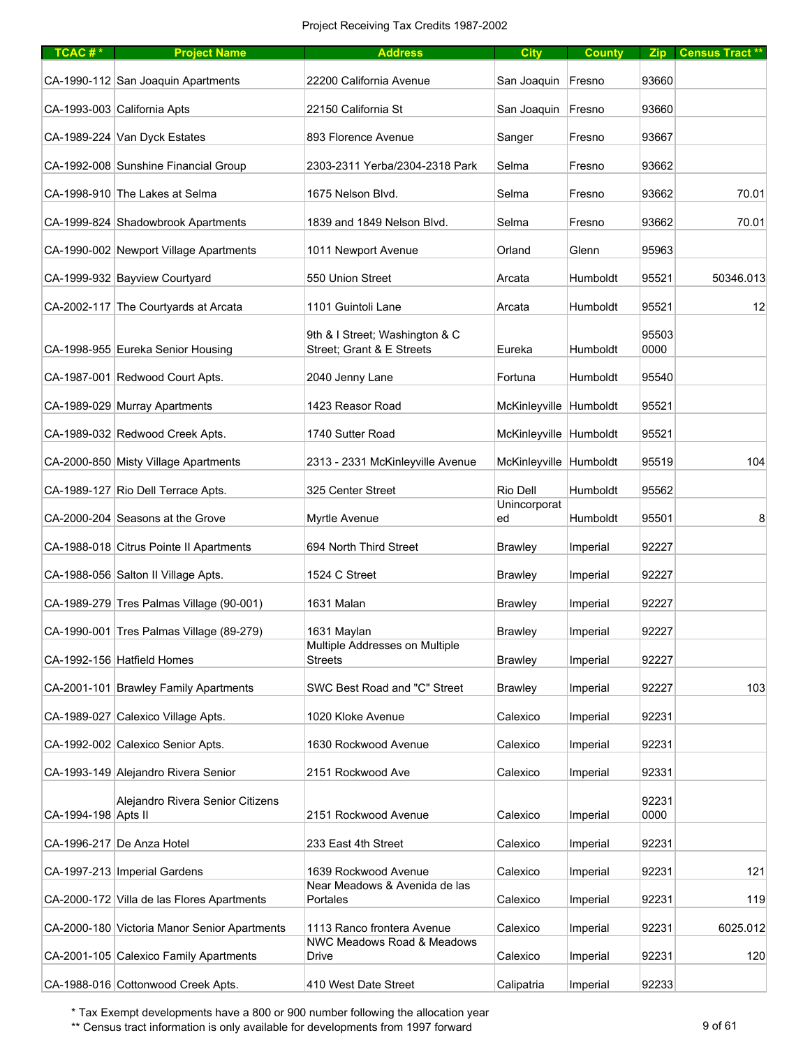| TCAC#*              | <b>Project Name</b>                          | <b>Address</b>                                              | <b>City</b>            | <b>County</b> | Zip           | Census Tract ** |
|---------------------|----------------------------------------------|-------------------------------------------------------------|------------------------|---------------|---------------|-----------------|
|                     | CA-1990-112 San Joaquin Apartments           | 22200 California Avenue                                     | San Joaquin            | Fresno        | 93660         |                 |
|                     | CA-1993-003 California Apts                  | 22150 California St                                         | San Joaquin            | Fresno        | 93660         |                 |
|                     | CA-1989-224 Van Dyck Estates                 | 893 Florence Avenue                                         | Sanger                 | Fresno        | 93667         |                 |
|                     | CA-1992-008 Sunshine Financial Group         | 2303-2311 Yerba/2304-2318 Park                              | Selma                  | Fresno        | 93662         |                 |
|                     | CA-1998-910 The Lakes at Selma               | 1675 Nelson Blvd.                                           | Selma                  | Fresno        | 93662         | 70.01           |
|                     | CA-1999-824 Shadowbrook Apartments           | 1839 and 1849 Nelson Blvd.                                  | Selma                  | Fresno        | 93662         | 70.01           |
|                     | CA-1990-002 Newport Village Apartments       | 1011 Newport Avenue                                         | Orland                 | Glenn         | 95963         |                 |
|                     | CA-1999-932 Bayview Courtyard                | 550 Union Street                                            | Arcata                 | Humboldt      | 95521         | 50346.013       |
|                     | CA-2002-117 The Courtyards at Arcata         | 1101 Guintoli Lane                                          | Arcata                 | Humboldt      | 95521         | 12              |
|                     | CA-1998-955 Eureka Senior Housing            | 9th & I Street; Washington & C<br>Street; Grant & E Streets | Eureka                 | Humboldt      | 95503<br>0000 |                 |
|                     | CA-1987-001 Redwood Court Apts.              | 2040 Jenny Lane                                             | Fortuna                | Humboldt      | 95540         |                 |
|                     | CA-1989-029 Murray Apartments                | 1423 Reasor Road                                            | McKinleyville Humboldt |               | 95521         |                 |
|                     | CA-1989-032 Redwood Creek Apts.              | 1740 Sutter Road                                            | McKinleyville Humboldt |               | 95521         |                 |
|                     | CA-2000-850 Misty Village Apartments         | 2313 - 2331 McKinleyville Avenue                            | McKinleyville Humboldt |               | 95519         | 104             |
|                     | CA-1989-127 Rio Dell Terrace Apts.           | 325 Center Street                                           | Rio Dell               | Humboldt      | 95562         |                 |
|                     | CA-2000-204 Seasons at the Grove             | Myrtle Avenue                                               | Unincorporat<br>ed     | Humboldt      | 95501         | 8               |
|                     | CA-1988-018 Citrus Pointe II Apartments      | 694 North Third Street                                      | <b>Brawley</b>         | Imperial      | 92227         |                 |
|                     | CA-1988-056 Salton II Village Apts.          | 1524 C Street                                               | <b>Brawley</b>         | Imperial      | 92227         |                 |
|                     | CA-1989-279 Tres Palmas Village (90-001)     | 1631 Malan                                                  | <b>Brawley</b>         | Imperial      | 92227         |                 |
|                     | CA-1990-001 Tres Palmas Village (89-279)     | 1631 Maylan                                                 | <b>Brawley</b>         | Imperial      | 92227         |                 |
|                     | CA-1992-156 Hatfield Homes                   | Multiple Addresses on Multiple<br>Streets                   | <b>Brawley</b>         | Imperial      | 92227         |                 |
|                     | CA-2001-101 Brawley Family Apartments        | SWC Best Road and "C" Street                                | Brawley                | Imperial      | 92227         | 103             |
|                     | CA-1989-027 Calexico Village Apts.           | 1020 Kloke Avenue                                           | Calexico               | Imperial      | 92231         |                 |
|                     | CA-1992-002 Calexico Senior Apts.            | 1630 Rockwood Avenue                                        | Calexico               | Imperial      | 92231         |                 |
|                     | CA-1993-149 Alejandro Rivera Senior          | 2151 Rockwood Ave                                           | Calexico               | Imperial      | 92331         |                 |
| CA-1994-198 Apts II | Alejandro Rivera Senior Citizens             | 2151 Rockwood Avenue                                        | Calexico               | Imperial      | 92231<br>0000 |                 |
|                     | CA-1996-217 De Anza Hotel                    | 233 East 4th Street                                         | Calexico               | Imperial      | 92231         |                 |
|                     | CA-1997-213   Imperial Gardens               | 1639 Rockwood Avenue                                        | Calexico               | Imperial      | 92231         | 121             |
|                     | CA-2000-172 Villa de las Flores Apartments   | Near Meadows & Avenida de las<br>Portales                   | Calexico               | Imperial      | 92231         | 119             |
|                     | CA-2000-180 Victoria Manor Senior Apartments | 1113 Ranco frontera Avenue                                  | Calexico               | Imperial      | 92231         | 6025.012        |
|                     | CA-2001-105 Calexico Family Apartments       | <b>NWC Meadows Road &amp; Meadows</b><br>Drive              | Calexico               | Imperial      | 92231         | 120             |
|                     | CA-1988-016 Cottonwood Creek Apts.           | 410 West Date Street                                        | Calipatria             | Imperial      | 92233         |                 |

\*\* Census tract information is only available for developments from 1997 forward 9 percent 1997 for the Senator Music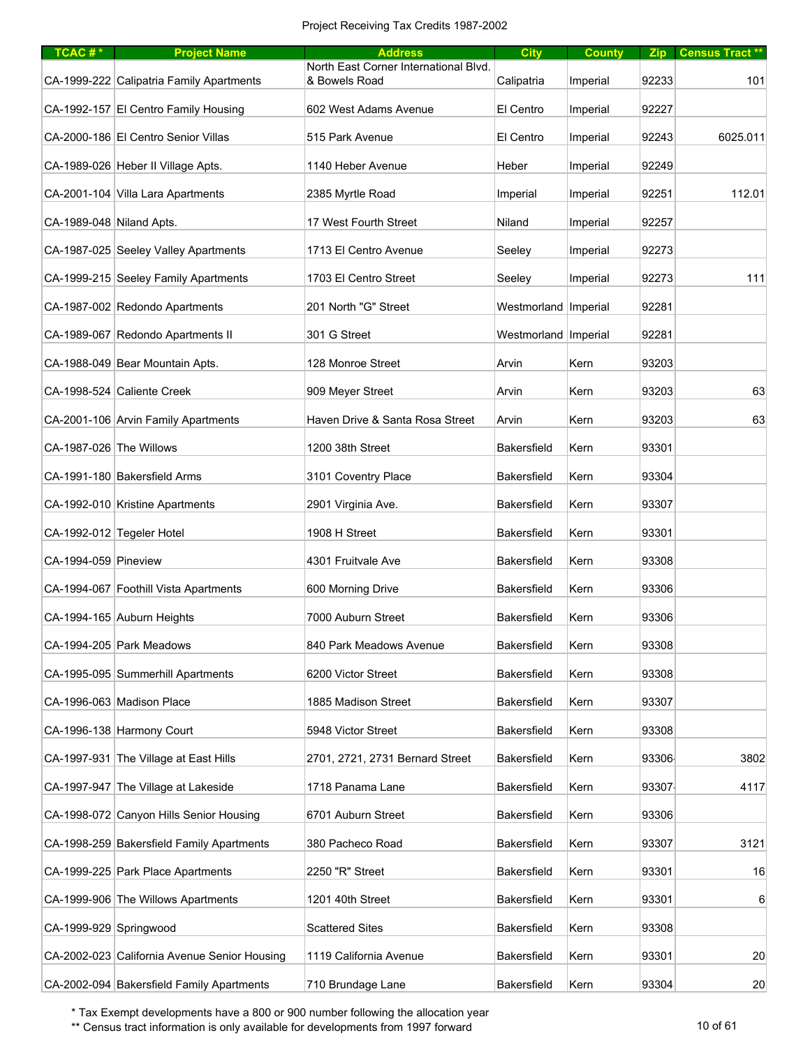| $TCAC #*$                | <b>Project Name</b>                          | <b>Address</b>                                         | <b>City</b>            | <b>County</b> |       | Zip Census Tract** |
|--------------------------|----------------------------------------------|--------------------------------------------------------|------------------------|---------------|-------|--------------------|
|                          | CA-1999-222 Calipatria Family Apartments     | North East Corner International Blvd.<br>& Bowels Road | Calipatria             | Imperial      | 92233 | 101                |
|                          | CA-1992-157 El Centro Family Housing         | 602 West Adams Avenue                                  | El Centro              | Imperial      | 92227 |                    |
|                          | CA-2000-186 El Centro Senior Villas          | 515 Park Avenue                                        | El Centro              | Imperial      | 92243 | 6025.011           |
|                          | CA-1989-026 Heber II Village Apts.           | 1140 Heber Avenue                                      | Heber                  | Imperial      | 92249 |                    |
|                          | CA-2001-104 Villa Lara Apartments            | 2385 Myrtle Road                                       | Imperial               | Imperial      | 92251 | 112.01             |
| CA-1989-048 Niland Apts. |                                              | 17 West Fourth Street                                  | Niland                 | Imperial      | 92257 |                    |
|                          | CA-1987-025 Seeley Valley Apartments         | 1713 El Centro Avenue                                  | Seeley                 | Imperial      | 92273 |                    |
|                          | CA-1999-215 Seeley Family Apartments         | 1703 El Centro Street                                  | Seeley                 | Imperial      | 92273 | 111                |
|                          | CA-1987-002 Redondo Apartments               | 201 North "G" Street                                   | Westmorland   Imperial |               | 92281 |                    |
|                          | CA-1989-067 Redondo Apartments II            | 301 G Street                                           | Westmorland   Imperial |               | 92281 |                    |
|                          | CA-1988-049 Bear Mountain Apts.              | 128 Monroe Street                                      | Arvin                  | Kern          | 93203 |                    |
|                          | CA-1998-524 Caliente Creek                   | 909 Meyer Street                                       | Arvin                  | Kern          | 93203 | 63                 |
|                          | CA-2001-106 Arvin Family Apartments          | Haven Drive & Santa Rosa Street                        | Arvin                  | Kern          | 93203 | 63                 |
| CA-1987-026 The Willows  |                                              | 1200 38th Street                                       | <b>Bakersfield</b>     | Kern          | 93301 |                    |
|                          | CA-1991-180 Bakersfield Arms                 | 3101 Coventry Place                                    | Bakersfield            | Kern          | 93304 |                    |
|                          | CA-1992-010 Kristine Apartments              | 2901 Virginia Ave.                                     | Bakersfield            | Kern          | 93307 |                    |
|                          | CA-1992-012 Tegeler Hotel                    | 1908 H Street                                          | Bakersfield            | Kern          | 93301 |                    |
| CA-1994-059 Pineview     |                                              | 4301 Fruitvale Ave                                     | Bakersfield            | Kern          | 93308 |                    |
|                          | CA-1994-067 Foothill Vista Apartments        | 600 Morning Drive                                      | Bakersfield            | Kern          | 93306 |                    |
|                          | CA-1994-165 Auburn Heights                   | 7000 Auburn Street                                     | Bakersfield            | Kern          | 93306 |                    |
|                          | CA-1994-205 Park Meadows                     | 840 Park Meadows Avenue                                | Bakersfield            | Kern          | 93308 |                    |
|                          | CA-1995-095 Summerhill Apartments            | 6200 Victor Street                                     | Bakersfield            | Kern          | 93308 |                    |
|                          | CA-1996-063 Madison Place                    | 1885 Madison Street                                    | Bakersfield            | Kern          | 93307 |                    |
|                          | CA-1996-138 Harmony Court                    | 5948 Victor Street                                     | Bakersfield            | Kern          | 93308 |                    |
|                          | CA-1997-931 The Village at East Hills        | 2701, 2721, 2731 Bernard Street                        | Bakersfield            | Kern          | 93306 | 3802               |
|                          | CA-1997-947 The Village at Lakeside          | 1718 Panama Lane                                       | Bakersfield            | Kern          | 93307 | 4117               |
|                          | CA-1998-072 Canyon Hills Senior Housing      | 6701 Auburn Street                                     | Bakersfield            | Kern          | 93306 |                    |
|                          |                                              |                                                        |                        |               |       |                    |
|                          | CA-1998-259 Bakersfield Family Apartments    | 380 Pacheco Road                                       | Bakersfield            | Kern          | 93307 | 3121               |
|                          | CA-1999-225 Park Place Apartments            | 2250 "R" Street                                        | Bakersfield            | Kern          | 93301 | 16                 |
|                          | CA-1999-906 The Willows Apartments           | 1201 40th Street                                       | Bakersfield            | Kern          | 93301 | 6                  |
| CA-1999-929 Springwood   |                                              | <b>Scattered Sites</b>                                 | <b>Bakersfield</b>     | Kern          | 93308 |                    |
|                          | CA-2002-023 California Avenue Senior Housing | 1119 California Avenue                                 | <b>Bakersfield</b>     | Kern          | 93301 | 20                 |
|                          | CA-2002-094 Bakersfield Family Apartments    | 710 Brundage Lane                                      | Bakersfield            | Kern          | 93304 | 20                 |

\*\* Census tract information is only available for developments from 1997 forward 10 pm 10 of 61 and 10 of 61 and 10 of 61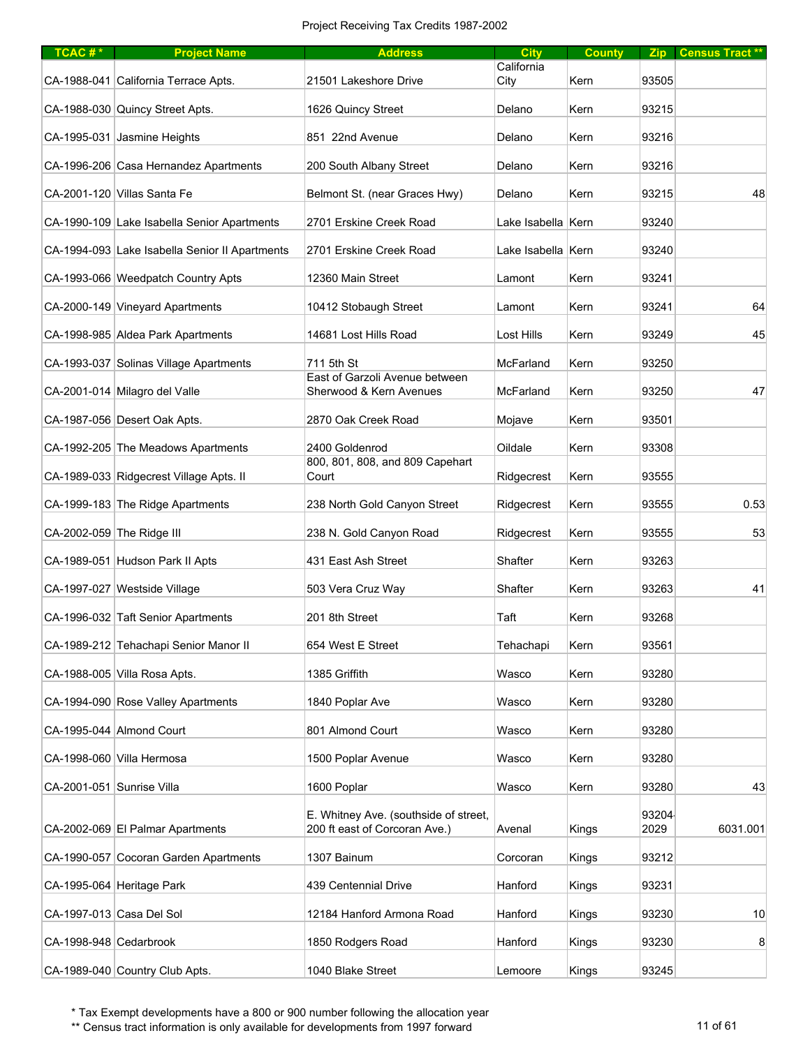| TCAC#*                    | <b>Project Name</b>                            | <b>Address</b>                           | <b>City</b>        | <b>County</b> |       | Zip Census Tract** |
|---------------------------|------------------------------------------------|------------------------------------------|--------------------|---------------|-------|--------------------|
|                           | CA-1988-041 California Terrace Apts.           | 21501 Lakeshore Drive                    | California<br>City | Kern          | 93505 |                    |
|                           | CA-1988-030 Quincy Street Apts.                | 1626 Quincy Street                       | Delano             | Kern          | 93215 |                    |
|                           | CA-1995-031 Jasmine Heights                    | 851 22nd Avenue                          | Delano             | Kern          | 93216 |                    |
|                           | CA-1996-206 Casa Hernandez Apartments          | 200 South Albany Street                  | Delano             | Kern          | 93216 |                    |
|                           | CA-2001-120 Villas Santa Fe                    | Belmont St. (near Graces Hwy)            | Delano             | Kern          | 93215 | 48                 |
|                           | CA-1990-109 Lake Isabella Senior Apartments    | 2701 Erskine Creek Road                  | Lake Isabella Kern |               | 93240 |                    |
|                           | CA-1994-093 Lake Isabella Senior II Apartments | 2701 Erskine Creek Road                  | Lake Isabella Kern |               | 93240 |                    |
|                           | CA-1993-066 Weedpatch Country Apts             | 12360 Main Street                        | Lamont             | Kern          | 93241 |                    |
|                           | CA-2000-149 Vineyard Apartments                | 10412 Stobaugh Street                    | Lamont             | Kern          | 93241 | 64                 |
|                           | CA-1998-985 Aldea Park Apartments              | 14681 Lost Hills Road                    | Lost Hills         | Kern          | 93249 | 45                 |
|                           | CA-1993-037 Solinas Village Apartments         | 711 5th St                               | McFarland          | Kern          | 93250 |                    |
|                           |                                                | East of Garzoli Avenue between           |                    |               |       |                    |
|                           | CA-2001-014 Milagro del Valle                  | Sherwood & Kern Avenues                  | McFarland          | Kern          | 93250 | 47                 |
|                           | CA-1987-056 Desert Oak Apts.                   | 2870 Oak Creek Road                      | Mojave             | Kern          | 93501 |                    |
|                           | CA-1992-205 The Meadows Apartments             | 2400 Goldenrod                           | Oildale            | Kern          | 93308 |                    |
|                           | CA-1989-033 Ridgecrest Village Apts. II        | 800, 801, 808, and 809 Capehart<br>Court | Ridgecrest         | Kern          | 93555 |                    |
|                           | CA-1999-183 The Ridge Apartments               | 238 North Gold Canyon Street             | Ridgecrest         | Kern          | 93555 | 0.53               |
|                           | CA-2002-059 The Ridge III                      | 238 N. Gold Canyon Road                  | Ridgecrest         | Kern          | 93555 | 53                 |
|                           | CA-1989-051 Hudson Park II Apts                | 431 East Ash Street                      | Shafter            | Kern          | 93263 |                    |
|                           | CA-1997-027 Westside Village                   | 503 Vera Cruz Way                        | Shafter            | Kern          | 93263 | 41                 |
|                           | CA-1996-032 Taft Senior Apartments             | 201 8th Street                           | Taft               | Kern          | 93268 |                    |
|                           | CA-1989-212 Tehachapi Senior Manor II          | 654 West E Street                        | Tehachapi          | Kern          | 93561 |                    |
|                           | CA-1988-005 Villa Rosa Apts.                   | 1385 Griffith                            | Wasco              | Kern          | 93280 |                    |
|                           | CA-1994-090 Rose Valley Apartments             | 1840 Poplar Ave                          | Wasco              | Kern          | 93280 |                    |
|                           | CA-1995-044 Almond Court                       | 801 Almond Court                         | Wasco              | Kern          | 93280 |                    |
|                           | CA-1998-060 Villa Hermosa                      | 1500 Poplar Avenue                       | Wasco              | Kern          | 93280 |                    |
| CA-2001-051 Sunrise Villa |                                                | 1600 Poplar                              | Wasco              | Kern          | 93280 | 43                 |
|                           |                                                | E. Whitney Ave. (southside of street,    |                    |               | 93204 |                    |
|                           | CA-2002-069 El Palmar Apartments               | 200 ft east of Corcoran Ave.)            | Avenal             | Kings         | 2029  | 6031.001           |
|                           | CA-1990-057 Cocoran Garden Apartments          | 1307 Bainum                              | Corcoran           | Kings         | 93212 |                    |
|                           | CA-1995-064 Heritage Park                      | 439 Centennial Drive                     | Hanford            | Kings         | 93231 |                    |
|                           | CA-1997-013 Casa Del Sol                       | 12184 Hanford Armona Road                | Hanford            | Kings         | 93230 | 10                 |
| CA-1998-948 Cedarbrook    |                                                | 1850 Rodgers Road                        | Hanford            | Kings         | 93230 | 8                  |
|                           | CA-1989-040 Country Club Apts.                 | 1040 Blake Street                        | Lemoore            | Kings         | 93245 |                    |

\*\* Census tract information is only available for developments from 1997 forward 11 of 61 and 11 of 61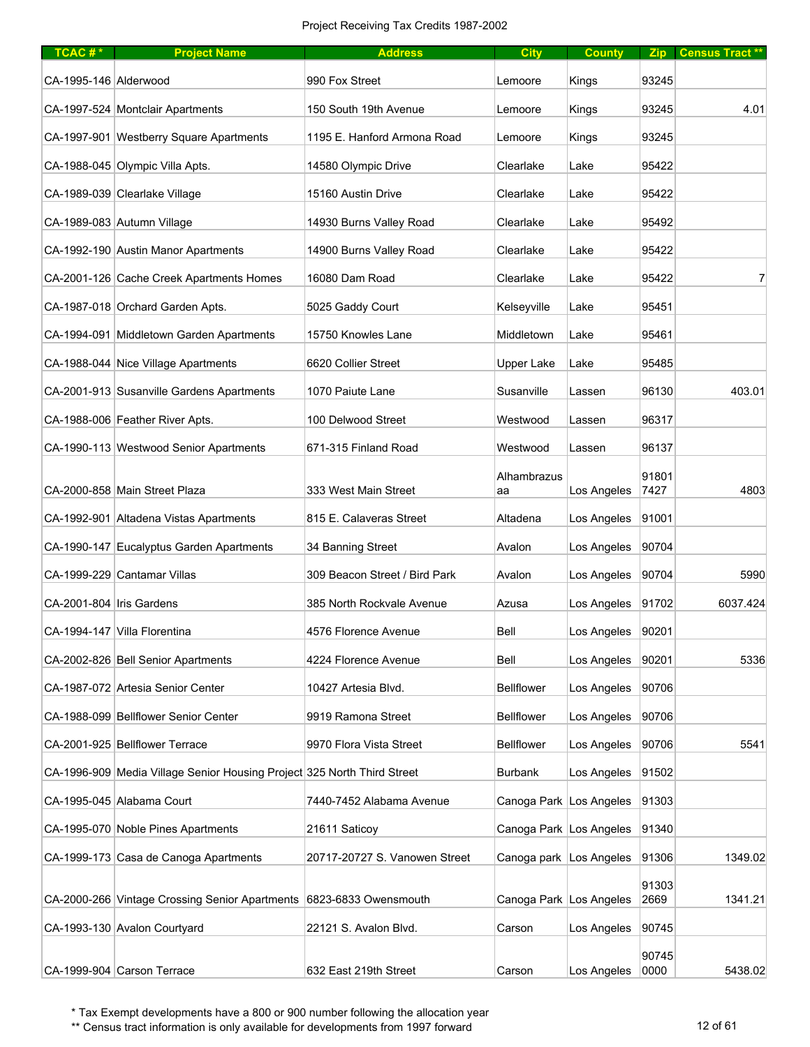| TCAC# $*$                  | <b>Project Name</b>                                                     | <b>Address</b>                | <b>City</b>               | <b>County</b> |               | Zip Census Tract ** |
|----------------------------|-------------------------------------------------------------------------|-------------------------------|---------------------------|---------------|---------------|---------------------|
| CA-1995-146 Alderwood      |                                                                         | 990 Fox Street                | Lemoore                   | Kings         | 93245         |                     |
|                            | CA-1997-524 Montclair Apartments                                        | 150 South 19th Avenue         | Lemoore                   | Kings         | 93245         | 4.01                |
|                            | CA-1997-901 Westberry Square Apartments                                 | 1195 E. Hanford Armona Road   | Lemoore                   | Kings         | 93245         |                     |
|                            | CA-1988-045 Olympic Villa Apts.                                         | 14580 Olympic Drive           | Clearlake                 | Lake          | 95422         |                     |
|                            | CA-1989-039 Clearlake Village                                           | 15160 Austin Drive            | Clearlake                 | Lake          | 95422         |                     |
|                            | CA-1989-083 Autumn Village                                              | 14930 Burns Valley Road       | Clearlake                 | Lake          | 95492         |                     |
|                            | CA-1992-190 Austin Manor Apartments                                     | 14900 Burns Valley Road       | Clearlake                 | Lake          | 95422         |                     |
|                            | CA-2001-126 Cache Creek Apartments Homes                                | 16080 Dam Road                | Clearlake                 | Lake          | 95422         | 7                   |
|                            | CA-1987-018 Orchard Garden Apts.                                        | 5025 Gaddy Court              | Kelseyville               | Lake          | 95451         |                     |
|                            | CA-1994-091 Middletown Garden Apartments                                | 15750 Knowles Lane            | Middletown                | Lake          | 95461         |                     |
|                            | CA-1988-044 Nice Village Apartments                                     | 6620 Collier Street           | <b>Upper Lake</b>         | Lake          | 95485         |                     |
|                            | CA-2001-913 Susanville Gardens Apartments                               | 1070 Paiute Lane              | Susanville                | Lassen        | 96130         | 403.01              |
|                            | CA-1988-006 Feather River Apts.                                         | 100 Delwood Street            | Westwood                  | Lassen        | 96317         |                     |
|                            | CA-1990-113 Westwood Senior Apartments                                  | 671-315 Finland Road          | Westwood                  | Lassen        | 96137         |                     |
|                            | CA-2000-858 Main Street Plaza                                           | 333 West Main Street          | Alhambrazus<br>aa         | Los Angeles   | 91801<br>7427 | 4803                |
|                            | CA-1992-901 Altadena Vistas Apartments                                  | 815 E. Calaveras Street       | Altadena                  | Los Angeles   | 91001         |                     |
|                            | CA-1990-147 Eucalyptus Garden Apartments                                | 34 Banning Street             | Avalon                    | Los Angeles   | 90704         |                     |
|                            | CA-1999-229 Cantamar Villas                                             | 309 Beacon Street / Bird Park | Avalon                    | Los Angeles   | 90704         | 5990                |
| CA-2001-804   Iris Gardens |                                                                         | 385 North Rockvale Avenue     | Azusa                     | Los Angeles   | 91702         | 6037.424            |
|                            | CA-1994-147 Villa Florentina                                            | 4576 Florence Avenue          | Bell                      | Los Angeles   | 90201         |                     |
|                            | CA-2002-826 Bell Senior Apartments                                      | 4224 Florence Avenue          | Bell                      | Los Angeles   | 90201         | 5336                |
|                            | CA-1987-072 Artesia Senior Center                                       | 10427 Artesia Blvd.           | <b>Bellflower</b>         | Los Angeles   | 90706         |                     |
|                            | CA-1988-099 Bellflower Senior Center                                    | 9919 Ramona Street            | <b>Bellflower</b>         | Los Angeles   | 90706         |                     |
|                            | CA-2001-925 Bellflower Terrace                                          | 9970 Flora Vista Street       | <b>Bellflower</b>         | Los Angeles   | 90706         | 5541                |
|                            | CA-1996-909 Media Village Senior Housing Project 325 North Third Street |                               | <b>Burbank</b>            | Los Angeles   | 91502         |                     |
|                            | CA-1995-045 Alabama Court                                               | 7440-7452 Alabama Avenue      | Canoga Park Los Angeles   |               | 91303         |                     |
|                            | CA-1995-070 Noble Pines Apartments                                      | 21611 Saticoy                 | Canoga Park Los Angeles   |               | 91340         |                     |
|                            | CA-1999-173 Casa de Canoga Apartments                                   | 20717-20727 S. Vanowen Street | Canoga park   Los Angeles |               | 91306         | 1349.02             |
|                            | CA-2000-266 Vintage Crossing Senior Apartments 6823-6833 Owensmouth     |                               | Canoga Park Los Angeles   |               | 91303<br>2669 | 1341.21             |
|                            | CA-1993-130 Avalon Courtyard                                            | 22121 S. Avalon Blvd.         | Carson                    | Los Angeles   | 90745         |                     |
|                            | CA-1999-904 Carson Terrace                                              | 632 East 219th Street         | Carson                    | Los Angeles   | 90745<br>0000 | 5438.02             |

\*\* Census tract information is only available for developments from 1997 forward 12 of 61 and 12 of 61 and 12 of 61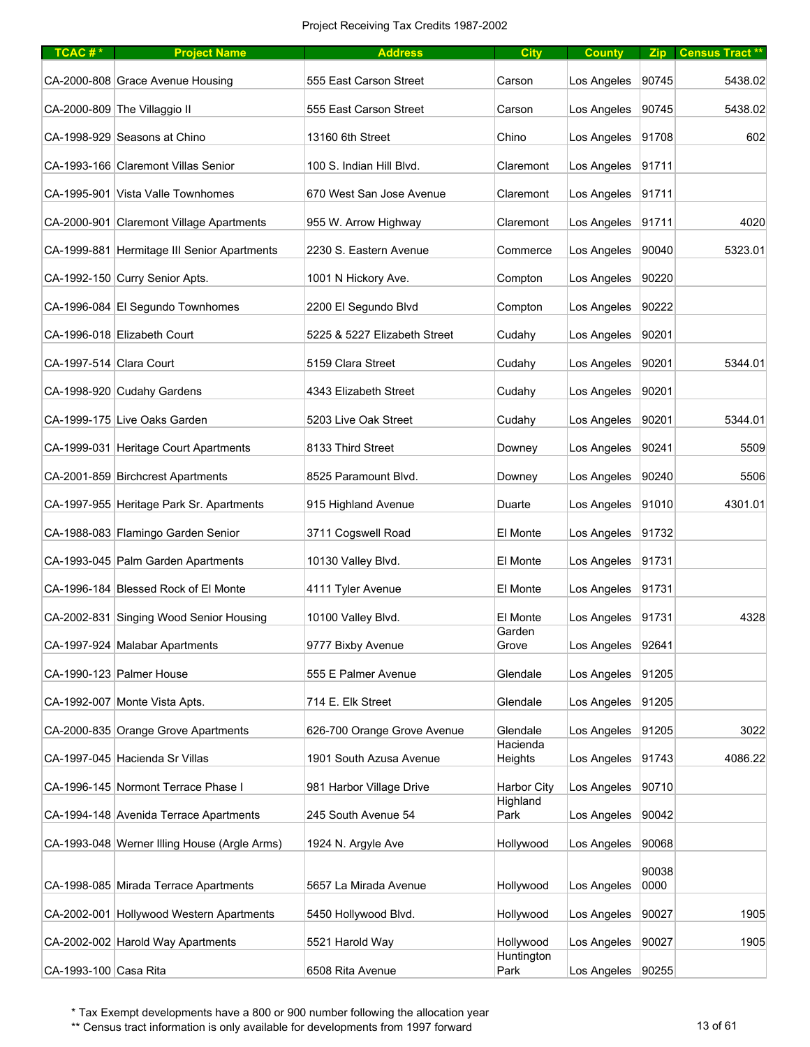| TCAC#*                  | <b>Project Name</b>                          | <b>Address</b>               | <b>City</b>             | <b>County</b> |       | Zip Census Tract** |
|-------------------------|----------------------------------------------|------------------------------|-------------------------|---------------|-------|--------------------|
|                         | CA-2000-808 Grace Avenue Housing             | 555 East Carson Street       | Carson                  | Los Angeles   | 90745 | 5438.02            |
|                         | CA-2000-809 The Villaggio II                 | 555 East Carson Street       | Carson                  | Los Angeles   | 90745 | 5438.02            |
|                         | CA-1998-929 Seasons at Chino                 | 13160 6th Street             | Chino                   | Los Angeles   | 91708 | 602                |
|                         | CA-1993-166 Claremont Villas Senior          | 100 S. Indian Hill Blvd.     | Claremont               | Los Angeles   | 91711 |                    |
|                         | CA-1995-901 Vista Valle Townhomes            | 670 West San Jose Avenue     | Claremont               | Los Angeles   | 91711 |                    |
|                         | CA-2000-901 Claremont Village Apartments     | 955 W. Arrow Highway         | Claremont               | Los Angeles   | 91711 | 4020               |
|                         | CA-1999-881 Hermitage III Senior Apartments  | 2230 S. Eastern Avenue       | Commerce                | Los Angeles   | 90040 | 5323.01            |
|                         | CA-1992-150 Curry Senior Apts.               | 1001 N Hickory Ave.          | Compton                 | Los Angeles   | 90220 |                    |
|                         | CA-1996-084 El Segundo Townhomes             | 2200 El Segundo Blvd         | Compton                 | Los Angeles   | 90222 |                    |
|                         | CA-1996-018 Elizabeth Court                  | 5225 & 5227 Elizabeth Street | Cudahy                  | Los Angeles   | 90201 |                    |
| CA-1997-514 Clara Court |                                              | 5159 Clara Street            | Cudahy                  | Los Angeles   | 90201 | 5344.01            |
|                         | CA-1998-920 Cudahy Gardens                   | 4343 Elizabeth Street        | Cudahy                  | Los Angeles   | 90201 |                    |
|                         | CA-1999-175 Live Oaks Garden                 | 5203 Live Oak Street         | Cudahy                  | Los Angeles   | 90201 | 5344.01            |
|                         | CA-1999-031 Heritage Court Apartments        | 8133 Third Street            | Downey                  | Los Angeles   | 90241 | 5509               |
|                         | CA-2001-859 Birchcrest Apartments            | 8525 Paramount Blvd.         | Downey                  | Los Angeles   | 90240 | 5506               |
|                         | CA-1997-955 Heritage Park Sr. Apartments     | 915 Highland Avenue          | Duarte                  | Los Angeles   | 91010 | 4301.01            |
|                         | CA-1988-083 Flamingo Garden Senior           | 3711 Cogswell Road           | El Monte                | Los Angeles   | 91732 |                    |
|                         | CA-1993-045 Palm Garden Apartments           | 10130 Valley Blvd.           | El Monte                | Los Angeles   | 91731 |                    |
|                         | CA-1996-184 Blessed Rock of El Monte         | 4111 Tyler Avenue            | El Monte                | Los Angeles   | 91731 |                    |
|                         | CA-2002-831 Singing Wood Senior Housing      | 10100 Valley Blvd.           | El Monte                | Los Angeles   | 91731 | 4328               |
|                         | CA-1997-924 Malabar Apartments               | 9777 Bixby Avenue            | Garden<br>Grove         | Los Angeles   | 92641 |                    |
|                         | CA-1990-123 Palmer House                     | 555 E Palmer Avenue          | Glendale                | Los Angeles   | 91205 |                    |
|                         | CA-1992-007 Monte Vista Apts.                | 714 E. Elk Street            | Glendale                | Los Angeles   | 91205 |                    |
|                         | CA-2000-835 Orange Grove Apartments          | 626-700 Orange Grove Avenue  | Glendale                | Los Angeles   | 91205 | 3022               |
|                         | CA-1997-045 Hacienda Sr Villas               | 1901 South Azusa Avenue      | Hacienda<br>Heights     | Los Angeles   | 91743 | 4086.22            |
|                         | CA-1996-145 Normont Terrace Phase I          | 981 Harbor Village Drive     | <b>Harbor City</b>      | Los Angeles   | 90710 |                    |
|                         | CA-1994-148 Avenida Terrace Apartments       | 245 South Avenue 54          | Highland<br>Park        | Los Angeles   | 90042 |                    |
|                         | CA-1993-048 Werner Illing House (Argle Arms) | 1924 N. Argyle Ave           | Hollywood               | Los Angeles   | 90068 |                    |
|                         |                                              |                              |                         |               | 90038 |                    |
|                         | CA-1998-085 Mirada Terrace Apartments        | 5657 La Mirada Avenue        | Hollywood               | Los Angeles   | 0000  |                    |
|                         | CA-2002-001 Hollywood Western Apartments     | 5450 Hollywood Blvd.         | Hollywood               | Los Angeles   | 90027 | 1905               |
|                         | CA-2002-002 Harold Way Apartments            | 5521 Harold Way              | Hollywood<br>Huntington | Los Angeles   | 90027 | 1905               |
| CA-1993-100 Casa Rita   |                                              | 6508 Rita Avenue             | Park                    | Los Angeles   | 90255 |                    |

\*\* Census tract information is only available for developments from 1997 forward 13 of 61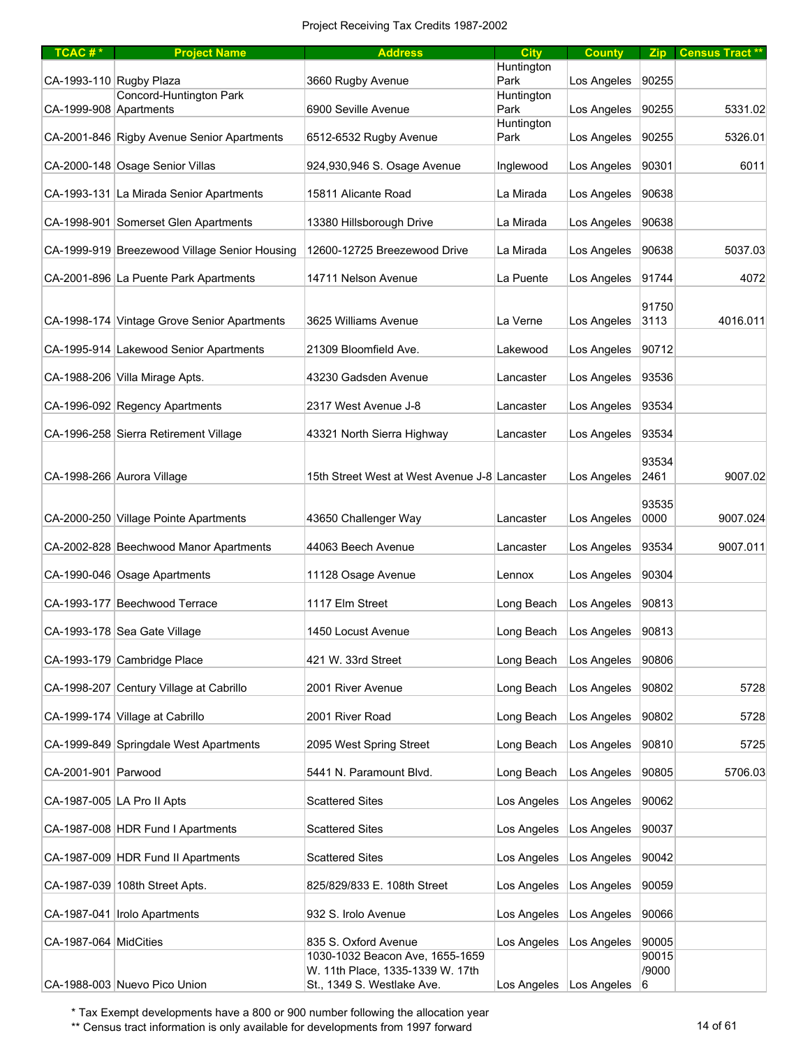| $TCAC #*$               | <b>Project Name</b>                           | <b>Address</b>                                                 | <b>City</b>        | <b>County</b>                 |               | Zip   Census Tract ** |
|-------------------------|-----------------------------------------------|----------------------------------------------------------------|--------------------|-------------------------------|---------------|-----------------------|
| CA-1993-110 Rugby Plaza |                                               | 3660 Rugby Avenue                                              | Huntington<br>Park | Los Angeles                   | 90255         |                       |
|                         | Concord-Huntington Park                       |                                                                | Huntington         |                               |               |                       |
| CA-1999-908 Apartments  |                                               | 6900 Seville Avenue                                            | Park               | Los Angeles                   | 90255         | 5331.02               |
|                         | CA-2001-846 Rigby Avenue Senior Apartments    | 6512-6532 Rugby Avenue                                         | Huntington<br>Park | Los Angeles                   | 90255         | 5326.01               |
|                         | CA-2000-148 Osage Senior Villas               | 924,930,946 S. Osage Avenue                                    | Inglewood          | Los Angeles                   | 90301         | 6011                  |
|                         | CA-1993-131 La Mirada Senior Apartments       | 15811 Alicante Road                                            | La Mirada          | Los Angeles                   | 90638         |                       |
|                         | CA-1998-901 Somerset Glen Apartments          | 13380 Hillsborough Drive                                       | La Mirada          | Los Angeles                   | 90638         |                       |
|                         | CA-1999-919 Breezewood Village Senior Housing | 12600-12725 Breezewood Drive                                   | La Mirada          | Los Angeles                   | 90638         | 5037.03               |
|                         | CA-2001-896 La Puente Park Apartments         | 14711 Nelson Avenue                                            | La Puente          | Los Angeles                   | 91744         | 4072                  |
|                         |                                               |                                                                |                    |                               | 91750         |                       |
|                         | CA-1998-174 Vintage Grove Senior Apartments   | 3625 Williams Avenue                                           | La Verne           | Los Angeles                   | 3113          | 4016.011              |
|                         | CA-1995-914 Lakewood Senior Apartments        | 21309 Bloomfield Ave.                                          | Lakewood           | Los Angeles                   | 90712         |                       |
|                         | CA-1988-206 Villa Mirage Apts.                | 43230 Gadsden Avenue                                           | Lancaster          | Los Angeles                   | 93536         |                       |
|                         | CA-1996-092 Regency Apartments                | 2317 West Avenue J-8                                           | Lancaster          | Los Angeles                   | 93534         |                       |
|                         | CA-1996-258 Sierra Retirement Village         | 43321 North Sierra Highway                                     | Lancaster          | Los Angeles                   | 93534         |                       |
|                         |                                               |                                                                |                    |                               | 93534         |                       |
|                         | CA-1998-266 Aurora Village                    | 15th Street West at West Avenue J-8 Lancaster                  |                    | Los Angeles                   | 2461          | 9007.02               |
|                         | CA-2000-250 Village Pointe Apartments         | 43650 Challenger Way                                           | Lancaster          | Los Angeles                   | 93535<br>0000 | 9007.024              |
|                         |                                               |                                                                |                    |                               |               |                       |
|                         | CA-2002-828 Beechwood Manor Apartments        | 44063 Beech Avenue                                             | Lancaster          | Los Angeles                   | 93534         | 9007.011              |
|                         | CA-1990-046 Osage Apartments                  | 11128 Osage Avenue                                             | Lennox             | Los Angeles                   | 90304         |                       |
|                         | CA-1993-177 Beechwood Terrace                 | 1117 Elm Street                                                | Long Beach         | Los Angeles                   | 90813         |                       |
|                         | CA-1993-178 Sea Gate Village                  | 1450 Locust Avenue                                             | Long Beach         | Los Angeles                   | 90813         |                       |
|                         | CA-1993-179 Cambridge Place                   | 421 W. 33rd Street                                             | Long Beach         | Los Angeles                   | 90806         |                       |
|                         | CA-1998-207 Century Village at Cabrillo       | 2001 River Avenue                                              | Long Beach         | Los Angeles                   | 90802         | 5728                  |
|                         | CA-1999-174 Village at Cabrillo               | 2001 River Road                                                | Long Beach         | Los Angeles                   | 90802         | 5728                  |
|                         | CA-1999-849 Springdale West Apartments        | 2095 West Spring Street                                        | Long Beach         | Los Angeles                   | 90810         | 5725                  |
| CA-2001-901 Parwood     |                                               | 5441 N. Paramount Blvd.                                        | Long Beach         | Los Angeles                   | 90805         | 5706.03               |
|                         | CA-1987-005 LA Pro II Apts                    | <b>Scattered Sites</b>                                         | Los Angeles        | Los Angeles                   | 90062         |                       |
|                         | CA-1987-008 HDR Fund I Apartments             | <b>Scattered Sites</b>                                         | Los Angeles        | Los Angeles                   | 90037         |                       |
|                         | CA-1987-009 HDR Fund II Apartments            | <b>Scattered Sites</b>                                         | Los Angeles        | Los Angeles                   | 90042         |                       |
|                         | CA-1987-039 108th Street Apts.                | 825/829/833 E. 108th Street                                    | Los Angeles        | Los Angeles                   | 90059         |                       |
|                         | CA-1987-041 Irolo Apartments                  | 932 S. Irolo Avenue                                            | Los Angeles        | Los Angeles                   | 90066         |                       |
| CA-1987-064 MidCities   |                                               | 835 S. Oxford Avenue                                           | Los Angeles        | Los Angeles                   | 90005         |                       |
|                         |                                               | 1030-1032 Beacon Ave, 1655-1659                                |                    |                               | 90015         |                       |
|                         | CA-1988-003 Nuevo Pico Union                  | W. 11th Place, 1335-1339 W. 17th<br>St., 1349 S. Westlake Ave. |                    | Los Angeles   Los Angeles   6 | /9000         |                       |

\*\* Census tract information is only available for developments from 1997 forward 14 of 61 and 14 of 61 and 14 of 61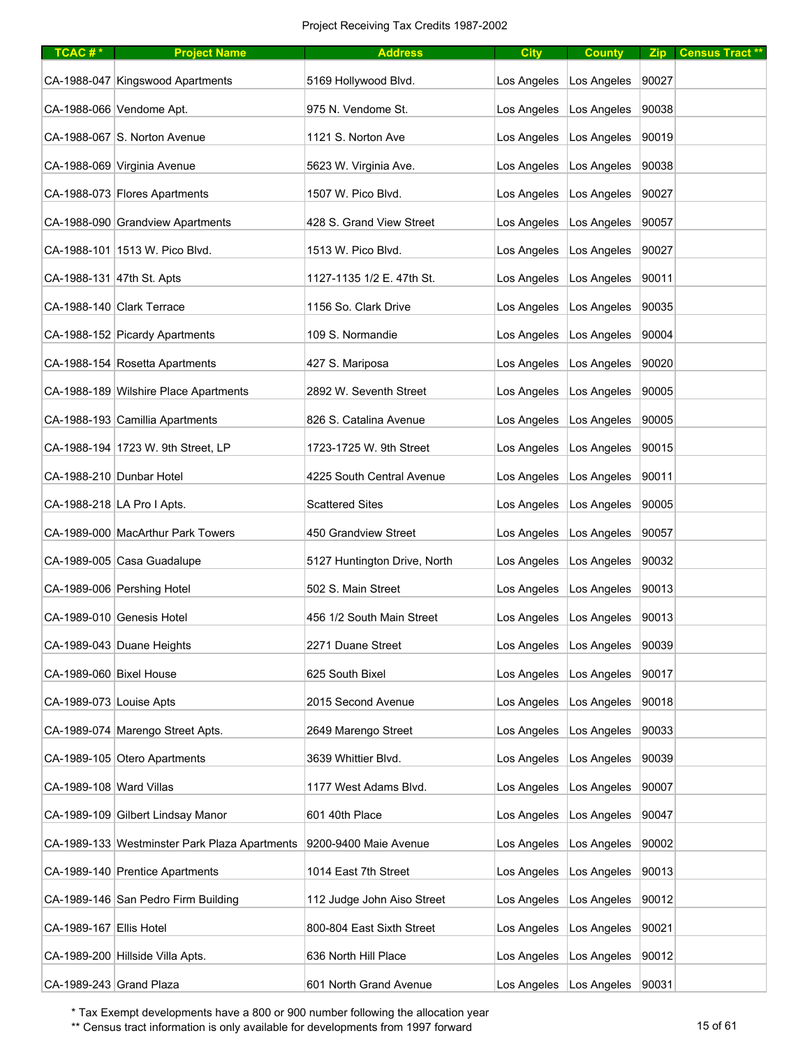| TCAC#*                  | <b>Project Name</b>                           | <b>Address</b>               | <b>City</b> | <b>County</b>                     |       | Zip Census Tract** |
|-------------------------|-----------------------------------------------|------------------------------|-------------|-----------------------------------|-------|--------------------|
|                         | CA-1988-047 Kingswood Apartments              | 5169 Hollywood Blvd.         | Los Angeles | Los Angeles                       | 90027 |                    |
|                         | CA-1988-066 Vendome Apt.                      | 975 N. Vendome St.           | Los Angeles | Los Angeles                       | 90038 |                    |
|                         | CA-1988-067 S. Norton Avenue                  | 1121 S. Norton Ave           | Los Angeles | Los Angeles                       | 90019 |                    |
|                         | CA-1988-069 Virginia Avenue                   | 5623 W. Virginia Ave.        | Los Angeles | Los Angeles                       | 90038 |                    |
|                         | CA-1988-073 Flores Apartments                 | 1507 W. Pico Blvd.           | Los Angeles | Los Angeles                       | 90027 |                    |
|                         | CA-1988-090 Grandview Apartments              | 428 S. Grand View Street     | Los Angeles | Los Angeles                       | 90057 |                    |
|                         | CA-1988-101 1513 W. Pico Blvd.                | 1513 W. Pico Blvd.           | Los Angeles | Los Angeles                       | 90027 |                    |
|                         | CA-1988-131 47th St. Apts                     | 1127-1135 1/2 E. 47th St.    | Los Angeles | Los Angeles                       | 90011 |                    |
|                         | CA-1988-140 Clark Terrace                     | 1156 So. Clark Drive         | Los Angeles | Los Angeles                       | 90035 |                    |
|                         | CA-1988-152 Picardy Apartments                | 109 S. Normandie             | Los Angeles | Los Angeles                       | 90004 |                    |
|                         | CA-1988-154 Rosetta Apartments                | 427 S. Mariposa              | Los Angeles | Los Angeles                       | 90020 |                    |
|                         | CA-1988-189 Wilshire Place Apartments         | 2892 W. Seventh Street       | Los Angeles | Los Angeles                       | 90005 |                    |
|                         | CA-1988-193 Camillia Apartments               | 826 S. Catalina Avenue       | Los Angeles | Los Angeles                       | 90005 |                    |
|                         | CA-1988-194 1723 W. 9th Street, LP            | 1723-1725 W. 9th Street      | Los Angeles | Los Angeles                       | 90015 |                    |
|                         | CA-1988-210 Dunbar Hotel                      | 4225 South Central Avenue    | Los Angeles | Los Angeles                       | 90011 |                    |
|                         | CA-1988-218 LA Pro I Apts.                    | <b>Scattered Sites</b>       | Los Angeles | Los Angeles                       | 90005 |                    |
|                         | CA-1989-000 MacArthur Park Towers             | 450 Grandview Street         | Los Angeles | Los Angeles                       | 90057 |                    |
|                         | CA-1989-005 Casa Guadalupe                    | 5127 Huntington Drive, North | Los Angeles | Los Angeles                       | 90032 |                    |
|                         | CA-1989-006 Pershing Hotel                    | 502 S. Main Street           | Los Angeles | Los Angeles                       | 90013 |                    |
|                         | CA-1989-010 Genesis Hotel                     | 456 1/2 South Main Street    | Los Angeles | Los Angeles                       | 90013 |                    |
|                         | CA-1989-043 Duane Heights                     | 2271 Duane Street            | Los Angeles | Los Angeles                       | 90039 |                    |
| CA-1989-060 Bixel House |                                               | 625 South Bixel              | Los Angeles | Los Angeles                       | 90017 |                    |
| CA-1989-073 Louise Apts |                                               | 2015 Second Avenue           | Los Angeles | Los Angeles                       | 90018 |                    |
|                         | CA-1989-074 Marengo Street Apts.              | 2649 Marengo Street          | Los Angeles | Los Angeles                       | 90033 |                    |
|                         | CA-1989-105 Otero Apartments                  | 3639 Whittier Blvd.          | Los Angeles | Los Angeles                       | 90039 |                    |
| CA-1989-108 Ward Villas |                                               | 1177 West Adams Blvd.        | Los Angeles | Los Angeles                       | 90007 |                    |
|                         | CA-1989-109 Gilbert Lindsay Manor             | 601 40th Place               | Los Angeles | Los Angeles                       | 90047 |                    |
|                         | CA-1989-133 Westminster Park Plaza Apartments | 9200-9400 Maie Avenue        | Los Angeles | Los Angeles                       | 90002 |                    |
|                         | CA-1989-140 Prentice Apartments               | 1014 East 7th Street         | Los Angeles | Los Angeles                       | 90013 |                    |
|                         | CA-1989-146 San Pedro Firm Building           | 112 Judge John Aiso Street   | Los Angeles | Los Angeles                       | 90012 |                    |
| CA-1989-167 Ellis Hotel |                                               | 800-804 East Sixth Street    | Los Angeles | Los Angeles                       | 90021 |                    |
|                         | CA-1989-200 Hillside Villa Apts.              | 636 North Hill Place         | Los Angeles | Los Angeles                       | 90012 |                    |
| CA-1989-243 Grand Plaza |                                               | 601 North Grand Avenue       |             | Los Angeles   Los Angeles   90031 |       |                    |

\*\* Census tract information is only available for developments from 1997 forward 15 of 61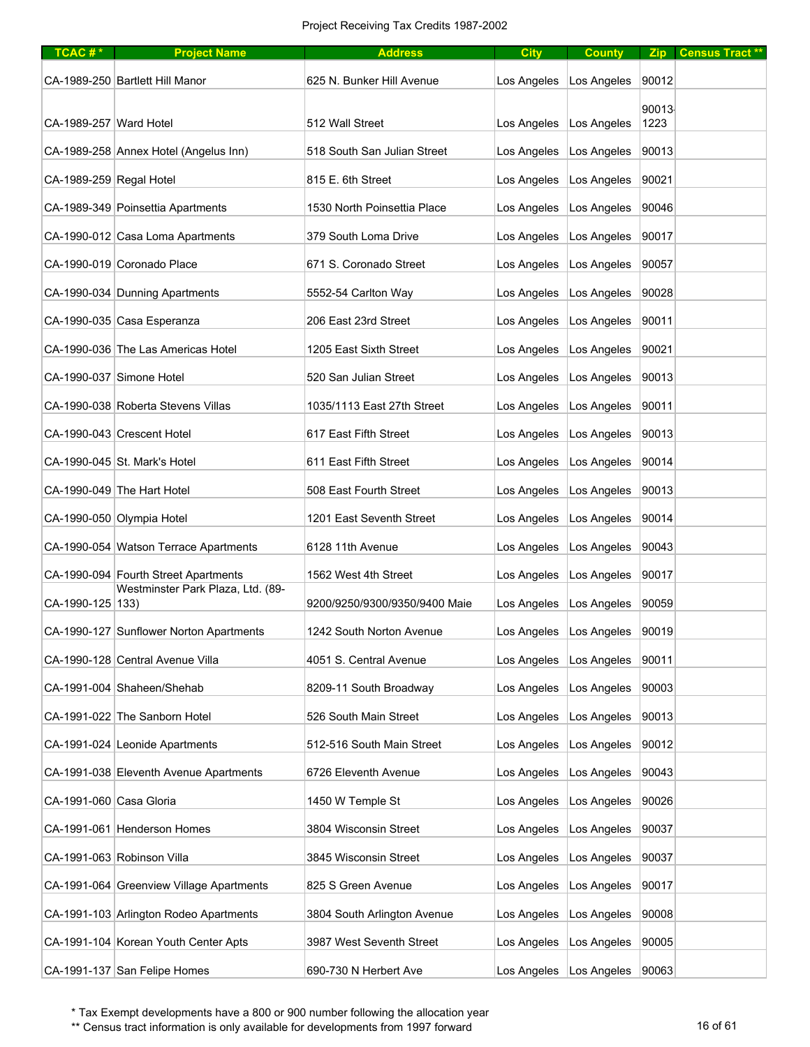| TCAC#*                  | <b>Project Name</b>                      | <b>Address</b>                | <b>City</b> | <b>County</b>                     | Zip           | <b>Census Tract **</b> |
|-------------------------|------------------------------------------|-------------------------------|-------------|-----------------------------------|---------------|------------------------|
|                         | CA-1989-250 Bartlett Hill Manor          | 625 N. Bunker Hill Avenue     | Los Angeles | Los Angeles                       | 90012         |                        |
| CA-1989-257 Ward Hotel  |                                          | 512 Wall Street               | Los Angeles | Los Angeles                       | 90013<br>1223 |                        |
|                         | CA-1989-258 Annex Hotel (Angelus Inn)    | 518 South San Julian Street   | Los Angeles | Los Angeles                       | 90013         |                        |
| CA-1989-259 Regal Hotel |                                          | 815 E. 6th Street             | Los Angeles | Los Angeles                       | 90021         |                        |
|                         | CA-1989-349 Poinsettia Apartments        | 1530 North Poinsettia Place   | Los Angeles | Los Angeles                       | 90046         |                        |
|                         | CA-1990-012 Casa Loma Apartments         | 379 South Loma Drive          | Los Angeles | Los Angeles                       | 90017         |                        |
|                         | CA-1990-019 Coronado Place               | 671 S. Coronado Street        | Los Angeles | Los Angeles                       | 90057         |                        |
|                         | CA-1990-034 Dunning Apartments           | 5552-54 Carlton Way           | Los Angeles | Los Angeles                       | 90028         |                        |
|                         | CA-1990-035 Casa Esperanza               | 206 East 23rd Street          | Los Angeles | Los Angeles                       | 90011         |                        |
|                         | CA-1990-036 The Las Americas Hotel       | 1205 East Sixth Street        | Los Angeles | Los Angeles                       | 90021         |                        |
|                         | CA-1990-037 Simone Hotel                 | 520 San Julian Street         | Los Angeles | Los Angeles                       | 90013         |                        |
|                         | CA-1990-038 Roberta Stevens Villas       | 1035/1113 East 27th Street    | Los Angeles | Los Angeles                       | 90011         |                        |
|                         | CA-1990-043 Crescent Hotel               | 617 East Fifth Street         | Los Angeles | Los Angeles                       | 90013         |                        |
|                         | CA-1990-045 St. Mark's Hotel             | 611 East Fifth Street         | Los Angeles | Los Angeles                       | 90014         |                        |
|                         | CA-1990-049 The Hart Hotel               | 508 East Fourth Street        | Los Angeles | Los Angeles                       | 90013         |                        |
|                         | CA-1990-050 Olympia Hotel                | 1201 East Seventh Street      | Los Angeles | Los Angeles                       | 90014         |                        |
|                         | CA-1990-054 Watson Terrace Apartments    | 6128 11th Avenue              | Los Angeles | Los Angeles                       | 90043         |                        |
|                         | CA-1990-094 Fourth Street Apartments     | 1562 West 4th Street          | Los Angeles | Los Angeles                       | 90017         |                        |
| CA-1990-125 133)        | Westminster Park Plaza, Ltd. (89-        | 9200/9250/9300/9350/9400 Maie | Los Angeles | Los Angeles                       | 90059         |                        |
|                         | CA-1990-127 Sunflower Norton Apartments  | 1242 South Norton Avenue      | Los Angeles | Los Angeles                       | 90019         |                        |
|                         | CA-1990-128 Central Avenue Villa         | 4051 S. Central Avenue        | Los Angeles | Los Angeles                       | 90011         |                        |
|                         | CA-1991-004 Shaheen/Shehab               | 8209-11 South Broadway        | Los Angeles | Los Angeles                       | 90003         |                        |
|                         | CA-1991-022 The Sanborn Hotel            | 526 South Main Street         | Los Angeles | Los Angeles                       | 90013         |                        |
|                         | CA-1991-024 Leonide Apartments           | 512-516 South Main Street     | Los Angeles | Los Angeles                       | 90012         |                        |
|                         | CA-1991-038 Eleventh Avenue Apartments   | 6726 Eleventh Avenue          | Los Angeles | Los Angeles                       | 90043         |                        |
| CA-1991-060 Casa Gloria |                                          | 1450 W Temple St              | Los Angeles | Los Angeles                       | 90026         |                        |
|                         | CA-1991-061 Henderson Homes              | 3804 Wisconsin Street         | Los Angeles | Los Angeles                       | 90037         |                        |
|                         | CA-1991-063 Robinson Villa               | 3845 Wisconsin Street         | Los Angeles | Los Angeles                       | 90037         |                        |
|                         | CA-1991-064 Greenview Village Apartments | 825 S Green Avenue            | Los Angeles | Los Angeles                       | 90017         |                        |
|                         | CA-1991-103 Arlington Rodeo Apartments   | 3804 South Arlington Avenue   | Los Angeles | Los Angeles                       | 90008         |                        |
|                         | CA-1991-104 Korean Youth Center Apts     | 3987 West Seventh Street      | Los Angeles | Los Angeles                       | 90005         |                        |
|                         | CA-1991-137 San Felipe Homes             | 690-730 N Herbert Ave         |             | Los Angeles   Los Angeles   90063 |               |                        |

\*\* Census tract information is only available for developments from 1997 forward 16 of 61 of 61 of 61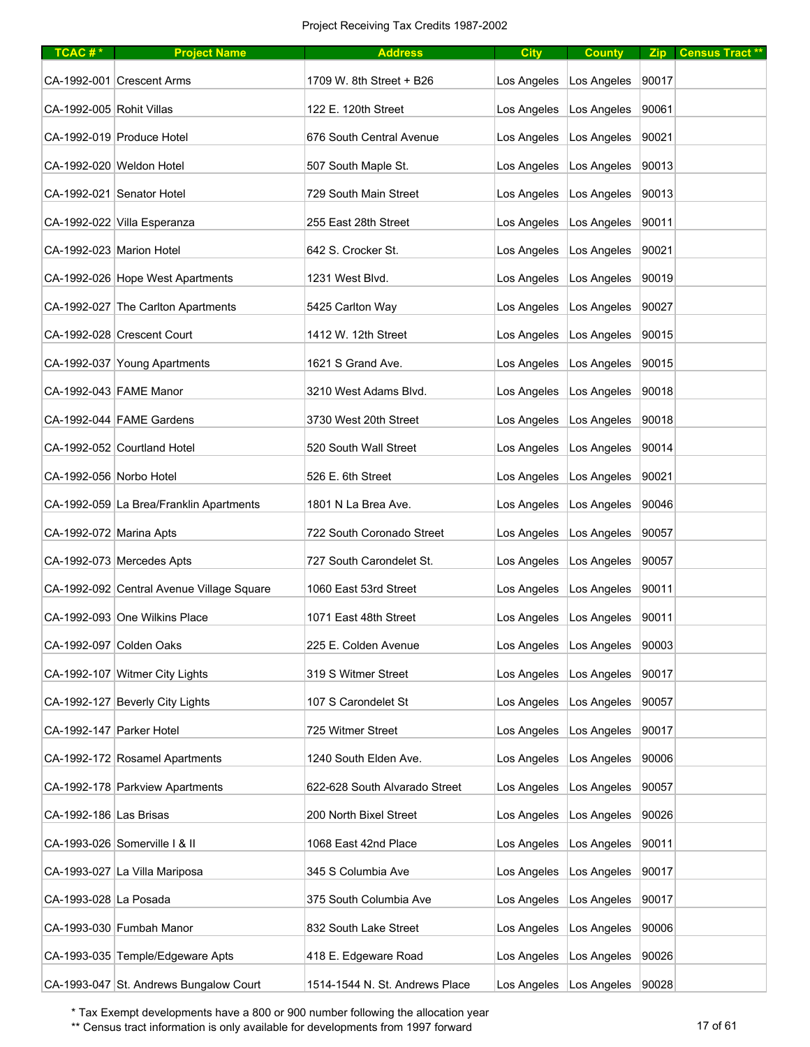| TCAC#*                   | <b>Project Name</b>                       | <b>Address</b>                 | <b>City</b> | <b>County</b>                     |       | Zip Census Tract ** |
|--------------------------|-------------------------------------------|--------------------------------|-------------|-----------------------------------|-------|---------------------|
|                          | CA-1992-001 Crescent Arms                 | 1709 W. 8th Street + B26       | Los Angeles | Los Angeles                       | 90017 |                     |
| CA-1992-005 Rohit Villas |                                           | 122 E. 120th Street            | Los Angeles | Los Angeles                       | 90061 |                     |
|                          | CA-1992-019 Produce Hotel                 | 676 South Central Avenue       | Los Angeles | Los Angeles                       | 90021 |                     |
|                          | CA-1992-020 Weldon Hotel                  | 507 South Maple St.            | Los Angeles | Los Angeles                       | 90013 |                     |
|                          | CA-1992-021 Senator Hotel                 | 729 South Main Street          | Los Angeles | Los Angeles                       | 90013 |                     |
|                          | CA-1992-022 Villa Esperanza               | 255 East 28th Street           | Los Angeles | Los Angeles                       | 90011 |                     |
| CA-1992-023 Marion Hotel |                                           | 642 S. Crocker St.             | Los Angeles | Los Angeles                       | 90021 |                     |
|                          | CA-1992-026 Hope West Apartments          | 1231 West Blvd.                | Los Angeles | Los Angeles                       | 90019 |                     |
|                          | CA-1992-027 The Carlton Apartments        | 5425 Carlton Way               | Los Angeles | Los Angeles                       | 90027 |                     |
|                          | CA-1992-028 Crescent Court                | 1412 W. 12th Street            | Los Angeles | Los Angeles                       | 90015 |                     |
|                          | CA-1992-037 Young Apartments              | 1621 S Grand Ave.              | Los Angeles | Los Angeles                       | 90015 |                     |
|                          | CA-1992-043 FAME Manor                    | 3210 West Adams Blvd.          | Los Angeles | Los Angeles                       | 90018 |                     |
|                          | CA-1992-044 FAME Gardens                  | 3730 West 20th Street          | Los Angeles | Los Angeles                       | 90018 |                     |
|                          | CA-1992-052 Courtland Hotel               | 520 South Wall Street          | Los Angeles | Los Angeles                       | 90014 |                     |
| CA-1992-056 Norbo Hotel  |                                           | 526 E. 6th Street              | Los Angeles | Los Angeles                       | 90021 |                     |
|                          | CA-1992-059 La Brea/Franklin Apartments   | 1801 N La Brea Ave.            | Los Angeles | Los Angeles                       | 90046 |                     |
| CA-1992-072 Marina Apts  |                                           | 722 South Coronado Street      | Los Angeles | Los Angeles                       | 90057 |                     |
|                          | CA-1992-073 Mercedes Apts                 | 727 South Carondelet St.       | Los Angeles | Los Angeles                       | 90057 |                     |
|                          | CA-1992-092 Central Avenue Village Square | 1060 East 53rd Street          | Los Angeles | Los Angeles                       | 90011 |                     |
|                          | CA-1992-093 One Wilkins Place             | 1071 East 48th Street          | Los Angeles | Los Angeles                       | 90011 |                     |
|                          | CA-1992-097 Colden Oaks                   | 225 E. Colden Avenue           | Los Angeles | Los Angeles                       | 90003 |                     |
|                          | CA-1992-107 Witmer City Lights            | 319 S Witmer Street            | Los Angeles | Los Angeles                       | 90017 |                     |
|                          | CA-1992-127 Beverly City Lights           | 107 S Carondelet St            | Los Angeles | Los Angeles                       | 90057 |                     |
| CA-1992-147 Parker Hotel |                                           | 725 Witmer Street              | Los Angeles | Los Angeles                       | 90017 |                     |
|                          | CA-1992-172 Rosamel Apartments            | 1240 South Elden Ave.          | Los Angeles | Los Angeles                       | 90006 |                     |
|                          | CA-1992-178 Parkview Apartments           | 622-628 South Alvarado Street  | Los Angeles | Los Angeles                       | 90057 |                     |
| CA-1992-186 Las Brisas   |                                           | 200 North Bixel Street         | Los Angeles | Los Angeles                       | 90026 |                     |
|                          | CA-1993-026 Somerville   & II             | 1068 East 42nd Place           | Los Angeles | Los Angeles                       | 90011 |                     |
|                          | CA-1993-027 La Villa Mariposa             | 345 S Columbia Ave             | Los Angeles | Los Angeles                       | 90017 |                     |
| CA-1993-028 La Posada    |                                           | 375 South Columbia Ave         | Los Angeles | Los Angeles                       | 90017 |                     |
|                          | CA-1993-030 Fumbah Manor                  | 832 South Lake Street          | Los Angeles | Los Angeles                       | 90006 |                     |
|                          | CA-1993-035 Temple/Edgeware Apts          | 418 E. Edgeware Road           | Los Angeles | Los Angeles                       | 90026 |                     |
|                          | CA-1993-047 St. Andrews Bungalow Court    | 1514-1544 N. St. Andrews Place |             | Los Angeles   Los Angeles   90028 |       |                     |

\*\* Census tract information is only available for developments from 1997 forward 17 of 61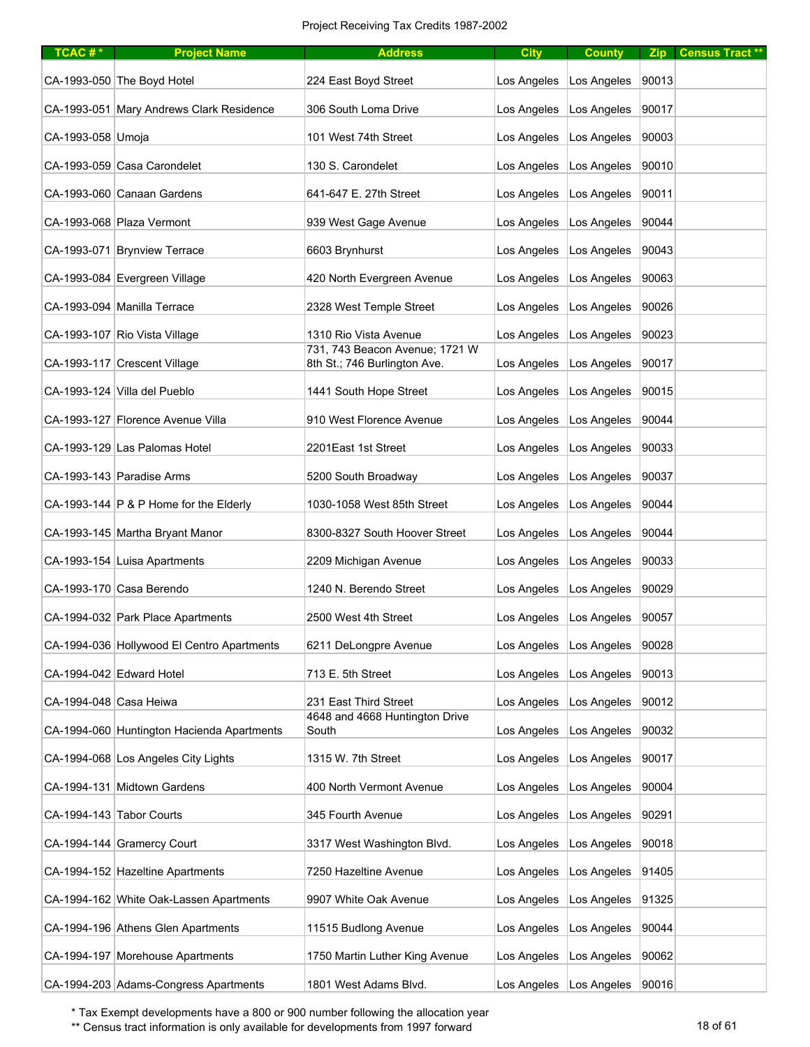| TCAC#*                 | <b>Project Name</b>                        | <b>Address</b>                                                 | <b>City</b> | <b>County</b>                     |       | Zip Census Tract ** |
|------------------------|--------------------------------------------|----------------------------------------------------------------|-------------|-----------------------------------|-------|---------------------|
|                        | CA-1993-050 The Boyd Hotel                 | 224 East Boyd Street                                           | Los Angeles | Los Angeles                       | 90013 |                     |
|                        | CA-1993-051 Mary Andrews Clark Residence   | 306 South Loma Drive                                           | Los Angeles | Los Angeles                       | 90017 |                     |
| CA-1993-058 Umoja      |                                            | 101 West 74th Street                                           | Los Angeles | Los Angeles                       | 90003 |                     |
|                        | CA-1993-059 Casa Carondelet                | 130 S. Carondelet                                              | Los Angeles | Los Angeles                       | 90010 |                     |
|                        | CA-1993-060 Canaan Gardens                 | 641-647 E. 27th Street                                         | Los Angeles | Los Angeles                       | 90011 |                     |
|                        | CA-1993-068 Plaza Vermont                  | 939 West Gage Avenue                                           | Los Angeles | Los Angeles                       | 90044 |                     |
|                        | CA-1993-071 Brynview Terrace               | 6603 Brynhurst                                                 | Los Angeles | Los Angeles                       | 90043 |                     |
|                        | CA-1993-084 Evergreen Village              | 420 North Evergreen Avenue                                     | Los Angeles | Los Angeles                       | 90063 |                     |
|                        | CA-1993-094 Manilla Terrace                | 2328 West Temple Street                                        | Los Angeles | Los Angeles                       | 90026 |                     |
|                        | CA-1993-107 Rio Vista Village              | 1310 Rio Vista Avenue                                          | Los Angeles | Los Angeles                       | 90023 |                     |
|                        | CA-1993-117 Crescent Village               | 731, 743 Beacon Avenue; 1721 W<br>8th St.; 746 Burlington Ave. | Los Angeles | Los Angeles                       | 90017 |                     |
|                        | CA-1993-124 Villa del Pueblo               | 1441 South Hope Street                                         | Los Angeles | Los Angeles                       | 90015 |                     |
|                        | CA-1993-127 Florence Avenue Villa          | 910 West Florence Avenue                                       | Los Angeles | Los Angeles                       | 90044 |                     |
|                        | CA-1993-129 Las Palomas Hotel              | 2201East 1st Street                                            | Los Angeles | Los Angeles                       | 90033 |                     |
|                        | CA-1993-143 Paradise Arms                  | 5200 South Broadway                                            | Los Angeles | Los Angeles                       | 90037 |                     |
|                        | CA-1993-144 $ P \& P$ Home for the Elderly | 1030-1058 West 85th Street                                     | Los Angeles | Los Angeles                       | 90044 |                     |
|                        | CA-1993-145 Martha Bryant Manor            | 8300-8327 South Hoover Street                                  | Los Angeles | Los Angeles                       | 90044 |                     |
|                        | CA-1993-154 Luisa Apartments               | 2209 Michigan Avenue                                           | Los Angeles | Los Angeles                       | 90033 |                     |
|                        | CA-1993-170 Casa Berendo                   | 1240 N. Berendo Street                                         | Los Angeles | Los Angeles                       | 90029 |                     |
|                        | CA-1994-032 Park Place Apartments          | 2500 West 4th Street                                           | Los Angeles | Los Angeles                       | 90057 |                     |
|                        | CA-1994-036 Hollywood El Centro Apartments | 6211 DeLongpre Avenue                                          | Los Angeles | Los Angeles                       | 90028 |                     |
|                        | CA-1994-042 Edward Hotel                   | 713 E. 5th Street                                              | Los Angeles | Los Angeles                       | 90013 |                     |
| CA-1994-048 Casa Heiwa |                                            | 231 East Third Street                                          | Los Angeles | Los Angeles                       | 90012 |                     |
|                        | CA-1994-060 Huntington Hacienda Apartments | 4648 and 4668 Huntington Drive<br>South                        | Los Angeles | Los Angeles                       | 90032 |                     |
|                        | CA-1994-068 Los Angeles City Lights        | 1315 W. 7th Street                                             | Los Angeles | Los Angeles                       | 90017 |                     |
|                        | CA-1994-131 Midtown Gardens                | 400 North Vermont Avenue                                       | Los Angeles | Los Angeles                       | 90004 |                     |
|                        | CA-1994-143 Tabor Courts                   | 345 Fourth Avenue                                              | Los Angeles | Los Angeles                       | 90291 |                     |
|                        | CA-1994-144 Gramercy Court                 | 3317 West Washington Blvd.                                     | Los Angeles | Los Angeles                       | 90018 |                     |
|                        | CA-1994-152 Hazeltine Apartments           | 7250 Hazeltine Avenue                                          | Los Angeles | Los Angeles                       | 91405 |                     |
|                        | CA-1994-162 White Oak-Lassen Apartments    | 9907 White Oak Avenue                                          | Los Angeles | Los Angeles                       | 91325 |                     |
|                        | CA-1994-196 Athens Glen Apartments         | 11515 Budlong Avenue                                           | Los Angeles | Los Angeles                       | 90044 |                     |
|                        | CA-1994-197 Morehouse Apartments           | 1750 Martin Luther King Avenue                                 | Los Angeles | Los Angeles                       | 90062 |                     |
|                        | CA-1994-203 Adams-Congress Apartments      | 1801 West Adams Blvd.                                          |             | Los Angeles   Los Angeles   90016 |       |                     |

\*\* Census tract information is only available for developments from 1997 forward 18 of 61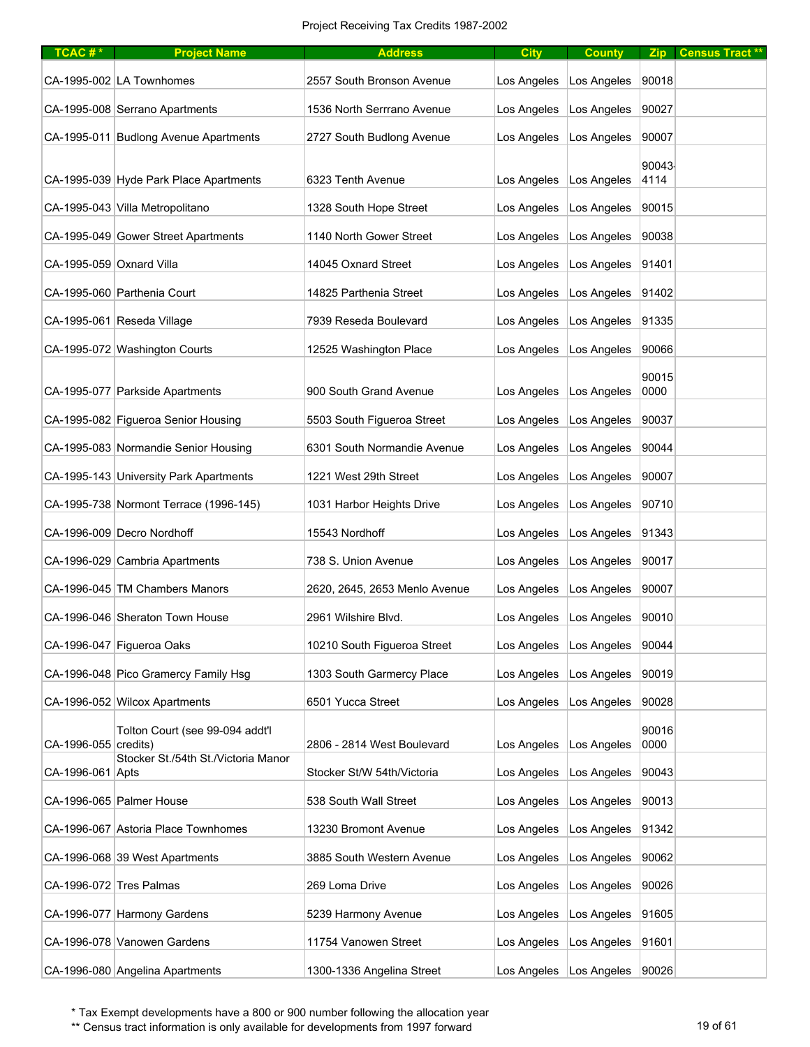| TCAC#*                   | <b>Project Name</b>                    | <b>Address</b>                | <b>City</b> | <b>County</b>                     | Zip           | Census Tract ** |
|--------------------------|----------------------------------------|-------------------------------|-------------|-----------------------------------|---------------|-----------------|
|                          | CA-1995-002 LA Townhomes               | 2557 South Bronson Avenue     | Los Angeles | Los Angeles                       | 90018         |                 |
|                          | CA-1995-008 Serrano Apartments         | 1536 North Serrrano Avenue    | Los Angeles | Los Angeles                       | 90027         |                 |
|                          | CA-1995-011 Budlong Avenue Apartments  | 2727 South Budlong Avenue     | Los Angeles | Los Angeles                       | 90007         |                 |
|                          | CA-1995-039 Hyde Park Place Apartments | 6323 Tenth Avenue             | Los Angeles | Los Angeles                       | 90043<br>4114 |                 |
|                          | CA-1995-043 Villa Metropolitano        | 1328 South Hope Street        | Los Angeles | Los Angeles                       | 90015         |                 |
|                          | CA-1995-049 Gower Street Apartments    | 1140 North Gower Street       | Los Angeles | Los Angeles                       | 90038         |                 |
| CA-1995-059 Oxnard Villa |                                        | 14045 Oxnard Street           | Los Angeles | Los Angeles                       | 91401         |                 |
|                          | CA-1995-060 Parthenia Court            | 14825 Parthenia Street        | Los Angeles | Los Angeles                       | 91402         |                 |
|                          | CA-1995-061 Reseda Village             | 7939 Reseda Boulevard         | Los Angeles | Los Angeles                       | 91335         |                 |
|                          | CA-1995-072 Washington Courts          | 12525 Washington Place        | Los Angeles | Los Angeles                       | 90066         |                 |
|                          | CA-1995-077 Parkside Apartments        | 900 South Grand Avenue        | Los Angeles | Los Angeles                       | 90015<br>0000 |                 |
|                          | CA-1995-082 Figueroa Senior Housing    | 5503 South Figueroa Street    | Los Angeles | Los Angeles                       | 90037         |                 |
|                          | CA-1995-083 Normandie Senior Housing   | 6301 South Normandie Avenue   | Los Angeles | Los Angeles                       | 90044         |                 |
|                          | CA-1995-143 University Park Apartments | 1221 West 29th Street         | Los Angeles | Los Angeles                       | 90007         |                 |
|                          | CA-1995-738 Normont Terrace (1996-145) | 1031 Harbor Heights Drive     | Los Angeles | Los Angeles                       | 90710         |                 |
|                          | CA-1996-009 Decro Nordhoff             | 15543 Nordhoff                | Los Angeles | Los Angeles                       | 91343         |                 |
|                          | CA-1996-029 Cambria Apartments         | 738 S. Union Avenue           | Los Angeles | Los Angeles                       | 90017         |                 |
|                          | CA-1996-045 TM Chambers Manors         | 2620, 2645, 2653 Menlo Avenue | Los Angeles | Los Angeles                       | 90007         |                 |
|                          | CA-1996-046 Sheraton Town House        | 2961 Wilshire Blvd.           | Los Angeles | Los Angeles                       | 90010         |                 |
|                          | CA-1996-047 Figueroa Oaks              | 10210 South Figueroa Street   | Los Angeles | Los Angeles                       | 90044         |                 |
|                          | CA-1996-048 Pico Gramercy Family Hsg   | 1303 South Garmercy Place     | Los Angeles | Los Angeles                       | 90019         |                 |
|                          | CA-1996-052 Wilcox Apartments          | 6501 Yucca Street             | Los Angeles | Los Angeles                       | 90028         |                 |
| CA-1996-055 credits)     | Tolton Court (see 99-094 addt'l        | 2806 - 2814 West Boulevard    | Los Angeles | Los Angeles                       | 90016<br>0000 |                 |
| CA-1996-061 Apts         | Stocker St./54th St./Victoria Manor    | Stocker St/W 54th/Victoria    | Los Angeles | Los Angeles                       | 90043         |                 |
|                          | CA-1996-065 Palmer House               | 538 South Wall Street         | Los Angeles | Los Angeles                       | 90013         |                 |
|                          | CA-1996-067 Astoria Place Townhomes    | 13230 Bromont Avenue          | Los Angeles | Los Angeles                       | 91342         |                 |
|                          | CA-1996-068 39 West Apartments         | 3885 South Western Avenue     | Los Angeles | Los Angeles                       | 90062         |                 |
| CA-1996-072 Tres Palmas  |                                        | 269 Loma Drive                | Los Angeles | Los Angeles                       | 90026         |                 |
|                          | CA-1996-077 Harmony Gardens            | 5239 Harmony Avenue           | Los Angeles | Los Angeles                       | 91605         |                 |
|                          | CA-1996-078 Vanowen Gardens            | 11754 Vanowen Street          | Los Angeles | Los Angeles                       | 91601         |                 |
|                          | CA-1996-080 Angelina Apartments        | 1300-1336 Angelina Street     |             | Los Angeles   Los Angeles   90026 |               |                 |

\*\* Census tract information is only available for developments from 1997 forward 19 of 61 of 61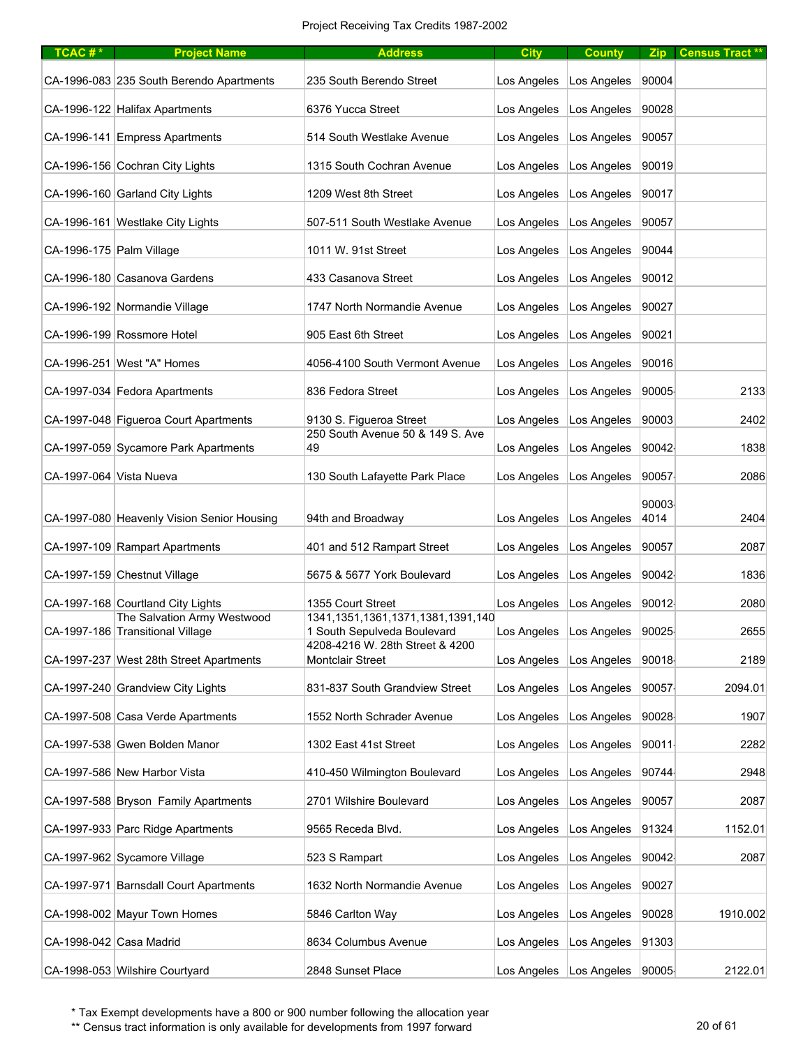| TCAC# $*$                | <b>Project Name</b>                                             | <b>Address</b>                                                         | <b>City</b> | <b>County</b>                     |       | Zip Census Tract ** |
|--------------------------|-----------------------------------------------------------------|------------------------------------------------------------------------|-------------|-----------------------------------|-------|---------------------|
|                          | CA-1996-083 235 South Berendo Apartments                        | 235 South Berendo Street                                               | Los Angeles | Los Angeles                       | 90004 |                     |
|                          | CA-1996-122 Halifax Apartments                                  | 6376 Yucca Street                                                      | Los Angeles | Los Angeles                       | 90028 |                     |
|                          | CA-1996-141 Empress Apartments                                  | 514 South Westlake Avenue                                              | Los Angeles | Los Angeles                       | 90057 |                     |
|                          | CA-1996-156 Cochran City Lights                                 | 1315 South Cochran Avenue                                              | Los Angeles | Los Angeles                       | 90019 |                     |
|                          | CA-1996-160 Garland City Lights                                 | 1209 West 8th Street                                                   | Los Angeles | Los Angeles                       | 90017 |                     |
|                          | CA-1996-161 Westlake City Lights                                | 507-511 South Westlake Avenue                                          | Los Angeles | Los Angeles                       | 90057 |                     |
| CA-1996-175 Palm Village |                                                                 | 1011 W. 91st Street                                                    | Los Angeles | Los Angeles                       | 90044 |                     |
|                          | CA-1996-180 Casanova Gardens                                    | 433 Casanova Street                                                    | Los Angeles | Los Angeles                       | 90012 |                     |
|                          | CA-1996-192 Normandie Village                                   | 1747 North Normandie Avenue                                            | Los Angeles | Los Angeles                       | 90027 |                     |
|                          | CA-1996-199 Rossmore Hotel                                      | 905 East 6th Street                                                    | Los Angeles | Los Angeles                       | 90021 |                     |
|                          | CA-1996-251 West "A" Homes                                      | 4056-4100 South Vermont Avenue                                         | Los Angeles | Los Angeles                       | 90016 |                     |
|                          | CA-1997-034 Fedora Apartments                                   | 836 Fedora Street                                                      | Los Angeles | Los Angeles                       | 90005 | 2133                |
|                          | CA-1997-048 Figueroa Court Apartments                           | 9130 S. Figueroa Street                                                | Los Angeles | Los Angeles                       | 90003 | 2402                |
|                          | CA-1997-059 Sycamore Park Apartments                            | 250 South Avenue 50 & 149 S. Ave<br>49                                 | Los Angeles | Los Angeles                       | 90042 | 1838                |
| CA-1997-064 Vista Nueva  |                                                                 | 130 South Lafayette Park Place                                         | Los Angeles | Los Angeles                       | 90057 | 2086                |
|                          |                                                                 |                                                                        |             |                                   | 90003 |                     |
|                          | CA-1997-080 Heavenly Vision Senior Housing                      | 94th and Broadway                                                      | Los Angeles | Los Angeles                       | 4014  | 2404                |
|                          | CA-1997-109 Rampart Apartments                                  | 401 and 512 Rampart Street                                             | Los Angeles | Los Angeles                       | 90057 | 2087                |
|                          | CA-1997-159 Chestnut Village                                    | 5675 & 5677 York Boulevard                                             | Los Angeles | Los Angeles                       | 90042 | 1836                |
|                          | CA-1997-168 Courtland City Lights                               | 1355 Court Street                                                      | Los Angeles | Los Angeles                       | 90012 | 2080                |
|                          | The Salvation Army Westwood<br>CA-1997-186 Transitional Village | 1341, 1351, 1361, 1371, 1381, 1391, 140<br>1 South Sepulveda Boulevard | Los Angeles | Los Angeles   90025               |       | 2655                |
|                          | CA-1997-237 West 28th Street Apartments                         | 4208-4216 W. 28th Street & 4200<br>Montclair Street                    | Los Angeles | Los Angeles                       | 90018 | 2189                |
|                          | CA-1997-240 Grandview City Lights                               | 831-837 South Grandview Street                                         | Los Angeles | Los Angeles                       | 90057 | 2094.01             |
|                          | CA-1997-508 Casa Verde Apartments                               | 1552 North Schrader Avenue                                             | Los Angeles | Los Angeles                       | 90028 | 1907                |
|                          | CA-1997-538 Gwen Bolden Manor                                   | 1302 East 41st Street                                                  | Los Angeles | Los Angeles                       | 90011 | 2282                |
|                          | CA-1997-586 New Harbor Vista                                    | 410-450 Wilmington Boulevard                                           | Los Angeles | Los Angeles                       | 90744 | 2948                |
|                          | CA-1997-588 Bryson Family Apartments                            | 2701 Wilshire Boulevard                                                | Los Angeles | Los Angeles                       | 90057 | 2087                |
|                          | CA-1997-933 Parc Ridge Apartments                               | 9565 Receda Blvd.                                                      | Los Angeles | Los Angeles                       | 91324 | 1152.01             |
|                          |                                                                 |                                                                        |             |                                   |       |                     |
|                          | CA-1997-962 Sycamore Village                                    | 523 S Rampart                                                          | Los Angeles | Los Angeles                       | 90042 | 2087                |
|                          | CA-1997-971 Barnsdall Court Apartments                          | 1632 North Normandie Avenue                                            | Los Angeles | Los Angeles                       | 90027 |                     |
|                          | CA-1998-002 Mayur Town Homes                                    | 5846 Carlton Way                                                       | Los Angeles | Los Angeles                       | 90028 | 1910.002            |
| CA-1998-042 Casa Madrid  |                                                                 | 8634 Columbus Avenue                                                   | Los Angeles | Los Angeles                       | 91303 |                     |
|                          | CA-1998-053 Wilshire Courtyard                                  | 2848 Sunset Place                                                      |             | Los Angeles   Los Angeles   90005 |       | 2122.01             |

\*\* Census tract information is only available for developments from 1997 forward 20 pm 20 of 61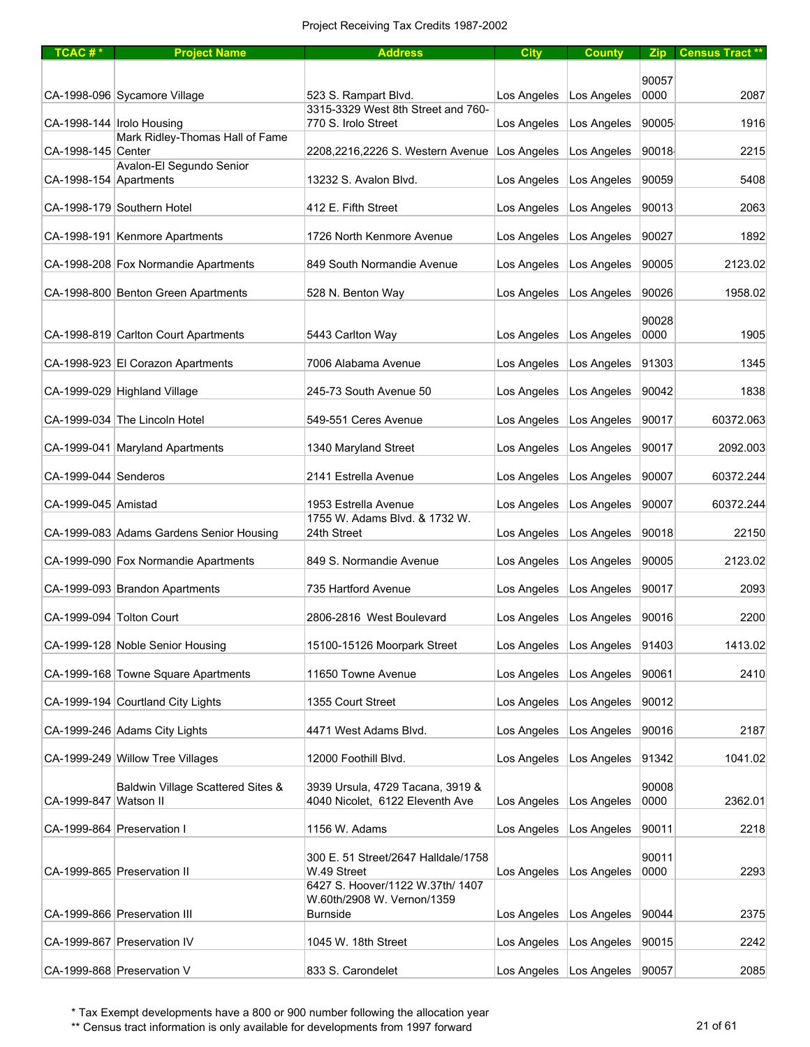| TCAC# $*$                | <b>Project Name</b>                      | <b>Address</b>                                                      | <b>City</b>               | <b>County</b>                     |               | Zip   Census Tract ** |
|--------------------------|------------------------------------------|---------------------------------------------------------------------|---------------------------|-----------------------------------|---------------|-----------------------|
|                          |                                          |                                                                     |                           |                                   |               |                       |
|                          | CA-1998-096 Sycamore Village             | 523 S. Rampart Blvd.                                                | Los Angeles               | Los Angeles                       | 90057<br>0000 | 2087                  |
|                          | CA-1998-144   Irolo Housing              | 3315-3329 West 8th Street and 760-<br>770 S. Irolo Street           | Los Angeles               | Los Angeles                       | 90005         | 1916                  |
| CA-1998-145   Center     | Mark Ridley-Thomas Hall of Fame          | 2208,2216,2226 S. Western Avenue                                    | Los Angeles               | Los Angeles                       | 90018         | 2215                  |
| CA-1998-154 Apartments   | Avalon-El Segundo Senior                 | 13232 S. Avalon Blvd.                                               | Los Angeles               | Los Angeles                       | 90059         | 5408                  |
|                          | CA-1998-179 Southern Hotel               | 412 E. Fifth Street                                                 | Los Angeles               | Los Angeles                       | 90013         | 2063                  |
|                          |                                          |                                                                     |                           |                                   |               |                       |
|                          | CA-1998-191 Kenmore Apartments           | 1726 North Kenmore Avenue                                           | Los Angeles               | Los Angeles                       | 90027         | 1892                  |
|                          | CA-1998-208 Fox Normandie Apartments     | 849 South Normandie Avenue                                          | Los Angeles               | Los Angeles                       | 90005         | 2123.02               |
|                          | CA-1998-800 Benton Green Apartments      | 528 N. Benton Way                                                   | Los Angeles               | Los Angeles                       | 90026         | 1958.02               |
|                          | CA-1998-819 Carlton Court Apartments     | 5443 Carlton Way                                                    | Los Angeles               | Los Angeles                       | 90028<br>0000 | 1905                  |
|                          | CA-1998-923 El Corazon Apartments        | 7006 Alabama Avenue                                                 | Los Angeles               | Los Angeles                       | 91303         | 1345                  |
|                          | CA-1999-029 Highland Village             | 245-73 South Avenue 50                                              | Los Angeles               | Los Angeles                       | 90042         | 1838                  |
|                          |                                          |                                                                     |                           |                                   |               |                       |
|                          | CA-1999-034 The Lincoln Hotel            | 549-551 Ceres Avenue                                                | Los Angeles               | Los Angeles                       | 90017         | 60372.063             |
|                          | CA-1999-041 Maryland Apartments          | 1340 Maryland Street                                                | Los Angeles               | Los Angeles                       | 90017         | 2092.003              |
| CA-1999-044 Senderos     |                                          | 2141 Estrella Avenue                                                | Los Angeles               | Los Angeles                       | 90007         | 60372.244             |
| CA-1999-045 Amistad      |                                          | 1953 Estrella Avenue<br>1755 W. Adams Blvd. & 1732 W.               | Los Angeles               | Los Angeles                       | 90007         | 60372.244             |
|                          | CA-1999-083 Adams Gardens Senior Housing | 24th Street                                                         | Los Angeles               | Los Angeles                       | 90018         | 22150                 |
|                          | CA-1999-090 Fox Normandie Apartments     | 849 S. Normandie Avenue                                             | Los Angeles               | Los Angeles                       | 90005         | 2123.02               |
|                          | CA-1999-093 Brandon Apartments           | 735 Hartford Avenue                                                 | Los Angeles               | Los Angeles                       | 90017         | 2093                  |
| CA-1999-094 Tolton Court |                                          | 2806-2816 West Boulevard                                            | Los Angeles               | Los Angeles                       | 90016         | 2200                  |
|                          | CA-1999-128 Noble Senior Housing         | 15100-15126 Moorpark Street                                         | Los Angeles   Los Angeles |                                   | 91403         | 1413.02               |
|                          | CA-1999-168 Towne Square Apartments      | 11650 Towne Avenue                                                  | Los Angeles               | Los Angeles                       | 90061         | 2410                  |
|                          | CA-1999-194 Courtland City Lights        | 1355 Court Street                                                   | Los Angeles               | Los Angeles                       | 90012         |                       |
|                          | CA-1999-246 Adams City Lights            | 4471 West Adams Blvd.                                               | Los Angeles               | Los Angeles                       | 90016         | 2187                  |
|                          | CA-1999-249 Willow Tree Villages         | 12000 Foothill Blvd.                                                | Los Angeles               | Los Angeles                       | 91342         | 1041.02               |
|                          |                                          |                                                                     |                           |                                   |               |                       |
| CA-1999-847 Watson II    | Baldwin Village Scattered Sites &        | 3939 Ursula, 4729 Tacana, 3919 &<br>4040 Nicolet, 6122 Eleventh Ave | Los Angeles               | Los Angeles                       | 90008<br>0000 | 2362.01               |
|                          | CA-1999-864 Preservation I               | 1156 W. Adams                                                       | Los Angeles               | Los Angeles                       | 90011         | 2218                  |
|                          | CA-1999-865 Preservation II              | 300 E. 51 Street/2647 Halldale/1758<br>W.49 Street                  | Los Angeles               | Los Angeles                       | 90011<br>0000 | 2293                  |
|                          |                                          | 6427 S. Hoover/1122 W.37th/ 1407<br>W.60th/2908 W. Vernon/1359      |                           |                                   |               |                       |
|                          | CA-1999-866 Preservation III             | <b>Burnside</b>                                                     | Los Angeles               | Los Angeles                       | 90044         | 2375                  |
|                          | CA-1999-867 Preservation IV              | 1045 W. 18th Street                                                 | Los Angeles               | Los Angeles                       | 90015         | 2242                  |
|                          | CA-1999-868 Preservation V               | 833 S. Carondelet                                                   |                           | Los Angeles   Los Angeles   90057 |               | 2085                  |

\*\* Census tract information is only available for developments from 1997 forward 21 of 61 21 of 61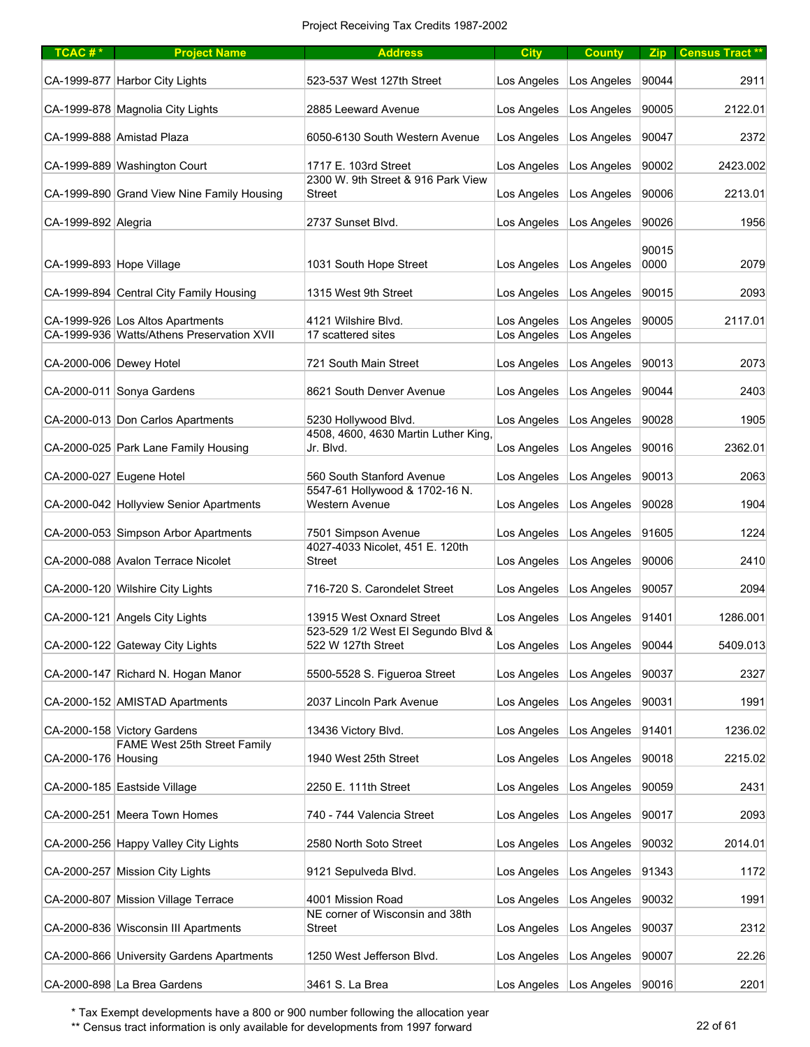| TCAC# $*$                | <b>Project Name</b>                                         | <b>Address</b>                                              | <b>City</b> | <b>County</b>                     |               | Zip   Census Tract ** |
|--------------------------|-------------------------------------------------------------|-------------------------------------------------------------|-------------|-----------------------------------|---------------|-----------------------|
|                          | CA-1999-877 Harbor City Lights                              | 523-537 West 127th Street                                   | Los Angeles | Los Angeles                       | 90044         | 2911                  |
|                          | CA-1999-878 Magnolia City Lights                            | 2885 Leeward Avenue                                         | Los Angeles | Los Angeles                       | 90005         | 2122.01               |
|                          | CA-1999-888 Amistad Plaza                                   | 6050-6130 South Western Avenue                              | Los Angeles | Los Angeles                       | 90047         | 2372                  |
|                          | CA-1999-889 Washington Court                                | 1717 E. 103rd Street                                        | Los Angeles | Los Angeles                       | 90002         | 2423.002              |
|                          | CA-1999-890 Grand View Nine Family Housing                  | 2300 W. 9th Street & 916 Park View<br><b>Street</b>         | Los Angeles | Los Angeles                       | 90006         | 2213.01               |
| CA-1999-892 Alegria      |                                                             | 2737 Sunset Blvd.                                           | Los Angeles | Los Angeles                       | 90026         | 1956                  |
| CA-1999-893 Hope Village |                                                             | 1031 South Hope Street                                      | Los Angeles | Los Angeles                       | 90015<br>0000 | 2079                  |
|                          | CA-1999-894 Central City Family Housing                     | 1315 West 9th Street                                        | Los Angeles | Los Angeles                       | 90015         | 2093                  |
|                          | CA-1999-926 Los Altos Apartments                            | 4121 Wilshire Blvd.                                         | Los Angeles | Los Angeles                       | 90005         | 2117.01               |
|                          | CA-1999-936 Watts/Athens Preservation XVII                  | 17 scattered sites                                          | Los Angeles | Los Angeles                       |               |                       |
| CA-2000-006 Dewey Hotel  |                                                             | 721 South Main Street                                       | Los Angeles | Los Angeles                       | 90013         | 2073                  |
|                          | CA-2000-011 Sonya Gardens                                   | 8621 South Denver Avenue                                    | Los Angeles | Los Angeles                       | 90044         | 2403                  |
|                          | CA-2000-013 Don Carlos Apartments                           | 5230 Hollywood Blvd.                                        | Los Angeles | Los Angeles                       | 90028         | 1905                  |
|                          |                                                             | 4508, 4600, 4630 Martin Luther King                         |             |                                   |               |                       |
|                          | CA-2000-025 Park Lane Family Housing                        | Jr. Blvd.                                                   | Los Angeles | Los Angeles                       | 90016         | 2362.01               |
|                          | CA-2000-027 Eugene Hotel                                    | 560 South Stanford Avenue<br>5547-61 Hollywood & 1702-16 N. | Los Angeles | Los Angeles                       | 90013         | 2063                  |
|                          | CA-2000-042 Hollyview Senior Apartments                     | <b>Western Avenue</b>                                       | Los Angeles | Los Angeles                       | 90028         | 1904                  |
|                          | CA-2000-053 Simpson Arbor Apartments                        | 7501 Simpson Avenue<br>4027-4033 Nicolet, 451 E. 120th      | Los Angeles | Los Angeles                       | 91605         | 1224                  |
|                          | CA-2000-088 Avalon Terrace Nicolet                          | <b>Street</b>                                               | Los Angeles | Los Angeles                       | 90006         | 2410                  |
|                          | CA-2000-120 Wilshire City Lights                            | 716-720 S. Carondelet Street                                | Los Angeles | Los Angeles                       | 90057         | 2094                  |
|                          | CA-2000-121 Angels City Lights                              | 13915 West Oxnard Street                                    | Los Angeles | Los Angeles                       | 91401         | 1286.001              |
|                          |                                                             | 523-529 1/2 West El Segundo Blvd &                          |             |                                   |               |                       |
|                          | CA-2000-122 Gateway City Lights                             | 522 W 127th Street                                          | Los Angeles | Los Angeles                       | 90044         | 5409.013              |
|                          | CA-2000-147 Richard N. Hogan Manor                          | 5500-5528 S. Figueroa Street                                | Los Angeles | Los Angeles                       | 90037         | 2327                  |
|                          | CA-2000-152 AMISTAD Apartments                              | 2037 Lincoln Park Avenue                                    | Los Angeles | Los Angeles                       | 90031         | 1991                  |
|                          | CA-2000-158 Victory Gardens<br>FAME West 25th Street Family | 13436 Victory Blvd.                                         | Los Angeles | Los Angeles                       | 91401         | 1236.02               |
| CA-2000-176 Housing      |                                                             | 1940 West 25th Street                                       | Los Angeles | Los Angeles                       | 90018         | 2215.02               |
|                          | CA-2000-185 Eastside Village                                | 2250 E. 111th Street                                        | Los Angeles | Los Angeles                       | 90059         | 2431                  |
|                          | CA-2000-251 Meera Town Homes                                | 740 - 744 Valencia Street                                   | Los Angeles | Los Angeles                       | 90017         | 2093                  |
|                          | CA-2000-256 Happy Valley City Lights                        | 2580 North Soto Street                                      | Los Angeles | Los Angeles                       | 90032         | 2014.01               |
|                          | CA-2000-257 Mission City Lights                             | 9121 Sepulveda Blvd.                                        | Los Angeles | Los Angeles                       | 91343         | 1172                  |
|                          | CA-2000-807 Mission Village Terrace                         | 4001 Mission Road                                           | Los Angeles | Los Angeles                       | 90032         | 1991                  |
|                          | CA-2000-836 Wisconsin III Apartments                        | NE corner of Wisconsin and 38th<br><b>Street</b>            | Los Angeles | Los Angeles                       | 90037         | 2312                  |
|                          | CA-2000-866 University Gardens Apartments                   | 1250 West Jefferson Blvd.                                   | Los Angeles | Los Angeles                       | 90007         | 22.26                 |
|                          | CA-2000-898 La Brea Gardens                                 | 3461 S. La Brea                                             |             | Los Angeles   Los Angeles   90016 |               | 2201                  |

\*\* Census tract information is only available for developments from 1997 forward 22 of 61 22 of 61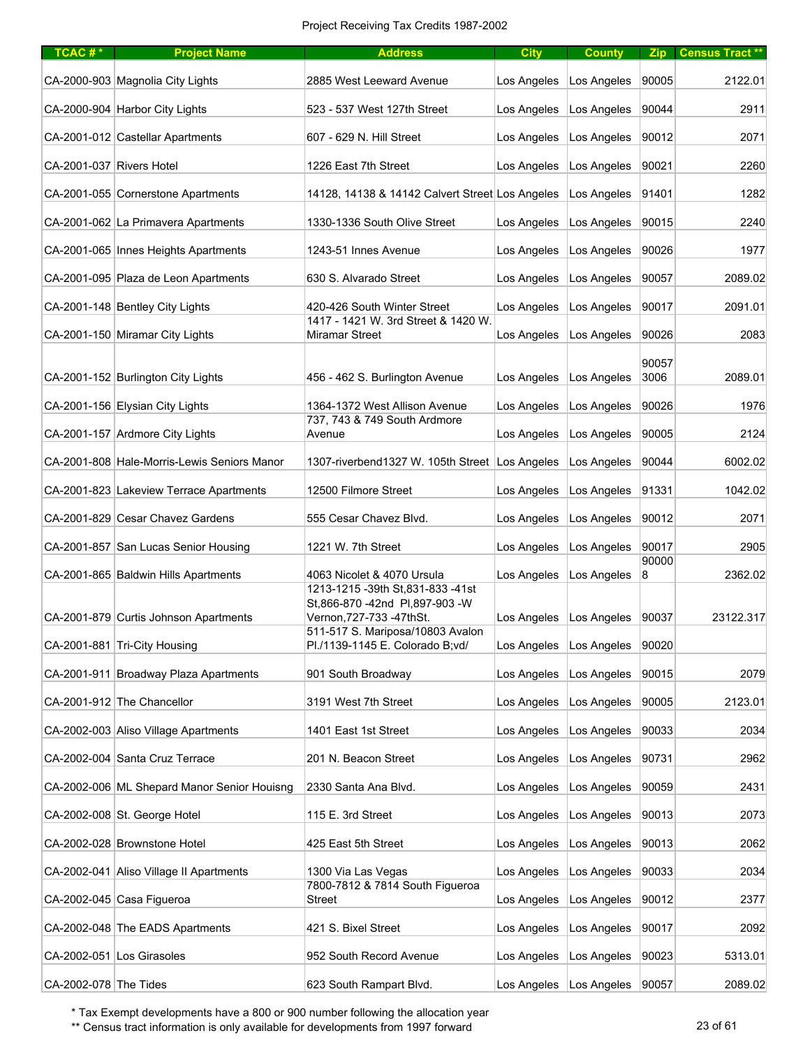| TCAC#*                   | <b>Project Name</b>                         | <b>Address</b>                                                      | <b>City</b> | <b>County</b>                     | <b>Zip</b>     | <b>Census Tract **</b> |
|--------------------------|---------------------------------------------|---------------------------------------------------------------------|-------------|-----------------------------------|----------------|------------------------|
|                          | CA-2000-903 Magnolia City Lights            | 2885 West Leeward Avenue                                            | Los Angeles | Los Angeles                       | 90005          | 2122.01                |
|                          | CA-2000-904 Harbor City Lights              | 523 - 537 West 127th Street                                         | Los Angeles | Los Angeles                       | 90044          | 2911                   |
|                          | CA-2001-012 Castellar Apartments            | 607 - 629 N. Hill Street                                            | Los Angeles | Los Angeles                       | 90012          | 2071                   |
| CA-2001-037 Rivers Hotel |                                             | 1226 East 7th Street                                                | Los Angeles | Los Angeles                       | 90021          | 2260                   |
|                          | CA-2001-055 Cornerstone Apartments          | 14128, 14138 & 14142 Calvert Street Los Angeles                     |             | Los Angeles                       | 91401          | 1282                   |
|                          | CA-2001-062 La Primavera Apartments         | 1330-1336 South Olive Street                                        | Los Angeles | Los Angeles                       | 90015          | 2240                   |
|                          | CA-2001-065 Innes Heights Apartments        | 1243-51 Innes Avenue                                                | Los Angeles | Los Angeles                       | 90026          | 1977                   |
|                          | CA-2001-095 Plaza de Leon Apartments        | 630 S. Alvarado Street                                              | Los Angeles | Los Angeles                       | 90057          | 2089.02                |
|                          | CA-2001-148 Bentley City Lights             | 420-426 South Winter Street                                         | Los Angeles | Los Angeles                       | 90017          | 2091.01                |
|                          | CA-2001-150 Miramar City Lights             | 1417 - 1421 W. 3rd Street & 1420 W.<br><b>Miramar Street</b>        | Los Angeles | Los Angeles                       | 90026          | 2083                   |
|                          | CA-2001-152 Burlington City Lights          | 456 - 462 S. Burlington Avenue                                      | Los Angeles | Los Angeles                       | 90057<br>3006  | 2089.01                |
|                          | CA-2001-156 Elysian City Lights             | 1364-1372 West Allison Avenue                                       | Los Angeles | Los Angeles                       | 90026          | 1976                   |
|                          | CA-2001-157 Ardmore City Lights             | 737, 743 & 749 South Ardmore<br>Avenue                              | Los Angeles | Los Angeles                       | 90005          | 2124                   |
|                          | CA-2001-808 Hale-Morris-Lewis Seniors Manor | 1307-riverbend1327 W. 105th Street Los Angeles                      |             | Los Angeles                       | 90044          | 6002.02                |
|                          | CA-2001-823 Lakeview Terrace Apartments     | 12500 Filmore Street                                                | Los Angeles | Los Angeles                       | 91331          | 1042.02                |
|                          | CA-2001-829 Cesar Chavez Gardens            | 555 Cesar Chavez Blvd.                                              | Los Angeles | Los Angeles                       | 90012          | 2071                   |
|                          |                                             |                                                                     |             |                                   |                |                        |
|                          | CA-2001-857 San Lucas Senior Housing        | 1221 W. 7th Street                                                  | Los Angeles | Los Angeles                       | 90017<br>90000 | 2905                   |
|                          | CA-2001-865 Baldwin Hills Apartments        | 4063 Nicolet & 4070 Ursula<br>1213-1215 -39th St.831-833 -41st      | Los Angeles | Los Angeles                       | 8              | 2362.02                |
|                          | CA-2001-879 Curtis Johnson Apartments       | St,866-870 -42nd PI,897-903 -W<br>Vernon, 727-733 - 47th St.        | Los Angeles | Los Angeles                       | 90037          | 23122.317              |
|                          | CA-2001-881 Tri-City Housing                | 511-517 S. Mariposa/10803 Avalon<br>Pl./1139-1145 E. Colorado B;vd/ | Los Angeles | Los Angeles                       | 90020          |                        |
|                          | CA-2001-911 Broadway Plaza Apartments       | 901 South Broadway                                                  | Los Angeles | Los Angeles                       | 90015          | 2079                   |
|                          | CA-2001-912 The Chancellor                  | 3191 West 7th Street                                                | Los Angeles | Los Angeles                       | 90005          | 2123.01                |
|                          | CA-2002-003 Aliso Village Apartments        | 1401 East 1st Street                                                | Los Angeles | Los Angeles                       | 90033          | 2034                   |
|                          | CA-2002-004 Santa Cruz Terrace              | 201 N. Beacon Street                                                | Los Angeles | Los Angeles                       | 90731          | 2962                   |
|                          | CA-2002-006 ML Shepard Manor Senior Houisng | 2330 Santa Ana Blvd.                                                | Los Angeles | Los Angeles                       | 90059          | 2431                   |
|                          | CA-2002-008 St. George Hotel                | 115 E. 3rd Street                                                   | Los Angeles | Los Angeles                       | 90013          | 2073                   |
|                          | CA-2002-028 Brownstone Hotel                | 425 East 5th Street                                                 | Los Angeles | Los Angeles                       | 90013          | 2062                   |
|                          | CA-2002-041 Aliso Village II Apartments     | 1300 Via Las Vegas                                                  | Los Angeles | Los Angeles                       | 90033          | 2034                   |
|                          | CA-2002-045 Casa Figueroa                   | 7800-7812 & 7814 South Figueroa<br><b>Street</b>                    | Los Angeles | Los Angeles                       | 90012          | 2377                   |
|                          | CA-2002-048 The EADS Apartments             | 421 S. Bixel Street                                                 | Los Angeles | Los Angeles                       | 90017          | 2092                   |
|                          | CA-2002-051 Los Girasoles                   | 952 South Record Avenue                                             | Los Angeles | Los Angeles                       | 90023          | 5313.01                |
| CA-2002-078 The Tides    |                                             | 623 South Rampart Blvd.                                             |             | Los Angeles   Los Angeles   90057 |                | 2089.02                |

\*\* Census tract information is only available for developments from 1997 forward 23 of 61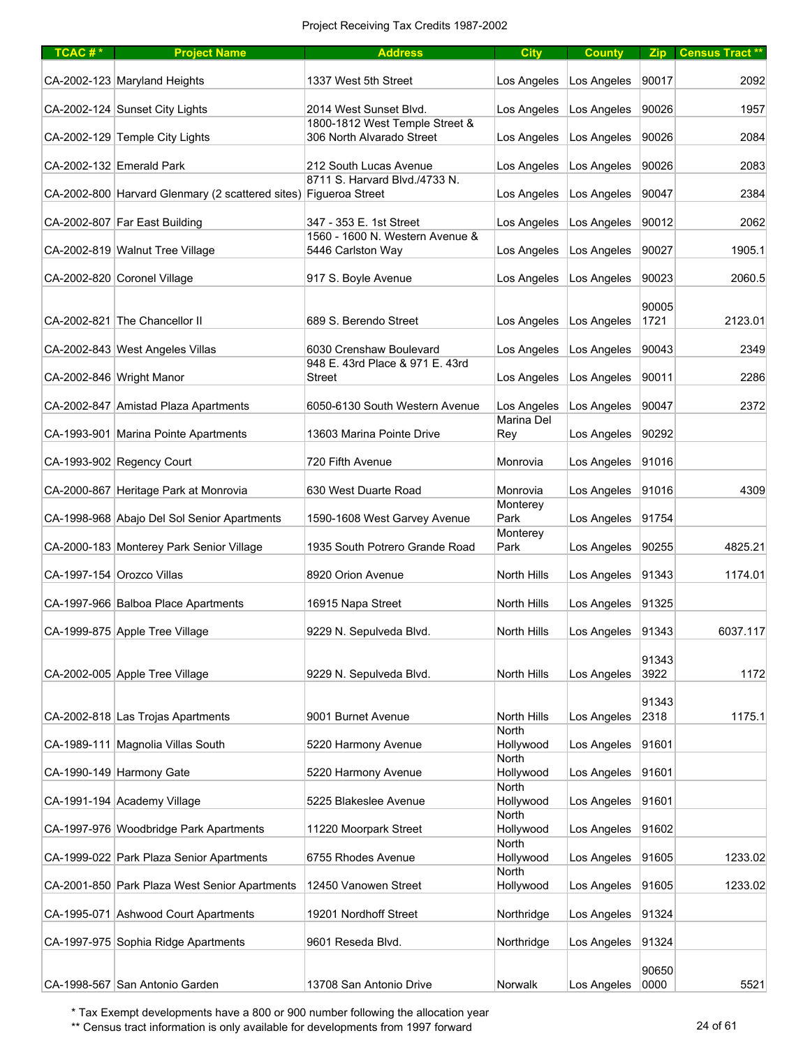| TCAC#* | <b>Project Name</b>                                              | <b>Address</b>                                              | <b>City</b>               | <b>County</b>       | Zip           | Census Tract ** |
|--------|------------------------------------------------------------------|-------------------------------------------------------------|---------------------------|---------------------|---------------|-----------------|
|        | CA-2002-123 Maryland Heights                                     | 1337 West 5th Street                                        | Los Angeles               | Los Angeles         | 90017         | 2092            |
|        | CA-2002-124 Sunset City Lights                                   | 2014 West Sunset Blvd.                                      | Los Angeles               | Los Angeles         | 90026         | 1957            |
|        | CA-2002-129 Temple City Lights                                   | 1800-1812 West Temple Street &<br>306 North Alvarado Street | Los Angeles               | Los Angeles         | 90026         | 2084            |
|        | CA-2002-132 Emerald Park                                         | 212 South Lucas Avenue                                      | Los Angeles               | Los Angeles         | 90026         | 2083            |
|        | CA-2002-800 Harvard Glenmary (2 scattered sites) Figueroa Street | 8711 S. Harvard Blvd./4733 N.                               | Los Angeles               | Los Angeles         | 90047         | 2384            |
|        | CA-2002-807 Far East Building                                    | 347 - 353 E. 1st Street                                     | Los Angeles               | Los Angeles         | 90012         | 2062            |
|        | CA-2002-819 Walnut Tree Village                                  | 1560 - 1600 N. Western Avenue &<br>5446 Carlston Way        | Los Angeles               | Los Angeles         | 90027         | 1905.1          |
|        |                                                                  |                                                             |                           |                     |               |                 |
|        | CA-2002-820 Coronel Village                                      | 917 S. Boyle Avenue                                         | Los Angeles               | Los Angeles         | 90023         | 2060.5          |
|        | CA-2002-821 The Chancellor II                                    | 689 S. Berendo Street                                       | Los Angeles               | Los Angeles         | 90005<br>1721 | 2123.01         |
|        | CA-2002-843 West Angeles Villas                                  | 6030 Crenshaw Boulevard                                     | Los Angeles               | Los Angeles         | 90043         | 2349            |
|        |                                                                  | 948 E. 43rd Place & 971 E. 43rd                             |                           |                     |               |                 |
|        | CA-2002-846 Wright Manor                                         | <b>Street</b>                                               | Los Angeles               | Los Angeles         | 90011         | 2286            |
|        | CA-2002-847 Amistad Plaza Apartments                             | 6050-6130 South Western Avenue                              | Los Angeles               | Los Angeles         | 90047         | 2372            |
|        | CA-1993-901 Marina Pointe Apartments                             | 13603 Marina Pointe Drive                                   | Marina Del<br>Rey         | Los Angeles         | 90292         |                 |
|        | CA-1993-902 Regency Court                                        | 720 Fifth Avenue                                            | Monrovia                  | Los Angeles         | 91016         |                 |
|        | CA-2000-867 Heritage Park at Monrovia                            | 630 West Duarte Road                                        | Monrovia                  | Los Angeles         | 91016         | 4309            |
|        | CA-1998-968 Abajo Del Sol Senior Apartments                      | 1590-1608 West Garvey Avenue                                | Monterey<br>Park          | Los Angeles         | 91754         |                 |
|        | CA-2000-183 Monterey Park Senior Village                         | 1935 South Potrero Grande Road                              | Monterey<br>Park          | Los Angeles         | 90255         | 4825.21         |
|        | CA-1997-154 Orozco Villas                                        | 8920 Orion Avenue                                           | <b>North Hills</b>        | Los Angeles         | 91343         | 1174.01         |
|        | CA-1997-966 Balboa Place Apartments                              | 16915 Napa Street                                           | North Hills               | Los Angeles         | 91325         |                 |
|        | CA-1999-875 Apple Tree Village                                   | 9229 N. Sepulveda Blvd.                                     | North Hills               | Los Angeles   91343 |               | 6037.117        |
|        | CA-2002-005 Apple Tree Village                                   | 9229 N. Sepulveda Blvd.                                     | <b>North Hills</b>        | Los Angeles         | 91343<br>3922 | 1172            |
|        | CA-2002-818 Las Trojas Apartments                                | 9001 Burnet Avenue                                          | <b>North Hills</b>        | Los Angeles         | 91343<br>2318 | 1175.1          |
|        | CA-1989-111 Magnolia Villas South                                | 5220 Harmony Avenue                                         | <b>North</b><br>Hollywood | Los Angeles         | 91601         |                 |
|        | CA-1990-149 Harmony Gate                                         | 5220 Harmony Avenue                                         | <b>North</b><br>Hollywood | Los Angeles         | 91601         |                 |
|        | CA-1991-194 Academy Village                                      | 5225 Blakeslee Avenue                                       | North<br>Hollywood        | Los Angeles         | 91601         |                 |
|        | CA-1997-976 Woodbridge Park Apartments                           | 11220 Moorpark Street                                       | North<br>Hollywood        | Los Angeles         | 91602         |                 |
|        | CA-1999-022 Park Plaza Senior Apartments                         | 6755 Rhodes Avenue                                          | North<br>Hollywood        | Los Angeles         | 91605         | 1233.02         |
|        |                                                                  |                                                             | North                     |                     |               |                 |
|        | CA-2001-850 Park Plaza West Senior Apartments                    | 12450 Vanowen Street                                        | Hollywood                 | Los Angeles         | 91605         | 1233.02         |
|        | CA-1995-071 Ashwood Court Apartments                             | 19201 Nordhoff Street                                       | Northridge                | Los Angeles         | 91324         |                 |
|        | CA-1997-975 Sophia Ridge Apartments                              | 9601 Reseda Blvd.                                           | Northridge                | Los Angeles         | 91324         |                 |
|        |                                                                  |                                                             |                           |                     | 90650         |                 |
|        | CA-1998-567 San Antonio Garden                                   | 13708 San Antonio Drive                                     | Norwalk                   | Los Angeles         | 0000          | 5521            |

\*\* Census tract information is only available for developments from 1997 forward 24 of 61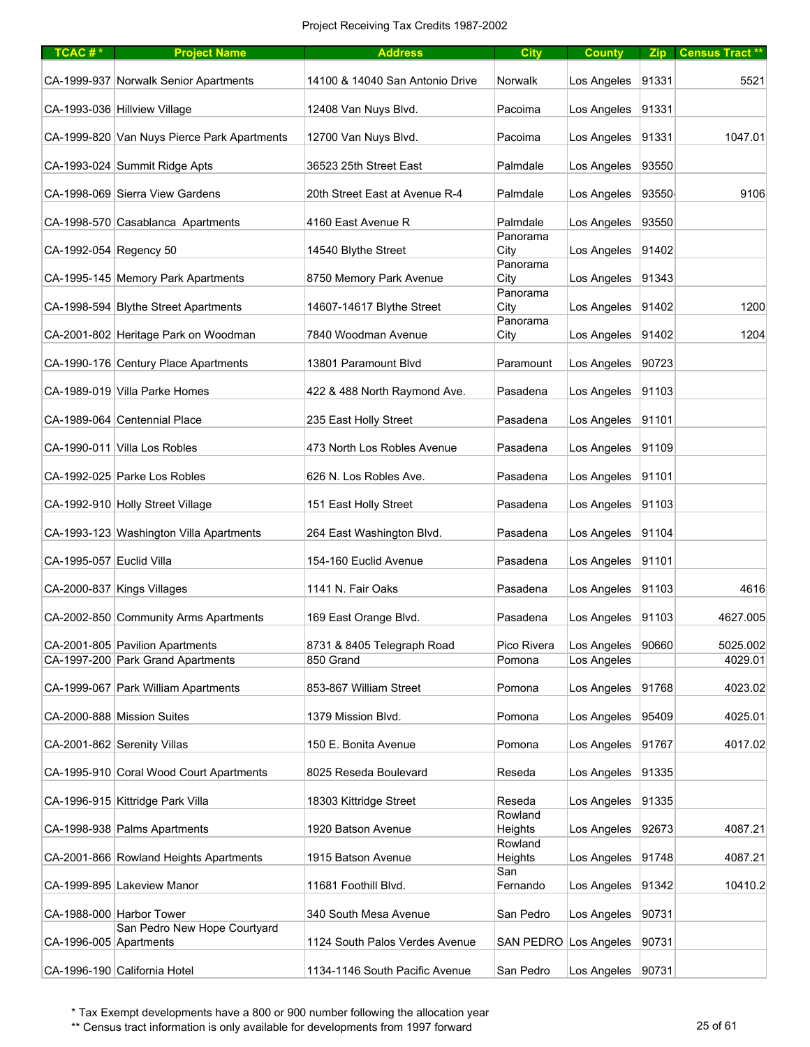| $TCAC #*$                | <b>Project Name</b>                         | <b>Address</b>                  | <b>City</b>           | <b>County</b>       |       | Zip Census Tract** |
|--------------------------|---------------------------------------------|---------------------------------|-----------------------|---------------------|-------|--------------------|
|                          | CA-1999-937 Norwalk Senior Apartments       | 14100 & 14040 San Antonio Drive | Norwalk               | Los Angeles         | 91331 | 5521               |
|                          | CA-1993-036 Hillview Village                | 12408 Van Nuys Blvd.            | Pacoima               | Los Angeles         | 91331 |                    |
|                          | CA-1999-820 Van Nuys Pierce Park Apartments | 12700 Van Nuys Blvd.            | Pacoima               | Los Angeles         | 91331 | 1047.01            |
|                          | CA-1993-024 Summit Ridge Apts               | 36523 25th Street East          | Palmdale              | Los Angeles         | 93550 |                    |
|                          | CA-1998-069 Sierra View Gardens             | 20th Street East at Avenue R-4  | Palmdale              | Los Angeles         | 93550 | 9106               |
|                          | CA-1998-570 Casablanca Apartments           | 4160 East Avenue R              | Palmdale              | Los Angeles         | 93550 |                    |
| CA-1992-054 Regency 50   |                                             | 14540 Blythe Street             | Panorama<br>City      | Los Angeles         | 91402 |                    |
|                          | CA-1995-145 Memory Park Apartments          | 8750 Memory Park Avenue         | Panorama<br>City      | Los Angeles         | 91343 |                    |
|                          | CA-1998-594 Blythe Street Apartments        | 14607-14617 Blythe Street       | Panorama<br>City      | Los Angeles         | 91402 | 1200               |
|                          | CA-2001-802 Heritage Park on Woodman        | 7840 Woodman Avenue             | Panorama<br>City      | Los Angeles         | 91402 | 1204               |
|                          | CA-1990-176 Century Place Apartments        | 13801 Paramount Blvd            | Paramount             | Los Angeles         | 90723 |                    |
|                          |                                             |                                 |                       |                     |       |                    |
|                          | CA-1989-019 Villa Parke Homes               | 422 & 488 North Raymond Ave.    | Pasadena              | Los Angeles         | 91103 |                    |
|                          | CA-1989-064 Centennial Place                | 235 East Holly Street           | Pasadena              | Los Angeles         | 91101 |                    |
|                          | CA-1990-011 Villa Los Robles                | 473 North Los Robles Avenue     | Pasadena              | Los Angeles         | 91109 |                    |
|                          | CA-1992-025 Parke Los Robles                | 626 N. Los Robles Ave.          | Pasadena              | Los Angeles         | 91101 |                    |
|                          | CA-1992-910 Holly Street Village            | 151 East Holly Street           | Pasadena              | Los Angeles         | 91103 |                    |
|                          | CA-1993-123 Washington Villa Apartments     | 264 East Washington Blvd.       | Pasadena              | Los Angeles         | 91104 |                    |
| CA-1995-057 Euclid Villa |                                             | 154-160 Euclid Avenue           | Pasadena              | Los Angeles         | 91101 |                    |
|                          | CA-2000-837 Kings Villages                  | 1141 N. Fair Oaks               | Pasadena              | Los Angeles         | 91103 | 4616               |
|                          | CA-2002-850 Community Arms Apartments       | 169 East Orange Blvd.           | Pasadena              | Los Angeles         | 91103 | 4627.005           |
|                          | CA-2001-805 Pavilion Apartments             | 8731 & 8405 Telegraph Road      | Pico Rivera           | Los Angeles         | 90660 | 5025.002           |
|                          | CA-1997-200 Park Grand Apartments           | 850 Grand                       | Pomona                | Los Angeles         |       | 4029.01            |
|                          | CA-1999-067 Park William Apartments         | 853-867 William Street          | Pomona                | Los Angeles         | 91768 | 4023.02            |
|                          | CA-2000-888 Mission Suites                  | 1379 Mission Blvd.              | Pomona                | Los Angeles         | 95409 | 4025.01            |
|                          | CA-2001-862 Serenity Villas                 | 150 E. Bonita Avenue            | Pomona                | Los Angeles         | 91767 | 4017.02            |
|                          | CA-1995-910 Coral Wood Court Apartments     | 8025 Reseda Boulevard           | Reseda                | Los Angeles         | 91335 |                    |
|                          | CA-1996-915 Kittridge Park Villa            | 18303 Kittridge Street          | Reseda                | Los Angeles         | 91335 |                    |
|                          | CA-1998-938 Palms Apartments                | 1920 Batson Avenue              | Rowland<br>Heights    | Los Angeles         | 92673 | 4087.21            |
|                          | CA-2001-866 Rowland Heights Apartments      | 1915 Batson Avenue              | Rowland<br>Heights    | Los Angeles         | 91748 | 4087.21            |
|                          | CA-1999-895 Lakeview Manor                  | 11681 Foothill Blvd.            | San<br>Fernando       | Los Angeles         | 91342 | 10410.2            |
|                          | CA-1988-000 Harbor Tower                    | 340 South Mesa Avenue           | San Pedro             | Los Angeles         | 90731 |                    |
|                          | San Pedro New Hope Courtyard                |                                 |                       |                     |       |                    |
| CA-1996-005 Apartments   |                                             | 1124 South Palos Verdes Avenue  | SAN PEDRO Los Angeles |                     | 90731 |                    |
|                          | CA-1996-190 California Hotel                | 1134-1146 South Pacific Avenue  | San Pedro             | Los Angeles   90731 |       |                    |

\*\* Census tract information is only available for developments from 1997 forward 25 of 61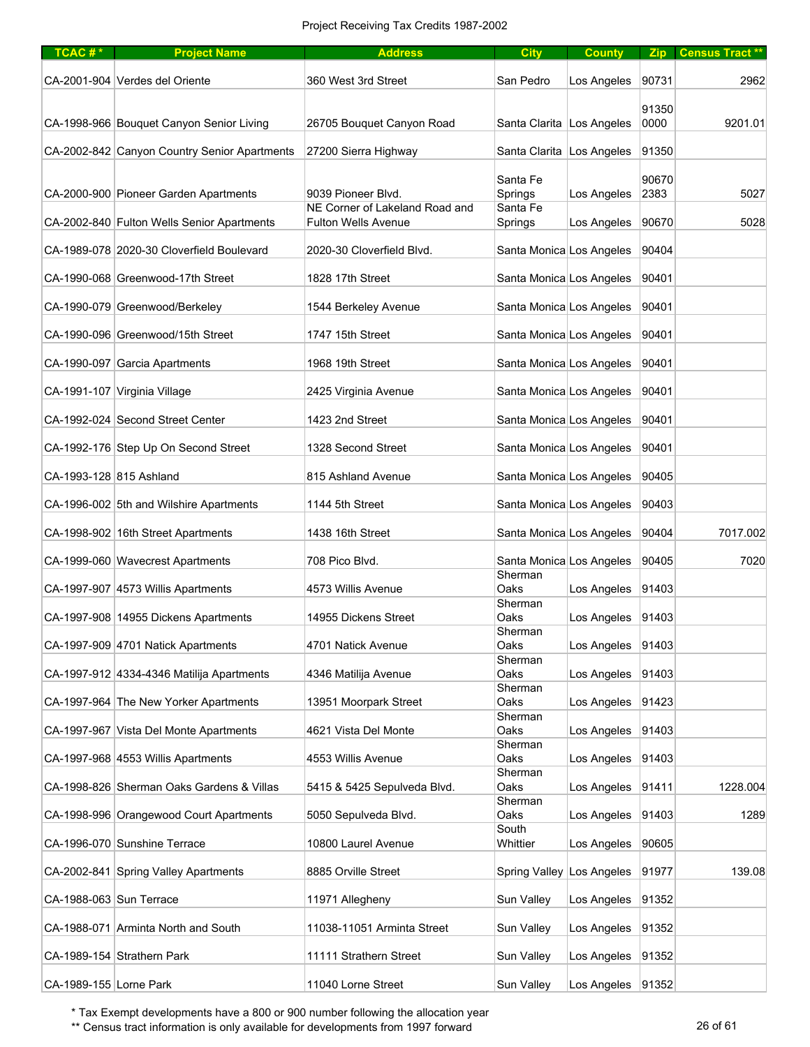| TCAC# $*$               | <b>Project Name</b>                          | <b>Address</b>                                       | <b>City</b>                 | <b>County</b>       |               | Zip Census Tract** |
|-------------------------|----------------------------------------------|------------------------------------------------------|-----------------------------|---------------------|---------------|--------------------|
|                         | CA-2001-904 Verdes del Oriente               | 360 West 3rd Street                                  | San Pedro                   | Los Angeles         | 90731         | 2962               |
|                         | CA-1998-966 Bouquet Canyon Senior Living     | 26705 Bouquet Canyon Road                            | Santa Clarita   Los Angeles |                     | 91350<br>0000 | 9201.01            |
|                         | CA-2002-842 Canyon Country Senior Apartments | 27200 Sierra Highway                                 | Santa Clarita   Los Angeles |                     | 91350         |                    |
|                         |                                              |                                                      | Santa Fe                    |                     | 90670         |                    |
|                         | CA-2000-900 Pioneer Garden Apartments        | 9039 Pioneer Blvd.<br>NE Corner of Lakeland Road and | Springs<br>Santa Fe         | Los Angeles         | 2383<br>90670 | 5027               |
|                         | CA-2002-840 Fulton Wells Senior Apartments   | <b>Fulton Wells Avenue</b>                           | Springs                     | Los Angeles         |               | 5028               |
|                         | CA-1989-078 2020-30 Cloverfield Boulevard    | 2020-30 Cloverfield Blvd.                            | Santa Monica Los Angeles    |                     | 90404         |                    |
|                         | CA-1990-068 Greenwood-17th Street            | 1828 17th Street                                     | Santa Monica Los Angeles    |                     | 90401         |                    |
|                         | CA-1990-079 Greenwood/Berkeley               | 1544 Berkeley Avenue                                 | Santa Monica Los Angeles    |                     | 90401         |                    |
|                         | CA-1990-096 Greenwood/15th Street            | 1747 15th Street                                     | Santa Monica Los Angeles    |                     | 90401         |                    |
|                         | CA-1990-097 Garcia Apartments                | 1968 19th Street                                     | Santa Monica Los Angeles    |                     | 90401         |                    |
|                         | CA-1991-107 Virginia Village                 | 2425 Virginia Avenue                                 | Santa Monica Los Angeles    |                     | 90401         |                    |
|                         | CA-1992-024 Second Street Center             | 1423 2nd Street                                      | Santa Monica Los Angeles    |                     | 90401         |                    |
|                         | CA-1992-176 Step Up On Second Street         | 1328 Second Street                                   | Santa Monica Los Angeles    |                     | 90401         |                    |
| CA-1993-128 815 Ashland |                                              | 815 Ashland Avenue                                   | Santa Monica Los Angeles    |                     | 90405         |                    |
|                         | CA-1996-002 5th and Wilshire Apartments      | 1144 5th Street                                      | Santa Monica Los Angeles    |                     | 90403         |                    |
|                         | CA-1998-902 16th Street Apartments           | 1438 16th Street                                     | Santa Monica Los Angeles    |                     | 90404         | 7017.002           |
|                         | CA-1999-060 Wavecrest Apartments             | 708 Pico Blvd.                                       | Santa Monica Los Angeles    |                     | 90405         | 7020               |
|                         | CA-1997-907 4573 Willis Apartments           | 4573 Willis Avenue                                   | Sherman<br>Oaks             | Los Angeles         | 91403         |                    |
|                         | CA-1997-908 14955 Dickens Apartments         | 14955 Dickens Street                                 | Sherman<br>Oaks             | Los Angeles         | 91403         |                    |
|                         | CA-1997-909 4701 Natick Apartments           | 4701 Natick Avenue                                   | Sherman<br>Oaks             | Los Angeles         | 91403         |                    |
|                         | CA-1997-912 4334-4346 Matilija Apartments    | 4346 Matilija Avenue                                 | Sherman<br>Oaks             | Los Angeles         | 91403         |                    |
|                         |                                              |                                                      | Sherman                     |                     |               |                    |
|                         | CA-1997-964 The New Yorker Apartments        | 13951 Moorpark Street                                | Oaks<br>Sherman             | Los Angeles         | 91423         |                    |
|                         | CA-1997-967 Vista Del Monte Apartments       | 4621 Vista Del Monte                                 | Oaks<br>Sherman             | Los Angeles         | 91403         |                    |
|                         | CA-1997-968 4553 Willis Apartments           | 4553 Willis Avenue                                   | Oaks<br>Sherman             | Los Angeles         | 91403         |                    |
|                         | CA-1998-826 Sherman Oaks Gardens & Villas    | 5415 & 5425 Sepulveda Blvd.                          | Oaks                        | Los Angeles         | 91411         | 1228.004           |
|                         | CA-1998-996 Orangewood Court Apartments      | 5050 Sepulveda Blvd.                                 | Sherman<br>Oaks             | Los Angeles         | 91403         | 1289               |
|                         | CA-1996-070 Sunshine Terrace                 | 10800 Laurel Avenue                                  | South<br>Whittier           | Los Angeles         | 90605         |                    |
|                         | CA-2002-841 Spring Valley Apartments         | 8885 Orville Street                                  | Spring Valley Los Angeles   |                     | 91977         | 139.08             |
| CA-1988-063 Sun Terrace |                                              | 11971 Allegheny                                      | Sun Valley                  | Los Angeles         | 91352         |                    |
|                         | CA-1988-071 Arminta North and South          | 11038-11051 Arminta Street                           | Sun Valley                  | Los Angeles         | 91352         |                    |
|                         | CA-1989-154 Strathern Park                   | 11111 Strathern Street                               | Sun Valley                  | Los Angeles         | 91352         |                    |
| CA-1989-155 Lorne Park  |                                              | 11040 Lorne Street                                   | Sun Valley                  | Los Angeles   91352 |               |                    |

\*\* Census tract information is only available for developments from 1997 forward 26 of 61 28 of 61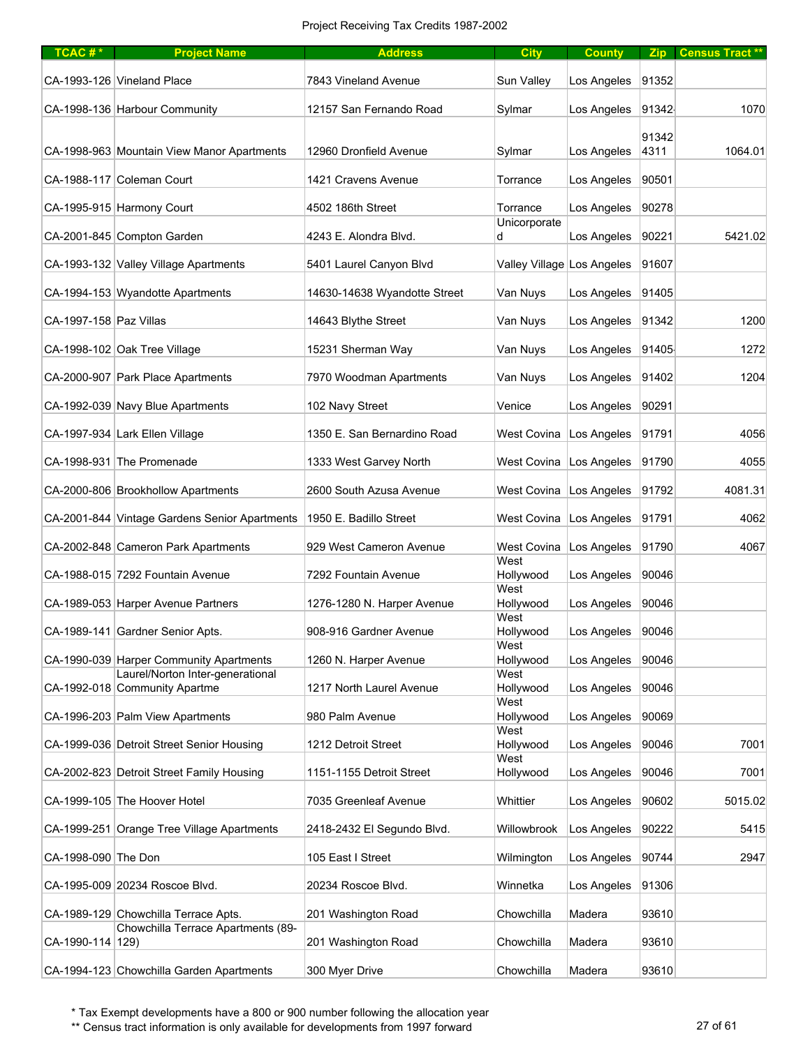| TCAC# $*$              | <b>Project Name</b>                                               | <b>Address</b>               | <b>City</b>                | <b>County</b> | <b>Zip</b>    | <b>Census Tract **</b> |
|------------------------|-------------------------------------------------------------------|------------------------------|----------------------------|---------------|---------------|------------------------|
|                        | CA-1993-126 Vineland Place                                        | 7843 Vineland Avenue         | Sun Vallev                 | Los Angeles   | 91352         |                        |
|                        | CA-1998-136 Harbour Community                                     | 12157 San Fernando Road      | Sylmar                     | Los Angeles   | 91342         | 1070                   |
|                        |                                                                   |                              |                            |               |               |                        |
|                        | CA-1998-963 Mountain View Manor Apartments                        | 12960 Dronfield Avenue       | Sylmar                     | Los Angeles   | 91342<br>4311 | 1064.01                |
|                        | CA-1988-117 Coleman Court                                         | 1421 Cravens Avenue          | Torrance                   | Los Angeles   | 90501         |                        |
|                        | CA-1995-915 Harmony Court                                         | 4502 186th Street            | Torrance                   | Los Angeles   | 90278         |                        |
|                        |                                                                   |                              | Unicorporate               |               |               |                        |
|                        | CA-2001-845 Compton Garden                                        | 4243 E. Alondra Blvd.        | d                          | Los Angeles   | 90221         | 5421.02                |
|                        | CA-1993-132 Valley Village Apartments                             | 5401 Laurel Canyon Blvd      | Valley Village Los Angeles |               | 91607         |                        |
|                        | CA-1994-153 Wyandotte Apartments                                  | 14630-14638 Wyandotte Street | Van Nuys                   | Los Angeles   | 91405         |                        |
| CA-1997-158 Paz Villas |                                                                   | 14643 Blythe Street          | Van Nuys                   | Los Angeles   | 91342         | 1200                   |
|                        | CA-1998-102 Oak Tree Village                                      | 15231 Sherman Way            | Van Nuys                   | Los Angeles   | 91405         | 1272                   |
|                        | CA-2000-907 Park Place Apartments                                 | 7970 Woodman Apartments      | Van Nuys                   | Los Angeles   | 91402         | 1204                   |
|                        | CA-1992-039 Navy Blue Apartments                                  | 102 Navy Street              | Venice                     | Los Angeles   | 90291         |                        |
|                        | CA-1997-934 Lark Ellen Village                                    | 1350 E. San Bernardino Road  | West Covina                | Los Angeles   | 91791         | 4056                   |
|                        | CA-1998-931 The Promenade                                         | 1333 West Garvey North       | West Covina   Los Angeles  |               | 91790         | 4055                   |
|                        | CA-2000-806 Brookhollow Apartments                                | 2600 South Azusa Avenue      | West Covina   Los Angeles  |               | 91792         | 4081.31                |
|                        | CA-2001-844 Vintage Gardens Senior Apartments                     | 1950 E. Badillo Street       | West Covina                | Los Angeles   | 91791         | 4062                   |
|                        | CA-2002-848 Cameron Park Apartments                               | 929 West Cameron Avenue      | West Covina   Los Angeles  |               | 91790         | 4067                   |
|                        | CA-1988-015 7292 Fountain Avenue                                  | 7292 Fountain Avenue         | West<br>Hollywood          | Los Angeles   | 90046         |                        |
|                        | CA-1989-053 Harper Avenue Partners                                | 1276-1280 N. Harper Avenue   | West<br>Hollywood          | Los Angeles   | 90046         |                        |
|                        |                                                                   |                              | West                       |               |               |                        |
|                        | CA-1989-141 Gardner Senior Apts.                                  | 908-916 Gardner Avenue       | Hollywood<br>West          | Los Angeles   | 90046         |                        |
|                        | CA-1990-039 Harper Community Apartments                           | 1260 N. Harper Avenue        | Hollywood                  | Los Angeles   | 90046         |                        |
|                        | Laurel/Norton Inter-generational<br>CA-1992-018 Community Apartme | 1217 North Laurel Avenue     | West<br>Hollywood          | Los Angeles   | 90046         |                        |
|                        |                                                                   |                              | West                       |               |               |                        |
|                        | CA-1996-203 Palm View Apartments                                  | 980 Palm Avenue              | Hollywood<br>West          | Los Angeles   | 90069         |                        |
|                        | CA-1999-036 Detroit Street Senior Housing                         | 1212 Detroit Street          | Hollywood                  | Los Angeles   | 90046         | 7001                   |
|                        | CA-2002-823 Detroit Street Family Housing                         | 1151-1155 Detroit Street     | West<br>Hollywood          | Los Angeles   | 90046         | 7001                   |
|                        |                                                                   |                              |                            |               |               |                        |
|                        | CA-1999-105 The Hoover Hotel                                      | 7035 Greenleaf Avenue        | Whittier                   | Los Angeles   | 90602         | 5015.02                |
|                        | CA-1999-251 Orange Tree Village Apartments                        | 2418-2432 El Segundo Blvd.   | Willowbrook                | Los Angeles   | 90222         | 5415                   |
| CA-1998-090 The Don    |                                                                   | 105 East I Street            | Wilmington                 | Los Angeles   | 90744         | 2947                   |
|                        | CA-1995-009 20234 Roscoe Blvd.                                    | 20234 Roscoe Blvd.           | Winnetka                   | Los Angeles   | 91306         |                        |
|                        | CA-1989-129 Chowchilla Terrace Apts.                              | 201 Washington Road          | Chowchilla                 | Madera        | 93610         |                        |
| CA-1990-114   129)     | Chowchilla Terrace Apartments (89-                                | 201 Washington Road          | Chowchilla                 | Madera        | 93610         |                        |
|                        |                                                                   |                              |                            |               |               |                        |
|                        | CA-1994-123 Chowchilla Garden Apartments                          | 300 Myer Drive               | Chowchilla                 | Madera        | 93610         |                        |

\*\* Census tract information is only available for developments from 1997 forward 27 of 61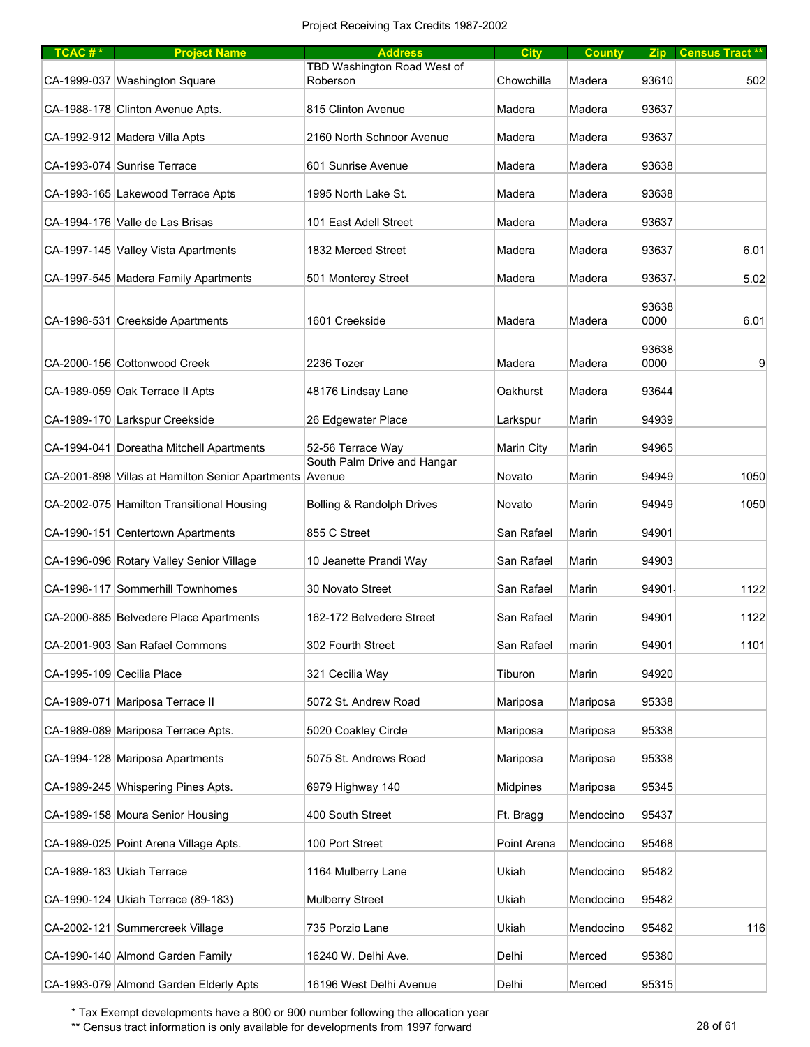| $TCAC #*$ | <b>Project Name</b>                                     | <b>Address</b>                          | <b>City</b>     | <b>County</b> | Zip           | Census Tract ** |
|-----------|---------------------------------------------------------|-----------------------------------------|-----------------|---------------|---------------|-----------------|
|           | CA-1999-037 Washington Square                           | TBD Washington Road West of<br>Roberson | Chowchilla      | Madera        | 93610         | 502             |
|           | CA-1988-178 Clinton Avenue Apts.                        | 815 Clinton Avenue                      | Madera          | Madera        | 93637         |                 |
|           | CA-1992-912 Madera Villa Apts                           | 2160 North Schnoor Avenue               | Madera          | Madera        | 93637         |                 |
|           | CA-1993-074 Sunrise Terrace                             | 601 Sunrise Avenue                      | Madera          | Madera        | 93638         |                 |
|           | CA-1993-165 Lakewood Terrace Apts                       | 1995 North Lake St.                     | Madera          | Madera        | 93638         |                 |
|           | CA-1994-176 Valle de Las Brisas                         | 101 East Adell Street                   | Madera          | Madera        | 93637         |                 |
|           | CA-1997-145 Valley Vista Apartments                     | 1832 Merced Street                      | Madera          | Madera        | 93637         | 6.01            |
|           | CA-1997-545 Madera Family Apartments                    | 501 Monterey Street                     | Madera          | Madera        | 93637         | 5.02            |
|           | CA-1998-531 Creekside Apartments                        | 1601 Creekside                          | Madera          | Madera        | 93638<br>0000 | 6.01            |
|           | CA-2000-156 Cottonwood Creek                            | 2236 Tozer                              | Madera          | Madera        | 93638<br>0000 | 9               |
|           | CA-1989-059 Oak Terrace II Apts                         | 48176 Lindsay Lane                      | Oakhurst        | Madera        | 93644         |                 |
|           | CA-1989-170 Larkspur Creekside                          | 26 Edgewater Place                      | Larkspur        | Marin         | 94939         |                 |
|           | CA-1994-041 Doreatha Mitchell Apartments                | 52-56 Terrace Way                       | Marin City      | Marin         | 94965         |                 |
|           | CA-2001-898 Villas at Hamilton Senior Apartments Avenue | South Palm Drive and Hangar             | Novato          | Marin         | 94949         | 1050            |
|           | CA-2002-075 Hamilton Transitional Housing               | Bolling & Randolph Drives               | Novato          | Marin         | 94949         | 1050            |
|           | CA-1990-151 Centertown Apartments                       | 855 C Street                            | San Rafael      | Marin         | 94901         |                 |
|           | CA-1996-096 Rotary Valley Senior Village                | 10 Jeanette Prandi Way                  | San Rafael      | Marin         | 94903         |                 |
|           | CA-1998-117 Sommerhill Townhomes                        | 30 Novato Street                        | San Rafael      | Marin         | 94901         | 1122            |
|           | CA-2000-885 Belvedere Place Apartments                  | 162-172 Belvedere Street                | San Rafael      | Marin         | 94901         | 1122            |
|           | CA-2001-903 San Rafael Commons                          | 302 Fourth Street                       | San Rafael      | marin         | 94901         | 1101            |
|           | CA-1995-109 Cecilia Place                               | 321 Cecilia Way                         | Tiburon         | Marin         | 94920         |                 |
|           | CA-1989-071 Mariposa Terrace II                         | 5072 St. Andrew Road                    | Mariposa        | Mariposa      | 95338         |                 |
|           | CA-1989-089 Mariposa Terrace Apts.                      | 5020 Coakley Circle                     | Mariposa        | Mariposa      | 95338         |                 |
|           | CA-1994-128 Mariposa Apartments                         | 5075 St. Andrews Road                   | Mariposa        | Mariposa      | 95338         |                 |
|           | CA-1989-245 Whispering Pines Apts.                      | 6979 Highway 140                        | <b>Midpines</b> | Mariposa      | 95345         |                 |
|           | CA-1989-158 Moura Senior Housing                        | 400 South Street                        | Ft. Bragg       | Mendocino     | 95437         |                 |
|           | CA-1989-025 Point Arena Village Apts.                   | 100 Port Street                         | Point Arena     | Mendocino     | 95468         |                 |
|           | CA-1989-183 Ukiah Terrace                               | 1164 Mulberry Lane                      | Ukiah           | Mendocino     | 95482         |                 |
|           | CA-1990-124 Ukiah Terrace (89-183)                      | Mulberry Street                         | Ukiah           | Mendocino     | 95482         |                 |
|           | CA-2002-121 Summercreek Village                         | 735 Porzio Lane                         | Ukiah           | Mendocino     | 95482         | 116             |
|           | CA-1990-140 Almond Garden Family                        | 16240 W. Delhi Ave.                     | Delhi           | Merced        | 95380         |                 |
|           | CA-1993-079 Almond Garden Elderly Apts                  | 16196 West Delhi Avenue                 | Delhi           | Merced        | 95315         |                 |

\*\* Census tract information is only available for developments from 1997 forward 28 of 61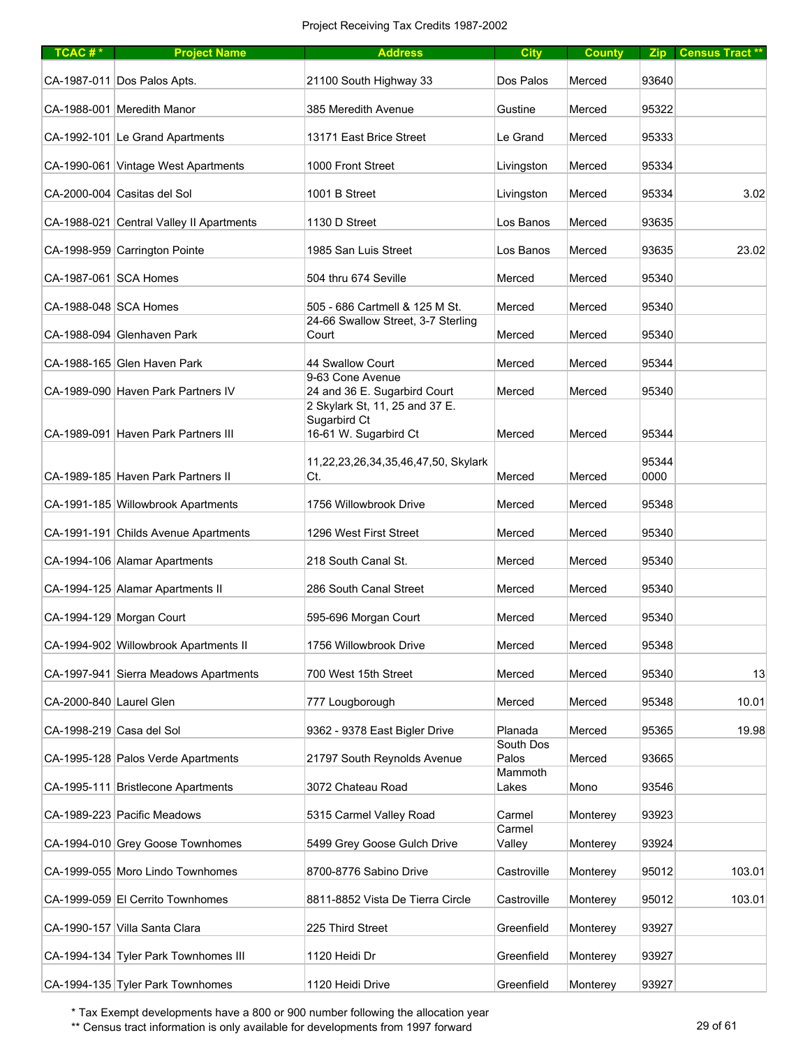| TCAC# $*$               | <b>Project Name</b>                      | <b>Address</b>                                                          | <b>City</b>        | <b>County</b> |               | Zip Census Tract** |
|-------------------------|------------------------------------------|-------------------------------------------------------------------------|--------------------|---------------|---------------|--------------------|
|                         | CA-1987-011 Dos Palos Apts.              | 21100 South Highway 33                                                  | Dos Palos          | Merced        | 93640         |                    |
|                         | CA-1988-001 Meredith Manor               | 385 Meredith Avenue                                                     | Gustine            | Merced        | 95322         |                    |
|                         | CA-1992-101 Le Grand Apartments          | 13171 East Brice Street                                                 | Le Grand           | Merced        | 95333         |                    |
|                         | CA-1990-061 Vintage West Apartments      | 1000 Front Street                                                       | Livingston         | Merced        | 95334         |                    |
|                         | CA-2000-004 Casitas del Sol              | 1001 B Street                                                           | Livingston         | Merced        | 95334         | 3.02               |
|                         | CA-1988-021 Central Valley II Apartments | 1130 D Street                                                           | Los Banos          | Merced        | 93635         |                    |
|                         | CA-1998-959 Carrington Pointe            | 1985 San Luis Street                                                    | Los Banos          | Merced        | 93635         | 23.02              |
| CA-1987-061 SCA Homes   |                                          | 504 thru 674 Seville                                                    | Merced             | Merced        | 95340         |                    |
| CA-1988-048 SCA Homes   |                                          | 505 - 686 Cartmell & 125 M St.                                          | Merced             | Merced        | 95340         |                    |
|                         | CA-1988-094 Glenhaven Park               | 24-66 Swallow Street, 3-7 Sterling<br>Court                             | Merced             | Merced        | 95340         |                    |
|                         | CA-1988-165 Glen Haven Park              | 44 Swallow Court                                                        | Merced             | Merced        | 95344         |                    |
|                         | CA-1989-090 Haven Park Partners IV       | 9-63 Cone Avenue<br>24 and 36 E. Sugarbird Court                        | Merced             | Merced        | 95340         |                    |
|                         | CA-1989-091 Haven Park Partners III      | 2 Skylark St, 11, 25 and 37 E.<br>Sugarbird Ct<br>16-61 W. Sugarbird Ct | Merced             | Merced        | 95344         |                    |
|                         | CA-1989-185 Haven Park Partners II       | 11,22,23,26,34,35,46,47,50, Skylark<br>Ct.                              | Merced             | Merced        | 95344<br>0000 |                    |
|                         | CA-1991-185 Willowbrook Apartments       | 1756 Willowbrook Drive                                                  | Merced             | Merced        | 95348         |                    |
|                         | CA-1991-191 Childs Avenue Apartments     | 1296 West First Street                                                  | Merced             | Merced        | 95340         |                    |
|                         | CA-1994-106 Alamar Apartments            | 218 South Canal St.                                                     | Merced             | Merced        | 95340         |                    |
|                         | CA-1994-125 Alamar Apartments II         | 286 South Canal Street                                                  | Merced             | Merced        | 95340         |                    |
|                         | CA-1994-129 Morgan Court                 | 595-696 Morgan Court                                                    | Merced             | Merced        | 95340         |                    |
|                         | CA-1994-902 Willowbrook Apartments II    | 1756 Willowbrook Drive                                                  | Merced             | Merced        | 95348         |                    |
|                         | CA-1997-941 Sierra Meadows Apartments    | 700 West 15th Street                                                    | Merced             | Merced        | 95340         | 13                 |
| CA-2000-840 Laurel Glen |                                          | 777 Lougborough                                                         | Merced             | Merced        | 95348         | 10.01              |
|                         | CA-1998-219 Casa del Sol                 | 9362 - 9378 East Bigler Drive                                           | Planada            | Merced        | 95365         | 19.98              |
|                         | CA-1995-128 Palos Verde Apartments       | 21797 South Reynolds Avenue                                             | South Dos<br>Palos | Merced        | 93665         |                    |
|                         | CA-1995-111 Bristlecone Apartments       | 3072 Chateau Road                                                       | Mammoth<br>Lakes   | Mono          | 93546         |                    |
|                         | CA-1989-223 Pacific Meadows              | 5315 Carmel Valley Road                                                 | Carmel             | Monterey      | 93923         |                    |
|                         | CA-1994-010 Grey Goose Townhomes         | 5499 Grey Goose Gulch Drive                                             | Carmel<br>Valley   | Monterey      | 93924         |                    |
|                         | CA-1999-055 Moro Lindo Townhomes         | 8700-8776 Sabino Drive                                                  | Castroville        | Monterey      | 95012         | 103.01             |
|                         | CA-1999-059 El Cerrito Townhomes         | 8811-8852 Vista De Tierra Circle                                        | Castroville        | Monterey      | 95012         | 103.01             |
|                         | CA-1990-157 Villa Santa Clara            | 225 Third Street                                                        | Greenfield         | Monterey      | 93927         |                    |
|                         | CA-1994-134 Tyler Park Townhomes III     | 1120 Heidi Dr                                                           | Greenfield         | Monterey      | 93927         |                    |
|                         | CA-1994-135 Tyler Park Townhomes         | 1120 Heidi Drive                                                        | Greenfield         | Monterey      | 93927         |                    |

\*\* Census tract information is only available for developments from 1997 forward 29 of 61 29 of 61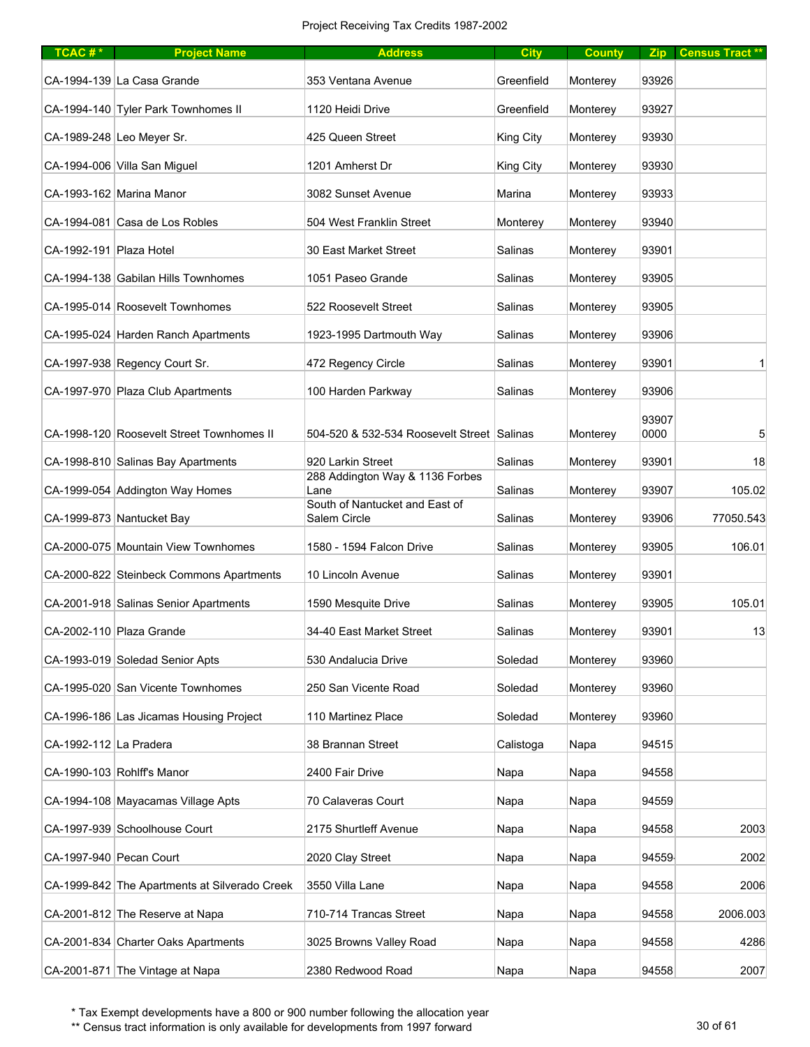| TCAC# $*$               | <b>Project Name</b>                           | <b>Address</b>                                 | <b>City</b> | <b>County</b> | Zip           | <b>Census Tract **</b> |
|-------------------------|-----------------------------------------------|------------------------------------------------|-------------|---------------|---------------|------------------------|
|                         | CA-1994-139 La Casa Grande                    | 353 Ventana Avenue                             | Greenfield  | Monterey      | 93926         |                        |
|                         | CA-1994-140 Tyler Park Townhomes II           | 1120 Heidi Drive                               | Greenfield  | Monterey      | 93927         |                        |
|                         | CA-1989-248 Leo Meyer Sr.                     | 425 Queen Street                               | King City   | Monterey      | 93930         |                        |
|                         | CA-1994-006 Villa San Miguel                  | 1201 Amherst Dr                                | King City   | Monterey      | 93930         |                        |
|                         | CA-1993-162 Marina Manor                      | 3082 Sunset Avenue                             | Marina      | Monterey      | 93933         |                        |
|                         | CA-1994-081 Casa de Los Robles                | 504 West Franklin Street                       | Monterey    | Monterey      | 93940         |                        |
| CA-1992-191 Plaza Hotel |                                               | 30 East Market Street                          | Salinas     | Monterey      | 93901         |                        |
|                         | CA-1994-138 Gabilan Hills Townhomes           | 1051 Paseo Grande                              | Salinas     | Monterey      | 93905         |                        |
|                         | CA-1995-014 Roosevelt Townhomes               | 522 Roosevelt Street                           | Salinas     | Monterey      | 93905         |                        |
|                         | CA-1995-024 Harden Ranch Apartments           | 1923-1995 Dartmouth Way                        | Salinas     | Monterey      | 93906         |                        |
|                         | CA-1997-938 Regency Court Sr.                 | 472 Regency Circle                             | Salinas     | Monterey      | 93901         |                        |
|                         | CA-1997-970 Plaza Club Apartments             | 100 Harden Parkway                             | Salinas     | Monterey      | 93906         |                        |
|                         | CA-1998-120 Roosevelt Street Townhomes II     | 504-520 & 532-534 Roosevelt Street Salinas     |             | Monterey      | 93907<br>0000 | 5                      |
|                         | CA-1998-810 Salinas Bay Apartments            | 920 Larkin Street                              | Salinas     | Monterey      | 93901         | 18                     |
|                         | CA-1999-054 Addington Way Homes               | 288 Addington Way & 1136 Forbes<br>Lane        | Salinas     | Monterey      | 93907         | 105.02                 |
|                         | CA-1999-873 Nantucket Bay                     | South of Nantucket and East of<br>Salem Circle | Salinas     | Monterey      | 93906         | 77050.543              |
|                         | CA-2000-075 Mountain View Townhomes           | 1580 - 1594 Falcon Drive                       | Salinas     | Monterey      | 93905         | 106.01                 |
|                         | CA-2000-822 Steinbeck Commons Apartments      | 10 Lincoln Avenue                              | Salinas     | Monterey      | 93901         |                        |
|                         | CA-2001-918 Salinas Senior Apartments         | 1590 Mesquite Drive                            | Salinas     | Monterey      | 93905         | 105.01                 |
|                         | CA-2002-110 Plaza Grande                      | 34-40 East Market Street                       | Salinas     | Monterey      | 93901         | 13                     |
|                         | CA-1993-019 Soledad Senior Apts               | 530 Andalucia Drive                            | Soledad     | Monterey      | 93960         |                        |
|                         | CA-1995-020 San Vicente Townhomes             | 250 San Vicente Road                           | Soledad     | Monterey      | 93960         |                        |
|                         | CA-1996-186 Las Jicamas Housing Project       | 110 Martinez Place                             | Soledad     | Monterey      | 93960         |                        |
| CA-1992-112 La Pradera  |                                               | 38 Brannan Street                              | Calistoga   | Napa          | 94515         |                        |
|                         | CA-1990-103 Rohlff's Manor                    | 2400 Fair Drive                                | Napa        | Napa          | 94558         |                        |
|                         | CA-1994-108 Mayacamas Village Apts            | 70 Calaveras Court                             | Napa        | Napa          | 94559         |                        |
|                         | CA-1997-939 Schoolhouse Court                 | 2175 Shurtleff Avenue                          | Napa        | Napa          | 94558         | 2003                   |
| CA-1997-940 Pecan Court |                                               | 2020 Clay Street                               | Napa        | Napa          | 94559         | 2002                   |
|                         | CA-1999-842 The Apartments at Silverado Creek | 3550 Villa Lane                                | Napa        | Napa          | 94558         | 2006                   |
|                         | CA-2001-812 The Reserve at Napa               | 710-714 Trancas Street                         | Napa        | Napa          | 94558         | 2006.003               |
|                         | CA-2001-834 Charter Oaks Apartments           | 3025 Browns Valley Road                        | Napa        | Napa          | 94558         | 4286                   |
|                         | CA-2001-871 The Vintage at Napa               | 2380 Redwood Road                              | Napa        | Napa          | 94558         | 2007                   |

\*\* Census tract information is only available for developments from 1997 forward 30 of 61 30 of 61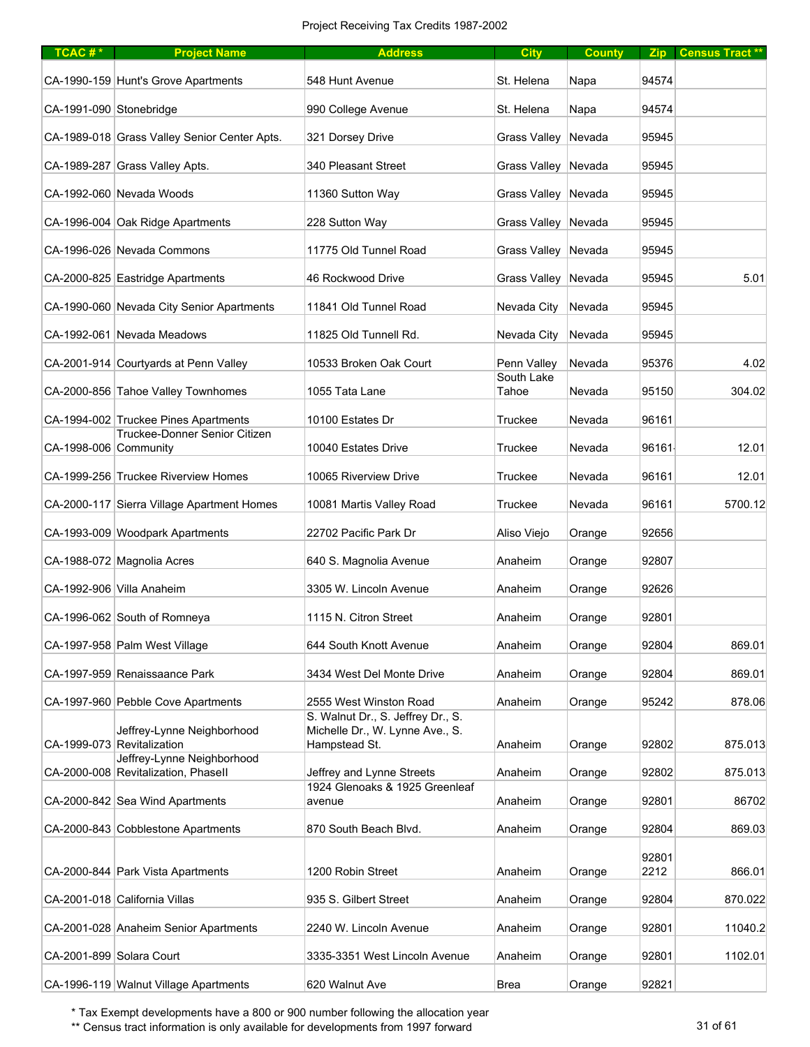| TCAC#*                   | <b>Project Name</b>                                      | <b>Address</b>                                                       | <b>City</b>           | <b>County</b> |               | Zip   Census Tract ** |
|--------------------------|----------------------------------------------------------|----------------------------------------------------------------------|-----------------------|---------------|---------------|-----------------------|
|                          | CA-1990-159 Hunt's Grove Apartments                      | 548 Hunt Avenue                                                      | St. Helena            | Napa          | 94574         |                       |
| CA-1991-090 Stonebridge  |                                                          | 990 College Avenue                                                   | St. Helena            | Napa          | 94574         |                       |
|                          | CA-1989-018 Grass Valley Senior Center Apts.             | 321 Dorsey Drive                                                     | Grass Valley Nevada   |               | 95945         |                       |
|                          | CA-1989-287 Grass Valley Apts.                           | 340 Pleasant Street                                                  | Grass Valley Nevada   |               | 95945         |                       |
|                          | CA-1992-060 Nevada Woods                                 | 11360 Sutton Way                                                     | Grass Valley   Nevada |               | 95945         |                       |
|                          | CA-1996-004 Oak Ridge Apartments                         | 228 Sutton Way                                                       | Grass Valley Nevada   |               | 95945         |                       |
|                          | CA-1996-026 Nevada Commons                               | 11775 Old Tunnel Road                                                | Grass Valley Nevada   |               | 95945         |                       |
|                          | CA-2000-825 Eastridge Apartments                         | 46 Rockwood Drive                                                    | Grass Valley Nevada   |               | 95945         | 5.01                  |
|                          | CA-1990-060 Nevada City Senior Apartments                | 11841 Old Tunnel Road                                                | Nevada City           | Nevada        | 95945         |                       |
|                          | CA-1992-061 Nevada Meadows                               | 11825 Old Tunnell Rd.                                                | Nevada City           | Nevada        | 95945         |                       |
|                          | CA-2001-914 Courtyards at Penn Valley                    | 10533 Broken Oak Court                                               | Penn Valley           | Nevada        | 95376         | 4.02                  |
|                          | CA-2000-856 Tahoe Valley Townhomes                       | 1055 Tata Lane                                                       | South Lake<br>Tahoe   | Nevada        | 95150         | 304.02                |
|                          | CA-1994-002 Truckee Pines Apartments                     | 10100 Estates Dr                                                     | Truckee               | Nevada        | 96161         |                       |
| CA-1998-006 Community    | Truckee-Donner Senior Citizen                            | 10040 Estates Drive                                                  | Truckee               | Nevada        | 96161         | 12.01                 |
|                          | CA-1999-256 Truckee Riverview Homes                      | 10065 Riverview Drive                                                | Truckee               | Nevada        | 96161         | 12.01                 |
|                          | CA-2000-117 Sierra Village Apartment Homes               | 10081 Martis Valley Road                                             | Truckee               | Nevada        | 96161         | 5700.12               |
|                          | CA-1993-009 Woodpark Apartments                          | 22702 Pacific Park Dr                                                | Aliso Viejo           | Orange        | 92656         |                       |
|                          | CA-1988-072 Magnolia Acres                               | 640 S. Magnolia Avenue                                               | Anaheim               | Orange        | 92807         |                       |
|                          | CA-1992-906 Villa Anaheim                                | 3305 W. Lincoln Avenue                                               | Anaheim               | Orange        | 92626         |                       |
|                          | CA-1996-062 South of Romneya                             | 1115 N. Citron Street                                                | Anaheim               | Orange        | 92801         |                       |
|                          | CA-1997-958 Palm West Village                            | 644 South Knott Avenue                                               | Anaheim               | Orange        | 92804         | 869.01                |
|                          | CA-1997-959 Renaissaance Park                            | 3434 West Del Monte Drive                                            | Anaheim               | Orange        | 92804         | 869.01                |
|                          | CA-1997-960 Pebble Cove Apartments                       | 2555 West Winston Road                                               | Anaheim               | Orange        | 95242         | 878.06                |
|                          | Jeffrey-Lynne Neighborhood                               | S. Walnut Dr., S. Jeffrey Dr., S.<br>Michelle Dr., W. Lynne Ave., S. |                       |               |               |                       |
|                          | CA-1999-073 Revitalization<br>Jeffrey-Lynne Neighborhood | Hampstead St.                                                        | Anaheim               | Orange        | 92802         | 875.013               |
|                          | CA-2000-008 Revitalization, Phasell                      | Jeffrey and Lynne Streets<br>1924 Glenoaks & 1925 Greenleaf          | Anaheim               | Orange        | 92802         | 875.013               |
|                          | CA-2000-842 Sea Wind Apartments                          | avenue                                                               | Anaheim               | Orange        | 92801         | 86702                 |
|                          | CA-2000-843 Cobblestone Apartments                       | 870 South Beach Blvd.                                                | Anaheim               | Orange        | 92804         | 869.03                |
|                          | CA-2000-844 Park Vista Apartments                        | 1200 Robin Street                                                    | Anaheim               | Orange        | 92801<br>2212 | 866.01                |
|                          | CA-2001-018 California Villas                            | 935 S. Gilbert Street                                                | Anaheim               | Orange        | 92804         | 870.022               |
|                          | CA-2001-028 Anaheim Senior Apartments                    | 2240 W. Lincoln Avenue                                               | Anaheim               | Orange        | 92801         | 11040.2               |
| CA-2001-899 Solara Court |                                                          | 3335-3351 West Lincoln Avenue                                        | Anaheim               | Orange        | 92801         | 1102.01               |
|                          | CA-1996-119 Walnut Village Apartments                    | 620 Walnut Ave                                                       | Brea                  | Orange        | 92821         |                       |

\*\* Census tract information is only available for developments from 1997 forward 31 of 61 31 of 61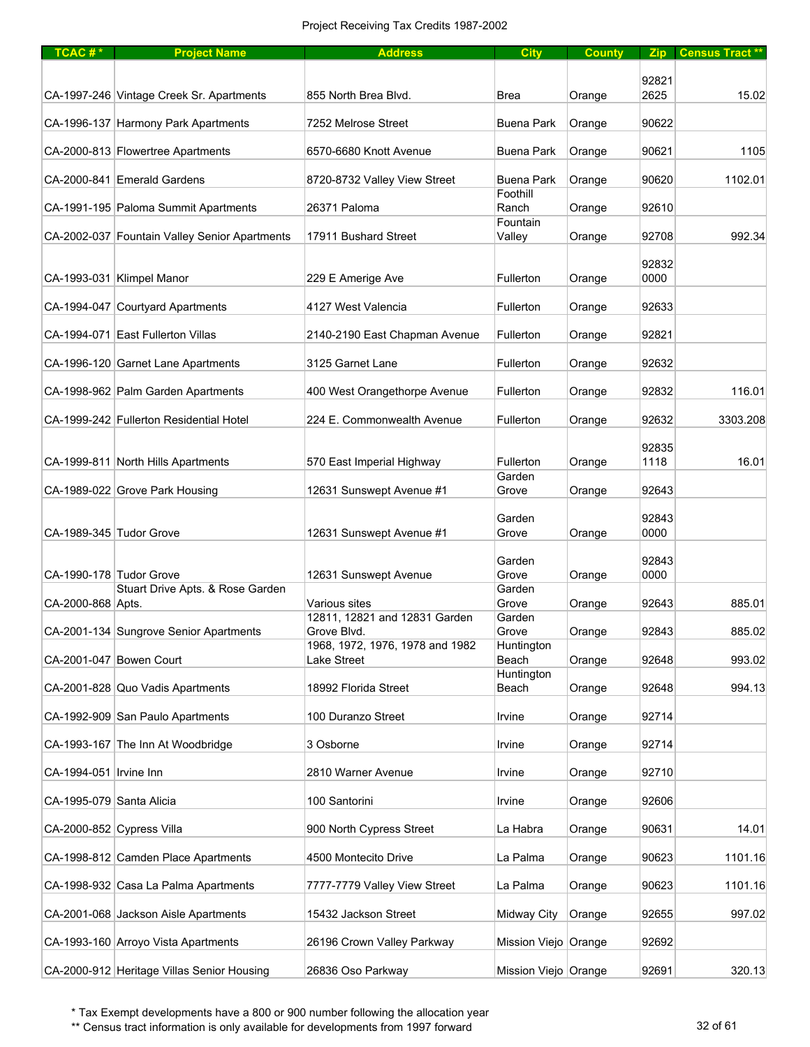| TCAC <sup>#*</sup>       | <b>Project Name</b>                           | <b>Address</b>                                 | <b>City</b>          | <b>County</b> |               | Zip Census Tract ** |
|--------------------------|-----------------------------------------------|------------------------------------------------|----------------------|---------------|---------------|---------------------|
|                          |                                               |                                                |                      |               |               |                     |
|                          | CA-1997-246 Vintage Creek Sr. Apartments      | 855 North Brea Blvd.                           | <b>Brea</b>          | Orange        | 92821<br>2625 | 15.02               |
|                          | CA-1996-137 Harmony Park Apartments           | 7252 Melrose Street                            | <b>Buena Park</b>    | Orange        | 90622         |                     |
|                          | CA-2000-813 Flowertree Apartments             | 6570-6680 Knott Avenue                         | <b>Buena Park</b>    | Orange        | 90621         | 1105                |
|                          | CA-2000-841 Emerald Gardens                   | 8720-8732 Valley View Street                   | <b>Buena Park</b>    | Orange        | 90620         | 1102.01             |
|                          |                                               |                                                | Foothill             |               |               |                     |
|                          | CA-1991-195 Paloma Summit Apartments          | 26371 Paloma                                   | Ranch<br>Fountain    | Orange        | 92610         |                     |
|                          | CA-2002-037 Fountain Valley Senior Apartments | 17911 Bushard Street                           | Valley               | Orange        | 92708         | 992.34              |
|                          | CA-1993-031 Klimpel Manor                     | 229 E Amerige Ave                              | Fullerton            | Orange        | 92832<br>0000 |                     |
|                          | CA-1994-047 Courtyard Apartments              | 4127 West Valencia                             | Fullerton            | Orange        | 92633         |                     |
|                          | CA-1994-071 East Fullerton Villas             | 2140-2190 East Chapman Avenue                  | Fullerton            | Orange        | 92821         |                     |
|                          | CA-1996-120 Garnet Lane Apartments            | 3125 Garnet Lane                               | Fullerton            | Orange        | 92632         |                     |
|                          | CA-1998-962 Palm Garden Apartments            | 400 West Orangethorpe Avenue                   | Fullerton            | Orange        | 92832         | 116.01              |
|                          | CA-1999-242 Fullerton Residential Hotel       | 224 E. Commonwealth Avenue                     | Fullerton            | Orange        | 92632         | 3303.208            |
|                          |                                               |                                                |                      |               |               |                     |
|                          | CA-1999-811 North Hills Apartments            | 570 East Imperial Highway                      | Fullerton            | Orange        | 92835<br>1118 | 16.01               |
|                          |                                               |                                                | Garden               |               |               |                     |
|                          | CA-1989-022 Grove Park Housing                | 12631 Sunswept Avenue #1                       | Grove                | Orange        | 92643         |                     |
|                          |                                               |                                                | Garden               |               | 92843         |                     |
| CA-1989-345 Tudor Grove  |                                               | 12631 Sunswept Avenue #1                       | Grove                | Orange        | 0000          |                     |
|                          |                                               |                                                | Garden               |               | 92843         |                     |
| CA-1990-178 Tudor Grove  |                                               | 12631 Sunswept Avenue                          | Grove                | Orange        | 0000          |                     |
| CA-2000-868 Apts.        | Stuart Drive Apts. & Rose Garden              | Various sites                                  | Garden<br>Grove      | Orange        | 92643         | 885.01              |
|                          |                                               | 12811, 12821 and 12831 Garden                  | Garden               |               |               |                     |
|                          | CA-2001-134 Sungrove Senior Apartments        | Grove Blvd.                                    | Grove                | Orange        | 92843         | 885.02              |
|                          | CA-2001-047 Bowen Court                       | 1968, 1972, 1976, 1978 and 1982<br>Lake Street | Huntington<br>Beach  | Orange        | 92648         | 993.02              |
|                          |                                               |                                                | Huntington           |               |               |                     |
|                          | CA-2001-828 Quo Vadis Apartments              | 18992 Florida Street                           | Beach                | Orange        | 92648         | 994.13              |
|                          | CA-1992-909 San Paulo Apartments              | 100 Duranzo Street                             | Irvine               | Orange        | 92714         |                     |
|                          | CA-1993-167 The Inn At Woodbridge             | 3 Osborne                                      | Irvine               | Orange        | 92714         |                     |
| CA-1994-051   Irvine Inn |                                               | 2810 Warner Avenue                             | Irvine               | Orange        | 92710         |                     |
| CA-1995-079 Santa Alicia |                                               | 100 Santorini                                  | Irvine               | Orange        | 92606         |                     |
|                          | CA-2000-852 Cypress Villa                     | 900 North Cypress Street                       | La Habra             | Orange        | 90631         | 14.01               |
|                          | CA-1998-812 Camden Place Apartments           | 4500 Montecito Drive                           | La Palma             | Orange        | 90623         | 1101.16             |
|                          | CA-1998-932 Casa La Palma Apartments          | 7777-7779 Valley View Street                   | La Palma             | Orange        | 90623         | 1101.16             |
|                          | CA-2001-068 Jackson Aisle Apartments          | 15432 Jackson Street                           | Midway City          | Orange        | 92655         | 997.02              |
|                          | CA-1993-160 Arroyo Vista Apartments           | 26196 Crown Valley Parkway                     | Mission Viejo Orange |               | 92692         |                     |
|                          | CA-2000-912 Heritage Villas Senior Housing    | 26836 Oso Parkway                              | Mission Viejo Orange |               | 92691         | 320.13              |

\*\* Census tract information is only available for developments from 1997 forward 32 of 61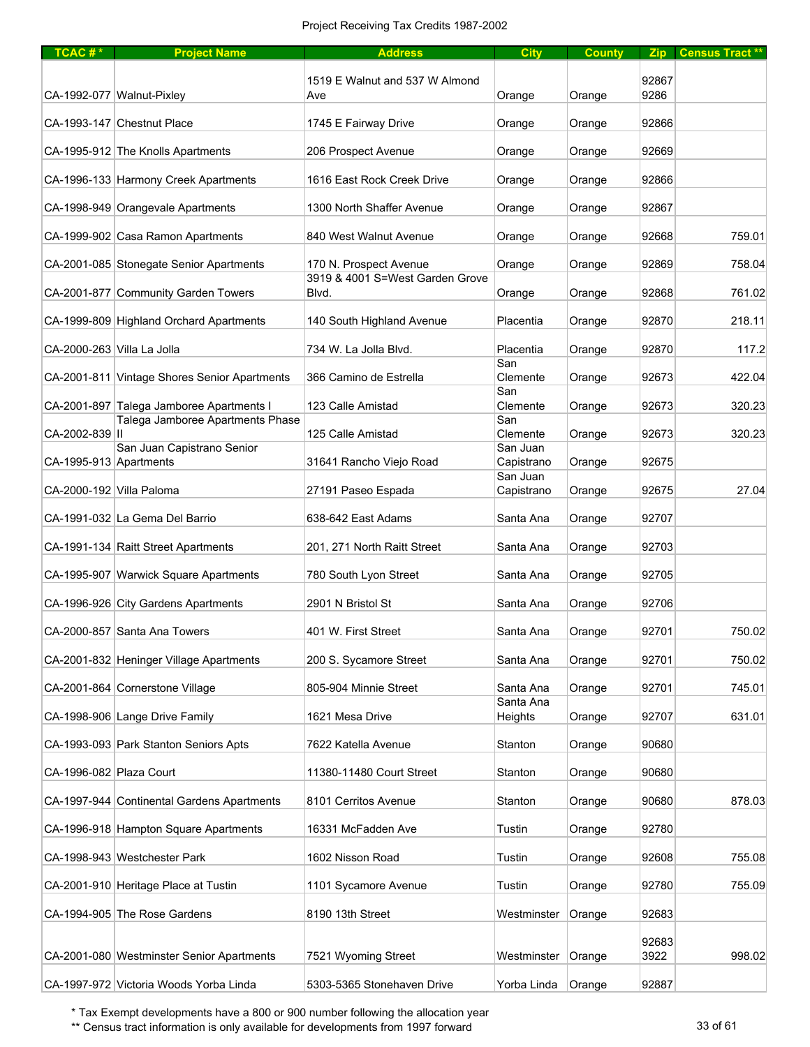| TCAC <sup>#*</sup>         | <b>Project Name</b>                                                          | <b>Address</b>                           | <b>City</b>            | <b>County</b> | <b>Zip</b>    | <b>Census Tract **</b> |
|----------------------------|------------------------------------------------------------------------------|------------------------------------------|------------------------|---------------|---------------|------------------------|
|                            |                                                                              |                                          |                        |               |               |                        |
|                            | CA-1992-077 Walnut-Pixley                                                    | 1519 E Walnut and 537 W Almond<br>Ave    | Orange                 | Orange        | 92867<br>9286 |                        |
|                            |                                                                              |                                          |                        |               |               |                        |
|                            | CA-1993-147 Chestnut Place                                                   | 1745 E Fairway Drive                     | Orange                 | Orange        | 92866         |                        |
|                            |                                                                              |                                          |                        |               |               |                        |
|                            | CA-1995-912 The Knolls Apartments                                            | 206 Prospect Avenue                      | Orange                 | Orange        | 92669         |                        |
|                            | CA-1996-133 Harmony Creek Apartments                                         | 1616 East Rock Creek Drive               | Orange                 | Orange        | 92866         |                        |
|                            |                                                                              |                                          |                        |               |               |                        |
|                            | CA-1998-949 Orangevale Apartments                                            | 1300 North Shaffer Avenue                | Orange                 | Orange        | 92867         |                        |
|                            | CA-1999-902 Casa Ramon Apartments                                            | 840 West Walnut Avenue                   | Orange                 | Orange        | 92668         | 759.01                 |
|                            |                                                                              |                                          |                        |               |               |                        |
|                            | CA-2001-085 Stonegate Senior Apartments                                      | 170 N. Prospect Avenue                   | Orange                 | Orange        | 92869         | 758.04                 |
|                            | CA-2001-877 Community Garden Towers                                          | 3919 & 4001 S=West Garden Grove<br>Blvd. | Orange                 | Orange        | 92868         | 761.02                 |
|                            |                                                                              |                                          |                        |               |               |                        |
|                            | CA-1999-809 Highland Orchard Apartments                                      | 140 South Highland Avenue                | Placentia              | Orange        | 92870         | 218.11                 |
| CA-2000-263 Villa La Jolla |                                                                              | 734 W. La Jolla Blvd.                    | Placentia              | Orange        | 92870         | 117.2                  |
|                            |                                                                              |                                          | San                    |               |               |                        |
|                            | CA-2001-811 Vintage Shores Senior Apartments                                 | 366 Camino de Estrella                   | Clemente               | Orange        | 92673         | 422.04                 |
|                            |                                                                              |                                          | San                    |               |               |                        |
|                            | CA-2001-897 Talega Jamboree Apartments I<br>Talega Jamboree Apartments Phase | 123 Calle Amistad                        | Clemente<br>San        | Orange        | 92673         | 320.23                 |
| CA-2002-839   II           |                                                                              | 125 Calle Amistad                        | Clemente               | Orange        | 92673         | 320.23                 |
|                            | San Juan Capistrano Senior                                                   |                                          | San Juan               |               |               |                        |
| CA-1995-913 Apartments     |                                                                              | 31641 Rancho Viejo Road                  | Capistrano<br>San Juan | Orange        | 92675         |                        |
| CA-2000-192 Villa Paloma   |                                                                              | 27191 Paseo Espada                       | Capistrano             | Orange        | 92675         | 27.04                  |
|                            |                                                                              |                                          |                        |               |               |                        |
|                            | CA-1991-032 La Gema Del Barrio                                               | 638-642 East Adams                       | Santa Ana              | Orange        | 92707         |                        |
|                            | CA-1991-134 Raitt Street Apartments                                          | 201, 271 North Raitt Street              | Santa Ana              | Orange        | 92703         |                        |
|                            |                                                                              |                                          |                        |               |               |                        |
|                            | CA-1995-907 Warwick Square Apartments                                        | 780 South Lyon Street                    | Santa Ana              | Orange        | 92705         |                        |
|                            | CA-1996-926 City Gardens Apartments                                          | 2901 N Bristol St                        | Santa Ana              | Orange        | 92706         |                        |
|                            |                                                                              |                                          |                        |               |               |                        |
|                            | CA-2000-857 Santa Ana Towers                                                 | 401 W. First Street                      | Santa Ana              | Orange        | 92701         | 750.02                 |
|                            |                                                                              |                                          |                        |               |               |                        |
|                            | CA-2001-832 Heninger Village Apartments                                      | 200 S. Sycamore Street                   | Santa Ana              | Orange        | 92701         | 750.02                 |
|                            | CA-2001-864 Cornerstone Village                                              | 805-904 Minnie Street                    | Santa Ana              | Orange        | 92701         | 745.01                 |
|                            |                                                                              |                                          | Santa Ana              |               |               |                        |
|                            | CA-1998-906 Lange Drive Family                                               | 1621 Mesa Drive                          | Heights                | Orange        | 92707         | 631.01                 |
|                            | CA-1993-093 Park Stanton Seniors Apts                                        | 7622 Katella Avenue                      | Stanton                | Orange        | 90680         |                        |
|                            |                                                                              |                                          |                        |               |               |                        |
| CA-1996-082 Plaza Court    |                                                                              | 11380-11480 Court Street                 | Stanton                | Orange        | 90680         |                        |
|                            | CA-1997-944 Continental Gardens Apartments                                   | 8101 Cerritos Avenue                     | Stanton                | Orange        | 90680         | 878.03                 |
|                            |                                                                              |                                          |                        |               |               |                        |
|                            | CA-1996-918 Hampton Square Apartments                                        | 16331 McFadden Ave                       | Tustin                 | Orange        | 92780         |                        |
|                            | CA-1998-943 Westchester Park                                                 | 1602 Nisson Road                         | Tustin                 | Orange        | 92608         | 755.08                 |
|                            |                                                                              |                                          |                        |               |               |                        |
|                            | CA-2001-910 Heritage Place at Tustin                                         | 1101 Sycamore Avenue                     | Tustin                 | Orange        | 92780         | 755.09                 |
|                            | CA-1994-905 The Rose Gardens                                                 | 8190 13th Street                         | Westminster            | Orange        | 92683         |                        |
|                            |                                                                              |                                          |                        |               |               |                        |
|                            |                                                                              |                                          |                        |               | 92683         |                        |
|                            | CA-2001-080 Westminster Senior Apartments                                    | 7521 Wyoming Street                      | Westminster            | Orange        | 3922          | 998.02                 |
|                            | CA-1997-972 Victoria Woods Yorba Linda                                       | 5303-5365 Stonehaven Drive               | Yorba Linda            | Orange        | 92887         |                        |

\*\* Census tract information is only available for developments from 1997 forward 33 of 61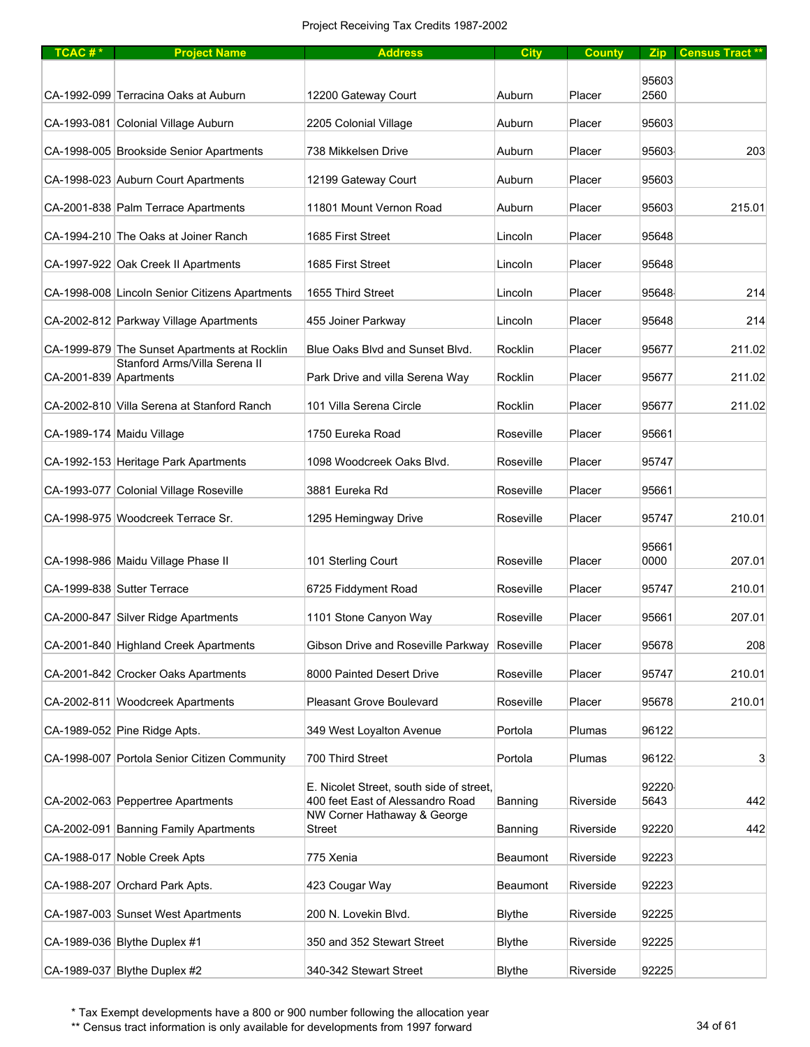## Project Receiving Tax Credits 1987-2002

| TCAC#*                 | <b>Project Name</b>                            | <b>Address</b>                                                               | <b>City</b>     | <b>County</b> | <b>Zip</b>    | <b>Census Tract **</b> |
|------------------------|------------------------------------------------|------------------------------------------------------------------------------|-----------------|---------------|---------------|------------------------|
|                        |                                                |                                                                              |                 |               |               |                        |
|                        | CA-1992-099 Terracina Oaks at Auburn           | 12200 Gateway Court                                                          | Auburn          | Placer        | 95603<br>2560 |                        |
|                        | CA-1993-081 Colonial Village Auburn            | 2205 Colonial Village                                                        | Auburn          | Placer        | 95603         |                        |
|                        | CA-1998-005 Brookside Senior Apartments        | 738 Mikkelsen Drive                                                          | Auburn          | Placer        | 95603         | 203                    |
|                        | CA-1998-023 Auburn Court Apartments            | 12199 Gateway Court                                                          | Auburn          | Placer        | 95603         |                        |
|                        | CA-2001-838 Palm Terrace Apartments            | 11801 Mount Vernon Road                                                      | Auburn          | Placer        | 95603         | 215.01                 |
|                        | CA-1994-210 The Oaks at Joiner Ranch           | 1685 First Street                                                            | Lincoln         | Placer        | 95648         |                        |
|                        | CA-1997-922 Oak Creek II Apartments            | 1685 First Street                                                            | Lincoln         | Placer        | 95648         |                        |
|                        | CA-1998-008 Lincoln Senior Citizens Apartments | 1655 Third Street                                                            | Lincoln         | Placer        | 95648         | 214                    |
|                        | CA-2002-812 Parkway Village Apartments         | 455 Joiner Parkway                                                           | Lincoln         | Placer        | 95648         | 214                    |
|                        | CA-1999-879 The Sunset Apartments at Rocklin   | Blue Oaks Blvd and Sunset Blvd.                                              | Rocklin         | Placer        | 95677         | 211.02                 |
| CA-2001-839 Apartments | Stanford Arms/Villa Serena II                  | Park Drive and villa Serena Way                                              | Rocklin         | Placer        | 95677         | 211.02                 |
|                        | CA-2002-810 Villa Serena at Stanford Ranch     | 101 Villa Serena Circle                                                      | Rocklin         | Placer        | 95677         | 211.02                 |
|                        | CA-1989-174 Maidu Village                      | 1750 Eureka Road                                                             | Roseville       | Placer        | 95661         |                        |
|                        | CA-1992-153 Heritage Park Apartments           | 1098 Woodcreek Oaks Blvd.                                                    | Roseville       | Placer        | 95747         |                        |
|                        | CA-1993-077 Colonial Village Roseville         | 3881 Eureka Rd                                                               | Roseville       | Placer        | 95661         |                        |
|                        | CA-1998-975 Woodcreek Terrace Sr.              | 1295 Hemingway Drive                                                         | Roseville       | Placer        | 95747         | 210.01                 |
|                        |                                                |                                                                              |                 |               |               |                        |
|                        | CA-1998-986 Maidu Village Phase II             | 101 Sterling Court                                                           | Roseville       | Placer        | 95661<br>0000 | 207.01                 |
|                        | CA-1999-838 Sutter Terrace                     | 6725 Fiddyment Road                                                          | Roseville       | Placer        | 95747         | 210.01                 |
|                        | CA-2000-847 Silver Ridge Apartments            | 1101 Stone Canyon Way                                                        | Roseville       | Placer        | 95661         | 207.01                 |
|                        | CA-2001-840 Highland Creek Apartments          | Gibson Drive and Roseville Parkway                                           | Roseville       | Placer        | 95678         | 208                    |
|                        | CA-2001-842 Crocker Oaks Apartments            | 8000 Painted Desert Drive                                                    | Roseville       | Placer        | 95747         | 210.01                 |
|                        | CA-2002-811 Woodcreek Apartments               | Pleasant Grove Boulevard                                                     | Roseville       | Placer        | 95678         | 210.01                 |
|                        | CA-1989-052 Pine Ridge Apts.                   | 349 West Loyalton Avenue                                                     | Portola         | Plumas        | 96122         |                        |
|                        | CA-1998-007 Portola Senior Citizen Community   | 700 Third Street                                                             | Portola         | Plumas        | 96122         | 3                      |
|                        | CA-2002-063 Peppertree Apartments              | E. Nicolet Street, south side of street,<br>400 feet East of Alessandro Road | Banning         | Riverside     | 92220<br>5643 | 442                    |
|                        | CA-2002-091 Banning Family Apartments          | NW Corner Hathaway & George<br><b>Street</b>                                 | Banning         | Riverside     | 92220         | 442                    |
|                        | CA-1988-017 Noble Creek Apts                   | 775 Xenia                                                                    | <b>Beaumont</b> | Riverside     | 92223         |                        |
|                        | CA-1988-207 Orchard Park Apts.                 | 423 Cougar Way                                                               | <b>Beaumont</b> | Riverside     | 92223         |                        |
|                        |                                                |                                                                              |                 |               |               |                        |
|                        | CA-1987-003 Sunset West Apartments             | 200 N. Lovekin Blvd.                                                         | <b>Blythe</b>   | Riverside     | 92225         |                        |
|                        | CA-1989-036 Blythe Duplex #1                   | 350 and 352 Stewart Street                                                   | <b>Blythe</b>   | Riverside     | 92225         |                        |
|                        | $CA-1989-037$ Blythe Duplex #2                 | 340-342 Stewart Street                                                       | <b>Blythe</b>   | Riverside     | 92225         |                        |

\* Tax Exempt developments have a 800 or 900 number following the allocation year

\*\* Census tract information is only available for developments from 1997 forward 34 of 61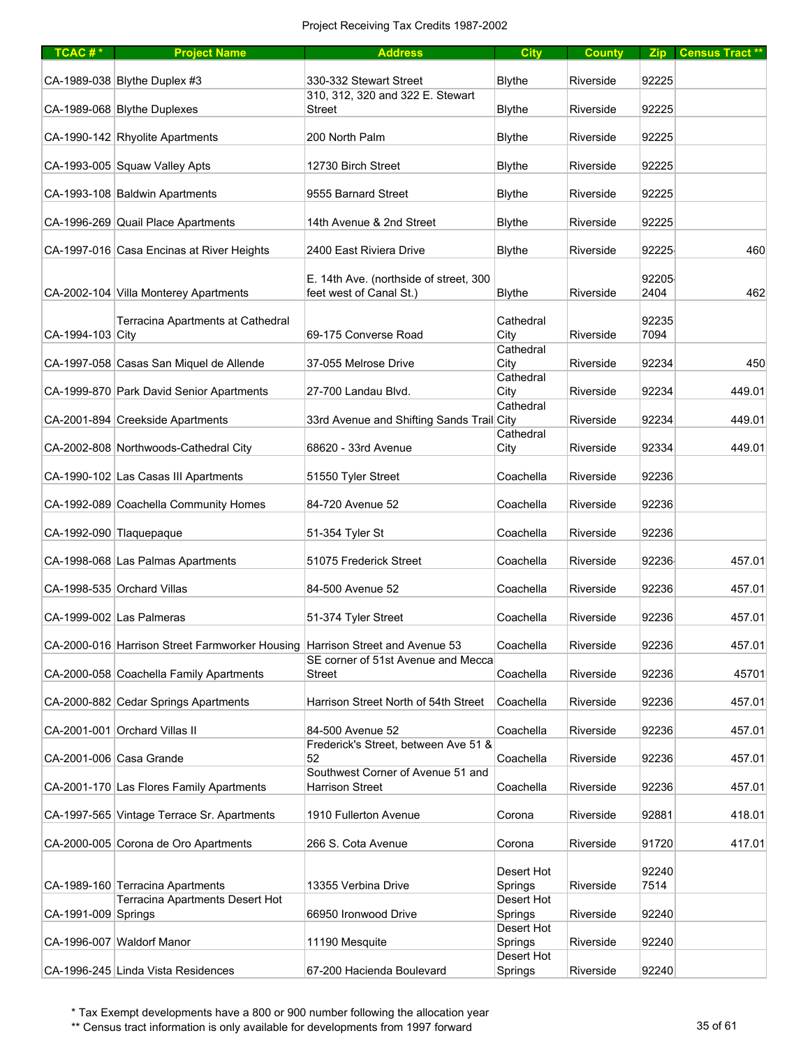| $TCAC #*$           | <b>Project Name</b>                                                          | <b>Address</b>                                                    | <b>City</b>           | <b>County</b> |               | Zip Census Tract ** |
|---------------------|------------------------------------------------------------------------------|-------------------------------------------------------------------|-----------------------|---------------|---------------|---------------------|
|                     | CA-1989-038 Blythe Duplex #3                                                 | 330-332 Stewart Street                                            | <b>Blythe</b>         | Riverside     | 92225         |                     |
|                     | CA-1989-068 Blythe Duplexes                                                  | 310, 312, 320 and 322 E. Stewart<br>Street                        | <b>Blythe</b>         | Riverside     | 92225         |                     |
|                     | CA-1990-142 Rhyolite Apartments                                              | 200 North Palm                                                    | <b>Blythe</b>         | Riverside     | 92225         |                     |
|                     | CA-1993-005 Squaw Valley Apts                                                | 12730 Birch Street                                                | <b>Blythe</b>         | Riverside     | 92225         |                     |
|                     | CA-1993-108 Baldwin Apartments                                               | 9555 Barnard Street                                               | <b>Blythe</b>         | Riverside     | 92225         |                     |
|                     | CA-1996-269 Quail Place Apartments                                           | 14th Avenue & 2nd Street                                          | <b>Blythe</b>         | Riverside     | 92225         |                     |
|                     | CA-1997-016 Casa Encinas at River Heights                                    | 2400 East Riviera Drive                                           | <b>Blythe</b>         | Riverside     | 92225         | 460                 |
|                     | CA-2002-104 Villa Monterey Apartments                                        | E. 14th Ave. (northside of street, 300<br>feet west of Canal St.) | <b>Blythe</b>         | Riverside     | 92205<br>2404 | 462                 |
| CA-1994-103 City    | Terracina Apartments at Cathedral                                            | 69-175 Converse Road                                              | Cathedral<br>City     | Riverside     | 92235<br>7094 |                     |
|                     |                                                                              |                                                                   | Cathedral             |               |               |                     |
|                     | CA-1997-058 Casas San Miquel de Allende                                      | 37-055 Melrose Drive                                              | City<br>Cathedral     | Riverside     | 92234         | 450                 |
|                     | CA-1999-870 Park David Senior Apartments                                     | 27-700 Landau Blvd.                                               | City<br>Cathedral     | Riverside     | 92234         | 449.01              |
|                     | CA-2001-894 Creekside Apartments                                             | 33rd Avenue and Shifting Sands Trail City                         | Cathedral             | Riverside     | 92234         | 449.01              |
|                     | CA-2002-808 Northwoods-Cathedral City                                        | 68620 - 33rd Avenue                                               | City                  | Riverside     | 92334         | 449.01              |
|                     | CA-1990-102 Las Casas III Apartments                                         | 51550 Tyler Street                                                | Coachella             | Riverside     | 92236         |                     |
|                     | CA-1992-089 Coachella Community Homes                                        | 84-720 Avenue 52                                                  | Coachella             | Riverside     | 92236         |                     |
|                     | CA-1992-090 Tlaquepaque                                                      | 51-354 Tyler St                                                   | Coachella             | Riverside     | 92236         |                     |
|                     | CA-1998-068 Las Palmas Apartments                                            | 51075 Frederick Street                                            | Coachella             | Riverside     | 92236         | 457.01              |
|                     | CA-1998-535 Orchard Villas                                                   | 84-500 Avenue 52                                                  | Coachella             | Riverside     | 92236         | 457.01              |
|                     | CA-1999-002 Las Palmeras                                                     | 51-374 Tyler Street                                               | Coachella             | Riverside     | 92236         | 457.01              |
|                     | CA-2000-016 Harrison Street Farmworker Housing Harrison Street and Avenue 53 | SE corner of 51st Avenue and Mecca                                | Coachella             | Riverside     | 92236         | 457.01              |
|                     | CA-2000-058 Coachella Family Apartments                                      | <b>Street</b>                                                     | Coachella             | Riverside     | 92236         | 45701               |
|                     | CA-2000-882 Cedar Springs Apartments                                         | Harrison Street North of 54th Street                              | Coachella             | Riverside     | 92236         | 457.01              |
|                     | CA-2001-001 Orchard Villas II                                                | 84-500 Avenue 52                                                  | Coachella             | Riverside     | 92236         | 457.01              |
|                     | CA-2001-006 Casa Grande                                                      | Frederick's Street, between Ave 51 &<br>52                        | Coachella             | Riverside     | 92236         | 457.01              |
|                     | CA-2001-170 Las Flores Family Apartments                                     | Southwest Corner of Avenue 51 and<br><b>Harrison Street</b>       | Coachella             | Riverside     | 92236         | 457.01              |
|                     | CA-1997-565 Vintage Terrace Sr. Apartments                                   | 1910 Fullerton Avenue                                             | Corona                | Riverside     | 92881         | 418.01              |
|                     | CA-2000-005 Corona de Oro Apartments                                         | 266 S. Cota Avenue                                                | Corona                | Riverside     | 91720         | 417.01              |
|                     |                                                                              |                                                                   |                       |               |               |                     |
|                     | CA-1989-160 Terracina Apartments                                             | 13355 Verbina Drive                                               | Desert Hot<br>Springs | Riverside     | 92240<br>7514 |                     |
| CA-1991-009 Springs | Terracina Apartments Desert Hot                                              | 66950 Ironwood Drive                                              | Desert Hot<br>Springs | Riverside     | 92240         |                     |
|                     | CA-1996-007 Waldorf Manor                                                    | 11190 Mesquite                                                    | Desert Hot<br>Springs | Riverside     | 92240         |                     |
|                     | CA-1996-245 Linda Vista Residences                                           | 67-200 Hacienda Boulevard                                         | Desert Hot<br>Springs | Riverside     | 92240         |                     |

\*\* Census tract information is only available for developments from 1997 forward 35 of 61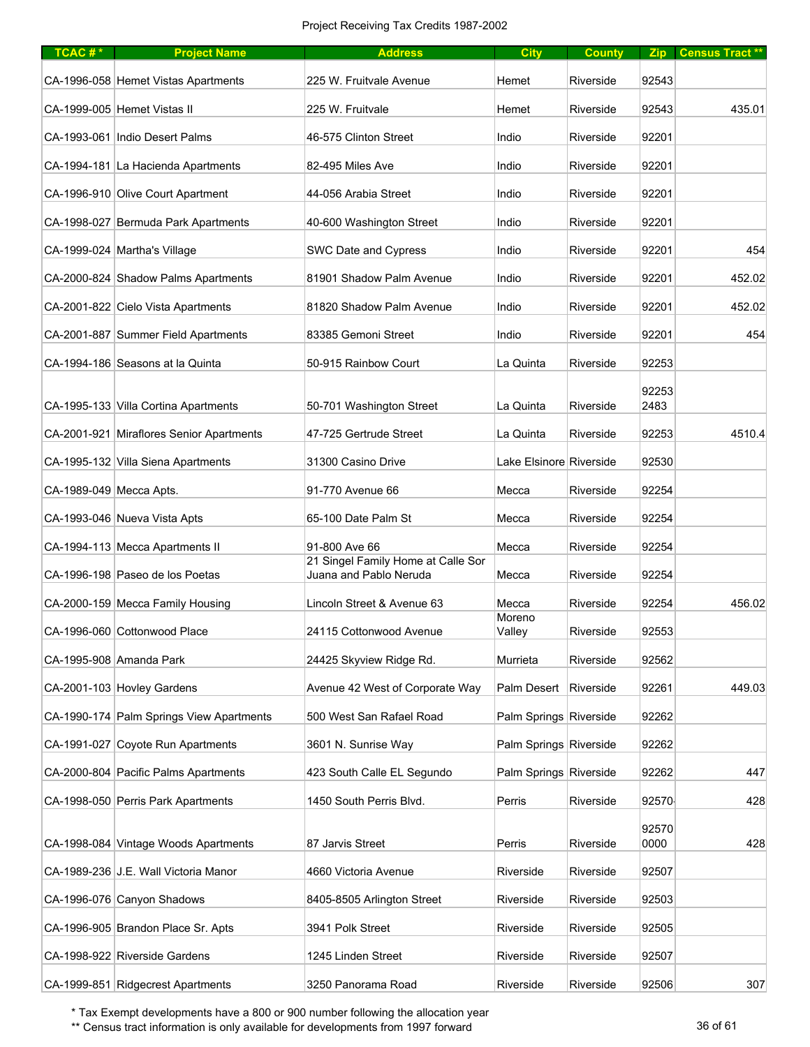| TCAC#*                  | <b>Project Name</b>                      | <b>Address</b>                                               | <b>City</b>             | <b>County</b> |       | Zip Census Tract ** |
|-------------------------|------------------------------------------|--------------------------------------------------------------|-------------------------|---------------|-------|---------------------|
|                         | CA-1996-058 Hemet Vistas Apartments      | 225 W. Fruitvale Avenue                                      | Hemet                   | Riverside     | 92543 |                     |
|                         | CA-1999-005 Hemet Vistas II              | 225 W. Fruitvale                                             | Hemet                   | Riverside     | 92543 | 435.01              |
|                         | CA-1993-061 Indio Desert Palms           | 46-575 Clinton Street                                        | Indio                   | Riverside     | 92201 |                     |
|                         | CA-1994-181 La Hacienda Apartments       | 82-495 Miles Ave                                             | Indio                   | Riverside     | 92201 |                     |
|                         | CA-1996-910 Olive Court Apartment        | 44-056 Arabia Street                                         | Indio                   | Riverside     | 92201 |                     |
|                         | CA-1998-027 Bermuda Park Apartments      | 40-600 Washington Street                                     | Indio                   | Riverside     | 92201 |                     |
|                         | CA-1999-024 Martha's Village             | SWC Date and Cypress                                         | Indio                   | Riverside     | 92201 | 454                 |
|                         | CA-2000-824 Shadow Palms Apartments      | 81901 Shadow Palm Avenue                                     | Indio                   | Riverside     | 92201 | 452.02              |
|                         | CA-2001-822 Cielo Vista Apartments       | 81820 Shadow Palm Avenue                                     | Indio                   | Riverside     | 92201 | 452.02              |
|                         | CA-2001-887 Summer Field Apartments      | 83385 Gemoni Street                                          | Indio                   | Riverside     | 92201 | 454                 |
|                         | CA-1994-186 Seasons at la Quinta         | 50-915 Rainbow Court                                         | La Quinta               | Riverside     | 92253 |                     |
|                         |                                          |                                                              |                         |               | 92253 |                     |
|                         | CA-1995-133 Villa Cortina Apartments     | 50-701 Washington Street                                     | La Quinta               | Riverside     | 2483  |                     |
|                         | CA-2001-921 Miraflores Senior Apartments | 47-725 Gertrude Street                                       | La Quinta               | Riverside     | 92253 | 4510.4              |
|                         | CA-1995-132 Villa Siena Apartments       | 31300 Casino Drive                                           | Lake Elsinore Riverside |               | 92530 |                     |
| CA-1989-049 Mecca Apts. |                                          | 91-770 Avenue 66                                             | Mecca                   | Riverside     | 92254 |                     |
|                         | CA-1993-046 Nueva Vista Apts             | 65-100 Date Palm St                                          | Mecca                   | Riverside     | 92254 |                     |
|                         | CA-1994-113 Mecca Apartments II          | 91-800 Ave 66                                                | Mecca                   | Riverside     | 92254 |                     |
|                         | CA-1996-198 Paseo de los Poetas          | 21 Singel Family Home at Calle Sor<br>Juana and Pablo Neruda | Mecca                   | Riverside     | 92254 |                     |
|                         | CA-2000-159 Mecca Family Housing         | Lincoln Street & Avenue 63                                   | Mecca                   | Riverside     | 92254 | 456.02              |
|                         | CA-1996-060 Cottonwood Place             | 24115 Cottonwood Avenue                                      | Moreno<br>Valley        | Riverside     | 92553 |                     |
|                         | CA-1995-908 Amanda Park                  | 24425 Skyview Ridge Rd.                                      | Murrieta                | Riverside     | 92562 |                     |
|                         | CA-2001-103 Hovley Gardens               | Avenue 42 West of Corporate Way                              | Palm Desert             | Riverside     | 92261 | 449.03              |
|                         | CA-1990-174 Palm Springs View Apartments | 500 West San Rafael Road                                     | Palm Springs Riverside  |               | 92262 |                     |
|                         | CA-1991-027 Coyote Run Apartments        | 3601 N. Sunrise Way                                          | Palm Springs Riverside  |               | 92262 |                     |
|                         | CA-2000-804 Pacific Palms Apartments     | 423 South Calle EL Segundo                                   | Palm Springs Riverside  |               | 92262 | 447                 |
|                         | CA-1998-050 Perris Park Apartments       | 1450 South Perris Blvd.                                      | Perris                  | Riverside     | 92570 | 428                 |
|                         |                                          |                                                              |                         |               | 92570 |                     |
|                         | CA-1998-084 Vintage Woods Apartments     | 87 Jarvis Street                                             | Perris                  | Riverside     | 0000  | 428                 |
|                         | CA-1989-236 J.E. Wall Victoria Manor     | 4660 Victoria Avenue                                         | Riverside               | Riverside     | 92507 |                     |
|                         | CA-1996-076 Canyon Shadows               | 8405-8505 Arlington Street                                   | Riverside               | Riverside     | 92503 |                     |
|                         | CA-1996-905 Brandon Place Sr. Apts       | 3941 Polk Street                                             | Riverside               | Riverside     | 92505 |                     |
|                         | CA-1998-922 Riverside Gardens            | 1245 Linden Street                                           | Riverside               | Riverside     | 92507 |                     |
|                         | CA-1999-851 Ridgecrest Apartments        | 3250 Panorama Road                                           | Riverside               | Riverside     | 92506 | 307                 |

\*\* Census tract information is only available for developments from 1997 forward 36 of 61 36 of 61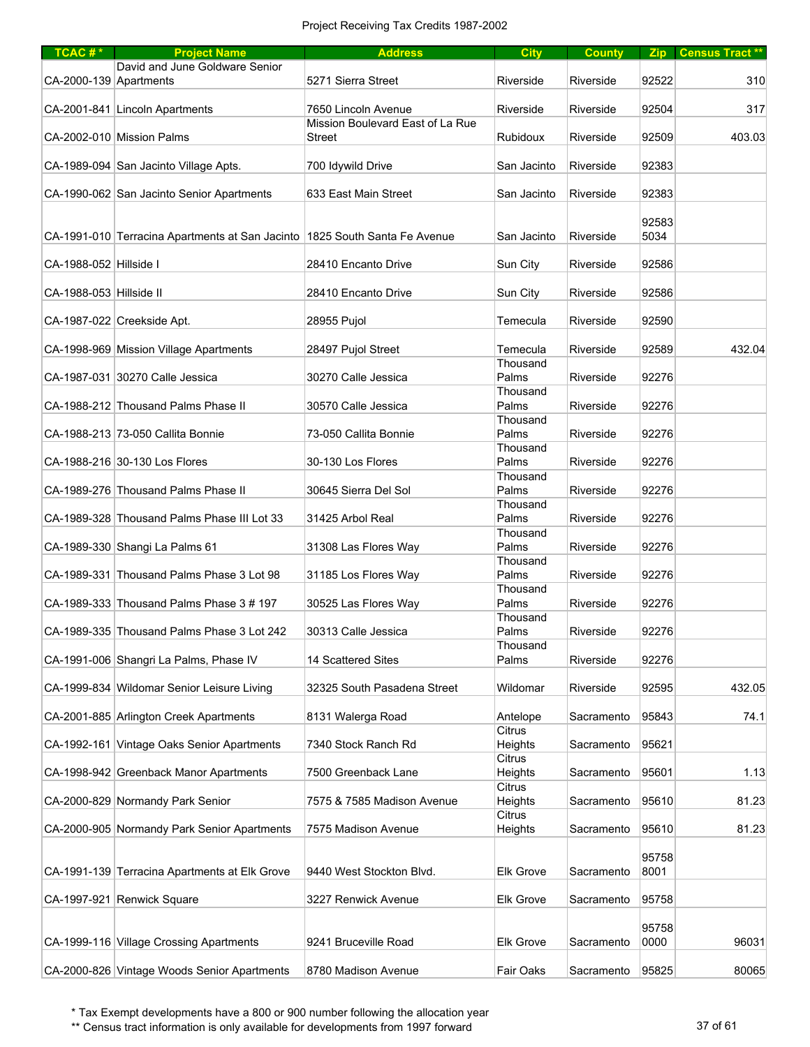| $TCAC #*$               | <b>Project Name</b>                                                        | <b>Address</b>                   | <b>City</b>          | <b>County</b>    |       | Zip Census Tract** |
|-------------------------|----------------------------------------------------------------------------|----------------------------------|----------------------|------------------|-------|--------------------|
|                         | David and June Goldware Senior                                             |                                  |                      |                  |       |                    |
| CA-2000-139 Apartments  |                                                                            | 5271 Sierra Street               | Riverside            | Riverside        | 92522 | 310                |
|                         |                                                                            |                                  |                      |                  |       |                    |
|                         | CA-2001-841 Lincoln Apartments                                             | 7650 Lincoln Avenue              | Riverside            | Riverside        | 92504 | 317                |
|                         | CA-2002-010 Mission Palms                                                  | Mission Boulevard East of La Rue |                      |                  |       |                    |
|                         |                                                                            | Street                           | Rubidoux             | Riverside        | 92509 | 403.03             |
|                         | CA-1989-094 San Jacinto Village Apts.                                      | 700 Idywild Drive                | San Jacinto          | Riverside        | 92383 |                    |
|                         |                                                                            |                                  |                      |                  |       |                    |
|                         | CA-1990-062 San Jacinto Senior Apartments                                  | 633 East Main Street             | San Jacinto          | Riverside        | 92383 |                    |
|                         |                                                                            |                                  |                      |                  |       |                    |
|                         |                                                                            |                                  |                      |                  | 92583 |                    |
|                         | CA-1991-010 Terracina Apartments at San Jacinto 1825 South Santa Fe Avenue |                                  | San Jacinto          | Riverside        | 5034  |                    |
|                         |                                                                            |                                  |                      |                  |       |                    |
| CA-1988-052 Hillside I  |                                                                            | 28410 Encanto Drive              | Sun City             | Riverside        | 92586 |                    |
|                         |                                                                            |                                  |                      |                  |       |                    |
| CA-1988-053 Hillside II |                                                                            | 28410 Encanto Drive              | Sun City             | Riverside        | 92586 |                    |
|                         |                                                                            |                                  |                      |                  |       |                    |
|                         | CA-1987-022 Creekside Apt.                                                 | 28955 Pujol                      | Temecula             | Riverside        | 92590 |                    |
|                         |                                                                            |                                  |                      | Riverside        | 92589 | 432.04             |
|                         | CA-1998-969 Mission Village Apartments                                     | 28497 Pujol Street               | Temecula<br>Thousand |                  |       |                    |
|                         | CA-1987-031 30270 Calle Jessica                                            | 30270 Calle Jessica              | Palms                | Riverside        | 92276 |                    |
|                         |                                                                            |                                  | Thousand             |                  |       |                    |
|                         | CA-1988-212 Thousand Palms Phase II                                        | 30570 Calle Jessica              | Palms                | Riverside        | 92276 |                    |
|                         |                                                                            |                                  | Thousand             |                  |       |                    |
|                         | CA-1988-213 73-050 Callita Bonnie                                          | 73-050 Callita Bonnie            | Palms                | Riverside        | 92276 |                    |
|                         |                                                                            |                                  | Thousand             |                  |       |                    |
|                         | CA-1988-216 30-130 Los Flores                                              | 30-130 Los Flores                | Palms                | Riverside        | 92276 |                    |
|                         |                                                                            |                                  | Thousand             |                  |       |                    |
|                         | CA-1989-276 Thousand Palms Phase II                                        | 30645 Sierra Del Sol             | Palms                | Riverside        | 92276 |                    |
|                         |                                                                            |                                  | Thousand             |                  |       |                    |
|                         | CA-1989-328 Thousand Palms Phase III Lot 33                                | 31425 Arbol Real                 | Palms                | Riverside        | 92276 |                    |
|                         |                                                                            |                                  | Thousand             |                  |       |                    |
|                         | CA-1989-330 Shangi La Palms 61                                             | 31308 Las Flores Way             | Palms                | Riverside        | 92276 |                    |
|                         | CA-1989-331 Thousand Palms Phase 3 Lot 98                                  | 31185 Los Flores Way             | Thousand<br>Palms    | Riverside        | 92276 |                    |
|                         |                                                                            |                                  | Thousand             |                  |       |                    |
|                         | CA-1989-333 Thousand Palms Phase 3 # 197                                   | 30525 Las Flores Way             | Palms                | Riverside        | 92276 |                    |
|                         |                                                                            |                                  | Thousand             |                  |       |                    |
|                         | CA-1989-335 Thousand Palms Phase 3 Lot 242                                 | 30313 Calle Jessica              | Palms                | Riverside        | 92276 |                    |
|                         |                                                                            |                                  | Thousand             |                  |       |                    |
|                         | CA-1991-006 Shangri La Palms, Phase IV                                     | 14 Scattered Sites               | Palms                | Riverside        | 92276 |                    |
|                         |                                                                            |                                  |                      |                  |       |                    |
|                         | CA-1999-834 Wildomar Senior Leisure Living                                 | 32325 South Pasadena Street      | Wildomar             | Riverside        | 92595 | 432.05             |
|                         |                                                                            |                                  |                      |                  |       |                    |
|                         | CA-2001-885 Arlington Creek Apartments                                     | 8131 Walerga Road                | Antelope             | Sacramento       | 95843 | 74.1               |
|                         |                                                                            |                                  | Citrus               |                  |       |                    |
|                         | CA-1992-161 Vintage Oaks Senior Apartments                                 | 7340 Stock Ranch Rd              | Heights              | Sacramento       | 95621 |                    |
|                         | CA-1998-942 Greenback Manor Apartments                                     | 7500 Greenback Lane              | Citrus<br>Heights    | Sacramento       | 95601 | 1.13               |
|                         |                                                                            |                                  | <b>Citrus</b>        |                  |       |                    |
|                         | CA-2000-829 Normandy Park Senior                                           | 7575 & 7585 Madison Avenue       | Heights              | Sacramento       | 95610 | 81.23              |
|                         |                                                                            |                                  | Citrus               |                  |       |                    |
|                         | CA-2000-905 Normandy Park Senior Apartments                                | 7575 Madison Avenue              | Heights              | Sacramento       | 95610 | 81.23              |
|                         |                                                                            |                                  |                      |                  |       |                    |
|                         |                                                                            |                                  |                      |                  | 95758 |                    |
|                         | CA-1991-139 Terracina Apartments at Elk Grove                              | 9440 West Stockton Blvd.         | <b>Elk Grove</b>     | Sacramento       | 8001  |                    |
|                         |                                                                            |                                  |                      |                  |       |                    |
|                         | CA-1997-921 Renwick Square                                                 | 3227 Renwick Avenue              | <b>Elk Grove</b>     | Sacramento       | 95758 |                    |
|                         |                                                                            |                                  |                      |                  |       |                    |
|                         |                                                                            |                                  |                      |                  | 95758 |                    |
|                         | CA-1999-116 Village Crossing Apartments                                    | 9241 Bruceville Road             | <b>Elk Grove</b>     | Sacramento       | 0000  | 96031              |
|                         | CA-2000-826 Vintage Woods Senior Apartments                                | 8780 Madison Avenue              | Fair Oaks            | Sacramento 95825 |       | 80065              |

\*\* Census tract information is only available for developments from 1997 forward 37 of 61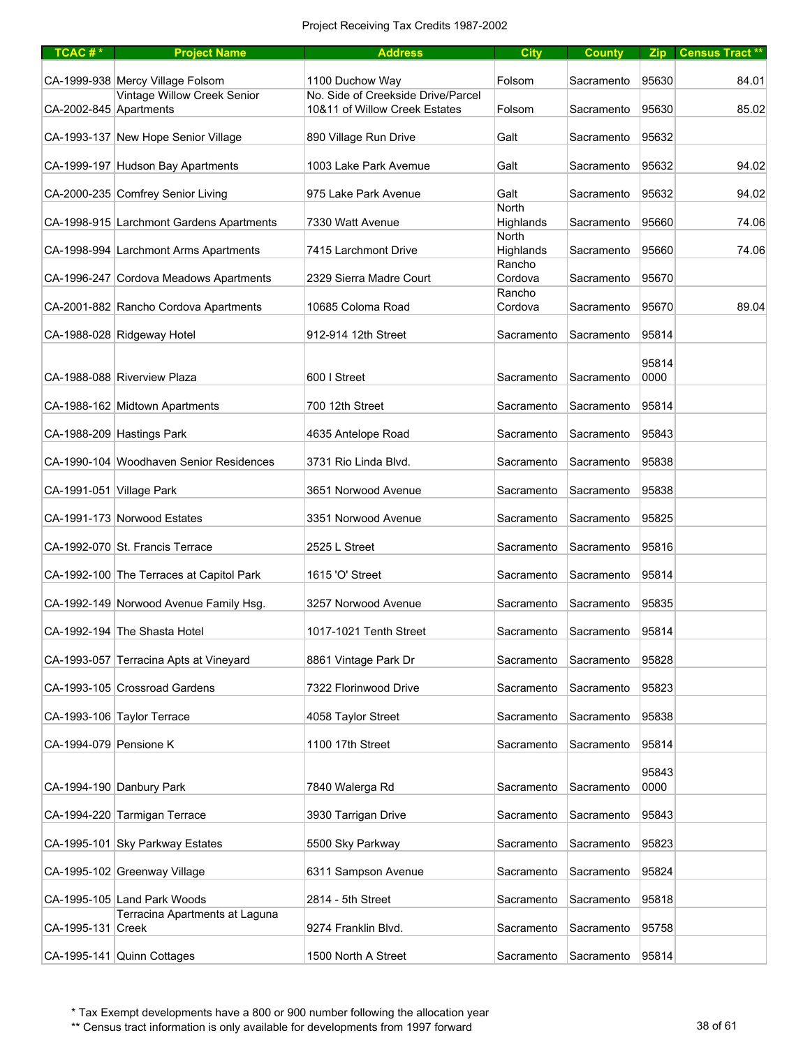| $TCAC #*$                | <b>Project Name</b>                      | <b>Address</b>                                                      | <b>City</b>               | <b>County</b> |               | Zip Census Tract** |
|--------------------------|------------------------------------------|---------------------------------------------------------------------|---------------------------|---------------|---------------|--------------------|
|                          | CA-1999-938 Mercy Village Folsom         | 1100 Duchow Way                                                     | Folsom                    | Sacramento    | 95630         | 84.01              |
| CA-2002-845 Apartments   | Vintage Willow Creek Senior              | No. Side of Creekside Drive/Parcel<br>10&11 of Willow Creek Estates | Folsom                    | Sacramento    | 95630         | 85.02              |
|                          | CA-1993-137 New Hope Senior Village      | 890 Village Run Drive                                               | Galt                      | Sacramento    | 95632         |                    |
|                          | CA-1999-197 Hudson Bay Apartments        | 1003 Lake Park Avemue                                               | Galt                      | Sacramento    | 95632         | 94.02              |
|                          | CA-2000-235 Comfrey Senior Living        | 975 Lake Park Avenue                                                | Galt                      | Sacramento    | 95632         | 94.02              |
|                          | CA-1998-915 Larchmont Gardens Apartments | 7330 Watt Avenue                                                    | <b>North</b><br>Highlands | Sacramento    | 95660         | 74.06              |
|                          | CA-1998-994 Larchmont Arms Apartments    | 7415 Larchmont Drive                                                | North<br>Highlands        | Sacramento    | 95660         | 74.06              |
|                          | CA-1996-247 Cordova Meadows Apartments   | 2329 Sierra Madre Court                                             | Rancho<br>Cordova         | Sacramento    | 95670         |                    |
|                          | CA-2001-882 Rancho Cordova Apartments    | 10685 Coloma Road                                                   | Rancho<br>Cordova         | Sacramento    | 95670         | 89.04              |
|                          | CA-1988-028 Ridgeway Hotel               | 912-914 12th Street                                                 | Sacramento                | Sacramento    | 95814         |                    |
|                          |                                          |                                                                     |                           |               | 95814         |                    |
|                          | CA-1988-088 Riverview Plaza              | 600   Street                                                        | Sacramento                | Sacramento    | 0000          |                    |
|                          | CA-1988-162 Midtown Apartments           | 700 12th Street                                                     | Sacramento                | Sacramento    | 95814         |                    |
|                          | CA-1988-209 Hastings Park                | 4635 Antelope Road                                                  | Sacramento                | Sacramento    | 95843         |                    |
|                          | CA-1990-104 Woodhaven Senior Residences  | 3731 Rio Linda Blvd.                                                | Sacramento                | Sacramento    | 95838         |                    |
| CA-1991-051 Village Park |                                          | 3651 Norwood Avenue                                                 | Sacramento                | Sacramento    | 95838         |                    |
|                          | CA-1991-173 Norwood Estates              | 3351 Norwood Avenue                                                 | Sacramento                | Sacramento    | 95825         |                    |
|                          | CA-1992-070 St. Francis Terrace          | 2525 L Street                                                       | Sacramento                | Sacramento    | 95816         |                    |
|                          | CA-1992-100 The Terraces at Capitol Park | 1615 'O' Street                                                     | Sacramento                | Sacramento    | 95814         |                    |
|                          | CA-1992-149 Norwood Avenue Family Hsg.   | 3257 Norwood Avenue                                                 | Sacramento                | Sacramento    | 95835         |                    |
|                          | CA-1992-194 The Shasta Hotel             | 1017-1021 Tenth Street                                              | Sacramento                | Sacramento    | 95814         |                    |
|                          | CA-1993-057 Terracina Apts at Vineyard   | 8861 Vintage Park Dr                                                | Sacramento                | Sacramento    | 95828         |                    |
|                          | CA-1993-105 Crossroad Gardens            | 7322 Florinwood Drive                                               | Sacramento                | Sacramento    | 95823         |                    |
|                          | CA-1993-106 Taylor Terrace               | 4058 Taylor Street                                                  | Sacramento                | Sacramento    | 95838         |                    |
| CA-1994-079 Pensione K   |                                          | 1100 17th Street                                                    | Sacramento                | Sacramento    | 95814         |                    |
|                          | CA-1994-190 Danbury Park                 | 7840 Walerga Rd                                                     | Sacramento                | Sacramento    | 95843<br>0000 |                    |
|                          | CA-1994-220 Tarmigan Terrace             | 3930 Tarrigan Drive                                                 | Sacramento                | Sacramento    | 95843         |                    |
|                          | CA-1995-101 Sky Parkway Estates          | 5500 Sky Parkway                                                    | Sacramento                | Sacramento    | 95823         |                    |
|                          | CA-1995-102 Greenway Village             | 6311 Sampson Avenue                                                 | Sacramento                | Sacramento    | 95824         |                    |
|                          | CA-1995-105 Land Park Woods              | 2814 - 5th Street                                                   | Sacramento                | Sacramento    | 95818         |                    |
| CA-1995-131 Creek        | Terracina Apartments at Laguna           | 9274 Franklin Blvd.                                                 | Sacramento                | Sacramento    | 95758         |                    |
|                          | CA-1995-141 Quinn Cottages               | 1500 North A Street                                                 | Sacramento                | Sacramento    | 95814         |                    |

\*\* Census tract information is only available for developments from 1997 forward 38 of 61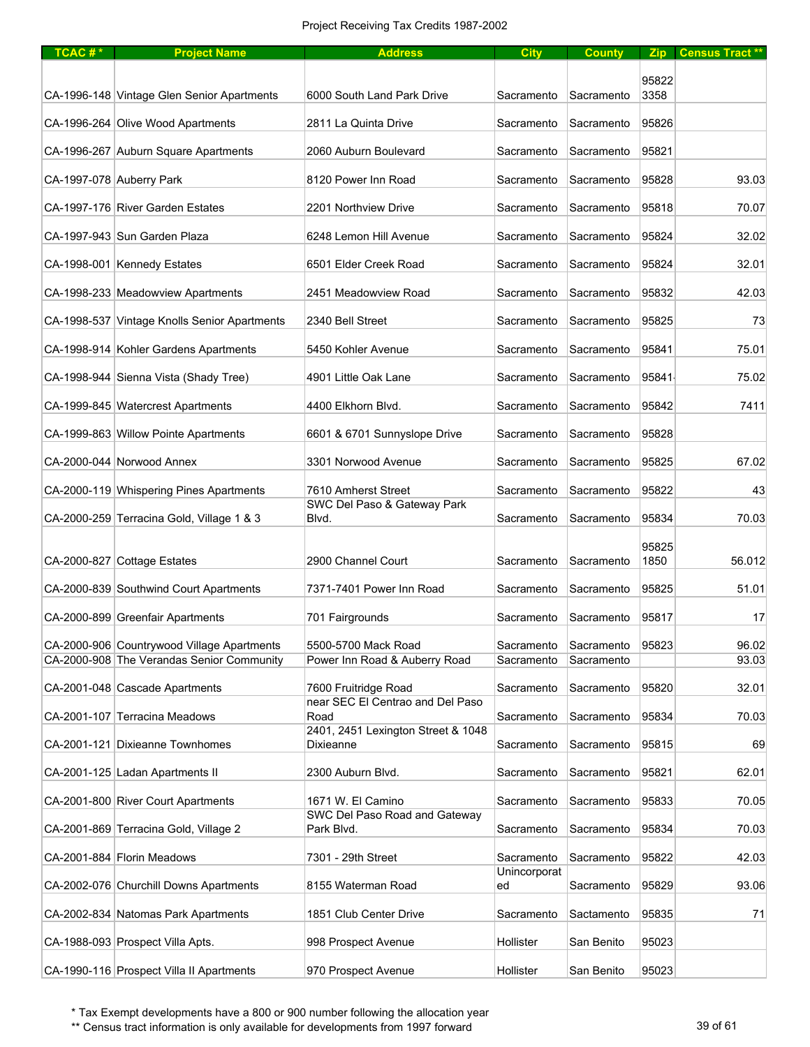| TCAC# $*$ | <b>Project Name</b>                          | <b>Address</b>                                  | <b>City</b>                | <b>County</b> |               | Zip Census Tract ** |
|-----------|----------------------------------------------|-------------------------------------------------|----------------------------|---------------|---------------|---------------------|
|           |                                              |                                                 |                            |               |               |                     |
|           | CA-1996-148 Vintage Glen Senior Apartments   | 6000 South Land Park Drive                      | Sacramento                 | Sacramento    | 95822<br>3358 |                     |
|           | CA-1996-264 Olive Wood Apartments            | 2811 La Quinta Drive                            | Sacramento                 | Sacramento    | 95826         |                     |
|           | CA-1996-267 Auburn Square Apartments         | 2060 Auburn Boulevard                           | Sacramento                 | Sacramento    | 95821         |                     |
|           | CA-1997-078 Auberry Park                     | 8120 Power Inn Road                             | Sacramento                 | Sacramento    | 95828         | 93.03               |
|           | CA-1997-176 River Garden Estates             | 2201 Northview Drive                            | Sacramento                 | Sacramento    | 95818         | 70.07               |
|           | CA-1997-943 Sun Garden Plaza                 | 6248 Lemon Hill Avenue                          | Sacramento                 | Sacramento    | 95824         | 32.02               |
|           | CA-1998-001 Kennedy Estates                  | 6501 Elder Creek Road                           | Sacramento                 | Sacramento    | 95824         | 32.01               |
|           | CA-1998-233 Meadowview Apartments            | 2451 Meadowview Road                            | Sacramento                 | Sacramento    | 95832         | 42.03               |
|           | CA-1998-537 Vintage Knolls Senior Apartments | 2340 Bell Street                                | Sacramento                 | Sacramento    | 95825         | 73                  |
|           | CA-1998-914 Kohler Gardens Apartments        | 5450 Kohler Avenue                              | Sacramento                 | Sacramento    | 95841         | 75.01               |
|           | CA-1998-944 Sienna Vista (Shady Tree)        | 4901 Little Oak Lane                            | Sacramento                 | Sacramento    | 95841         | 75.02               |
|           | CA-1999-845 Watercrest Apartments            | 4400 Elkhorn Blvd.                              | Sacramento                 | Sacramento    | 95842         | 7411                |
|           | CA-1999-863 Willow Pointe Apartments         | 6601 & 6701 Sunnyslope Drive                    | Sacramento                 | Sacramento    | 95828         |                     |
|           | CA-2000-044 Norwood Annex                    | 3301 Norwood Avenue                             | Sacramento                 | Sacramento    | 95825         | 67.02               |
|           | CA-2000-119 Whispering Pines Apartments      | 7610 Amherst Street                             | Sacramento                 | Sacramento    | 95822         | 43                  |
|           |                                              | SWC Del Paso & Gateway Park                     |                            |               |               |                     |
|           | CA-2000-259 Terracina Gold, Village 1 & 3    | Blvd.                                           | Sacramento                 | Sacramento    | 95834         | 70.03               |
|           | CA-2000-827 Cottage Estates                  | 2900 Channel Court                              | Sacramento                 | Sacramento    | 95825<br>1850 | 56.012              |
|           | CA-2000-839 Southwind Court Apartments       | 7371-7401 Power Inn Road                        | Sacramento                 | Sacramento    | 95825         | 51.01               |
|           |                                              |                                                 |                            |               |               |                     |
|           | CA-2000-899 Greenfair Apartments             | 701 Fairgrounds                                 | Sacramento                 | Sacramento    | 95817         | 17                  |
|           | CA-2000-906 Countrywood Village Apartments   | 5500-5700 Mack Road                             | Sacramento                 | Sacramento    | 95823         | 96.02               |
|           | CA-2000-908 The Verandas Senior Community    | Power Inn Road & Auberry Road                   | Sacramento                 | Sacramento    |               | 93.03               |
|           | CA-2001-048 Cascade Apartments               | 7600 Fruitridge Road                            | Sacramento                 | Sacramento    | 95820         | 32.01               |
|           | CA-2001-107 Terracina Meadows                | near SEC El Centrao and Del Paso<br>Road        | Sacramento                 | Sacramento    | 95834         | 70.03               |
|           | CA-2001-121 Dixieanne Townhomes              | 2401, 2451 Lexington Street & 1048<br>Dixieanne | Sacramento                 | Sacramento    | 95815         | 69                  |
|           | CA-2001-125 Ladan Apartments II              | 2300 Auburn Blvd.                               | Sacramento                 | Sacramento    | 95821         | 62.01               |
|           | CA-2001-800 River Court Apartments           | 1671 W. El Camino                               | Sacramento                 | Sacramento    | 95833         | 70.05               |
|           |                                              | SWC Del Paso Road and Gateway                   |                            |               |               |                     |
|           | CA-2001-869 Terracina Gold, Village 2        | Park Blvd.                                      | Sacramento                 | Sacramento    | 95834         | 70.03               |
|           | CA-2001-884 Florin Meadows                   | 7301 - 29th Street                              | Sacramento<br>Unincorporat | Sacramento    | 95822         | 42.03               |
|           | CA-2002-076 Churchill Downs Apartments       | 8155 Waterman Road                              | ed                         | Sacramento    | 95829         | 93.06               |
|           | CA-2002-834 Natomas Park Apartments          | 1851 Club Center Drive                          | Sacramento                 | Sactamento    | 95835         | 71                  |
|           | CA-1988-093 Prospect Villa Apts.             | 998 Prospect Avenue                             | Hollister                  | San Benito    | 95023         |                     |
|           | CA-1990-116 Prospect Villa II Apartments     | 970 Prospect Avenue                             | Hollister                  | San Benito    | 95023         |                     |

\*\* Census tract information is only available for developments from 1997 forward 39 of 61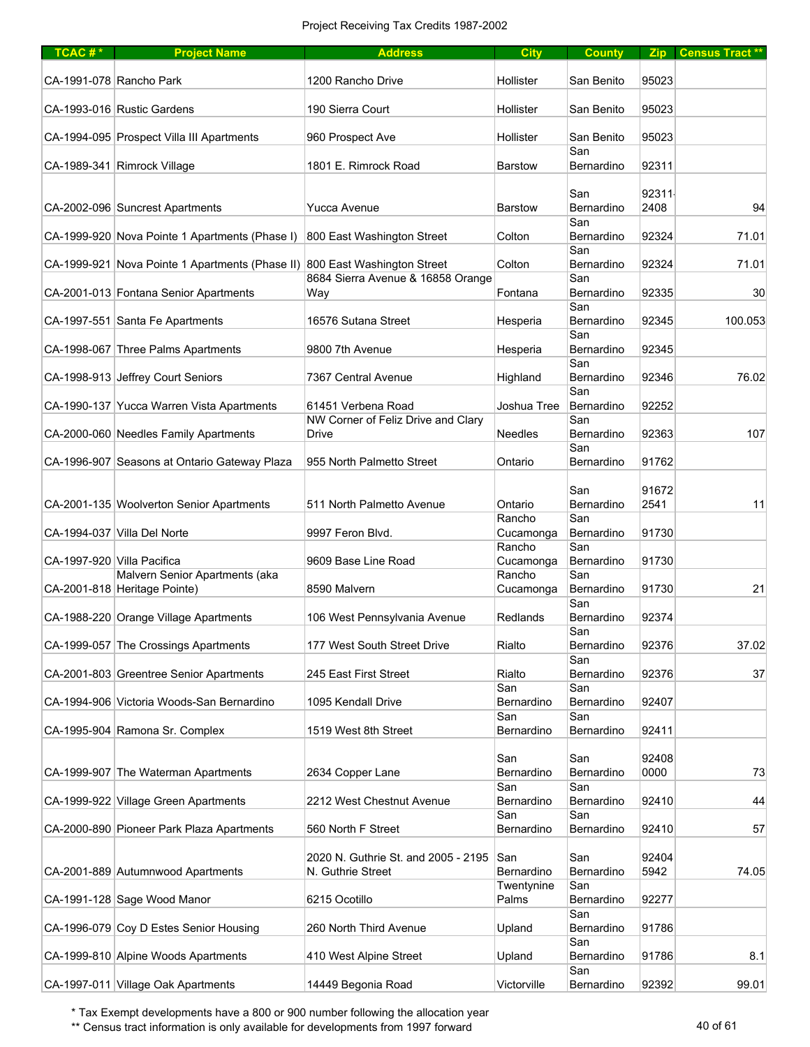| $TCAC #*$                  | <b>Project Name</b>                                                        | <b>Address</b>                                           | <b>City</b>         | <b>County</b>     |               | Zip Census Tract ** |
|----------------------------|----------------------------------------------------------------------------|----------------------------------------------------------|---------------------|-------------------|---------------|---------------------|
|                            | CA-1991-078 Rancho Park                                                    | 1200 Rancho Drive                                        | Hollister           | San Benito        | 95023         |                     |
|                            | CA-1993-016 Rustic Gardens                                                 | 190 Sierra Court                                         | Hollister           | San Benito        | 95023         |                     |
|                            | CA-1994-095 Prospect Villa III Apartments                                  | 960 Prospect Ave                                         | Hollister           | San Benito        | 95023         |                     |
|                            | CA-1989-341 Rimrock Village                                                | 1801 E. Rimrock Road                                     | <b>Barstow</b>      | San<br>Bernardino | 92311         |                     |
|                            |                                                                            |                                                          |                     | San               | 92311         |                     |
|                            | CA-2002-096 Suncrest Apartments                                            | Yucca Avenue                                             | <b>Barstow</b>      | Bernardino<br>San | 2408          | 94                  |
|                            | CA-1999-920 Nova Pointe 1 Apartments (Phase I)                             | 800 East Washington Street                               | Colton              | Bernardino<br>San | 92324         | 71.01               |
|                            | CA-1999-921 Nova Pointe 1 Apartments (Phase II) 800 East Washington Street | 8684 Sierra Avenue & 16858 Orange                        | Colton              | Bernardino<br>San | 92324         | 71.01               |
|                            | CA-2001-013 Fontana Senior Apartments                                      | Way                                                      | Fontana             | Bernardino<br>San | 92335         | 30                  |
|                            | CA-1997-551 Santa Fe Apartments                                            | 16576 Sutana Street                                      | Hesperia            | Bernardino        | 92345         | 100.053             |
|                            | CA-1998-067 Three Palms Apartments                                         | 9800 7th Avenue                                          | Hesperia            | San<br>Bernardino | 92345         |                     |
|                            | CA-1998-913 Jeffrey Court Seniors                                          | 7367 Central Avenue                                      | Highland            | San<br>Bernardino | 92346         | 76.02               |
|                            | CA-1990-137 Yucca Warren Vista Apartments                                  | 61451 Verbena Road                                       | Joshua Tree         | San<br>Bernardino | 92252         |                     |
|                            | CA-2000-060 Needles Family Apartments                                      | NW Corner of Feliz Drive and Clary<br>Drive              | <b>Needles</b>      | San<br>Bernardino | 92363         | 107                 |
|                            | CA-1996-907 Seasons at Ontario Gateway Plaza                               | 955 North Palmetto Street                                | Ontario             | San<br>Bernardino | 91762         |                     |
|                            |                                                                            |                                                          |                     | San               | 91672         |                     |
|                            | CA-2001-135 Woolverton Senior Apartments                                   | 511 North Palmetto Avenue                                | Ontario             | Bernardino        | 2541          | 11                  |
|                            | CA-1994-037 Villa Del Norte                                                | 9997 Feron Blvd.                                         | Rancho<br>Cucamonga | San<br>Bernardino | 91730         |                     |
| CA-1997-920 Villa Pacifica |                                                                            | 9609 Base Line Road                                      | Rancho<br>Cucamonga | San<br>Bernardino | 91730         |                     |
|                            | Malvern Senior Apartments (aka<br>CA-2001-818 Heritage Pointe)             | 8590 Malvern                                             | Rancho<br>Cucamonga | San<br>Bernardino | 91730         | 21                  |
|                            | CA-1988-220 Orange Village Apartments                                      | 106 West Pennsylvania Avenue                             | Redlands            | San<br>Bernardino | 92374         |                     |
|                            | CA-1999-057 The Crossings Apartments                                       | 177 West South Street Drive                              | Rialto              | San<br>Bernardino | 92376         | 37.02               |
|                            |                                                                            |                                                          |                     | San               |               |                     |
|                            | CA-2001-803 Greentree Senior Apartments                                    | 245 East First Street                                    | Rialto<br>San       | Bernardino<br>San | 92376         | 37                  |
|                            | CA-1994-906 Victoria Woods-San Bernardino                                  | 1095 Kendall Drive                                       | Bernardino<br>San   | Bernardino<br>San | 92407         |                     |
|                            | CA-1995-904 Ramona Sr. Complex                                             | 1519 West 8th Street                                     | Bernardino          | Bernardino        | 92411         |                     |
|                            |                                                                            |                                                          | San                 | San               | 92408         |                     |
|                            | CA-1999-907 The Waterman Apartments                                        | 2634 Copper Lane                                         | Bernardino<br>San   | Bernardino<br>San | 0000          | 73                  |
|                            | CA-1999-922 Village Green Apartments                                       | 2212 West Chestnut Avenue                                | Bernardino<br>San   | Bernardino<br>San | 92410         | 44                  |
|                            | CA-2000-890 Pioneer Park Plaza Apartments                                  | 560 North F Street                                       | Bernardino          | Bernardino        | 92410         | 57                  |
|                            | CA-2001-889 Autumnwood Apartments                                          | 2020 N. Guthrie St. and 2005 - 2195<br>N. Guthrie Street | San<br>Bernardino   | San<br>Bernardino | 92404<br>5942 | 74.05               |
|                            | CA-1991-128 Sage Wood Manor                                                | 6215 Ocotillo                                            | Twentynine<br>Palms | San<br>Bernardino | 92277         |                     |
|                            | CA-1996-079 Coy D Estes Senior Housing                                     | 260 North Third Avenue                                   | Upland              | San<br>Bernardino | 91786         |                     |
|                            | CA-1999-810 Alpine Woods Apartments                                        | 410 West Alpine Street                                   | Upland              | San<br>Bernardino | 91786         | 8.1                 |
|                            | CA-1997-011 Village Oak Apartments                                         | 14449 Begonia Road                                       | Victorville         | San<br>Bernardino | 92392         | 99.01               |

\*\* Census tract information is only available for developments from 1997 forward 40 pm  $\sim$  40 of 61  $\sim$  40 of 61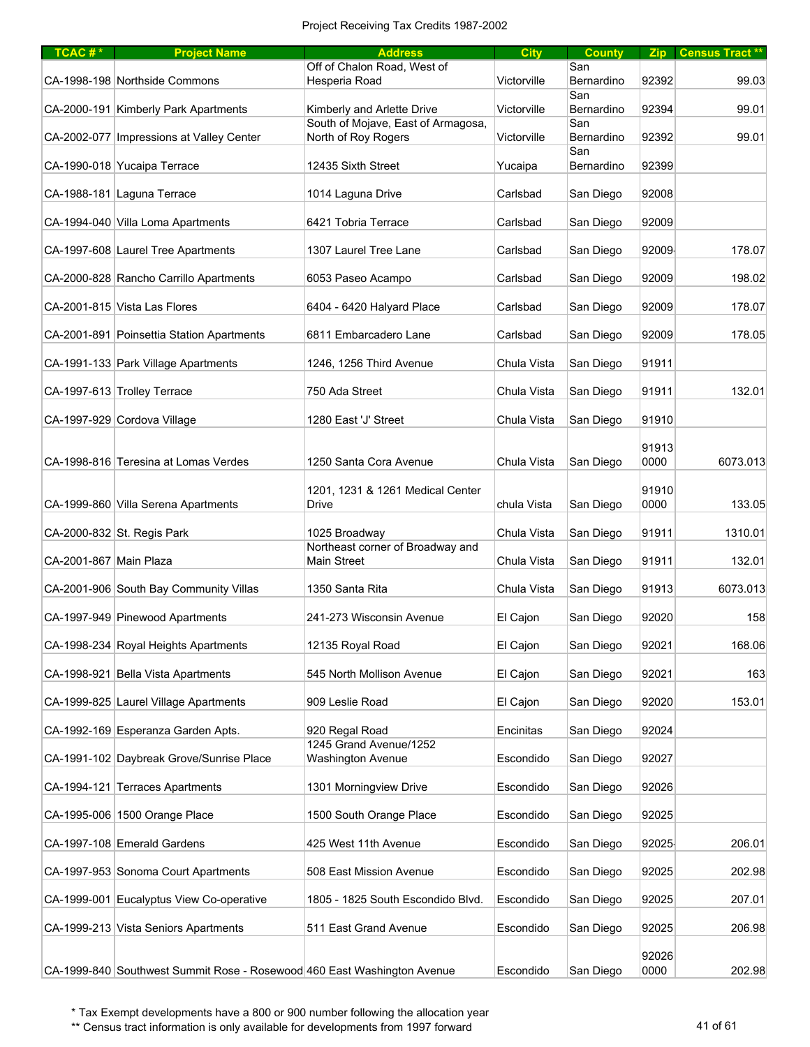| TCAC#*                 | <b>Project Name</b>                                                     | <b>Address</b>                                            | <b>City</b> | <b>County</b>     | Zip <sub>1</sub> | <b>Census Tract **</b> |
|------------------------|-------------------------------------------------------------------------|-----------------------------------------------------------|-------------|-------------------|------------------|------------------------|
|                        | CA-1998-198 Northside Commons                                           | Off of Chalon Road, West of<br>Hesperia Road              | Victorville | San<br>Bernardino | 92392            | 99.03                  |
|                        | CA-2000-191 Kimberly Park Apartments                                    | Kimberly and Arlette Drive                                | Victorville | San<br>Bernardino | 92394            | 99.01                  |
|                        | CA-2002-077   Impressions at Valley Center                              | South of Mojave, East of Armagosa,<br>North of Roy Rogers | Victorville | San<br>Bernardino | 92392            | 99.01                  |
|                        | CA-1990-018 Yucaipa Terrace                                             | 12435 Sixth Street                                        | Yucaipa     | San<br>Bernardino | 92399            |                        |
|                        | CA-1988-181 Laguna Terrace                                              | 1014 Laguna Drive                                         | Carlsbad    | San Diego         | 92008            |                        |
|                        | CA-1994-040 Villa Loma Apartments                                       | 6421 Tobria Terrace                                       | Carlsbad    | San Diego         | 92009            |                        |
|                        | CA-1997-608 Laurel Tree Apartments                                      | 1307 Laurel Tree Lane                                     | Carlsbad    | San Diego         | 92009            | 178.07                 |
|                        | CA-2000-828 Rancho Carrillo Apartments                                  | 6053 Paseo Acampo                                         | Carlsbad    | San Diego         | 92009            | 198.02                 |
|                        | CA-2001-815 Vista Las Flores                                            | 6404 - 6420 Halyard Place                                 | Carlsbad    | San Diego         | 92009            | 178.07                 |
|                        | CA-2001-891 Poinsettia Station Apartments                               | 6811 Embarcadero Lane                                     | Carlsbad    | San Diego         | 92009            | 178.05                 |
|                        | CA-1991-133 Park Village Apartments                                     | 1246, 1256 Third Avenue                                   | Chula Vista | San Diego         | 91911            |                        |
|                        | CA-1997-613 Trolley Terrace                                             | 750 Ada Street                                            | Chula Vista | San Diego         | 91911            | 132.01                 |
|                        | CA-1997-929 Cordova Village                                             | 1280 East 'J' Street                                      | Chula Vista | San Diego         | 91910            |                        |
|                        | CA-1998-816 Teresina at Lomas Verdes                                    | 1250 Santa Cora Avenue                                    | Chula Vista | San Diego         | 91913<br>0000    | 6073.013               |
|                        | CA-1999-860 Villa Serena Apartments                                     | 1201, 1231 & 1261 Medical Center<br>Drive                 | chula Vista | San Diego         | 91910<br>0000    | 133.05                 |
|                        | CA-2000-832 St. Regis Park                                              | 1025 Broadway                                             | Chula Vista | San Diego         | 91911            | 1310.01                |
| CA-2001-867 Main Plaza |                                                                         | Northeast corner of Broadway and<br>Main Street           | Chula Vista | San Diego         | 91911            | 132.01                 |
|                        | CA-2001-906 South Bay Community Villas                                  | 1350 Santa Rita                                           | Chula Vista | San Diego         | 91913            | 6073.013               |
|                        | CA-1997-949 Pinewood Apartments                                         | 241-273 Wisconsin Avenue                                  | El Cajon    | San Diego         | 92020            | 158                    |
|                        | CA-1998-234 Royal Heights Apartments                                    | 12135 Royal Road                                          | El Cajon    | San Diego         | 92021            | 168.06                 |
|                        | CA-1998-921 Bella Vista Apartments                                      | 545 North Mollison Avenue                                 | El Cajon    | San Diego         | 92021            | 163                    |
|                        | CA-1999-825 Laurel Village Apartments                                   | 909 Leslie Road                                           | El Cajon    | San Diego         | 92020            | 153.01                 |
|                        | CA-1992-169 Esperanza Garden Apts.                                      | 920 Regal Road                                            | Encinitas   | San Diego         | 92024            |                        |
|                        | CA-1991-102 Daybreak Grove/Sunrise Place                                | 1245 Grand Avenue/1252<br>Washington Avenue               | Escondido   | San Diego         | 92027            |                        |
|                        | CA-1994-121 Terraces Apartments                                         | 1301 Morningview Drive                                    | Escondido   | San Diego         | 92026            |                        |
|                        | CA-1995-006 1500 Orange Place                                           | 1500 South Orange Place                                   | Escondido   | San Diego         | 92025            |                        |
|                        | CA-1997-108 Emerald Gardens                                             | 425 West 11th Avenue                                      | Escondido   | San Diego         | 92025            | 206.01                 |
|                        | CA-1997-953 Sonoma Court Apartments                                     | 508 East Mission Avenue                                   | Escondido   | San Diego         | 92025            | 202.98                 |
|                        | CA-1999-001 Eucalyptus View Co-operative                                | 1805 - 1825 South Escondido Blvd.                         | Escondido   | San Diego         | 92025            | 207.01                 |
|                        | CA-1999-213 Vista Seniors Apartments                                    | 511 East Grand Avenue                                     | Escondido   | San Diego         | 92025            | 206.98                 |
|                        | CA-1999-840 Southwest Summit Rose - Rosewood 460 East Washington Avenue |                                                           | Escondido   | San Diego         | 92026<br>0000    | 202.98                 |

\*\* Census tract information is only available for developments from 1997 forward 41 of 61 Australian 41 of 61  $\mu$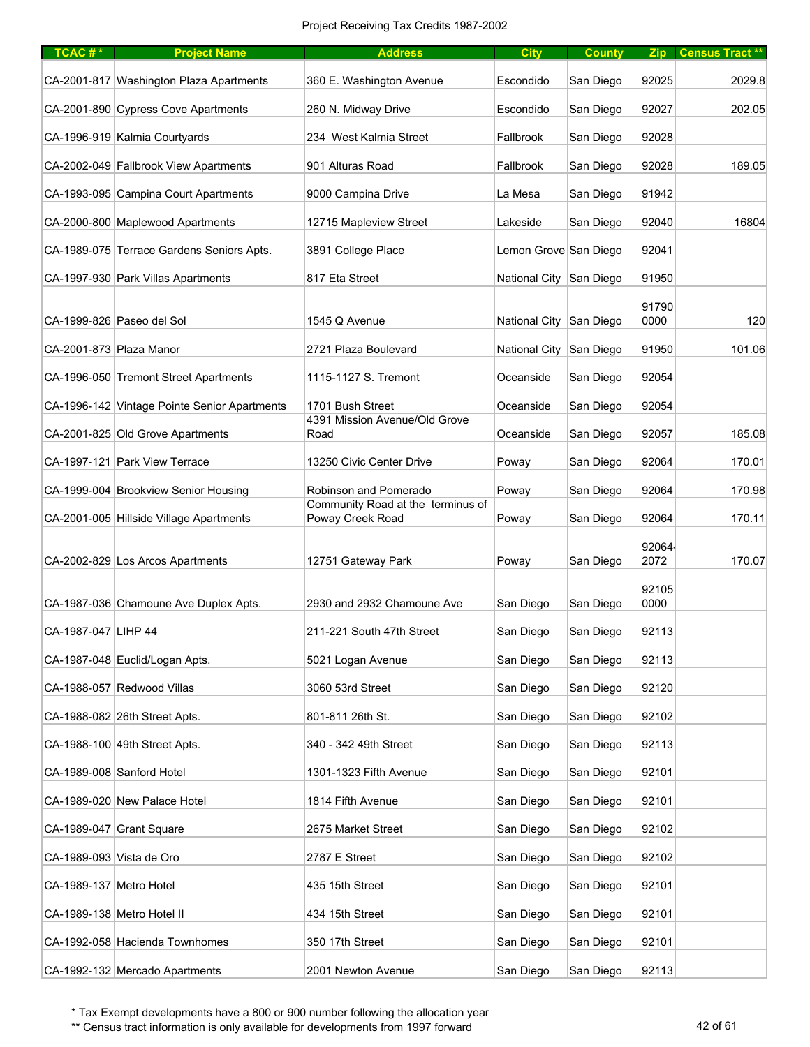| TCAC#*                   | <b>Project Name</b>                          | <b>Address</b>                                        | <b>City</b>             | <b>County</b> |               | Zip Census Tract ** |
|--------------------------|----------------------------------------------|-------------------------------------------------------|-------------------------|---------------|---------------|---------------------|
|                          | CA-2001-817 Washington Plaza Apartments      | 360 E. Washington Avenue                              | Escondido               | San Diego     | 92025         | 2029.8              |
|                          | CA-2001-890 Cypress Cove Apartments          | 260 N. Midway Drive                                   | Escondido               | San Diego     | 92027         | 202.05              |
|                          | CA-1996-919 Kalmia Courtyards                | 234 West Kalmia Street                                | Fallbrook               | San Diego     | 92028         |                     |
|                          | CA-2002-049 Fallbrook View Apartments        | 901 Alturas Road                                      | Fallbrook               | San Diego     | 92028         | 189.05              |
|                          | CA-1993-095 Campina Court Apartments         | 9000 Campina Drive                                    | La Mesa                 | San Diego     | 91942         |                     |
|                          | CA-2000-800 Maplewood Apartments             | 12715 Mapleview Street                                | Lakeside                | San Diego     | 92040         | 16804               |
|                          | CA-1989-075 Terrace Gardens Seniors Apts.    | 3891 College Place                                    | Lemon Grove San Diego   |               | 92041         |                     |
|                          | CA-1997-930 Park Villas Apartments           | 817 Eta Street                                        | National City San Diego |               | 91950         |                     |
|                          | CA-1999-826 Paseo del Sol                    | 1545 Q Avenue                                         | National City San Diego |               | 91790<br>0000 | 120                 |
| CA-2001-873 Plaza Manor  |                                              | 2721 Plaza Boulevard                                  | National City           | San Diego     | 91950         | 101.06              |
|                          | CA-1996-050 Tremont Street Apartments        | 1115-1127 S. Tremont                                  | Oceanside               | San Diego     | 92054         |                     |
|                          | CA-1996-142 Vintage Pointe Senior Apartments | 1701 Bush Street                                      | Oceanside               | San Diego     | 92054         |                     |
|                          | CA-2001-825 Old Grove Apartments             | 4391 Mission Avenue/Old Grove<br>Road                 | Oceanside               | San Diego     | 92057         | 185.08              |
|                          | CA-1997-121 Park View Terrace                | 13250 Civic Center Drive                              | Poway                   | San Diego     | 92064         | 170.01              |
|                          | CA-1999-004 Brookview Senior Housing         | Robinson and Pomerado                                 | Poway                   | San Diego     | 92064         | 170.98              |
|                          | CA-2001-005 Hillside Village Apartments      | Community Road at the terminus of<br>Poway Creek Road | Poway                   | San Diego     | 92064         | 170.11              |
|                          | CA-2002-829 Los Arcos Apartments             | 12751 Gateway Park                                    | Poway                   | San Diego     | 92064<br>2072 | 170.07              |
|                          | CA-1987-036 Chamoune Ave Duplex Apts.        | 2930 and 2932 Chamoune Ave                            | San Diego               | San Diego     | 92105<br>0000 |                     |
| CA-1987-047 LIHP 44      |                                              | 211-221 South 47th Street                             | San Diego               | San Diego     | 92113         |                     |
|                          | CA-1987-048 Euclid/Logan Apts.               | 5021 Logan Avenue                                     | San Diego               | San Diego     | 92113         |                     |
|                          | CA-1988-057 Redwood Villas                   | 3060 53rd Street                                      | San Diego               | San Diego     | 92120         |                     |
|                          | CA-1988-082 26th Street Apts.                | 801-811 26th St.                                      | San Diego               | San Diego     | 92102         |                     |
|                          | CA-1988-100 49th Street Apts.                | 340 - 342 49th Street                                 | San Diego               | San Diego     | 92113         |                     |
|                          | CA-1989-008 Sanford Hotel                    | 1301-1323 Fifth Avenue                                | San Diego               | San Diego     | 92101         |                     |
|                          | CA-1989-020 New Palace Hotel                 | 1814 Fifth Avenue                                     | San Diego               | San Diego     | 92101         |                     |
|                          | CA-1989-047 Grant Square                     | 2675 Market Street                                    | San Diego               | San Diego     | 92102         |                     |
| CA-1989-093 Vista de Oro |                                              | 2787 E Street                                         | San Diego               | San Diego     | 92102         |                     |
| CA-1989-137 Metro Hotel  |                                              | 435 15th Street                                       | San Diego               | San Diego     | 92101         |                     |
|                          | CA-1989-138 Metro Hotel II                   | 434 15th Street                                       | San Diego               | San Diego     | 92101         |                     |
|                          | CA-1992-058 Hacienda Townhomes               | 350 17th Street                                       | San Diego               | San Diego     | 92101         |                     |
|                          | CA-1992-132 Mercado Apartments               | 2001 Newton Avenue                                    | San Diego               | San Diego     | 92113         |                     |

\*\* Census tract information is only available for developments from 1997 forward 42 of 61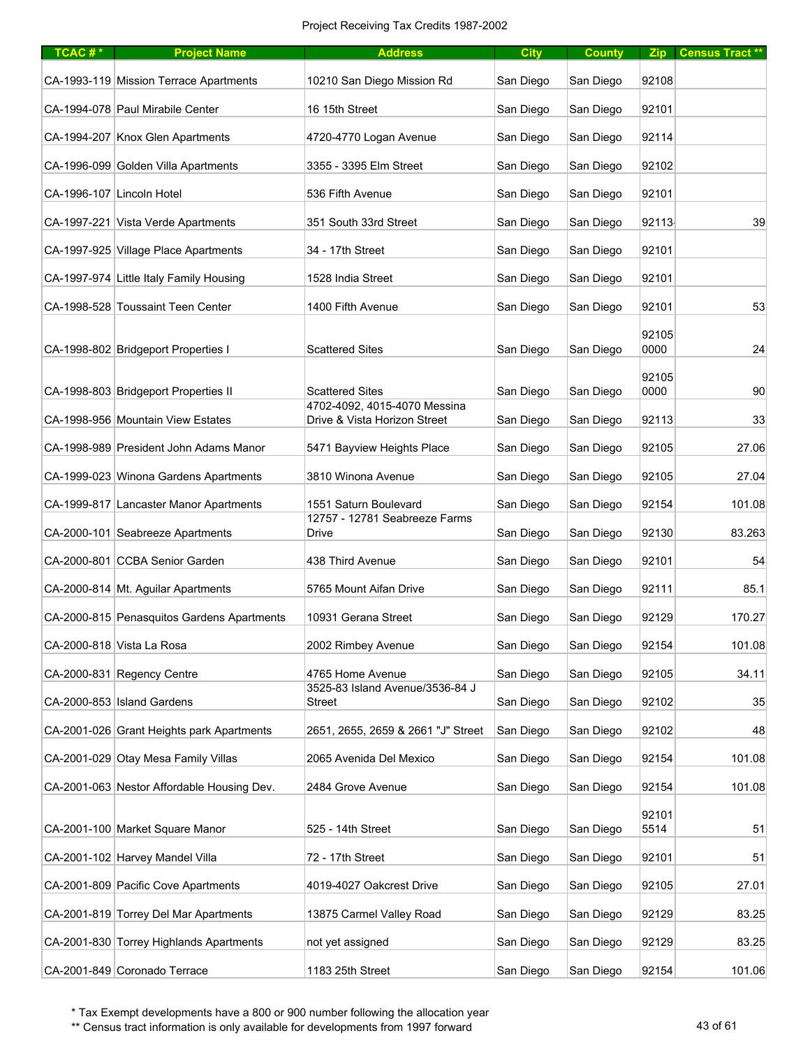| TCAC#* | <b>Project Name</b>                        | <b>Address</b>                                         | <b>City</b> | <b>County</b> | Zip           | <b>Census Tract **</b> |
|--------|--------------------------------------------|--------------------------------------------------------|-------------|---------------|---------------|------------------------|
|        | CA-1993-119 Mission Terrace Apartments     | 10210 San Diego Mission Rd                             | San Diego   | San Diego     | 92108         |                        |
|        | CA-1994-078 Paul Mirabile Center           | 16 15th Street                                         | San Diego   | San Diego     | 92101         |                        |
|        | CA-1994-207 Knox Glen Apartments           | 4720-4770 Logan Avenue                                 | San Diego   | San Diego     | 92114         |                        |
|        | CA-1996-099 Golden Villa Apartments        | 3355 - 3395 Elm Street                                 | San Diego   | San Diego     | 92102         |                        |
|        | CA-1996-107 Lincoln Hotel                  | 536 Fifth Avenue                                       | San Diego   | San Diego     | 92101         |                        |
|        | CA-1997-221 Vista Verde Apartments         | 351 South 33rd Street                                  | San Diego   | San Diego     | 92113         | 39                     |
|        | CA-1997-925 Village Place Apartments       | 34 - 17th Street                                       | San Diego   | San Diego     | 92101         |                        |
|        | CA-1997-974 Little Italy Family Housing    | 1528 India Street                                      | San Diego   | San Diego     | 92101         |                        |
|        | CA-1998-528 Toussaint Teen Center          | 1400 Fifth Avenue                                      | San Diego   | San Diego     | 92101         | 53                     |
|        | CA-1998-802 Bridgeport Properties I        | <b>Scattered Sites</b>                                 | San Diego   | San Diego     | 92105<br>0000 | 24                     |
|        | CA-1998-803 Bridgeport Properties II       | <b>Scattered Sites</b><br>4702-4092, 4015-4070 Messina | San Diego   | San Diego     | 92105<br>0000 | 90                     |
|        | CA-1998-956 Mountain View Estates          | Drive & Vista Horizon Street                           | San Diego   | San Diego     | 92113         | 33                     |
|        | CA-1998-989 President John Adams Manor     | 5471 Bayview Heights Place                             | San Diego   | San Diego     | 92105         | 27.06                  |
|        | CA-1999-023 Winona Gardens Apartments      | 3810 Winona Avenue                                     | San Diego   | San Diego     | 92105         | 27.04                  |
|        | CA-1999-817 Lancaster Manor Apartments     | 1551 Saturn Boulevard<br>12757 - 12781 Seabreeze Farms | San Diego   | San Diego     | 92154         | 101.08                 |
|        | CA-2000-101 Seabreeze Apartments           | Drive                                                  | San Diego   | San Diego     | 92130         | 83.263                 |
|        | CA-2000-801 CCBA Senior Garden             | 438 Third Avenue                                       | San Diego   | San Diego     | 92101         | 54                     |
|        | CA-2000-814 Mt. Aguilar Apartments         | 5765 Mount Aifan Drive                                 | San Diego   | San Diego     | 92111         | 85.1                   |
|        | CA-2000-815 Penasquitos Gardens Apartments | 10931 Gerana Street                                    | San Diego   | San Diego     | 92129         | 170.27                 |
|        | CA-2000-818 Vista La Rosa                  | 2002 Rimbey Avenue                                     | San Diego   | San Diego     | 92154         | 101.08                 |
|        | CA-2000-831 Regency Centre                 | 4765 Home Avenue                                       | San Diego   | San Diego     | 92105         | 34.11                  |
|        | CA-2000-853 Island Gardens                 | 3525-83 Island Avenue/3536-84 J<br><b>Street</b>       | San Diego   | San Diego     | 92102         | 35                     |
|        | CA-2001-026 Grant Heights park Apartments  | 2651, 2655, 2659 & 2661 "J" Street                     | San Diego   | San Diego     | 92102         | 48                     |
|        | CA-2001-029 Otay Mesa Family Villas        | 2065 Avenida Del Mexico                                | San Diego   | San Diego     | 92154         | 101.08                 |
|        | CA-2001-063 Nestor Affordable Housing Dev. | 2484 Grove Avenue                                      | San Diego   | San Diego     | 92154         | 101.08                 |
|        | CA-2001-100 Market Square Manor            | 525 - 14th Street                                      | San Diego   | San Diego     | 92101<br>5514 | 51                     |
|        | CA-2001-102 Harvey Mandel Villa            | 72 - 17th Street                                       | San Diego   | San Diego     | 92101         | 51                     |
|        | CA-2001-809 Pacific Cove Apartments        | 4019-4027 Oakcrest Drive                               | San Diego   | San Diego     | 92105         | 27.01                  |
|        | CA-2001-819 Torrey Del Mar Apartments      | 13875 Carmel Valley Road                               | San Diego   | San Diego     | 92129         | 83.25                  |
|        | CA-2001-830 Torrey Highlands Apartments    | not yet assigned                                       | San Diego   | San Diego     | 92129         | 83.25                  |
|        | CA-2001-849 Coronado Terrace               | 1183 25th Street                                       | San Diego   | San Diego     | 92154         | 101.06                 |

\*\* Census tract information is only available for developments from 1997 forward 43 of 61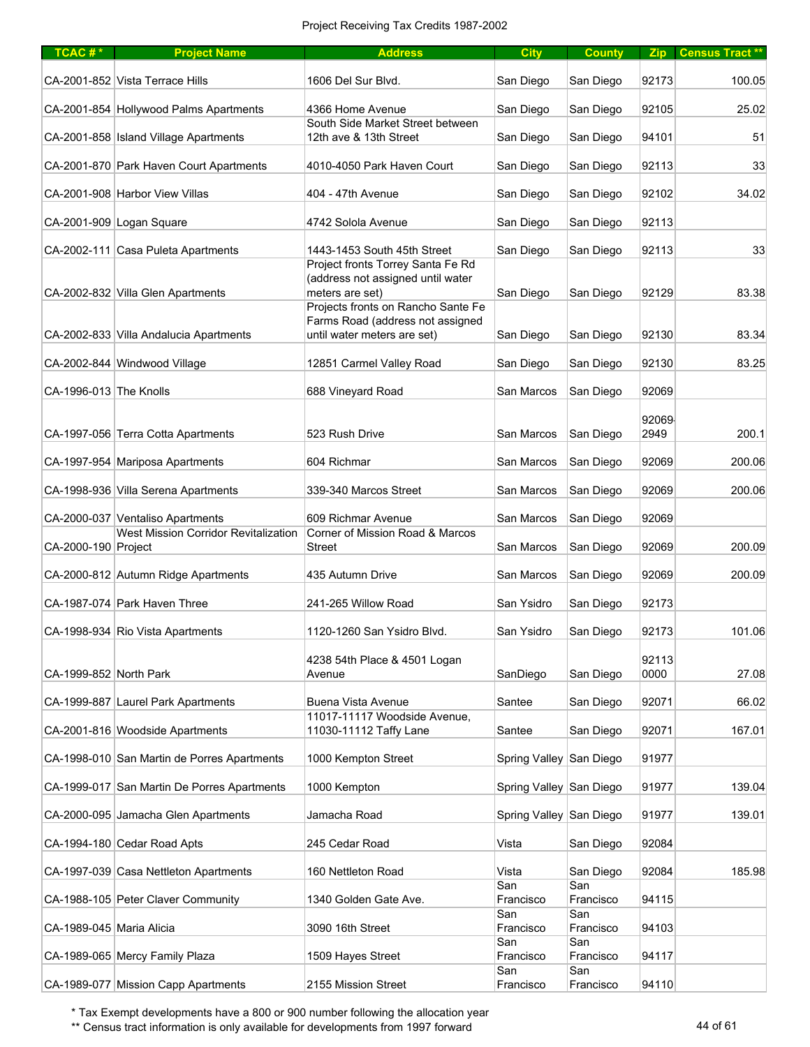| $TCAC #*$                | <b>Project Name</b>                                                             | <b>Address</b>                                                                                                                  | <b>City</b>             | <b>County</b>    | <b>Zip</b>    | <b>Census Tract **</b> |
|--------------------------|---------------------------------------------------------------------------------|---------------------------------------------------------------------------------------------------------------------------------|-------------------------|------------------|---------------|------------------------|
|                          | CA-2001-852 Vista Terrace Hills                                                 | 1606 Del Sur Blvd.                                                                                                              | San Diego               | San Diego        | 92173         | 100.05                 |
|                          | CA-2001-854 Hollywood Palms Apartments                                          | 4366 Home Avenue                                                                                                                | San Diego               | San Diego        | 92105         | 25.02                  |
|                          | CA-2001-858   Island Village Apartments                                         | South Side Market Street between<br>12th ave & 13th Street                                                                      | San Diego               | San Diego        | 94101         | 51                     |
|                          | CA-2001-870 Park Haven Court Apartments                                         | 4010-4050 Park Haven Court                                                                                                      | San Diego               | San Diego        | 92113         | 33                     |
|                          | CA-2001-908 Harbor View Villas                                                  | 404 - 47th Avenue                                                                                                               | San Diego               | San Diego        | 92102         | 34.02                  |
|                          | CA-2001-909 Logan Square                                                        | 4742 Solola Avenue                                                                                                              | San Diego               | San Diego        | 92113         |                        |
|                          | CA-2002-111 Casa Puleta Apartments                                              | 1443-1453 South 45th Street                                                                                                     | San Diego               | San Diego        | 92113         | 33                     |
|                          | CA-2002-832 Villa Glen Apartments                                               | Project fronts Torrey Santa Fe Rd<br>(address not assigned until water<br>meters are set)<br>Projects fronts on Rancho Sante Fe | San Diego               | San Diego        | 92129         | 83.38                  |
|                          | CA-2002-833 Villa Andalucia Apartments                                          | Farms Road (address not assigned<br>until water meters are set)                                                                 | San Diego               | San Diego        | 92130         | 83.34                  |
|                          | CA-2002-844 Windwood Village                                                    | 12851 Carmel Valley Road                                                                                                        | San Diego               | San Diego        | 92130         | 83.25                  |
| CA-1996-013 The Knolls   |                                                                                 | 688 Vineyard Road                                                                                                               | San Marcos              | San Diego        | 92069         |                        |
|                          | CA-1997-056 Terra Cotta Apartments                                              | 523 Rush Drive                                                                                                                  | San Marcos              | San Diego        | 92069<br>2949 | 200.1                  |
|                          | CA-1997-954 Mariposa Apartments                                                 | 604 Richmar                                                                                                                     | San Marcos              | San Diego        | 92069         | 200.06                 |
|                          | CA-1998-936 Villa Serena Apartments                                             | 339-340 Marcos Street                                                                                                           | San Marcos              | San Diego        | 92069         | 200.06                 |
|                          | CA-2000-037 Ventaliso Apartments<br><b>West Mission Corridor Revitalization</b> | 609 Richmar Avenue<br>Corner of Mission Road & Marcos                                                                           | San Marcos              | San Diego        | 92069         |                        |
| CA-2000-190 Project      |                                                                                 | <b>Street</b>                                                                                                                   | San Marcos              | San Diego        | 92069         | 200.09                 |
|                          | CA-2000-812 Autumn Ridge Apartments                                             | 435 Autumn Drive                                                                                                                | San Marcos              | San Diego        | 92069         | 200.09                 |
|                          | CA-1987-074 Park Haven Three                                                    | 241-265 Willow Road                                                                                                             | San Ysidro              | San Diego        | 92173         |                        |
|                          | CA-1998-934 Rio Vista Apartments                                                | 1120-1260 San Ysidro Blvd.                                                                                                      | San Ysidro              | San Diego        | 92173         | 101.06                 |
| CA-1999-852 North Park   |                                                                                 | 4238 54th Place & 4501 Logan<br>Avenue                                                                                          | SanDiego                | San Diego        | 92113<br>0000 | 27.08                  |
|                          | CA-1999-887 Laurel Park Apartments                                              | <b>Buena Vista Avenue</b>                                                                                                       | Santee                  | San Diego        | 92071         | 66.02                  |
|                          | CA-2001-816 Woodside Apartments                                                 | 11017-11117 Woodside Avenue,<br>11030-11112 Taffy Lane                                                                          | Santee                  | San Diego        | 92071         | 167.01                 |
|                          | CA-1998-010 San Martin de Porres Apartments                                     | 1000 Kempton Street                                                                                                             | Spring Valley San Diego |                  | 91977         |                        |
|                          | CA-1999-017 San Martin De Porres Apartments                                     | 1000 Kempton                                                                                                                    | Spring Valley San Diego |                  | 91977         | 139.04                 |
|                          | CA-2000-095 Jamacha Glen Apartments                                             | Jamacha Road                                                                                                                    | Spring Valley San Diego |                  | 91977         | 139.01                 |
|                          | CA-1994-180 Cedar Road Apts                                                     | 245 Cedar Road                                                                                                                  | Vista                   | San Diego        | 92084         |                        |
|                          | CA-1997-039 Casa Nettleton Apartments                                           | 160 Nettleton Road                                                                                                              | Vista                   | San Diego        | 92084         | 185.98                 |
|                          | CA-1988-105 Peter Claver Community                                              | 1340 Golden Gate Ave.                                                                                                           | San<br>Francisco        | San<br>Francisco | 94115         |                        |
| CA-1989-045 Maria Alicia |                                                                                 | 3090 16th Street                                                                                                                | San<br>Francisco        | San<br>Francisco | 94103         |                        |
|                          | CA-1989-065 Mercy Family Plaza                                                  | 1509 Hayes Street                                                                                                               | San<br>Francisco        | San<br>Francisco | 94117         |                        |
|                          | CA-1989-077 Mission Capp Apartments                                             | 2155 Mission Street                                                                                                             | San<br>Francisco        | San<br>Francisco | 94110         |                        |

\*\* Census tract information is only available for developments from 1997 forward 44 of 61 and 44 of 61 and 44 of 61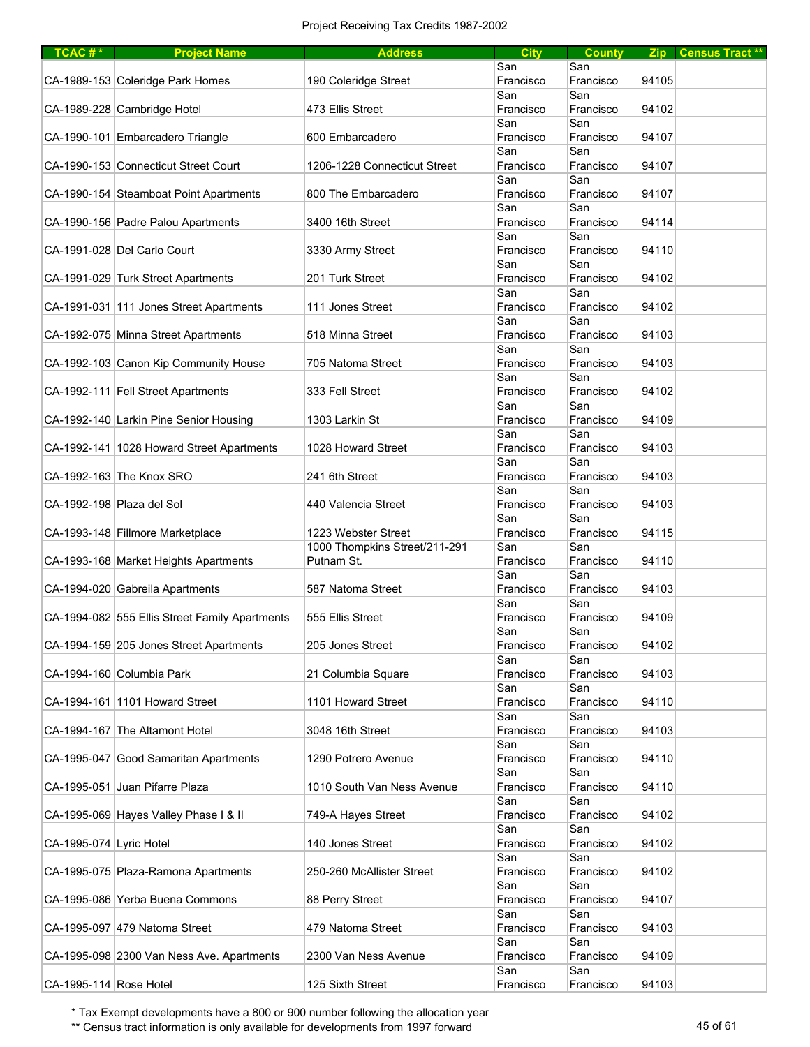| TCAC #*                   | <b>Project Name</b>                            | <b>Address</b>                | <b>City</b>      | <b>County</b> |       | Zip Census Tract** |
|---------------------------|------------------------------------------------|-------------------------------|------------------|---------------|-------|--------------------|
|                           |                                                |                               | San              | San           |       |                    |
|                           | CA-1989-153 Coleridge Park Homes               | 190 Coleridge Street          | Francisco        | Francisco     | 94105 |                    |
|                           |                                                |                               | San              | San           |       |                    |
|                           | CA-1989-228 Cambridge Hotel                    | 473 Ellis Street              | Francisco        | Francisco     | 94102 |                    |
|                           |                                                |                               | San              | San           |       |                    |
|                           | CA-1990-101 Embarcadero Triangle               | 600 Embarcadero               | Francisco        | Francisco     | 94107 |                    |
|                           |                                                |                               | San              | San           |       |                    |
|                           | CA-1990-153 Connecticut Street Court           | 1206-1228 Connecticut Street  | Francisco        | Francisco     | 94107 |                    |
|                           |                                                |                               | San              | San           |       |                    |
|                           | CA-1990-154 Steamboat Point Apartments         | 800 The Embarcadero           | Francisco        | Francisco     | 94107 |                    |
|                           |                                                |                               | San              | San           |       |                    |
|                           | CA-1990-156 Padre Palou Apartments             | 3400 16th Street              | Francisco        | Francisco     | 94114 |                    |
|                           |                                                |                               | San              | San           |       |                    |
|                           | CA-1991-028 Del Carlo Court                    | 3330 Army Street              | Francisco        | Francisco     | 94110 |                    |
|                           |                                                |                               | San              | San           |       |                    |
|                           | CA-1991-029 Turk Street Apartments             | 201 Turk Street               | Francisco        | Francisco     | 94102 |                    |
|                           |                                                |                               | San              | San           |       |                    |
|                           | CA-1991-031 111 Jones Street Apartments        | 111 Jones Street              | Francisco        | Francisco     | 94102 |                    |
|                           |                                                |                               | San              | San           |       |                    |
|                           | CA-1992-075 Minna Street Apartments            | 518 Minna Street              | Francisco        | Francisco     | 94103 |                    |
|                           |                                                |                               | San              | San           |       |                    |
|                           | CA-1992-103 Canon Kip Community House          | 705 Natoma Street             | Francisco        | Francisco     | 94103 |                    |
|                           |                                                |                               | San              | San           |       |                    |
|                           | CA-1992-111 Fell Street Apartments             | 333 Fell Street               | Francisco        | Francisco     | 94102 |                    |
|                           |                                                |                               | San              | San           |       |                    |
|                           | CA-1992-140 Larkin Pine Senior Housing         | 1303 Larkin St                | Francisco        | Francisco     | 94109 |                    |
|                           |                                                |                               | San              | San           |       |                    |
|                           | CA-1992-141 1028 Howard Street Apartments      | 1028 Howard Street            | Francisco        | Francisco     | 94103 |                    |
|                           |                                                |                               | San              | San           |       |                    |
|                           | CA-1992-163 The Knox SRO                       | 241 6th Street                | Francisco        | Francisco     | 94103 |                    |
|                           |                                                |                               | San              | San           |       |                    |
| CA-1992-198 Plaza del Sol |                                                | 440 Valencia Street           | Francisco        | Francisco     | 94103 |                    |
|                           |                                                |                               | San              | San           |       |                    |
|                           | CA-1993-148 Fillmore Marketplace               | 1223 Webster Street           | Francisco        | Francisco     | 94115 |                    |
|                           |                                                | 1000 Thompkins Street/211-291 | San              | San           |       |                    |
|                           | CA-1993-168 Market Heights Apartments          | Putnam St.                    | Francisco        | Francisco     | 94110 |                    |
|                           |                                                |                               | San              | San           |       |                    |
|                           | CA-1994-020 Gabreila Apartments                | 587 Natoma Street             | Francisco        | Francisco     | 94103 |                    |
|                           |                                                |                               | San              | San           |       |                    |
|                           | CA-1994-082 555 Ellis Street Family Apartments | 555 Ellis Street              | Francisco        | Francisco     | 94109 |                    |
|                           |                                                |                               | San              | San           |       |                    |
|                           | CA-1994-159 205 Jones Street Apartments        | 205 Jones Street              | Francisco        | Francisco     | 94102 |                    |
|                           |                                                |                               | San              | San           |       |                    |
|                           | CA-1994-160 Columbia Park                      | 21 Columbia Square            | Francisco        | Francisco     | 94103 |                    |
|                           |                                                |                               | San              | San           |       |                    |
|                           | CA-1994-161 1101 Howard Street                 | 1101 Howard Street            | Francisco        | Francisco     | 94110 |                    |
|                           |                                                |                               | San              | San           |       |                    |
|                           | CA-1994-167 The Altamont Hotel                 | 3048 16th Street              | Francisco        | Francisco     | 94103 |                    |
|                           |                                                |                               | San              | San           |       |                    |
|                           | CA-1995-047 Good Samaritan Apartments          | 1290 Potrero Avenue           | Francisco        | Francisco     | 94110 |                    |
|                           |                                                |                               | San              | San           |       |                    |
|                           | CA-1995-051 Juan Pifarre Plaza                 | 1010 South Van Ness Avenue    | Francisco        | Francisco     | 94110 |                    |
|                           |                                                |                               | San              | San           |       |                    |
|                           | CA-1995-069 Hayes Valley Phase I & II          | 749-A Hayes Street            | Francisco        | Francisco     | 94102 |                    |
|                           |                                                |                               | San              | San           |       |                    |
| CA-1995-074 Lyric Hotel   |                                                | 140 Jones Street              | Francisco        | Francisco     | 94102 |                    |
|                           |                                                |                               | San              | San           |       |                    |
|                           | CA-1995-075 Plaza-Ramona Apartments            | 250-260 McAllister Street     | Francisco        | Francisco     | 94102 |                    |
|                           |                                                |                               | San              | San           |       |                    |
|                           | CA-1995-086 Yerba Buena Commons                | 88 Perry Street               | Francisco        | Francisco     | 94107 |                    |
|                           |                                                |                               | San              | San           | 94103 |                    |
|                           | CA-1995-097 479 Natoma Street                  | 479 Natoma Street             | Francisco        | Francisco     |       |                    |
|                           |                                                |                               | San              | San           | 94109 |                    |
|                           | CA-1995-098 2300 Van Ness Ave. Apartments      | 2300 Van Ness Avenue          | Francisco<br>San | Francisco     |       |                    |
| CA-1995-114 Rose Hotel    |                                                | 125 Sixth Street              |                  | San           | 94103 |                    |
|                           |                                                |                               | Francisco        | Francisco     |       |                    |

\*\* Census tract information is only available for developments from 1997 forward 45 of 61 and 45 of 61 and 45 of 61 and 45 of 61 and 45 of 61 and 45 of 61 and 45 of 61 and 45 of 61 and 45 of 61 and 45 of 61 and 45 of 61 an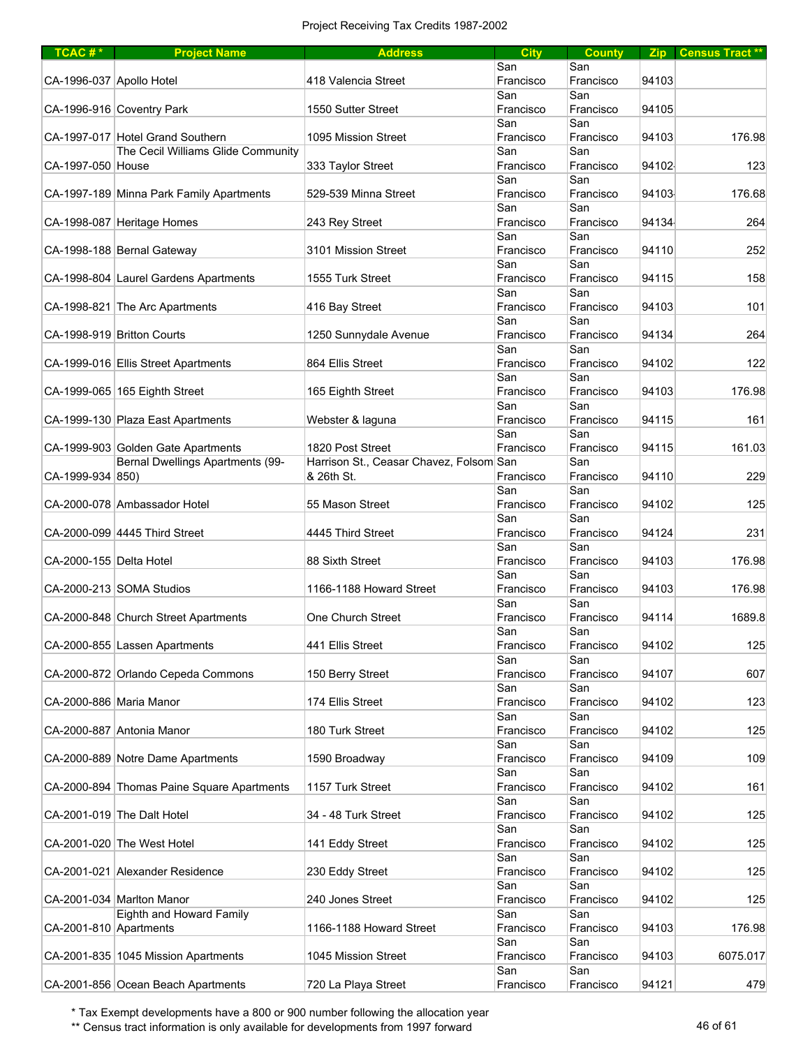| $TCAC #*$                | <b>Project Name</b>                        | <b>Address</b>                          | <b>City</b>      | <b>County</b>    |       | Zip Census Tract** |
|--------------------------|--------------------------------------------|-----------------------------------------|------------------|------------------|-------|--------------------|
|                          |                                            |                                         | San              | San              |       |                    |
| CA-1996-037 Apollo Hotel |                                            | 418 Valencia Street                     | Francisco        | Francisco        | 94103 |                    |
|                          |                                            |                                         | San              | San              |       |                    |
|                          | CA-1996-916 Coventry Park                  | 1550 Sutter Street                      | Francisco        | Francisco        | 94105 |                    |
|                          |                                            |                                         | San              | San              |       |                    |
|                          | CA-1997-017 Hotel Grand Southern           | 1095 Mission Street                     | Francisco        | Francisco        | 94103 | 176.98             |
|                          | The Cecil Williams Glide Community         |                                         | San              | San              |       |                    |
| CA-1997-050 House        |                                            | 333 Taylor Street                       | Francisco        | Francisco        | 94102 | 123                |
|                          |                                            |                                         | San              | San              |       |                    |
|                          | CA-1997-189 Minna Park Family Apartments   | 529-539 Minna Street                    | Francisco        | Francisco        | 94103 | 176.68             |
|                          | CA-1998-087 Heritage Homes                 | 243 Rey Street                          | San<br>Francisco | San<br>Francisco | 94134 | 264                |
|                          |                                            |                                         | San              | San              |       |                    |
|                          | CA-1998-188 Bernal Gateway                 | 3101 Mission Street                     | Francisco        | Francisco        | 94110 | 252                |
|                          |                                            |                                         | San              | San              |       |                    |
|                          | CA-1998-804 Laurel Gardens Apartments      | 1555 Turk Street                        | Francisco        | Francisco        | 94115 | 158                |
|                          |                                            |                                         | San              | San              |       |                    |
|                          | CA-1998-821 The Arc Apartments             | 416 Bay Street                          | Francisco        | Francisco        | 94103 | 101                |
|                          |                                            |                                         | San              | San              |       |                    |
|                          | CA-1998-919 Britton Courts                 | 1250 Sunnydale Avenue                   | Francisco        | Francisco        | 94134 | 264                |
|                          |                                            |                                         | San              | San              |       |                    |
|                          | CA-1999-016 Ellis Street Apartments        | 864 Ellis Street                        | Francisco        | Francisco        | 94102 | 122                |
|                          |                                            |                                         | San              | San              |       |                    |
|                          | CA-1999-065 165 Eighth Street              | 165 Eighth Street                       | Francisco        | Francisco        | 94103 | 176.98             |
|                          | CA-1999-130 Plaza East Apartments          |                                         | San              | San              | 94115 | 161                |
|                          |                                            | Webster & laguna                        | Francisco<br>San | Francisco<br>San |       |                    |
|                          | CA-1999-903 Golden Gate Apartments         | 1820 Post Street                        | Francisco        | Francisco        | 94115 | 161.03             |
|                          | Bernal Dwellings Apartments (99-           | Harrison St., Ceasar Chavez, Folsom San |                  | San              |       |                    |
| CA-1999-934 850)         |                                            | & 26th St.                              | Francisco        | Francisco        | 94110 | 229                |
|                          |                                            |                                         | San              | San              |       |                    |
|                          | CA-2000-078 Ambassador Hotel               | 55 Mason Street                         | Francisco        | Francisco        | 94102 | 125                |
|                          |                                            |                                         | San              | San              |       |                    |
|                          | CA-2000-099 4445 Third Street              | 4445 Third Street                       | Francisco        | Francisco        | 94124 | 231                |
|                          |                                            |                                         | San              | San              |       |                    |
| CA-2000-155 Delta Hotel  |                                            | 88 Sixth Street                         | Francisco        | Francisco        | 94103 | 176.98             |
|                          |                                            |                                         | San              | San              |       |                    |
|                          | CA-2000-213 SOMA Studios                   | 1166-1188 Howard Street                 | Francisco        | Francisco<br>San | 94103 | 176.98             |
|                          | CA-2000-848 Church Street Apartments       | One Church Street                       | San<br>Francisco | Francisco        | 94114 | 1689.8             |
|                          |                                            |                                         | San              | San              |       |                    |
|                          | CA-2000-855 Lassen Apartments              | 441 Ellis Street                        | Francisco        | Francisco        | 94102 | 125                |
|                          |                                            |                                         | San              | San              |       |                    |
|                          | CA-2000-872 Orlando Cepeda Commons         | 150 Berry Street                        | Francisco        | Francisco        | 94107 | 607                |
|                          |                                            |                                         | San              | San              |       |                    |
| CA-2000-886 Maria Manor  |                                            | 174 Ellis Street                        | Francisco        | Francisco        | 94102 | 123                |
|                          |                                            |                                         | San              | San              |       |                    |
|                          | CA-2000-887 Antonia Manor                  | 180 Turk Street                         | Francisco        | Francisco        | 94102 | 125                |
|                          |                                            |                                         | San              | San              |       |                    |
|                          | CA-2000-889 Notre Dame Apartments          | 1590 Broadway                           | Francisco        | Francisco        | 94109 | 109                |
|                          |                                            |                                         | San              | San              |       |                    |
|                          | CA-2000-894 Thomas Paine Square Apartments | 1157 Turk Street                        | Francisco<br>San | Francisco<br>San | 94102 | 161                |
|                          | CA-2001-019 The Dalt Hotel                 | 34 - 48 Turk Street                     | Francisco        | Francisco        | 94102 | 125                |
|                          |                                            |                                         | San              | San              |       |                    |
|                          | CA-2001-020 The West Hotel                 | 141 Eddy Street                         | Francisco        | Francisco        | 94102 | 125                |
|                          |                                            |                                         | San              | San              |       |                    |
|                          | CA-2001-021 Alexander Residence            | 230 Eddy Street                         | Francisco        | Francisco        | 94102 | 125                |
|                          |                                            |                                         | San              | San              |       |                    |
|                          | CA-2001-034 Marlton Manor                  | 240 Jones Street                        | Francisco        | Francisco        | 94102 | 125                |
|                          | Eighth and Howard Family                   |                                         | San              | San              |       |                    |
| CA-2001-810 Apartments   |                                            | 1166-1188 Howard Street                 | Francisco        | Francisco        | 94103 | 176.98             |
|                          |                                            |                                         | San              | San              |       |                    |
|                          | CA-2001-835 1045 Mission Apartments        | 1045 Mission Street                     | Francisco        | Francisco        | 94103 | 6075.017           |
|                          | CA-2001-856 Ocean Beach Apartments         | 720 La Playa Street                     | San<br>Francisco | San<br>Francisco | 94121 | 479                |
|                          |                                            |                                         |                  |                  |       |                    |

\*\* Census tract information is only available for developments from 1997 forward 46 of 61 and 46 of 61 and 46 of 61 and 46 of 61 and 46 of 61 and 46 of 61 and 46 of 61 and 46 of 61 and 46 and 46 and 46 and 46 and 46 and 46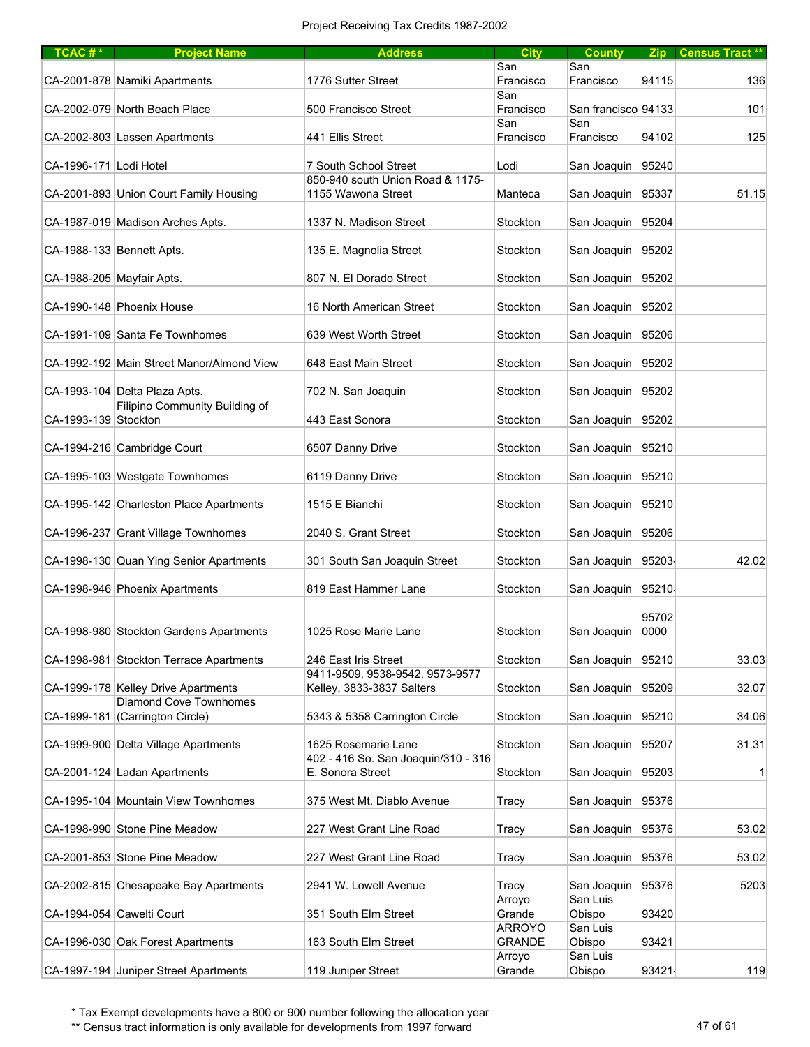| $TCAC #*$                 | <b>Project Name</b>                       | <b>Address</b>                      | <b>City</b>   | <b>County</b>           |       | Zip Census Tract ** |
|---------------------------|-------------------------------------------|-------------------------------------|---------------|-------------------------|-------|---------------------|
|                           |                                           |                                     | San           | San                     |       |                     |
|                           | CA-2001-878 Namiki Apartments             | 1776 Sutter Street                  | Francisco     | Francisco               | 94115 | 136                 |
|                           |                                           |                                     | San           |                         |       |                     |
|                           | CA-2002-079 North Beach Place             | 500 Francisco Street                | Francisco     | San francisco 94133     |       | 101                 |
|                           |                                           |                                     | San           | San                     |       |                     |
|                           | CA-2002-803 Lassen Apartments             | 441 Ellis Street                    | Francisco     | Francisco               | 94102 | 125                 |
|                           |                                           |                                     |               |                         |       |                     |
| CA-1996-171 Lodi Hotel    |                                           | 7 South School Street               | Lodi          | San Joaquin             | 95240 |                     |
|                           |                                           | 850-940 south Union Road & 1175-    |               |                         |       |                     |
|                           | CA-2001-893 Union Court Family Housing    | 1155 Wawona Street                  | Manteca       | San Joaquin             | 95337 | 51.15               |
|                           |                                           |                                     |               |                         |       |                     |
|                           |                                           |                                     |               |                         | 95204 |                     |
|                           | CA-1987-019 Madison Arches Apts.          | 1337 N. Madison Street              | Stockton      | San Joaquin             |       |                     |
|                           |                                           |                                     |               |                         |       |                     |
|                           | CA-1988-133 Bennett Apts.                 | 135 E. Magnolia Street              | Stockton      | San Joaquin             | 95202 |                     |
|                           |                                           |                                     |               |                         |       |                     |
| CA-1988-205 Mayfair Apts. |                                           | 807 N. El Dorado Street             | Stockton      | San Joaquin             | 95202 |                     |
|                           |                                           |                                     |               |                         |       |                     |
|                           | CA-1990-148 Phoenix House                 | 16 North American Street            | Stockton      | San Joaquin             | 95202 |                     |
|                           |                                           |                                     |               |                         |       |                     |
|                           | CA-1991-109 Santa Fe Townhomes            | 639 West Worth Street               | Stockton      | San Joaquin             | 95206 |                     |
|                           |                                           |                                     |               |                         |       |                     |
|                           | CA-1992-192 Main Street Manor/Almond View | 648 East Main Street                | Stockton      | San Joaquin 95202       |       |                     |
|                           |                                           |                                     |               |                         |       |                     |
|                           | CA-1993-104 Delta Plaza Apts.             | 702 N. San Joaquin                  | Stockton      | San Joaquin             | 95202 |                     |
|                           | Filipino Community Building of            |                                     |               |                         |       |                     |
| CA-1993-139 Stockton      |                                           | 443 East Sonora                     | Stockton      | San Joaquin             | 95202 |                     |
|                           |                                           |                                     |               |                         |       |                     |
|                           | CA-1994-216 Cambridge Court               | 6507 Danny Drive                    | Stockton      | San Joaquin             | 95210 |                     |
|                           |                                           |                                     |               |                         |       |                     |
|                           | CA-1995-103 Westgate Townhomes            | 6119 Danny Drive                    | Stockton      | San Joaquin             | 95210 |                     |
|                           |                                           |                                     |               |                         |       |                     |
|                           | CA-1995-142 Charleston Place Apartments   | 1515 E Bianchi                      | Stockton      | San Joaquin             | 95210 |                     |
|                           |                                           |                                     |               |                         |       |                     |
|                           | CA-1996-237 Grant Village Townhomes       | 2040 S. Grant Street                | Stockton      | San Joaquin             | 95206 |                     |
|                           |                                           |                                     |               |                         |       |                     |
|                           | CA-1998-130 Quan Ying Senior Apartments   | 301 South San Joaquin Street        | Stockton      | San Joaquin 95203       |       | 42.02               |
|                           |                                           |                                     |               |                         |       |                     |
|                           | CA-1998-946 Phoenix Apartments            | 819 East Hammer Lane                | Stockton      | San Joaquin             | 95210 |                     |
|                           |                                           |                                     |               |                         |       |                     |
|                           |                                           |                                     |               |                         | 95702 |                     |
|                           | CA-1998-980 Stockton Gardens Apartments   | 1025 Rose Marie Lane                | Stockton      | San Joaquin             | 0000  |                     |
|                           |                                           |                                     |               |                         |       |                     |
|                           | CA-1998-981 Stockton Terrace Apartments   | 246 East Iris Street                | Stockton      | San Joaquin             | 95210 | 33.03               |
|                           |                                           | 9411-9509, 9538-9542, 9573-9577     |               |                         |       |                     |
|                           | CA-1999-178 Kelley Drive Apartments       | Kelley, 3833-3837 Salters           | Stockton      | San Joaquin 95209       |       | 32.07               |
|                           | <b>Diamond Cove Townhomes</b>             |                                     |               |                         |       |                     |
|                           | CA-1999-181 (Carrington Circle)           | 5343 & 5358 Carrington Circle       | Stockton      | San Joaquin             | 95210 | 34.06               |
|                           |                                           |                                     |               |                         |       |                     |
|                           | CA-1999-900 Delta Village Apartments      | 1625 Rosemarie Lane                 | Stockton      | San Joaquin             | 95207 | 31.31               |
|                           |                                           | 402 - 416 So. San Joaquin/310 - 316 |               |                         |       |                     |
|                           | CA-2001-124 Ladan Apartments              | E. Sonora Street                    | Stockton      | San Joaquin             | 95203 | $\mathbf{1}$        |
|                           |                                           |                                     |               |                         |       |                     |
|                           | CA-1995-104 Mountain View Townhomes       | 375 West Mt. Diablo Avenue          | Tracy         | San Joaquin             | 95376 |                     |
|                           |                                           |                                     |               |                         |       |                     |
|                           | CA-1998-990 Stone Pine Meadow             | 227 West Grant Line Road            | Tracy         | San Joaquin             | 95376 | 53.02               |
|                           |                                           |                                     |               |                         |       |                     |
|                           | CA-2001-853 Stone Pine Meadow             | 227 West Grant Line Road            | Tracy         | San Joaquin             | 95376 | 53.02               |
|                           |                                           |                                     |               |                         |       |                     |
|                           |                                           |                                     |               |                         |       | 5203                |
|                           | CA-2002-815 Chesapeake Bay Apartments     | 2941 W. Lowell Avenue               | Tracy         | San Joaquin<br>San Luis | 95376 |                     |
|                           |                                           |                                     | Arroyo        |                         |       |                     |
|                           | CA-1994-054 Cawelti Court                 | 351 South Elm Street                | Grande        | Obispo                  | 93420 |                     |
|                           |                                           |                                     | ARROYO        | San Luis                |       |                     |
|                           | CA-1996-030 Oak Forest Apartments         | 163 South Elm Street                | <b>GRANDE</b> | Obispo                  | 93421 |                     |
|                           |                                           |                                     | Arroyo        | San Luis                |       |                     |
|                           | CA-1997-194 Juniper Street Apartments     | 119 Juniper Street                  | Grande        | Obispo                  | 93421 | 119                 |

\*\* Census tract information is only available for developments from 1997 forward 47 of 61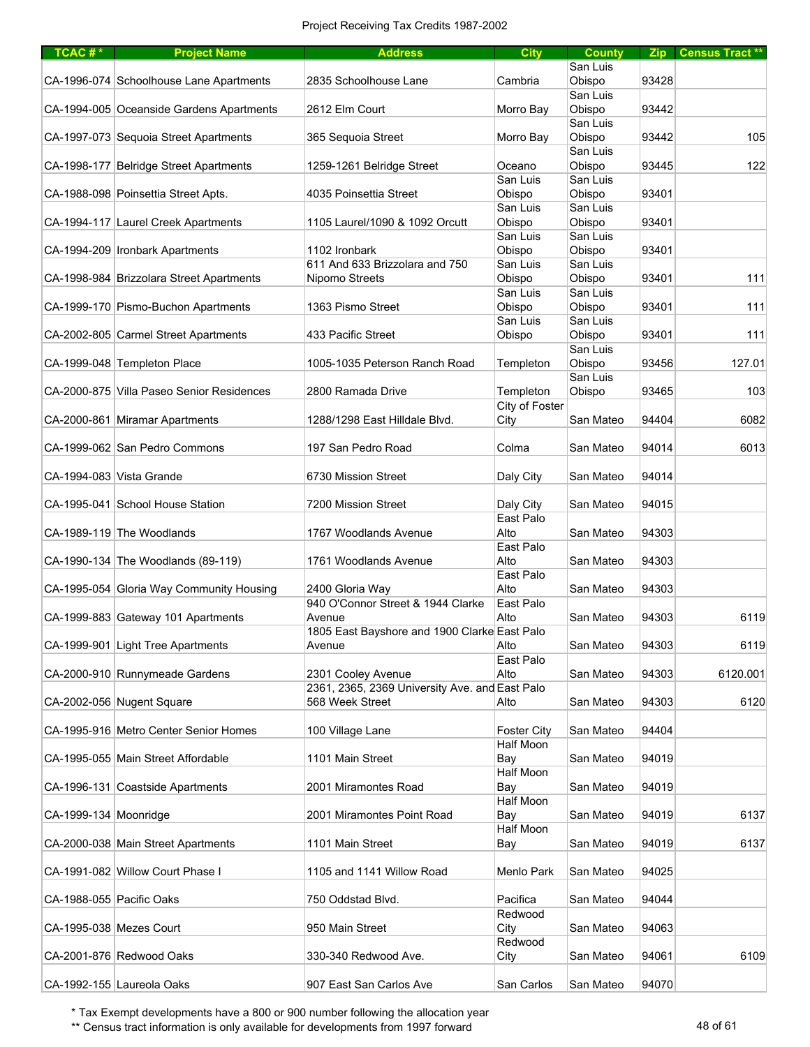| TCAC#*                   | <b>Project Name</b>                       | <b>Address</b>                                 | <b>City</b>        | <b>County</b>      |       | Zip Census Tract ** |
|--------------------------|-------------------------------------------|------------------------------------------------|--------------------|--------------------|-------|---------------------|
|                          |                                           |                                                |                    | San Luis           |       |                     |
|                          | CA-1996-074 Schoolhouse Lane Apartments   | 2835 Schoolhouse Lane                          | Cambria            | Obispo             | 93428 |                     |
|                          |                                           |                                                |                    | San Luis           |       |                     |
|                          | CA-1994-005 Oceanside Gardens Apartments  | 2612 Elm Court                                 | Morro Bay          | Obispo             | 93442 |                     |
|                          |                                           |                                                |                    | San Luis           |       |                     |
|                          | CA-1997-073 Sequoia Street Apartments     | 365 Sequoia Street                             | Morro Bay          | Obispo             | 93442 | 105                 |
|                          |                                           |                                                |                    | San Luis           |       |                     |
|                          | CA-1998-177 Belridge Street Apartments    | 1259-1261 Belridge Street                      | Oceano             | Obispo             | 93445 | 122                 |
|                          |                                           | 4035 Poinsettia Street                         | San Luis           | San Luis           |       |                     |
|                          | CA-1988-098 Poinsettia Street Apts.       |                                                | Obispo             | Obispo             | 93401 |                     |
|                          | CA-1994-117 Laurel Creek Apartments       | 1105 Laurel/1090 & 1092 Orcutt                 | San Luis<br>Obispo | San Luis<br>Obispo | 93401 |                     |
|                          |                                           |                                                | San Luis           | San Luis           |       |                     |
|                          | CA-1994-209 Ironbark Apartments           | 1102 Ironbark                                  | Obispo             | Obispo             | 93401 |                     |
|                          |                                           | 611 And 633 Brizzolara and 750                 | San Luis           | San Luis           |       |                     |
|                          | CA-1998-984 Brizzolara Street Apartments  | Nipomo Streets                                 | Obispo             | Obispo             | 93401 | 111                 |
|                          |                                           |                                                | San Luis           | San Luis           |       |                     |
|                          | CA-1999-170 Pismo-Buchon Apartments       | 1363 Pismo Street                              | Obispo             | Obispo             | 93401 | 111                 |
|                          |                                           |                                                | San Luis           | San Luis           |       |                     |
|                          | CA-2002-805 Carmel Street Apartments      | 433 Pacific Street                             | Obispo             | Obispo             | 93401 | 111                 |
|                          |                                           |                                                |                    | San Luis           |       |                     |
|                          | CA-1999-048 Templeton Place               | 1005-1035 Peterson Ranch Road                  | Templeton          | Obispo             | 93456 | 127.01              |
|                          |                                           |                                                |                    | San Luis           |       |                     |
|                          | CA-2000-875 Villa Paseo Senior Residences | 2800 Ramada Drive                              | Templeton          | Obispo             | 93465 | 103                 |
|                          |                                           |                                                | City of Foster     |                    |       |                     |
|                          | CA-2000-861 Miramar Apartments            | 1288/1298 East Hilldale Blvd.                  | City               | San Mateo          | 94404 | 6082                |
|                          |                                           |                                                |                    |                    |       |                     |
|                          | CA-1999-062 San Pedro Commons             | 197 San Pedro Road                             | Colma              | San Mateo          | 94014 | 6013                |
|                          |                                           |                                                |                    |                    |       |                     |
| CA-1994-083 Vista Grande |                                           | 6730 Mission Street                            | Daly City          | San Mateo          | 94014 |                     |
|                          |                                           |                                                |                    |                    |       |                     |
|                          | CA-1995-041 School House Station          | 7200 Mission Street                            | Daly City          | San Mateo          | 94015 |                     |
|                          |                                           |                                                | East Palo          |                    |       |                     |
|                          | CA-1989-119 The Woodlands                 | 1767 Woodlands Avenue                          | Alto<br>East Palo  | San Mateo          | 94303 |                     |
|                          | CA-1990-134 The Woodlands (89-119)        | 1761 Woodlands Avenue                          | Alto               | San Mateo          | 94303 |                     |
|                          |                                           |                                                | East Palo          |                    |       |                     |
|                          | CA-1995-054 Gloria Way Community Housing  | 2400 Gloria Way                                | Alto               | San Mateo          | 94303 |                     |
|                          |                                           | 940 O'Connor Street & 1944 Clarke              | East Palo          |                    |       |                     |
|                          | CA-1999-883 Gateway 101 Apartments        | Avenue                                         | Alto               | San Mateo          | 94303 | 6119                |
|                          |                                           | 1805 East Bayshore and 1900 Clarke East Palo   |                    |                    |       |                     |
|                          | CA-1999-901 Light Tree Apartments         | Avenue                                         | Alto               | San Mateo          | 94303 | 6119                |
|                          |                                           |                                                | East Palo          |                    |       |                     |
|                          | CA-2000-910 Runnymeade Gardens            | 2301 Cooley Avenue                             | Alto               | San Mateo          | 94303 | 6120.001            |
|                          |                                           | 2361, 2365, 2369 University Ave. and East Palo |                    |                    |       |                     |
|                          | CA-2002-056 Nugent Square                 | 568 Week Street                                | Alto               | San Mateo          | 94303 | 6120                |
|                          |                                           |                                                |                    |                    |       |                     |
|                          | CA-1995-916 Metro Center Senior Homes     | 100 Village Lane                               | <b>Foster City</b> | San Mateo          | 94404 |                     |
|                          |                                           |                                                | Half Moon          |                    |       |                     |
|                          | CA-1995-055 Main Street Affordable        | 1101 Main Street                               | Bay                | San Mateo          | 94019 |                     |
|                          |                                           |                                                | Half Moon          |                    |       |                     |
|                          | CA-1996-131 Coastside Apartments          | 2001 Miramontes Road                           | Bay                | San Mateo          | 94019 |                     |
|                          |                                           |                                                | Half Moon          |                    | 94019 |                     |
| CA-1999-134 Moonridge    |                                           | 2001 Miramontes Point Road                     | Bay<br>Half Moon   | San Mateo          |       | 6137                |
|                          | CA-2000-038 Main Street Apartments        | 1101 Main Street                               | Bay                | San Mateo          | 94019 | 6137                |
|                          |                                           |                                                |                    |                    |       |                     |
|                          | CA-1991-082 Willow Court Phase I          | 1105 and 1141 Willow Road                      | Menlo Park         | San Mateo          | 94025 |                     |
|                          |                                           |                                                |                    |                    |       |                     |
| CA-1988-055 Pacific Oaks |                                           | 750 Oddstad Blvd.                              | Pacifica           | San Mateo          | 94044 |                     |
|                          |                                           |                                                | Redwood            |                    |       |                     |
| CA-1995-038 Mezes Court  |                                           | 950 Main Street                                | City               | San Mateo          | 94063 |                     |
|                          |                                           |                                                | Redwood            |                    |       |                     |
|                          | CA-2001-876 Redwood Oaks                  | 330-340 Redwood Ave.                           | City               | San Mateo          | 94061 | 6109                |
|                          |                                           |                                                |                    |                    |       |                     |
|                          | CA-1992-155 Laureola Oaks                 | 907 East San Carlos Ave                        | San Carlos         | San Mateo          | 94070 |                     |

\*\* Census tract information is only available for developments from 1997 forward 48 of 61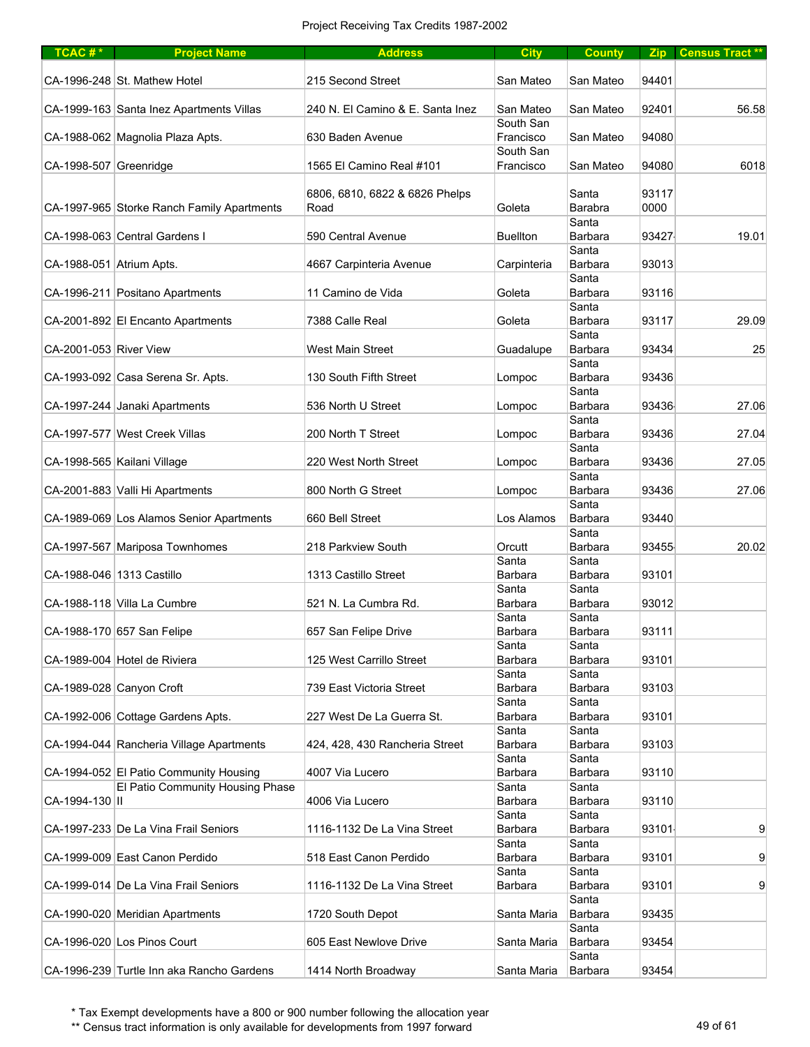| TCAC <sup>#*</sup>        | <b>Project Name</b>                        | <b>Address</b>                   | <b>City</b>             | <b>County</b>    |       | Zip Census Tract** |
|---------------------------|--------------------------------------------|----------------------------------|-------------------------|------------------|-------|--------------------|
|                           | CA-1996-248 St. Mathew Hotel               | 215 Second Street                | San Mateo               | San Mateo        | 94401 |                    |
|                           | CA-1999-163 Santa Inez Apartments Villas   | 240 N. El Camino & E. Santa Inez | San Mateo               | San Mateo        | 92401 | 56.58              |
|                           | CA-1988-062 Magnolia Plaza Apts.           | 630 Baden Avenue                 | South San<br>Francisco  | San Mateo        | 94080 |                    |
| CA-1998-507 Greenridge    |                                            | 1565 El Camino Real #101         | South San<br>Francisco  | San Mateo        | 94080 | 6018               |
|                           |                                            | 6806, 6810, 6822 & 6826 Phelps   |                         | Santa            | 93117 |                    |
|                           | CA-1997-965 Storke Ranch Family Apartments | Road                             | Goleta                  | Barabra          | 0000  |                    |
|                           | CA-1998-063 Central Gardens I              | 590 Central Avenue               | <b>Buellton</b>         | Santa<br>Barbara | 93427 | 19.01              |
| CA-1988-051 Atrium Apts.  |                                            | 4667 Carpinteria Avenue          | Carpinteria             | Santa<br>Barbara | 93013 |                    |
|                           | CA-1996-211 Positano Apartments            | 11 Camino de Vida                | Goleta                  | Santa<br>Barbara | 93116 |                    |
|                           |                                            |                                  |                         | Santa            |       |                    |
|                           | CA-2001-892 El Encanto Apartments          | 7388 Calle Real                  | Goleta                  | Barbara<br>Santa | 93117 | 29.09              |
| CA-2001-053 River View    |                                            | <b>West Main Street</b>          | Guadalupe               | Barbara          | 93434 | 25                 |
|                           | CA-1993-092 Casa Serena Sr. Apts.          | 130 South Fifth Street           | Lompoc                  | Santa<br>Barbara | 93436 |                    |
|                           | CA-1997-244 Janaki Apartments              | 536 North U Street               | Lompoc                  | Santa<br>Barbara | 93436 | 27.06              |
|                           | CA-1997-577 West Creek Villas              | 200 North T Street               | Lompoc                  | Santa<br>Barbara | 93436 | 27.04              |
|                           | CA-1998-565 Kailani Village                | 220 West North Street            | Lompoc                  | Santa<br>Barbara | 93436 | 27.05              |
|                           | CA-2001-883 Valli Hi Apartments            | 800 North G Street               |                         | Santa<br>Barbara | 93436 | 27.06              |
|                           |                                            |                                  | Lompoc                  | Santa            |       |                    |
|                           | CA-1989-069 Los Alamos Senior Apartments   | 660 Bell Street                  | Los Alamos              | Barbara<br>Santa | 93440 |                    |
|                           | CA-1997-567 Mariposa Townhomes             | 218 Parkview South               | Orcutt                  | Barbara          | 93455 | 20.02              |
| CA-1988-046 1313 Castillo |                                            | 1313 Castillo Street             | Santa<br>Barbara        | Santa<br>Barbara | 93101 |                    |
|                           | CA-1988-118 Villa La Cumbre                | 521 N. La Cumbra Rd.             | Santa<br>Barbara        | Santa<br>Barbara | 93012 |                    |
|                           |                                            |                                  | Santa                   | Santa            |       |                    |
|                           | CA-1988-170 657 San Felipe                 | 657 San Felipe Drive             | Barbara                 | <b>Barbara</b>   | 93111 |                    |
|                           | CA-1989-004 Hotel de Riviera               | 125 West Carrillo Street         | Santa<br>Barbara        | Santa<br>Barbara | 93101 |                    |
|                           | CA-1989-028 Canyon Croft                   | 739 East Victoria Street         | Santa<br>Barbara        | Santa<br>Barbara | 93103 |                    |
|                           |                                            |                                  | Santa                   | Santa            |       |                    |
|                           | CA-1992-006 Cottage Gardens Apts.          | 227 West De La Guerra St.        | Barbara<br>Santa        | Barbara<br>Santa | 93101 |                    |
|                           | CA-1994-044 Rancheria Village Apartments   | 424, 428, 430 Rancheria Street   | Barbara                 | Barbara          | 93103 |                    |
|                           | CA-1994-052 El Patio Community Housing     | 4007 Via Lucero                  | Santa<br>Barbara        | Santa<br>Barbara | 93110 |                    |
|                           | El Patio Community Housing Phase           |                                  | Santa                   | Santa            |       |                    |
| CA-1994-130 II            |                                            | 4006 Via Lucero                  | <b>Barbara</b><br>Santa | Barbara<br>Santa | 93110 |                    |
|                           | CA-1997-233 De La Vina Frail Seniors       | 1116-1132 De La Vina Street      | Barbara                 | Barbara          | 93101 | 9                  |
|                           | CA-1999-009 East Canon Perdido             | 518 East Canon Perdido           | Santa<br>Barbara        | Santa<br>Barbara | 93101 | 9                  |
|                           | CA-1999-014 De La Vina Frail Seniors       | 1116-1132 De La Vina Street      | Santa<br>Barbara        | Santa<br>Barbara | 93101 | 9                  |
|                           | CA-1990-020 Meridian Apartments            | 1720 South Depot                 | Santa Maria             | Santa<br>Barbara | 93435 |                    |
|                           |                                            |                                  |                         | Santa            |       |                    |
|                           | CA-1996-020 Los Pinos Court                | 605 East Newlove Drive           | Santa Maria             | Barbara<br>Santa | 93454 |                    |
|                           | CA-1996-239 Turtle Inn aka Rancho Gardens  | 1414 North Broadway              | Santa Maria             | Barbara          | 93454 |                    |

\*\* Census tract information is only available for developments from 1997 forward 49 of 61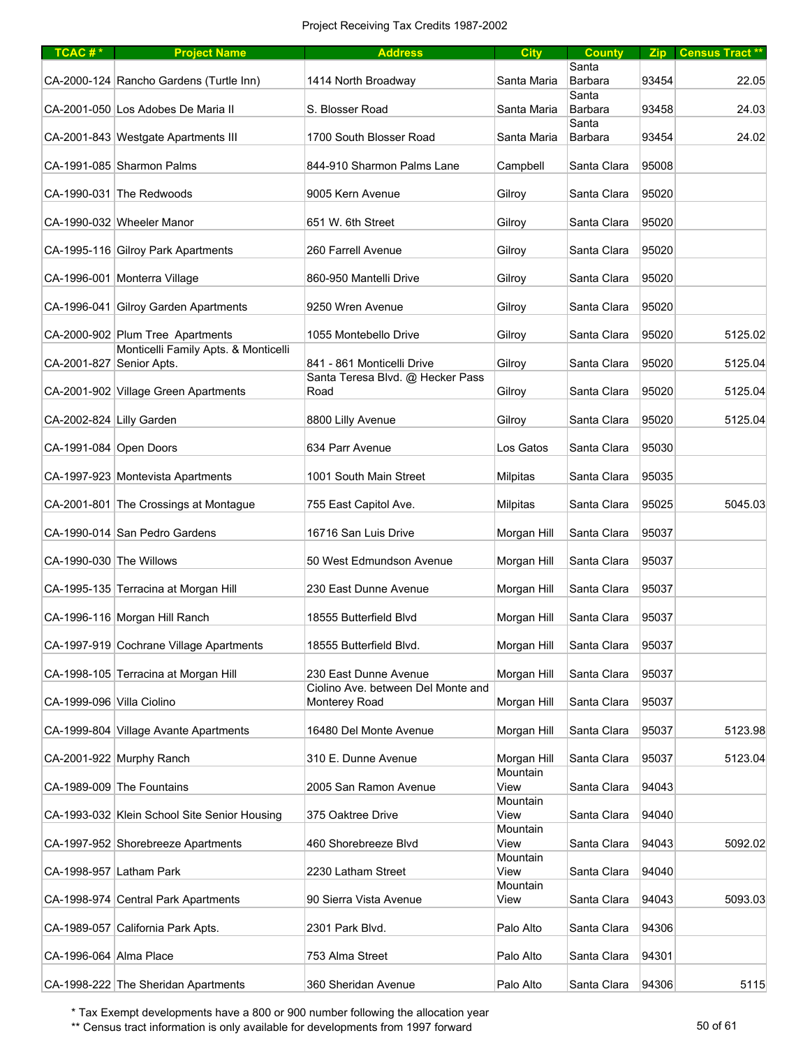| TCAC#*                    | <b>Project Name</b>                                                      | <b>Address</b>                                                 | <b>City</b>             | <b>County</b>           |       | Zip Census Tract ** |
|---------------------------|--------------------------------------------------------------------------|----------------------------------------------------------------|-------------------------|-------------------------|-------|---------------------|
|                           | CA-2000-124 Rancho Gardens (Turtle Inn)                                  | 1414 North Broadway                                            | Santa Maria             | Santa<br>Barbara        | 93454 | 22.05               |
|                           | CA-2001-050 Los Adobes De Maria II                                       | S. Blosser Road                                                | Santa Maria             | Santa<br><b>Barbara</b> | 93458 | 24.03               |
|                           | CA-2001-843 Westgate Apartments III                                      | 1700 South Blosser Road                                        | Santa Maria             | Santa<br>Barbara        | 93454 | 24.02               |
|                           | CA-1991-085 Sharmon Palms                                                | 844-910 Sharmon Palms Lane                                     | Campbell                | Santa Clara             | 95008 |                     |
|                           | CA-1990-031 The Redwoods                                                 | 9005 Kern Avenue                                               | Gilroy                  | Santa Clara             | 95020 |                     |
|                           | CA-1990-032 Wheeler Manor                                                | 651 W. 6th Street                                              | Gilroy                  | Santa Clara             | 95020 |                     |
|                           | CA-1995-116 Gilroy Park Apartments                                       | 260 Farrell Avenue                                             | Gilroy                  | Santa Clara             | 95020 |                     |
|                           | CA-1996-001 Monterra Village                                             | 860-950 Mantelli Drive                                         | Gilroy                  | Santa Clara             | 95020 |                     |
|                           | CA-1996-041 Gilroy Garden Apartments                                     | 9250 Wren Avenue                                               | Gilroy                  | Santa Clara             | 95020 |                     |
|                           | CA-2000-902 Plum Tree Apartments<br>Monticelli Family Apts. & Monticelli | 1055 Montebello Drive                                          | Gilroy                  | Santa Clara             | 95020 | 5125.02             |
| CA-2001-827 Senior Apts.  |                                                                          | 841 - 861 Monticelli Drive<br>Santa Teresa Blvd. @ Hecker Pass | Gilroy                  | Santa Clara             | 95020 | 5125.04             |
|                           | CA-2001-902 Village Green Apartments                                     | Road                                                           | Gilroy                  | Santa Clara             | 95020 | 5125.04             |
| CA-2002-824 Lilly Garden  |                                                                          | 8800 Lilly Avenue                                              | Gilroy                  | Santa Clara             | 95020 | 5125.04             |
| CA-1991-084 Open Doors    |                                                                          | 634 Parr Avenue                                                | Los Gatos               | Santa Clara             | 95030 |                     |
|                           | CA-1997-923 Montevista Apartments                                        | 1001 South Main Street                                         | Milpitas                | Santa Clara             | 95035 |                     |
|                           | CA-2001-801 The Crossings at Montague                                    | 755 East Capitol Ave.                                          | Milpitas                | Santa Clara             | 95025 | 5045.03             |
|                           | CA-1990-014 San Pedro Gardens                                            | 16716 San Luis Drive                                           | Morgan Hill             | Santa Clara             | 95037 |                     |
| CA-1990-030 The Willows   |                                                                          | 50 West Edmundson Avenue                                       | Morgan Hill             | Santa Clara             | 95037 |                     |
|                           | CA-1995-135 Terracina at Morgan Hill                                     | 230 East Dunne Avenue                                          | Morgan Hill             | Santa Clara             | 95037 |                     |
|                           | CA-1996-116 Morgan Hill Ranch                                            | 18555 Butterfield Blvd                                         | Morgan Hill             | Santa Clara             | 95037 |                     |
|                           | CA-1997-919 Cochrane Village Apartments                                  | 18555 Butterfield Blvd.                                        | Morgan Hill             | Santa Clara             | 95037 |                     |
|                           | CA-1998-105 Terracina at Morgan Hill                                     | 230 East Dunne Avenue<br>Ciolino Ave. between Del Monte and    | Morgan Hill             | Santa Clara             | 95037 |                     |
| CA-1999-096 Villa Ciolino |                                                                          | Monterey Road                                                  | Morgan Hill             | Santa Clara             | 95037 |                     |
|                           | CA-1999-804 Village Avante Apartments                                    | 16480 Del Monte Avenue                                         | Morgan Hill             | Santa Clara             | 95037 | 5123.98             |
|                           | CA-2001-922 Murphy Ranch                                                 | 310 E. Dunne Avenue                                            | Morgan Hill<br>Mountain | Santa Clara             | 95037 | 5123.04             |
|                           | CA-1989-009 The Fountains                                                | 2005 San Ramon Avenue                                          | View<br>Mountain        | Santa Clara             | 94043 |                     |
|                           | CA-1993-032 Klein School Site Senior Housing                             | 375 Oaktree Drive                                              | View<br>Mountain        | Santa Clara             | 94040 |                     |
|                           | CA-1997-952 Shorebreeze Apartments                                       | 460 Shorebreeze Blvd                                           | View                    | Santa Clara             | 94043 | 5092.02             |
|                           | CA-1998-957 Latham Park                                                  | 2230 Latham Street                                             | Mountain<br>View        | Santa Clara             | 94040 |                     |
|                           | CA-1998-974 Central Park Apartments                                      | 90 Sierra Vista Avenue                                         | Mountain<br>View        | Santa Clara             | 94043 | 5093.03             |
|                           | CA-1989-057 California Park Apts.                                        | 2301 Park Blvd.                                                | Palo Alto               | Santa Clara             | 94306 |                     |
| CA-1996-064 Alma Place    |                                                                          | 753 Alma Street                                                | Palo Alto               | Santa Clara             | 94301 |                     |
|                           | CA-1998-222 The Sheridan Apartments                                      | 360 Sheridan Avenue                                            | Palo Alto               | Santa Clara             | 94306 | 5115                |

\*\* Census tract information is only available for developments from 1997 forward 50 pm states in the state 50 of 61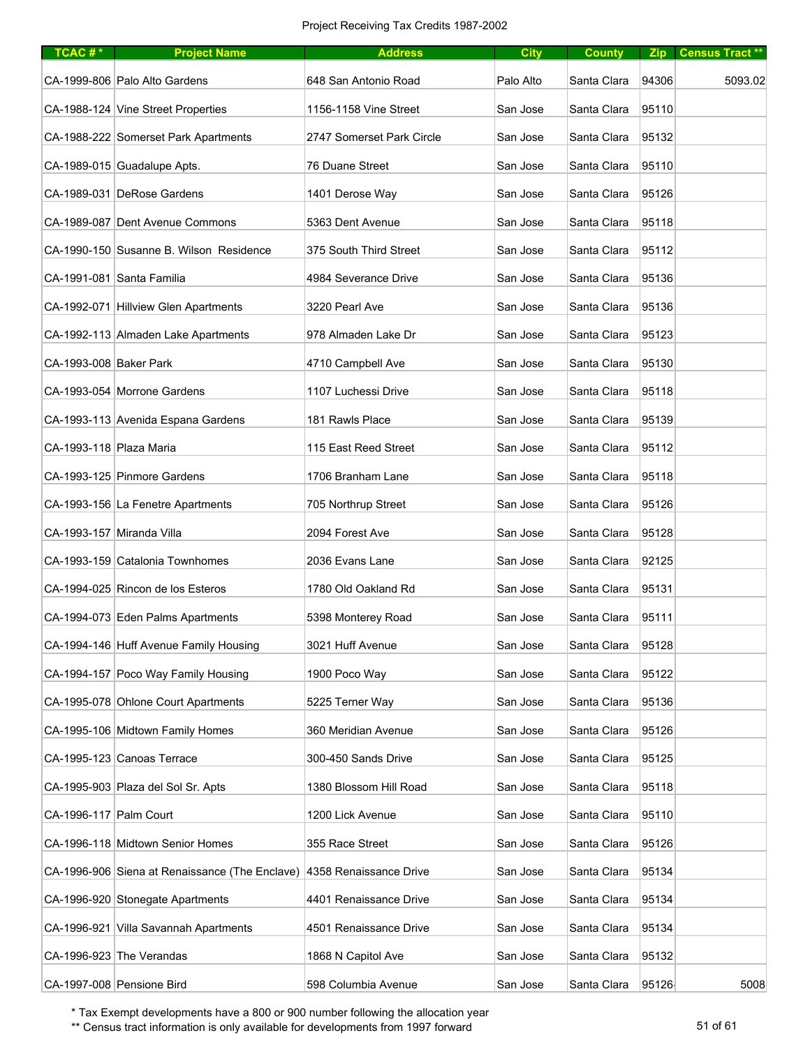| TCAC#*                    | <b>Project Name</b>                            | <b>Address</b>            | <b>City</b> | <b>County</b> |       | Zip   Census Tract ** |
|---------------------------|------------------------------------------------|---------------------------|-------------|---------------|-------|-----------------------|
|                           | CA-1999-806 Palo Alto Gardens                  | 648 San Antonio Road      | Palo Alto   | Santa Clara   | 94306 | 5093.02               |
|                           | CA-1988-124 Vine Street Properties             | 1156-1158 Vine Street     | San Jose    | Santa Clara   | 95110 |                       |
|                           | CA-1988-222 Somerset Park Apartments           | 2747 Somerset Park Circle | San Jose    | Santa Clara   | 95132 |                       |
|                           | CA-1989-015 Guadalupe Apts.                    | 76 Duane Street           | San Jose    | Santa Clara   | 95110 |                       |
|                           | CA-1989-031 DeRose Gardens                     | 1401 Derose Way           | San Jose    | Santa Clara   | 95126 |                       |
|                           | CA-1989-087 Dent Avenue Commons                | 5363 Dent Avenue          | San Jose    | Santa Clara   | 95118 |                       |
|                           | CA-1990-150 Susanne B. Wilson Residence        | 375 South Third Street    | San Jose    | Santa Clara   | 95112 |                       |
|                           | CA-1991-081 Santa Familia                      | 4984 Severance Drive      | San Jose    | Santa Clara   | 95136 |                       |
|                           | CA-1992-071 Hillview Glen Apartments           | 3220 Pearl Ave            | San Jose    | Santa Clara   | 95136 |                       |
|                           | CA-1992-113 Almaden Lake Apartments            | 978 Almaden Lake Dr       | San Jose    | Santa Clara   | 95123 |                       |
| CA-1993-008 Baker Park    |                                                | 4710 Campbell Ave         | San Jose    | Santa Clara   | 95130 |                       |
|                           | CA-1993-054 Morrone Gardens                    | 1107 Luchessi Drive       | San Jose    | Santa Clara   | 95118 |                       |
|                           | CA-1993-113 Avenida Espana Gardens             | 181 Rawls Place           | San Jose    | Santa Clara   | 95139 |                       |
| CA-1993-118 Plaza Maria   |                                                | 115 East Reed Street      | San Jose    | Santa Clara   | 95112 |                       |
|                           | CA-1993-125 Pinmore Gardens                    | 1706 Branham Lane         | San Jose    | Santa Clara   | 95118 |                       |
|                           | CA-1993-156 La Fenetre Apartments              | 705 Northrup Street       | San Jose    | Santa Clara   | 95126 |                       |
| CA-1993-157 Miranda Villa |                                                | 2094 Forest Ave           | San Jose    | Santa Clara   | 95128 |                       |
|                           | CA-1993-159 Catalonia Townhomes                | 2036 Evans Lane           | San Jose    | Santa Clara   | 92125 |                       |
|                           | CA-1994-025 Rincon de los Esteros              | 1780 Old Oakland Rd       | San Jose    | Santa Clara   | 95131 |                       |
|                           | CA-1994-073 Eden Palms Apartments              | 5398 Monterey Road        | San Jose    | Santa Clara   | 95111 |                       |
|                           | CA-1994-146 Huff Avenue Family Housing         | 3021 Huff Avenue          | San Jose    | Santa Clara   | 95128 |                       |
|                           | CA-1994-157 Poco Way Family Housing            | 1900 Poco Way             | San Jose    | Santa Clara   | 95122 |                       |
|                           | CA-1995-078 Ohlone Court Apartments            | 5225 Terner Way           | San Jose    | Santa Clara   | 95136 |                       |
|                           | CA-1995-106 Midtown Family Homes               | 360 Meridian Avenue       | San Jose    | Santa Clara   | 95126 |                       |
|                           | CA-1995-123 Canoas Terrace                     | 300-450 Sands Drive       | San Jose    | Santa Clara   | 95125 |                       |
|                           | CA-1995-903 Plaza del Sol Sr. Apts             | 1380 Blossom Hill Road    | San Jose    | Santa Clara   | 95118 |                       |
| CA-1996-117 Palm Court    |                                                | 1200 Lick Avenue          | San Jose    | Santa Clara   | 95110 |                       |
|                           | CA-1996-118 Midtown Senior Homes               | 355 Race Street           | San Jose    | Santa Clara   | 95126 |                       |
|                           | CA-1996-906 Siena at Renaissance (The Enclave) | 4358 Renaissance Drive    | San Jose    | Santa Clara   | 95134 |                       |
|                           | CA-1996-920 Stonegate Apartments               | 4401 Renaissance Drive    | San Jose    | Santa Clara   | 95134 |                       |
|                           | CA-1996-921 Villa Savannah Apartments          | 4501 Renaissance Drive    | San Jose    | Santa Clara   | 95134 |                       |
|                           | CA-1996-923 The Verandas                       | 1868 N Capitol Ave        | San Jose    | Santa Clara   | 95132 |                       |
| CA-1997-008 Pensione Bird |                                                | 598 Columbia Avenue       | San Jose    | Santa Clara   | 95126 | 5008                  |

\*\* Census tract information is only available for developments from 1997 forward 51 of 61 of 61 of 61 of 61 of 61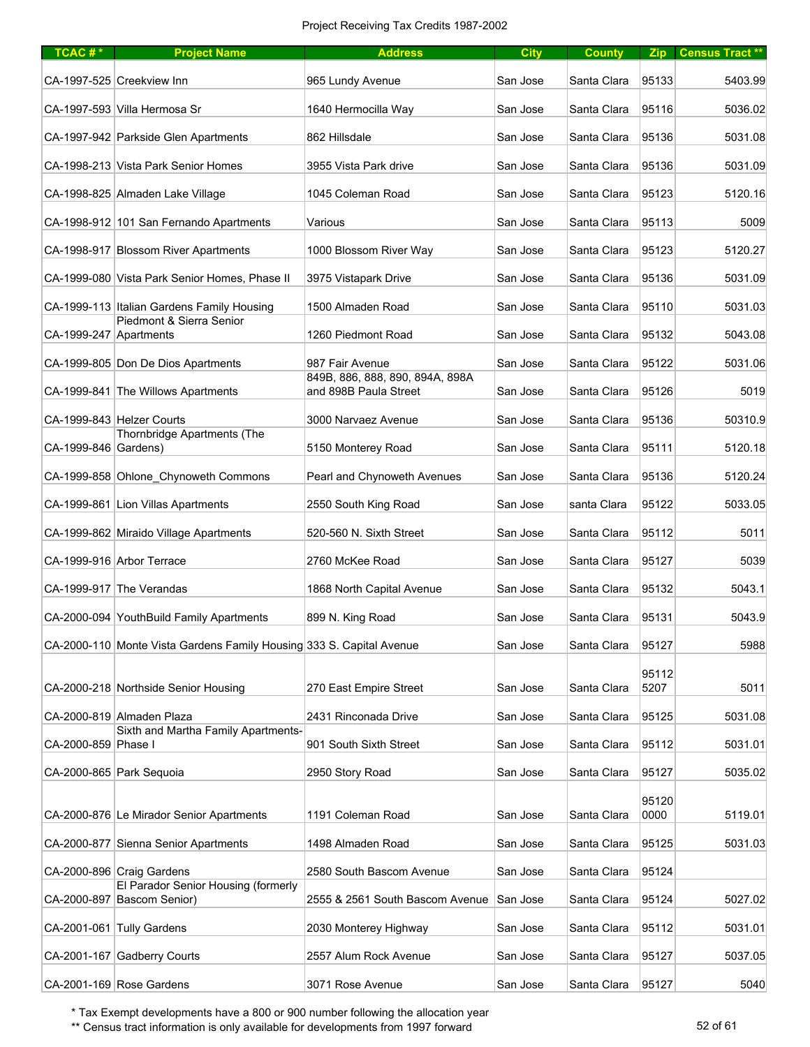| $TCAC #*$              | <b>Project Name</b>                                                  | <b>Address</b>                                           | <b>City</b> | <b>County</b> |               | <b>Zip Census Tract</b> ** |
|------------------------|----------------------------------------------------------------------|----------------------------------------------------------|-------------|---------------|---------------|----------------------------|
|                        | CA-1997-525 Creekview Inn                                            | 965 Lundy Avenue                                         | San Jose    | Santa Clara   | 95133         | 5403.99                    |
|                        | CA-1997-593 Villa Hermosa Sr                                         | 1640 Hermocilla Way                                      | San Jose    | Santa Clara   | 95116         | 5036.02                    |
|                        | CA-1997-942 Parkside Glen Apartments                                 | 862 Hillsdale                                            | San Jose    | Santa Clara   | 95136         | 5031.08                    |
|                        | CA-1998-213 Vista Park Senior Homes                                  | 3955 Vista Park drive                                    | San Jose    | Santa Clara   | 95136         | 5031.09                    |
|                        | CA-1998-825 Almaden Lake Village                                     | 1045 Coleman Road                                        | San Jose    | Santa Clara   | 95123         | 5120.16                    |
|                        | CA-1998-912 101 San Fernando Apartments                              | Various                                                  | San Jose    | Santa Clara   | 95113         | 5009                       |
|                        | CA-1998-917 Blossom River Apartments                                 | 1000 Blossom River Way                                   | San Jose    | Santa Clara   | 95123         | 5120.27                    |
|                        | CA-1999-080 Vista Park Senior Homes, Phase II                        | 3975 Vistapark Drive                                     | San Jose    | Santa Clara   | 95136         | 5031.09                    |
|                        | CA-1999-113 Italian Gardens Family Housing                           | 1500 Almaden Road                                        | San Jose    | Santa Clara   | 95110         | 5031.03                    |
| CA-1999-247 Apartments | Piedmont & Sierra Senior                                             | 1260 Piedmont Road                                       | San Jose    | Santa Clara   | 95132         | 5043.08                    |
|                        | CA-1999-805 Don De Dios Apartments                                   | 987 Fair Avenue                                          | San Jose    | Santa Clara   | 95122         | 5031.06                    |
|                        | CA-1999-841 The Willows Apartments                                   | 849B, 886, 888, 890, 894A, 898A<br>and 898B Paula Street | San Jose    | Santa Clara   | 95126         | 5019                       |
|                        | CA-1999-843 Helzer Courts                                            | 3000 Narvaez Avenue                                      | San Jose    | Santa Clara   | 95136         | 50310.9                    |
| CA-1999-846 Gardens)   | Thornbridge Apartments (The                                          | 5150 Monterey Road                                       | San Jose    | Santa Clara   | 95111         | 5120.18                    |
|                        | CA-1999-858 Ohlone Chynoweth Commons                                 | Pearl and Chynoweth Avenues                              | San Jose    | Santa Clara   | 95136         | 5120.24                    |
|                        | CA-1999-861 Lion Villas Apartments                                   | 2550 South King Road                                     | San Jose    | santa Clara   | 95122         | 5033.05                    |
|                        | CA-1999-862 Miraido Village Apartments                               | 520-560 N. Sixth Street                                  | San Jose    | Santa Clara   | 95112         | 5011                       |
|                        | CA-1999-916 Arbor Terrace                                            | 2760 McKee Road                                          | San Jose    | Santa Clara   | 95127         | 5039                       |
|                        | CA-1999-917 The Verandas                                             | 1868 North Capital Avenue                                | San Jose    | Santa Clara   | 95132         | 5043.1                     |
|                        | CA-2000-094 YouthBuild Family Apartments                             | 899 N. King Road                                         | San Jose    | Santa Clara   | 95131         | 5043.9                     |
|                        | CA-2000-110 Monte Vista Gardens Family Housing 333 S. Capital Avenue |                                                          | San Jose    | Santa Clara   | 95127         | 5988                       |
|                        |                                                                      |                                                          |             |               | 95112         |                            |
|                        | CA-2000-218 Northside Senior Housing                                 | 270 East Empire Street                                   | San Jose    | Santa Clara   | 5207          | 5011                       |
|                        | CA-2000-819 Almaden Plaza<br>Sixth and Martha Family Apartments-     | 2431 Rinconada Drive                                     | San Jose    | Santa Clara   | 95125         | 5031.08                    |
| CA-2000-859 Phase I    |                                                                      | 901 South Sixth Street                                   | San Jose    | Santa Clara   | 95112         | 5031.01                    |
|                        | CA-2000-865 Park Sequoia                                             | 2950 Story Road                                          | San Jose    | Santa Clara   | 95127         | 5035.02                    |
|                        | CA-2000-876 Le Mirador Senior Apartments                             | 1191 Coleman Road                                        | San Jose    | Santa Clara   | 95120<br>0000 | 5119.01                    |
|                        | CA-2000-877 Sienna Senior Apartments                                 | 1498 Almaden Road                                        | San Jose    | Santa Clara   | 95125         | 5031.03                    |
|                        | CA-2000-896 Craig Gardens                                            | 2580 South Bascom Avenue                                 | San Jose    | Santa Clara   | 95124         |                            |
|                        | El Parador Senior Housing (formerly<br>CA-2000-897 Bascom Senior)    | 2555 & 2561 South Bascom Avenue                          | San Jose    | Santa Clara   | 95124         | 5027.02                    |
|                        | CA-2001-061 Tully Gardens                                            | 2030 Monterey Highway                                    | San Jose    | Santa Clara   | 95112         | 5031.01                    |
|                        | CA-2001-167 Gadberry Courts                                          | 2557 Alum Rock Avenue                                    | San Jose    | Santa Clara   | 95127         | 5037.05                    |
|                        | CA-2001-169 Rose Gardens                                             | 3071 Rose Avenue                                         | San Jose    | Santa Clara   | 95127         | 5040                       |

\*\* Census tract information is only available for developments from 1997 forward 52 of 61 of 52 of 61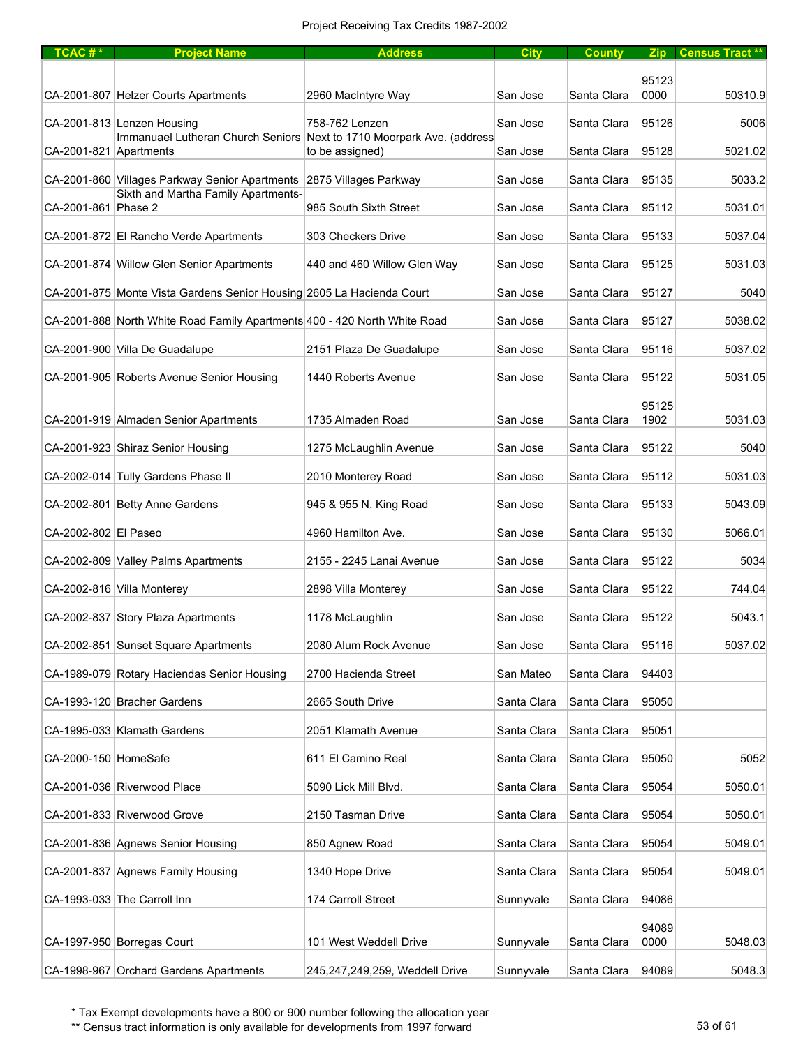| $TCAC #*$              | <b>Project Name</b>                                                       | <b>Address</b>                                                                           | <b>City</b> | <b>County</b> |       | Zip Census Tract** |
|------------------------|---------------------------------------------------------------------------|------------------------------------------------------------------------------------------|-------------|---------------|-------|--------------------|
|                        |                                                                           |                                                                                          |             |               | 95123 |                    |
|                        | CA-2001-807 Helzer Courts Apartments                                      | 2960 MacIntyre Way                                                                       | San Jose    | Santa Clara   | 0000  | 50310.9            |
|                        | CA-2001-813 Lenzen Housing                                                | 758-762 Lenzen                                                                           | San Jose    | Santa Clara   | 95126 | 5006               |
| CA-2001-821 Apartments |                                                                           | Immanuael Lutheran Church Seniors Next to 1710 Moorpark Ave. (address<br>to be assigned) | San Jose    | Santa Clara   | 95128 | 5021.02            |
|                        | CA-2001-860 Villages Parkway Senior Apartments 2875 Villages Parkway      |                                                                                          | San Jose    | Santa Clara   | 95135 | 5033.2             |
| CA-2001-861 Phase 2    | Sixth and Martha Family Apartments-                                       | 985 South Sixth Street                                                                   | San Jose    | Santa Clara   | 95112 | 5031.01            |
|                        | CA-2001-872 El Rancho Verde Apartments                                    | 303 Checkers Drive                                                                       | San Jose    | Santa Clara   | 95133 | 5037.04            |
|                        | CA-2001-874 Willow Glen Senior Apartments                                 | 440 and 460 Willow Glen Way                                                              | San Jose    | Santa Clara   | 95125 | 5031.03            |
|                        | CA-2001-875 Monte Vista Gardens Senior Housing 2605 La Hacienda Court     |                                                                                          | San Jose    | Santa Clara   | 95127 | 5040               |
|                        | CA-2001-888 North White Road Family Apartments 400 - 420 North White Road |                                                                                          | San Jose    | Santa Clara   | 95127 | 5038.02            |
|                        | CA-2001-900 Villa De Guadalupe                                            | 2151 Plaza De Guadalupe                                                                  | San Jose    | Santa Clara   | 95116 | 5037.02            |
|                        | CA-2001-905 Roberts Avenue Senior Housing                                 | 1440 Roberts Avenue                                                                      | San Jose    | Santa Clara   | 95122 | 5031.05            |
|                        |                                                                           |                                                                                          |             |               | 95125 |                    |
|                        | CA-2001-919 Almaden Senior Apartments                                     | 1735 Almaden Road                                                                        | San Jose    | Santa Clara   | 1902  | 5031.03            |
|                        | CA-2001-923 Shiraz Senior Housing                                         | 1275 McLaughlin Avenue                                                                   | San Jose    | Santa Clara   | 95122 | 5040               |
|                        | CA-2002-014 Tully Gardens Phase II                                        | 2010 Monterey Road                                                                       | San Jose    | Santa Clara   | 95112 | 5031.03            |
|                        | CA-2002-801 Betty Anne Gardens                                            | 945 & 955 N. King Road                                                                   | San Jose    | Santa Clara   | 95133 | 5043.09            |
| CA-2002-802 El Paseo   |                                                                           | 4960 Hamilton Ave.                                                                       | San Jose    | Santa Clara   | 95130 | 5066.01            |
|                        | CA-2002-809 Valley Palms Apartments                                       | 2155 - 2245 Lanai Avenue                                                                 | San Jose    | Santa Clara   | 95122 | 5034               |
|                        | CA-2002-816 Villa Monterey                                                | 2898 Villa Monterey                                                                      | San Jose    | Santa Clara   | 95122 | 744.04             |
|                        | CA-2002-837 Story Plaza Apartments                                        | 1178 McLaughlin                                                                          | San Jose    | Santa Clara   | 95122 | 5043.1             |
|                        | CA-2002-851 Sunset Square Apartments                                      | 2080 Alum Rock Avenue                                                                    | San Jose    | Santa Clara   | 95116 | 5037.02            |
|                        | CA-1989-079 Rotary Haciendas Senior Housing                               | 2700 Hacienda Street                                                                     | San Mateo   | Santa Clara   | 94403 |                    |
|                        | CA-1993-120 Bracher Gardens                                               | 2665 South Drive                                                                         | Santa Clara | Santa Clara   | 95050 |                    |
|                        | CA-1995-033 Klamath Gardens                                               | 2051 Klamath Avenue                                                                      | Santa Clara | Santa Clara   | 95051 |                    |
| CA-2000-150 HomeSafe   |                                                                           | 611 El Camino Real                                                                       | Santa Clara | Santa Clara   | 95050 | 5052               |
|                        | CA-2001-036 Riverwood Place                                               | 5090 Lick Mill Blvd.                                                                     | Santa Clara | Santa Clara   | 95054 | 5050.01            |
|                        | CA-2001-833 Riverwood Grove                                               | 2150 Tasman Drive                                                                        | Santa Clara | Santa Clara   | 95054 | 5050.01            |
|                        | CA-2001-836 Agnews Senior Housing                                         | 850 Agnew Road                                                                           | Santa Clara | Santa Clara   | 95054 | 5049.01            |
|                        | CA-2001-837 Agnews Family Housing                                         | 1340 Hope Drive                                                                          | Santa Clara | Santa Clara   | 95054 | 5049.01            |
|                        | CA-1993-033 The Carroll Inn                                               | 174 Carroll Street                                                                       | Sunnyvale   | Santa Clara   | 94086 |                    |
|                        |                                                                           |                                                                                          |             |               | 94089 |                    |
|                        | CA-1997-950 Borregas Court                                                | 101 West Weddell Drive                                                                   | Sunnyvale   | Santa Clara   | 0000  | 5048.03            |
|                        | CA-1998-967 Orchard Gardens Apartments                                    | 245,247,249,259, Weddell Drive                                                           | Sunnyvale   | Santa Clara   | 94089 | 5048.3             |

\*\* Census tract information is only available for developments from 1997 forward 53 of 61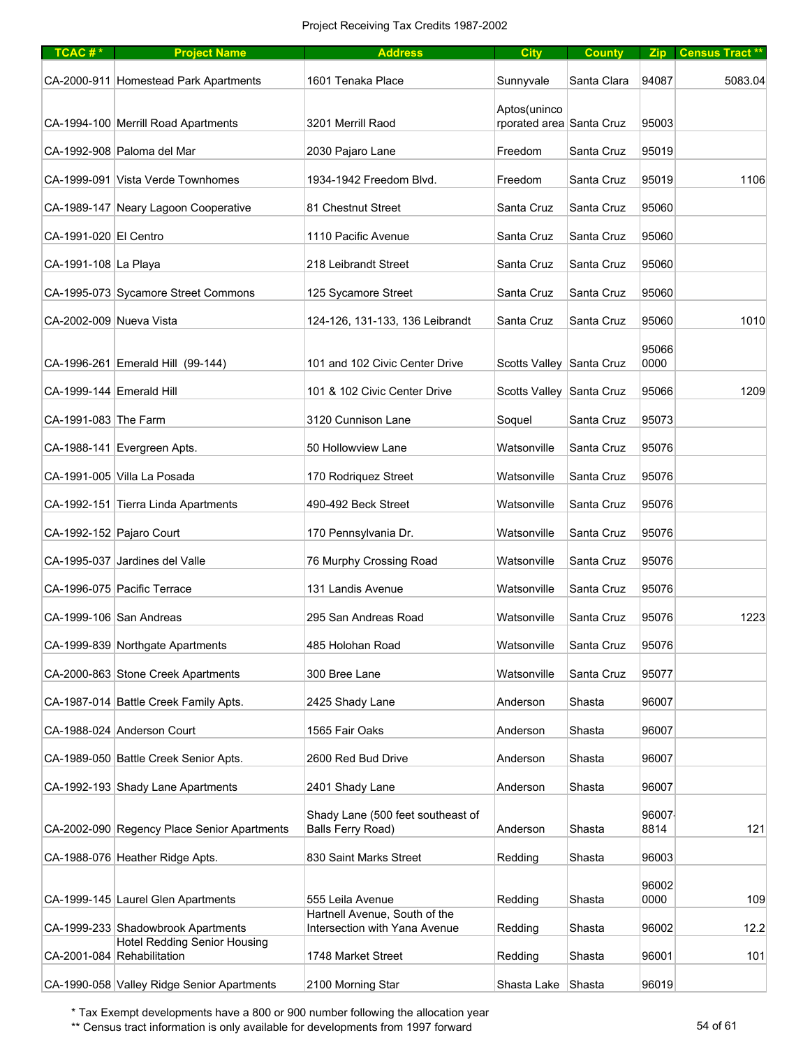| TCAC#*                   | <b>Project Name</b>                                                       | <b>Address</b>                                         | <b>City</b>                              | <b>County</b> |               | Zip Census Tract ** |
|--------------------------|---------------------------------------------------------------------------|--------------------------------------------------------|------------------------------------------|---------------|---------------|---------------------|
|                          | CA-2000-911 Homestead Park Apartments                                     | 1601 Tenaka Place                                      | Sunnyvale                                | Santa Clara   | 94087         | 5083.04             |
|                          | CA-1994-100 Merrill Road Apartments                                       | 3201 Merrill Raod                                      | Aptos(uninco<br>rporated area Santa Cruz |               | 95003         |                     |
|                          | CA-1992-908 Paloma del Mar                                                | 2030 Pajaro Lane                                       | Freedom                                  | Santa Cruz    | 95019         |                     |
|                          | CA-1999-091 Vista Verde Townhomes                                         | 1934-1942 Freedom Blvd.                                | Freedom                                  | Santa Cruz    | 95019         | 1106                |
|                          | CA-1989-147 Neary Lagoon Cooperative                                      | 81 Chestnut Street                                     | Santa Cruz                               | Santa Cruz    | 95060         |                     |
| CA-1991-020 El Centro    |                                                                           | 1110 Pacific Avenue                                    | Santa Cruz                               | Santa Cruz    | 95060         |                     |
| CA-1991-108 La Playa     |                                                                           | 218 Leibrandt Street                                   | Santa Cruz                               | Santa Cruz    | 95060         |                     |
|                          | CA-1995-073 Sycamore Street Commons                                       | 125 Sycamore Street                                    | Santa Cruz                               | Santa Cruz    | 95060         |                     |
| CA-2002-009 Nueva Vista  |                                                                           | 124-126, 131-133, 136 Leibrandt                        | Santa Cruz                               | Santa Cruz    | 95060         | 1010                |
|                          | CA-1996-261 Emerald Hill (99-144)                                         | 101 and 102 Civic Center Drive                         | Scotts Valley Santa Cruz                 |               | 95066<br>0000 |                     |
| CA-1999-144 Emerald Hill |                                                                           | 101 & 102 Civic Center Drive                           | Scotts Valley Santa Cruz                 |               | 95066         | 1209                |
| CA-1991-083 The Farm     |                                                                           | 3120 Cunnison Lane                                     | Soquel                                   | Santa Cruz    | 95073         |                     |
|                          | CA-1988-141 Evergreen Apts.                                               | 50 Hollowview Lane                                     | Watsonville                              | Santa Cruz    | 95076         |                     |
|                          | CA-1991-005 Villa La Posada                                               | 170 Rodriquez Street                                   | Watsonville                              | Santa Cruz    | 95076         |                     |
|                          | CA-1992-151 Tierra Linda Apartments                                       | 490-492 Beck Street                                    | Watsonville                              | Santa Cruz    | 95076         |                     |
|                          | CA-1992-152 Pajaro Court                                                  | 170 Pennsylvania Dr.                                   | Watsonville                              | Santa Cruz    | 95076         |                     |
|                          | CA-1995-037 Jardines del Valle                                            | 76 Murphy Crossing Road                                | Watsonville                              | Santa Cruz    | 95076         |                     |
|                          | CA-1996-075 Pacific Terrace                                               | 131 Landis Avenue                                      | Watsonville                              | Santa Cruz    | 95076         |                     |
|                          | CA-1999-106 San Andreas                                                   | 295 San Andreas Road                                   | Watsonville                              | Santa Cruz    | 95076         | 1223                |
|                          | CA-1999-839 Northgate Apartments                                          | 485 Holohan Road                                       | Watsonville                              | Santa Cruz    | 95076         |                     |
|                          | CA-2000-863 Stone Creek Apartments                                        | 300 Bree Lane                                          | Watsonville                              | Santa Cruz    | 95077         |                     |
|                          | CA-1987-014 Battle Creek Family Apts.                                     | 2425 Shady Lane                                        | Anderson                                 | Shasta        | 96007         |                     |
|                          | CA-1988-024 Anderson Court                                                | 1565 Fair Oaks                                         | Anderson                                 | Shasta        | 96007         |                     |
|                          | CA-1989-050 Battle Creek Senior Apts.                                     | 2600 Red Bud Drive                                     | Anderson                                 | Shasta        | 96007         |                     |
|                          | CA-1992-193 Shady Lane Apartments                                         | 2401 Shady Lane                                        | Anderson                                 | Shasta        | 96007         |                     |
|                          | CA-2002-090 Regency Place Senior Apartments                               | Shady Lane (500 feet southeast of<br>Balls Ferry Road) | Anderson                                 | Shasta        | 96007<br>8814 | 121                 |
|                          | CA-1988-076 Heather Ridge Apts.                                           | 830 Saint Marks Street                                 | Redding                                  | Shasta        | 96003         |                     |
|                          |                                                                           |                                                        |                                          |               | 96002         |                     |
|                          | CA-1999-145 Laurel Glen Apartments                                        | 555 Leila Avenue<br>Hartnell Avenue, South of the      | Redding                                  | Shasta        | 0000          | 109                 |
|                          | CA-1999-233 Shadowbrook Apartments<br><b>Hotel Redding Senior Housing</b> | Intersection with Yana Avenue                          | Redding                                  | Shasta        | 96002         | 12.2                |
|                          | CA-2001-084 Rehabilitation                                                | 1748 Market Street                                     | Redding                                  | Shasta        | 96001         | 101                 |
|                          | CA-1990-058 Valley Ridge Senior Apartments                                | 2100 Morning Star                                      | Shasta Lake Shasta                       |               | 96019         |                     |

\*\* Census tract information is only available for developments from 1997 forward 54 of 61 of 61 of 61 of 61 of 61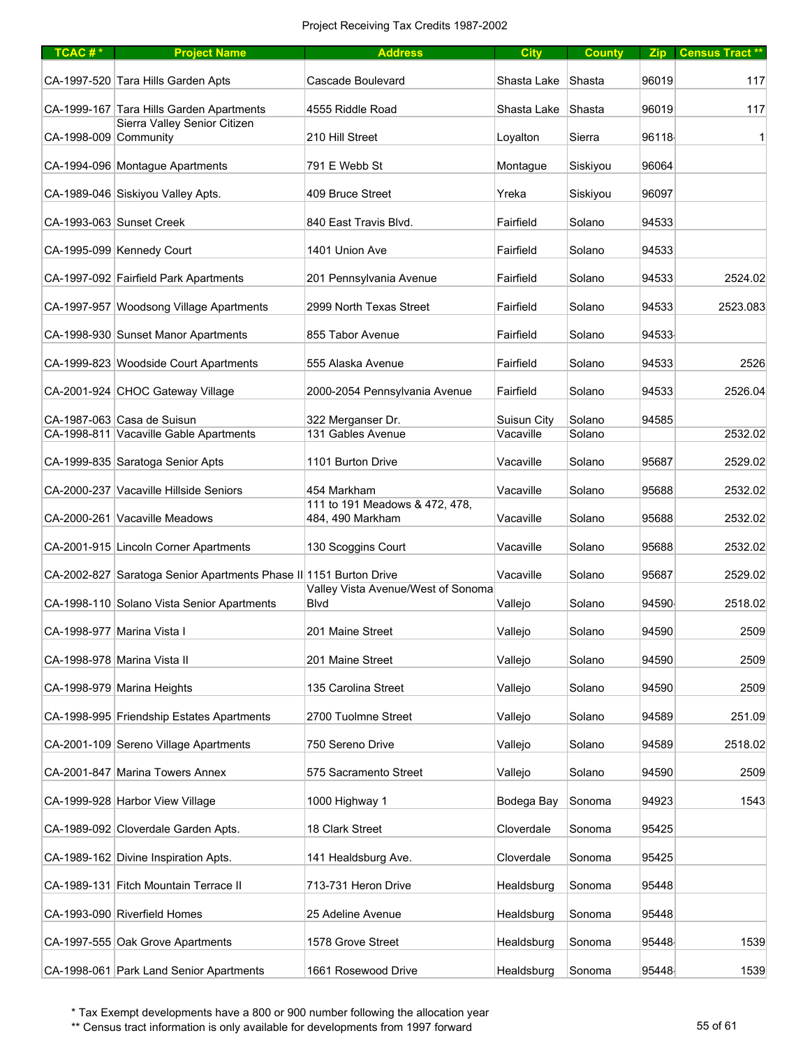| TCAC#*                | <b>Project Name</b>                                               | <b>Address</b>                                     | <b>City</b> | <b>County</b> |       | Zip Census Tract ** |
|-----------------------|-------------------------------------------------------------------|----------------------------------------------------|-------------|---------------|-------|---------------------|
|                       | CA-1997-520 Tara Hills Garden Apts                                | Cascade Boulevard                                  | Shasta Lake | Shasta        | 96019 | 117                 |
|                       | CA-1999-167 Tara Hills Garden Apartments                          | 4555 Riddle Road                                   | Shasta Lake | Shasta        | 96019 | 117                 |
| CA-1998-009 Community | Sierra Valley Senior Citizen                                      | 210 Hill Street                                    | Loyalton    | Sierra        | 96118 | 1                   |
|                       | CA-1994-096 Montague Apartments                                   | 791 E Webb St                                      | Montague    | Siskiyou      | 96064 |                     |
|                       | CA-1989-046 Siskiyou Valley Apts.                                 | 409 Bruce Street                                   | Yreka       | Siskiyou      | 96097 |                     |
|                       | CA-1993-063 Sunset Creek                                          | 840 East Travis Blvd.                              | Fairfield   | Solano        | 94533 |                     |
|                       | CA-1995-099 Kennedy Court                                         | 1401 Union Ave                                     | Fairfield   | Solano        | 94533 |                     |
|                       | CA-1997-092 Fairfield Park Apartments                             | 201 Pennsylvania Avenue                            | Fairfield   | Solano        | 94533 | 2524.02             |
|                       | CA-1997-957 Woodsong Village Apartments                           | 2999 North Texas Street                            | Fairfield   | Solano        | 94533 | 2523.083            |
|                       | CA-1998-930 Sunset Manor Apartments                               | 855 Tabor Avenue                                   | Fairfield   | Solano        | 94533 |                     |
|                       | CA-1999-823 Woodside Court Apartments                             | 555 Alaska Avenue                                  | Fairfield   | Solano        | 94533 | 2526                |
|                       | CA-2001-924 CHOC Gateway Village                                  | 2000-2054 Pennsylvania Avenue                      | Fairfield   | Solano        | 94533 | 2526.04             |
|                       | CA-1987-063 Casa de Suisun                                        | 322 Merganser Dr.                                  | Suisun City | Solano        | 94585 |                     |
|                       | CA-1998-811 Vacaville Gable Apartments                            | 131 Gables Avenue                                  | Vacaville   | Solano        |       | 2532.02             |
|                       | CA-1999-835 Saratoga Senior Apts                                  | 1101 Burton Drive                                  | Vacaville   | Solano        | 95687 | 2529.02             |
|                       | CA-2000-237 Vacaville Hillside Seniors                            | 454 Markham                                        | Vacaville   | Solano        | 95688 | 2532.02             |
|                       | CA-2000-261 Vacaville Meadows                                     | 111 to 191 Meadows & 472, 478,<br>484, 490 Markham | Vacaville   | Solano        | 95688 | 2532.02             |
|                       | CA-2001-915 Lincoln Corner Apartments                             | 130 Scoggins Court                                 | Vacaville   | Solano        | 95688 | 2532.02             |
|                       | CA-2002-827 Saratoga Senior Apartments Phase II 1151 Burton Drive |                                                    | Vacaville   | Solano        | 95687 | 2529.02             |
|                       | CA-1998-110 Solano Vista Senior Apartments                        | Valley Vista Avenue/West of Sonoma<br><b>Blvd</b>  | Vallejo     | Solano        | 94590 | 2518.02             |
|                       | CA-1998-977 Marina Vista I                                        | 201 Maine Street                                   | Vallejo     | Solano        | 94590 | 2509                |
|                       | CA-1998-978 Marina Vista II                                       | 201 Maine Street                                   | Vallejo     | Solano        | 94590 | 2509                |
|                       | CA-1998-979 Marina Heights                                        | 135 Carolina Street                                | Vallejo     | Solano        | 94590 | 2509                |
|                       | CA-1998-995 Friendship Estates Apartments                         | 2700 Tuolmne Street                                | Vallejo     | Solano        | 94589 | 251.09              |
|                       | CA-2001-109 Sereno Village Apartments                             | 750 Sereno Drive                                   | Vallejo     | Solano        | 94589 | 2518.02             |
|                       | CA-2001-847 Marina Towers Annex                                   | 575 Sacramento Street                              | Vallejo     | Solano        | 94590 | 2509                |
|                       | CA-1999-928 Harbor View Village                                   | 1000 Highway 1                                     | Bodega Bay  | Sonoma        | 94923 | 1543                |
|                       | CA-1989-092 Cloverdale Garden Apts.                               | 18 Clark Street                                    | Cloverdale  | Sonoma        | 95425 |                     |
|                       | CA-1989-162 Divine Inspiration Apts.                              | 141 Healdsburg Ave.                                | Cloverdale  | Sonoma        | 95425 |                     |
|                       | CA-1989-131 Fitch Mountain Terrace II                             | 713-731 Heron Drive                                | Healdsburg  | Sonoma        | 95448 |                     |
|                       | CA-1993-090 Riverfield Homes                                      | 25 Adeline Avenue                                  | Healdsburg  | Sonoma        | 95448 |                     |
|                       | CA-1997-555 Oak Grove Apartments                                  | 1578 Grove Street                                  | Healdsburg  | Sonoma        | 95448 | 1539                |
|                       | CA-1998-061 Park Land Senior Apartments                           | 1661 Rosewood Drive                                | Healdsburg  | Sonoma        | 95448 | 1539                |

\*\* Census tract information is only available for developments from 1997 forward 55 of 61 and 55 of 61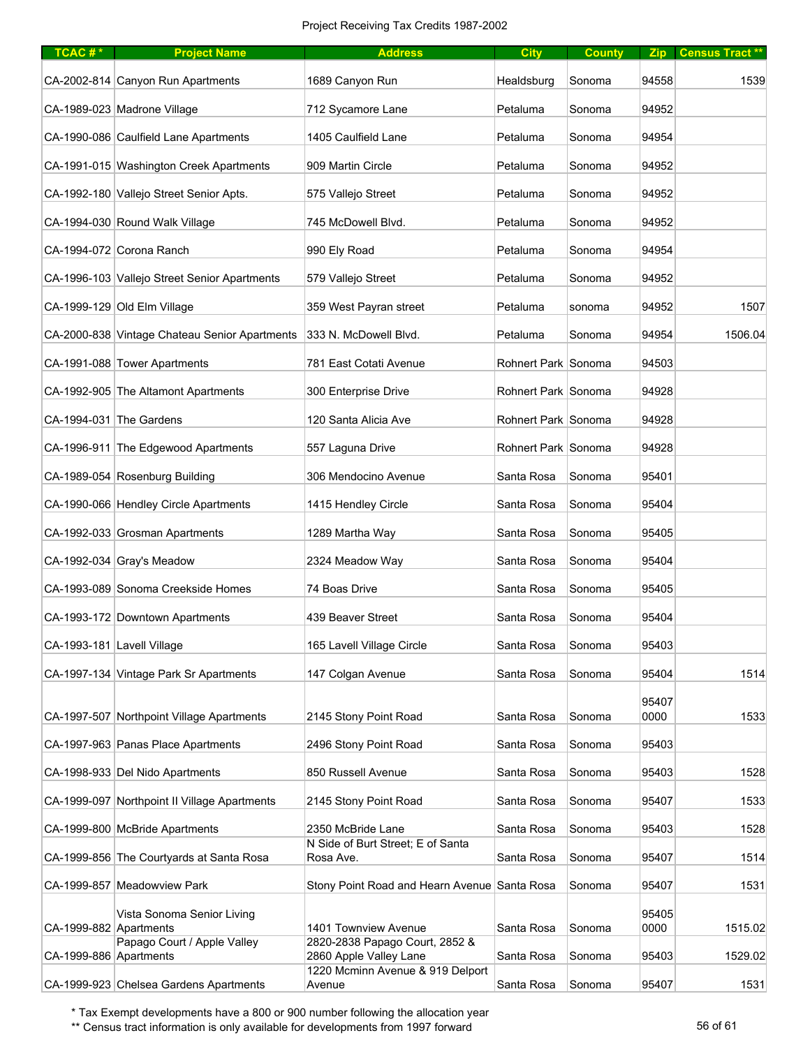| TCAC# $*$              | <b>Project Name</b>                           | <b>Address</b>                                           | <b>City</b>         | <b>County</b> |               | Zip   Census Tract ** |
|------------------------|-----------------------------------------------|----------------------------------------------------------|---------------------|---------------|---------------|-----------------------|
|                        | CA-2002-814 Canyon Run Apartments             | 1689 Canyon Run                                          | Healdsburg          | Sonoma        | 94558         | 1539                  |
|                        | CA-1989-023 Madrone Village                   | 712 Sycamore Lane                                        | Petaluma            | Sonoma        | 94952         |                       |
|                        | CA-1990-086 Caulfield Lane Apartments         | 1405 Caulfield Lane                                      | Petaluma            | Sonoma        | 94954         |                       |
|                        | CA-1991-015 Washington Creek Apartments       | 909 Martin Circle                                        | Petaluma            | Sonoma        | 94952         |                       |
|                        | CA-1992-180 Vallejo Street Senior Apts.       | 575 Vallejo Street                                       | Petaluma            | Sonoma        | 94952         |                       |
|                        | CA-1994-030 Round Walk Village                | 745 McDowell Blvd.                                       | Petaluma            | Sonoma        | 94952         |                       |
|                        | CA-1994-072 Corona Ranch                      | 990 Ely Road                                             | Petaluma            | Sonoma        | 94954         |                       |
|                        | CA-1996-103 Vallejo Street Senior Apartments  | 579 Vallejo Street                                       | Petaluma            | Sonoma        | 94952         |                       |
|                        | CA-1999-129 Old Elm Village                   | 359 West Payran street                                   | Petaluma            | sonoma        | 94952         | 1507                  |
|                        | CA-2000-838 Vintage Chateau Senior Apartments | 333 N. McDowell Blvd.                                    | Petaluma            | Sonoma        | 94954         | 1506.04               |
|                        | CA-1991-088 Tower Apartments                  | 781 East Cotati Avenue                                   | Rohnert Park Sonoma |               | 94503         |                       |
|                        | CA-1992-905 The Altamont Apartments           | 300 Enterprise Drive                                     | Rohnert Park Sonoma |               | 94928         |                       |
|                        | CA-1994-031 The Gardens                       | 120 Santa Alicia Ave                                     | Rohnert Park Sonoma |               | 94928         |                       |
|                        | CA-1996-911 The Edgewood Apartments           | 557 Laguna Drive                                         | Rohnert Park Sonoma |               | 94928         |                       |
|                        | CA-1989-054 Rosenburg Building                | 306 Mendocino Avenue                                     | Santa Rosa          | Sonoma        | 95401         |                       |
|                        | CA-1990-066 Hendley Circle Apartments         | 1415 Hendley Circle                                      | Santa Rosa          | Sonoma        | 95404         |                       |
|                        | CA-1992-033 Grosman Apartments                | 1289 Martha Way                                          | Santa Rosa          | Sonoma        | 95405         |                       |
|                        | CA-1992-034 Gray's Meadow                     | 2324 Meadow Way                                          | Santa Rosa          | Sonoma        | 95404         |                       |
|                        | CA-1993-089 Sonoma Creekside Homes            | 74 Boas Drive                                            | Santa Rosa          | Sonoma        | 95405         |                       |
|                        | CA-1993-172 Downtown Apartments               | 439 Beaver Street                                        | Santa Rosa          | Sonoma        | 95404         |                       |
|                        | CA-1993-181 Lavell Village                    | 165 Lavell Village Circle                                | Santa Rosa          | Sonoma        | 95403         |                       |
|                        | CA-1997-134 Vintage Park Sr Apartments        | 147 Colgan Avenue                                        | Santa Rosa          | Sonoma        | 95404         | 1514                  |
|                        | CA-1997-507 Northpoint Village Apartments     | 2145 Stony Point Road                                    | Santa Rosa          | Sonoma        | 95407<br>0000 | 1533                  |
|                        |                                               |                                                          |                     |               |               |                       |
|                        | CA-1997-963 Panas Place Apartments            | 2496 Stony Point Road                                    | Santa Rosa          | Sonoma        | 95403         |                       |
|                        | CA-1998-933 Del Nido Apartments               | 850 Russell Avenue                                       | Santa Rosa          | Sonoma        | 95403         | 1528                  |
|                        | CA-1999-097 Northpoint II Village Apartments  | 2145 Stony Point Road                                    | Santa Rosa          | Sonoma        | 95407         | 1533                  |
|                        | CA-1999-800 McBride Apartments                | 2350 McBride Lane<br>N Side of Burt Street; E of Santa   | Santa Rosa          | Sonoma        | 95403         | 1528                  |
|                        | CA-1999-856 The Courtyards at Santa Rosa      | Rosa Ave.                                                | Santa Rosa          | Sonoma        | 95407         | 1514                  |
|                        | CA-1999-857 Meadowview Park                   | Stony Point Road and Hearn Avenue Santa Rosa             |                     | Sonoma        | 95407         | 1531                  |
| CA-1999-882 Apartments | Vista Sonoma Senior Living                    | 1401 Townview Avenue                                     | Santa Rosa          | Sonoma        | 95405<br>0000 | 1515.02               |
| CA-1999-886 Apartments | Papago Court / Apple Valley                   | 2820-2838 Papago Court, 2852 &<br>2860 Apple Valley Lane | Santa Rosa          | Sonoma        | 95403         | 1529.02               |
|                        | CA-1999-923 Chelsea Gardens Apartments        | 1220 Mcminn Avenue & 919 Delport<br>Avenue               | Santa Rosa          | Sonoma        | 95407         | 1531                  |

\*\* Census tract information is only available for developments from 1997 forward 56 of 61 of 61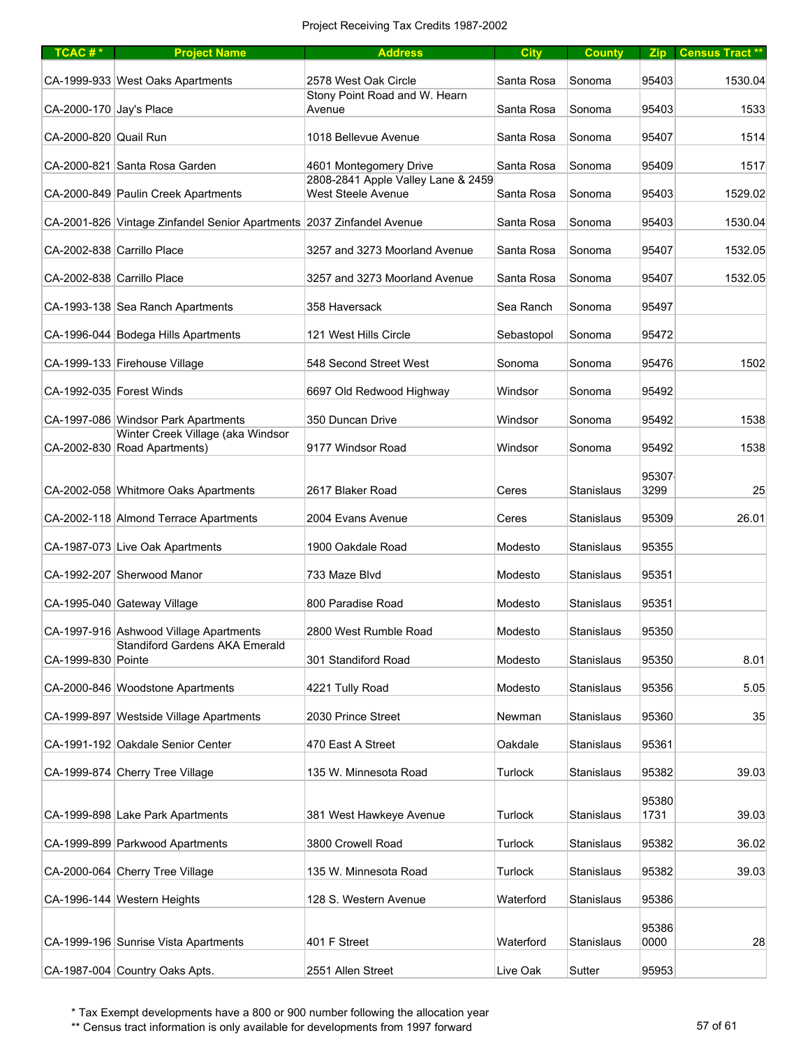| $TCAC #*$               | <b>Project Name</b>                                                   | <b>Address</b>                                                  | <b>City</b> | <b>County</b> |               | Zip Census Tract** |
|-------------------------|-----------------------------------------------------------------------|-----------------------------------------------------------------|-------------|---------------|---------------|--------------------|
|                         | CA-1999-933 West Oaks Apartments                                      | 2578 West Oak Circle                                            | Santa Rosa  | Sonoma        | 95403         | 1530.04            |
| CA-2000-170 Jay's Place |                                                                       | Stony Point Road and W. Hearn<br>Avenue                         | Santa Rosa  | Sonoma        | 95403         | 1533               |
| CA-2000-820 Quail Run   |                                                                       | 1018 Bellevue Avenue                                            | Santa Rosa  | Sonoma        | 95407         | 1514               |
|                         | CA-2000-821 Santa Rosa Garden                                         | 4601 Montegomery Drive                                          | Santa Rosa  | Sonoma        | 95409         | 1517               |
|                         | CA-2000-849 Paulin Creek Apartments                                   | 2808-2841 Apple Valley Lane & 2459<br><b>West Steele Avenue</b> | Santa Rosa  | Sonoma        | 95403         | 1529.02            |
|                         | CA-2001-826 Vintage Zinfandel Senior Apartments 2037 Zinfandel Avenue |                                                                 | Santa Rosa  | Sonoma        | 95403         | 1530.04            |
|                         | CA-2002-838 Carrillo Place                                            | 3257 and 3273 Moorland Avenue                                   | Santa Rosa  | Sonoma        | 95407         | 1532.05            |
|                         | CA-2002-838 Carrillo Place                                            | 3257 and 3273 Moorland Avenue                                   | Santa Rosa  | Sonoma        | 95407         | 1532.05            |
|                         | CA-1993-138 Sea Ranch Apartments                                      | 358 Haversack                                                   | Sea Ranch   | Sonoma        | 95497         |                    |
|                         | CA-1996-044 Bodega Hills Apartments                                   | 121 West Hills Circle                                           | Sebastopol  | Sonoma        | 95472         |                    |
|                         | CA-1999-133 Firehouse Village                                         | 548 Second Street West                                          | Sonoma      | Sonoma        | 95476         | 1502               |
|                         | CA-1992-035 Forest Winds                                              | 6697 Old Redwood Highway                                        | Windsor     | Sonoma        | 95492         |                    |
|                         | CA-1997-086 Windsor Park Apartments                                   | 350 Duncan Drive                                                | Windsor     | Sonoma        | 95492         | 1538               |
|                         | Winter Creek Village (aka Windsor<br>CA-2002-830 Road Apartments)     | 9177 Windsor Road                                               | Windsor     | Sonoma        | 95492         | 1538               |
|                         | CA-2002-058 Whitmore Oaks Apartments                                  | 2617 Blaker Road                                                | Ceres       | Stanislaus    | 95307<br>3299 | 25                 |
|                         | CA-2002-118 Almond Terrace Apartments                                 | 2004 Evans Avenue                                               | Ceres       | Stanislaus    | 95309         | 26.01              |
|                         | CA-1987-073 Live Oak Apartments                                       | 1900 Oakdale Road                                               | Modesto     | Stanislaus    | 95355         |                    |
|                         | CA-1992-207 Sherwood Manor                                            | 733 Maze Blvd                                                   | Modesto     | Stanislaus    | 95351         |                    |
|                         | CA-1995-040 Gateway Village                                           | 800 Paradise Road                                               | Modesto     | Stanislaus    | 95351         |                    |
|                         | CA-1997-916 Ashwood Village Apartments                                | 2800 West Rumble Road                                           | Modesto     | Stanislaus    | 95350         |                    |
| CA-1999-830 Pointe      | Standiford Gardens AKA Emerald                                        | 301 Standiford Road                                             | Modesto     | Stanislaus    | 95350         | 8.01               |
|                         | CA-2000-846 Woodstone Apartments                                      | 4221 Tully Road                                                 | Modesto     | Stanislaus    | 95356         | 5.05               |
|                         | CA-1999-897 Westside Village Apartments                               | 2030 Prince Street                                              | Newman      | Stanislaus    | 95360         | 35                 |
|                         | CA-1991-192 Oakdale Senior Center                                     | 470 East A Street                                               | Oakdale     | Stanislaus    | 95361         |                    |
|                         | CA-1999-874 Cherry Tree Village                                       | 135 W. Minnesota Road                                           | Turlock     | Stanislaus    | 95382         | 39.03              |
|                         | CA-1999-898 Lake Park Apartments                                      | 381 West Hawkeye Avenue                                         | Turlock     | Stanislaus    | 95380<br>1731 | 39.03              |
|                         | CA-1999-899 Parkwood Apartments                                       | 3800 Crowell Road                                               | Turlock     | Stanislaus    | 95382         | 36.02              |
|                         | CA-2000-064 Cherry Tree Village                                       | 135 W. Minnesota Road                                           | Turlock     | Stanislaus    | 95382         | 39.03              |
|                         | CA-1996-144 Western Heights                                           | 128 S. Western Avenue                                           | Waterford   | Stanislaus    | 95386         |                    |
|                         |                                                                       |                                                                 |             |               | 95386         |                    |
|                         | CA-1999-196 Sunrise Vista Apartments                                  | 401 F Street                                                    | Waterford   | Stanislaus    | 0000          | 28                 |
|                         | CA-1987-004 Country Oaks Apts.                                        | 2551 Allen Street                                               | Live Oak    | Sutter        | 95953         |                    |

\*\* Census tract information is only available for developments from 1997 forward 57 of 61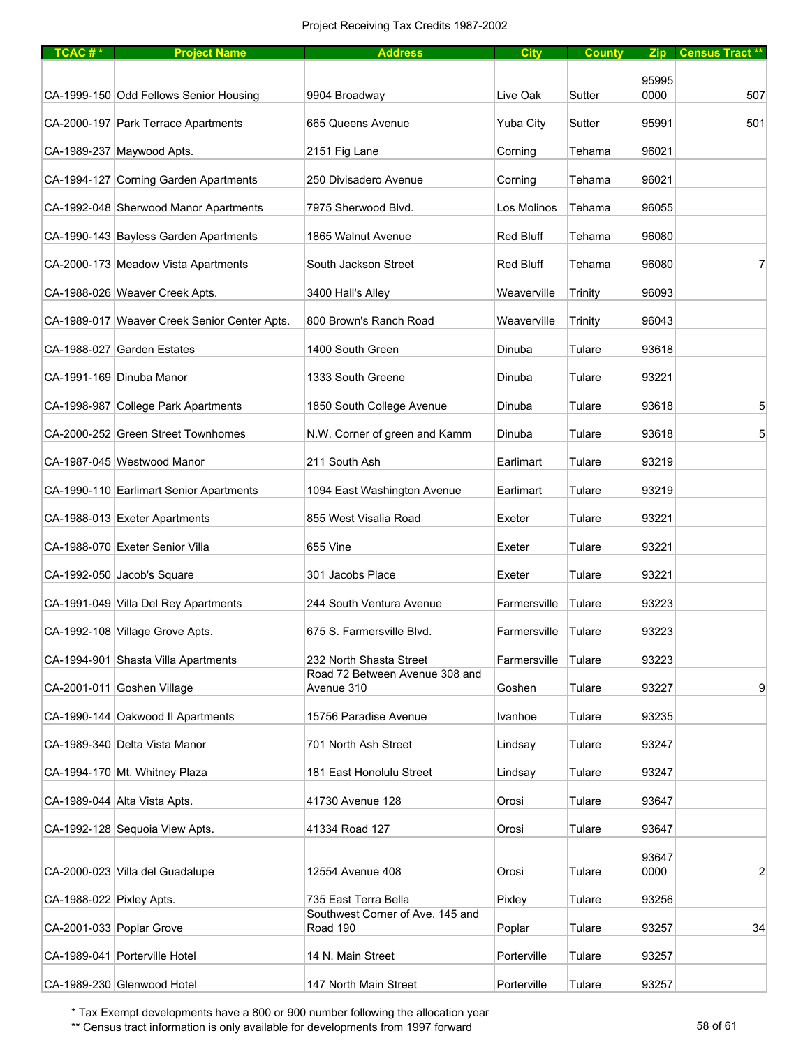| TCAC#*                   | <b>Project Name</b>                          | <b>Address</b>                               | <b>City</b>      | <b>County</b>  |               | Zip Census Tract** |
|--------------------------|----------------------------------------------|----------------------------------------------|------------------|----------------|---------------|--------------------|
|                          |                                              |                                              |                  |                | 95995         |                    |
|                          | CA-1999-150 Odd Fellows Senior Housing       | 9904 Broadway                                | Live Oak         | Sutter         | 0000          | 507                |
|                          | CA-2000-197 Park Terrace Apartments          | 665 Queens Avenue                            | Yuba City        | Sutter         | 95991         | 501                |
|                          | CA-1989-237 Maywood Apts.                    | 2151 Fig Lane                                | Corning          | Tehama         | 96021         |                    |
|                          | CA-1994-127 Corning Garden Apartments        | 250 Divisadero Avenue                        | Corning          | Tehama         | 96021         |                    |
|                          | CA-1992-048 Sherwood Manor Apartments        | 7975 Sherwood Blvd.                          | Los Molinos      | Tehama         | 96055         |                    |
|                          | CA-1990-143 Bayless Garden Apartments        | 1865 Walnut Avenue                           | <b>Red Bluff</b> | Tehama         | 96080         |                    |
|                          | CA-2000-173 Meadow Vista Apartments          | South Jackson Street                         | <b>Red Bluff</b> | Tehama         | 96080         | $\overline{7}$     |
|                          | CA-1988-026 Weaver Creek Apts.               | 3400 Hall's Alley                            | Weaverville      | Trinity        | 96093         |                    |
|                          | CA-1989-017 Weaver Creek Senior Center Apts. | 800 Brown's Ranch Road                       | Weaverville      | <b>Trinity</b> | 96043         |                    |
|                          | CA-1988-027 Garden Estates                   | 1400 South Green                             | Dinuba           | Tulare         | 93618         |                    |
|                          | CA-1991-169 Dinuba Manor                     | 1333 South Greene                            | Dinuba           | Tulare         | 93221         |                    |
|                          | CA-1998-987 College Park Apartments          | 1850 South College Avenue                    | Dinuba           | Tulare         | 93618         | 5                  |
|                          | CA-2000-252 Green Street Townhomes           | N.W. Corner of green and Kamm                | Dinuba           | Tulare         | 93618         | 5                  |
|                          | CA-1987-045 Westwood Manor                   | 211 South Ash                                | Earlimart        | Tulare         | 93219         |                    |
|                          | CA-1990-110 Earlimart Senior Apartments      | 1094 East Washington Avenue                  | Earlimart        | Tulare         | 93219         |                    |
|                          | CA-1988-013 Exeter Apartments                | 855 West Visalia Road                        | Exeter           | Tulare         | 93221         |                    |
|                          | CA-1988-070 Exeter Senior Villa              | 655 Vine                                     | Exeter           | Tulare         | 93221         |                    |
|                          | CA-1992-050 Jacob's Square                   | 301 Jacobs Place                             | Exeter           | Tulare         | 93221         |                    |
|                          | CA-1991-049 Villa Del Rey Apartments         | 244 South Ventura Avenue                     | Farmersville     | Tulare         | 93223         |                    |
|                          | CA-1992-108 Village Grove Apts.              | 675 S. Farmersville Blvd.                    | Farmersville     | Tulare         | 93223         |                    |
|                          | CA-1994-901 Shasta Villa Apartments          | 232 North Shasta Street                      | Farmersville     | Tulare         | 93223         |                    |
|                          | CA-2001-011 Goshen Village                   | Road 72 Between Avenue 308 and<br>Avenue 310 | Goshen           | Tulare         | 93227         | 9                  |
|                          | CA-1990-144 Oakwood II Apartments            | 15756 Paradise Avenue                        | Ivanhoe          | Tulare         | 93235         |                    |
|                          | CA-1989-340 Delta Vista Manor                | 701 North Ash Street                         | Lindsay          | Tulare         | 93247         |                    |
|                          | CA-1994-170 Mt. Whitney Plaza                | 181 East Honolulu Street                     | Lindsay          | Tulare         | 93247         |                    |
|                          | CA-1989-044 Alta Vista Apts.                 | 41730 Avenue 128                             | Orosi            | Tulare         | 93647         |                    |
|                          | CA-1992-128 Sequoia View Apts.               | 41334 Road 127                               | Orosi            | Tulare         | 93647         |                    |
|                          | CA-2000-023 Villa del Guadalupe              | 12554 Avenue 408                             | Orosi            | Tulare         | 93647<br>0000 | $\overline{2}$     |
| CA-1988-022 Pixley Apts. |                                              | 735 East Terra Bella                         | Pixley           | Tulare         | 93256         |                    |
|                          |                                              | Southwest Corner of Ave. 145 and             |                  |                |               |                    |
|                          | CA-2001-033 Poplar Grove                     | Road 190                                     | Poplar           | Tulare         | 93257         | 34                 |
|                          | CA-1989-041 Porterville Hotel                | 14 N. Main Street                            | Porterville      | Tulare         | 93257         |                    |
|                          | CA-1989-230 Glenwood Hotel                   | 147 North Main Street                        | Porterville      | Tulare         | 93257         |                    |

\*\* Census tract information is only available for developments from 1997 forward 58 of 61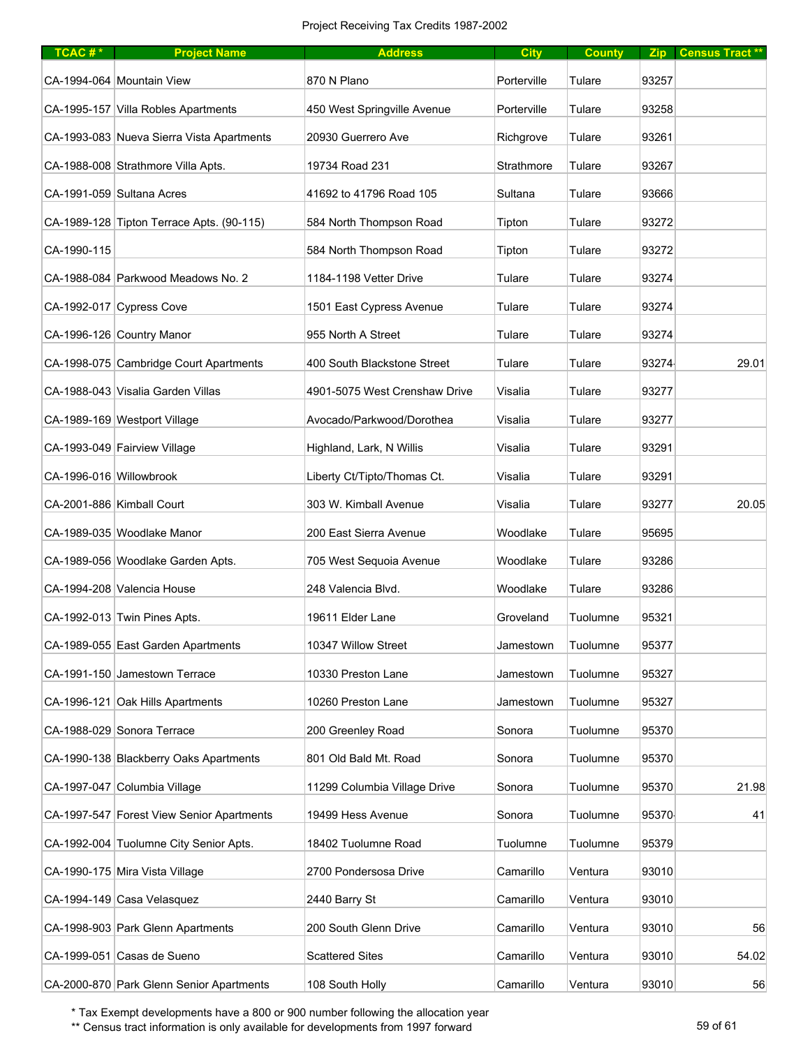| $TCAC #*$               | <b>Project Name</b>                       | <b>Address</b>                | <b>City</b> | <b>County</b> |       | Zip   Census Tract ** |
|-------------------------|-------------------------------------------|-------------------------------|-------------|---------------|-------|-----------------------|
|                         | CA-1994-064 Mountain View                 | 870 N Plano                   | Porterville | Tulare        | 93257 |                       |
|                         | CA-1995-157 Villa Robles Apartments       | 450 West Springville Avenue   | Porterville | Tulare        | 93258 |                       |
|                         | CA-1993-083 Nueva Sierra Vista Apartments | 20930 Guerrero Ave            | Richgrove   | Tulare        | 93261 |                       |
|                         | CA-1988-008 Strathmore Villa Apts.        | 19734 Road 231                | Strathmore  | Tulare        | 93267 |                       |
|                         | CA-1991-059 Sultana Acres                 | 41692 to 41796 Road 105       | Sultana     | Tulare        | 93666 |                       |
|                         | CA-1989-128 Tipton Terrace Apts. (90-115) | 584 North Thompson Road       | Tipton      | Tulare        | 93272 |                       |
| CA-1990-115             |                                           | 584 North Thompson Road       | Tipton      | Tulare        | 93272 |                       |
|                         | CA-1988-084 Parkwood Meadows No. 2        | 1184-1198 Vetter Drive        | Tulare      | Tulare        | 93274 |                       |
|                         | CA-1992-017 Cypress Cove                  | 1501 East Cypress Avenue      | Tulare      | Tulare        | 93274 |                       |
|                         | CA-1996-126 Country Manor                 | 955 North A Street            | Tulare      | Tulare        | 93274 |                       |
|                         | CA-1998-075 Cambridge Court Apartments    | 400 South Blackstone Street   | Tulare      | Tulare        | 93274 | 29.01                 |
|                         | CA-1988-043 Visalia Garden Villas         | 4901-5075 West Crenshaw Drive | Visalia     | Tulare        | 93277 |                       |
|                         | CA-1989-169 Westport Village              | Avocado/Parkwood/Dorothea     | Visalia     | Tulare        | 93277 |                       |
|                         | CA-1993-049 Fairview Village              | Highland, Lark, N Willis      | Visalia     | Tulare        | 93291 |                       |
| CA-1996-016 Willowbrook |                                           | Liberty Ct/Tipto/Thomas Ct.   | Visalia     | Tulare        | 93291 |                       |
|                         | CA-2001-886 Kimball Court                 | 303 W. Kimball Avenue         | Visalia     | Tulare        | 93277 | 20.05                 |
|                         | CA-1989-035 Woodlake Manor                | 200 East Sierra Avenue        | Woodlake    | Tulare        | 95695 |                       |
|                         | CA-1989-056 Woodlake Garden Apts.         | 705 West Sequoia Avenue       | Woodlake    | Tulare        | 93286 |                       |
|                         | CA-1994-208 Valencia House                | 248 Valencia Blvd.            | Woodlake    | Tulare        | 93286 |                       |
|                         | CA-1992-013 Twin Pines Apts.              | 19611 Elder Lane              | Groveland   | Tuolumne      | 95321 |                       |
|                         | CA-1989-055 East Garden Apartments        | 10347 Willow Street           | Jamestown   | Tuolumne      | 95377 |                       |
|                         | CA-1991-150 Jamestown Terrace             | 10330 Preston Lane            | Jamestown   | Tuolumne      | 95327 |                       |
|                         | CA-1996-121 Oak Hills Apartments          | 10260 Preston Lane            | Jamestown   | Tuolumne      | 95327 |                       |
|                         | CA-1988-029 Sonora Terrace                | 200 Greenley Road             | Sonora      | Tuolumne      | 95370 |                       |
|                         | CA-1990-138 Blackberry Oaks Apartments    | 801 Old Bald Mt. Road         | Sonora      | Tuolumne      | 95370 |                       |
|                         | CA-1997-047 Columbia Village              | 11299 Columbia Village Drive  | Sonora      | Tuolumne      | 95370 | 21.98                 |
|                         | CA-1997-547 Forest View Senior Apartments | 19499 Hess Avenue             | Sonora      | Tuolumne      | 95370 | 41                    |
|                         | CA-1992-004 Tuolumne City Senior Apts.    | 18402 Tuolumne Road           | Tuolumne    | Tuolumne      | 95379 |                       |
|                         | CA-1990-175 Mira Vista Village            | 2700 Pondersosa Drive         | Camarillo   | Ventura       | 93010 |                       |
|                         | CA-1994-149 Casa Velasquez                | 2440 Barry St                 | Camarillo   | Ventura       | 93010 |                       |
|                         | CA-1998-903 Park Glenn Apartments         | 200 South Glenn Drive         | Camarillo   | Ventura       | 93010 | 56                    |
|                         | CA-1999-051 Casas de Sueno                | <b>Scattered Sites</b>        | Camarillo   | Ventura       | 93010 | 54.02                 |
|                         | CA-2000-870 Park Glenn Senior Apartments  | 108 South Holly               | Camarillo   | Ventura       | 93010 | 56                    |

\*\* Census tract information is only available for developments from 1997 forward 59 of 61 of 61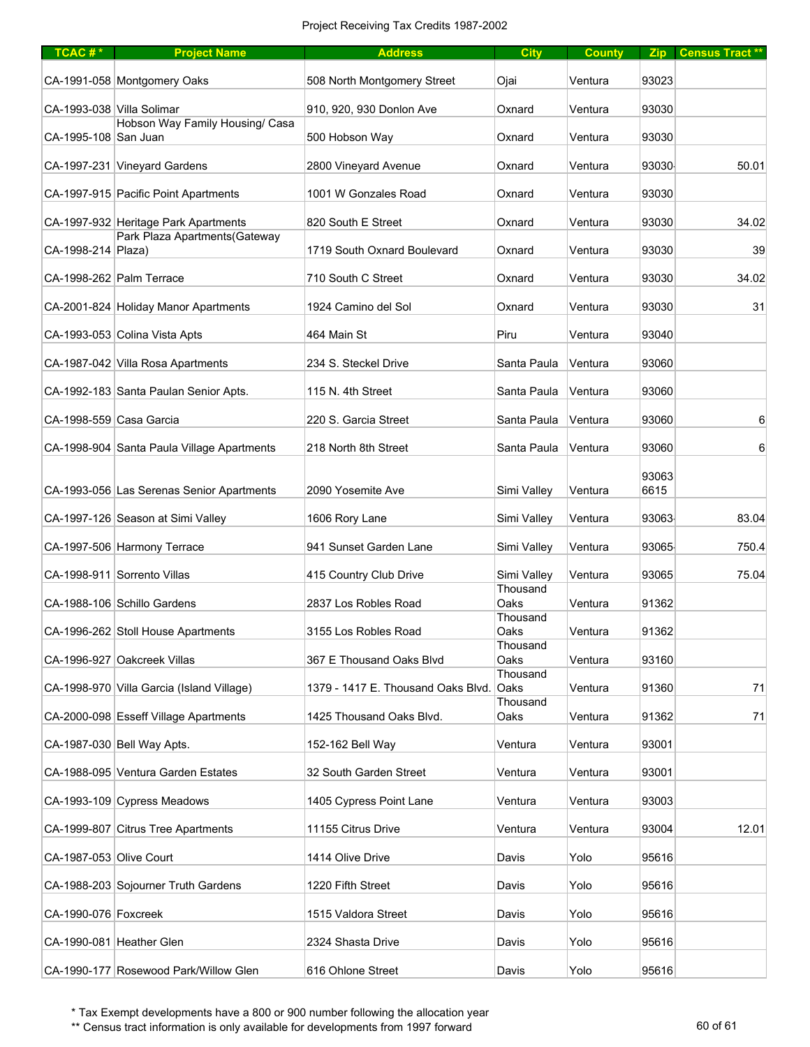| $TCAC #*$                 | <b>Project Name</b>                        | <b>Address</b>                     | <b>City</b>      | <b>County</b> |               | Zip Census Tract ** |
|---------------------------|--------------------------------------------|------------------------------------|------------------|---------------|---------------|---------------------|
|                           | CA-1991-058 Montgomery Oaks                | 508 North Montgomery Street        | Ojai             | Ventura       | 93023         |                     |
| CA-1993-038 Villa Solimar |                                            | 910, 920, 930 Donlon Ave           | Oxnard           | Ventura       | 93030         |                     |
| CA-1995-108 San Juan      | Hobson Way Family Housing/ Casa            | 500 Hobson Way                     | Oxnard           | Ventura       | 93030         |                     |
|                           | CA-1997-231 Vineyard Gardens               | 2800 Vineyard Avenue               | Oxnard           | Ventura       | 93030         | 50.01               |
|                           | CA-1997-915 Pacific Point Apartments       | 1001 W Gonzales Road               | Oxnard           | Ventura       | 93030         |                     |
|                           | CA-1997-932 Heritage Park Apartments       | 820 South E Street                 | Oxnard           | Ventura       | 93030         | 34.02               |
| CA-1998-214   Plaza)      | Park Plaza Apartments (Gateway             | 1719 South Oxnard Boulevard        | Oxnard           | Ventura       | 93030         | 39                  |
|                           | CA-1998-262 Palm Terrace                   | 710 South C Street                 | Oxnard           | Ventura       | 93030         | 34.02               |
|                           | CA-2001-824 Holiday Manor Apartments       | 1924 Camino del Sol                | Oxnard           | Ventura       | 93030         | 31                  |
|                           | CA-1993-053 Colina Vista Apts              | 464 Main St                        | Piru             | Ventura       | 93040         |                     |
|                           | CA-1987-042 Villa Rosa Apartments          | 234 S. Steckel Drive               | Santa Paula      | Ventura       | 93060         |                     |
|                           | CA-1992-183 Santa Paulan Senior Apts.      | 115 N. 4th Street                  | Santa Paula      | Ventura       | 93060         |                     |
| CA-1998-559 Casa Garcia   |                                            | 220 S. Garcia Street               | Santa Paula      | Ventura       | 93060         | 6                   |
|                           | CA-1998-904 Santa Paula Village Apartments | 218 North 8th Street               | Santa Paula      | Ventura       | 93060         | 6                   |
|                           | CA-1993-056 Las Serenas Senior Apartments  | 2090 Yosemite Ave                  | Simi Valley      | Ventura       | 93063<br>6615 |                     |
|                           | CA-1997-126 Season at Simi Valley          | 1606 Rory Lane                     | Simi Valley      | Ventura       | 93063         | 83.04               |
|                           | CA-1997-506 Harmony Terrace                | 941 Sunset Garden Lane             | Simi Valley      | Ventura       | 93065         | 750.4               |
|                           | CA-1998-911 Sorrento Villas                | 415 Country Club Drive             | Simi Valley      | Ventura       | 93065         | 75.04               |
|                           | CA-1988-106 Schillo Gardens                | 2837 Los Robles Road               | Thousand<br>Oaks | Ventura       | 91362         |                     |
|                           | CA-1996-262 Stoll House Apartments         | 3155 Los Robles Road               | Thousand<br>Oaks | Ventura       | 91362         |                     |
|                           | CA-1996-927 Oakcreek Villas                | 367 E Thousand Oaks Blvd           | Thousand<br>Oaks | Ventura       | 93160         |                     |
|                           | CA-1998-970 Villa Garcia (Island Village)  | 1379 - 1417 E. Thousand Oaks Blvd. | Thousand<br>Oaks | Ventura       | 91360         | 71                  |
|                           | CA-2000-098 Esseff Village Apartments      | 1425 Thousand Oaks Blvd.           | Thousand<br>Oaks | Ventura       | 91362         | 71                  |
|                           | CA-1987-030 Bell Way Apts.                 | 152-162 Bell Way                   | Ventura          | Ventura       | 93001         |                     |
|                           | CA-1988-095 Ventura Garden Estates         | 32 South Garden Street             | Ventura          | Ventura       | 93001         |                     |
|                           | CA-1993-109 Cypress Meadows                | 1405 Cypress Point Lane            | Ventura          | Ventura       | 93003         |                     |
|                           | CA-1999-807 Citrus Tree Apartments         | 11155 Citrus Drive                 | Ventura          | Ventura       | 93004         | 12.01               |
| CA-1987-053 Olive Court   |                                            | 1414 Olive Drive                   | Davis            | Yolo          | 95616         |                     |
|                           | CA-1988-203 Sojourner Truth Gardens        | 1220 Fifth Street                  | Davis            | Yolo          | 95616         |                     |
| CA-1990-076 Foxcreek      |                                            | 1515 Valdora Street                | Davis            | Yolo          | 95616         |                     |
|                           | CA-1990-081 Heather Glen                   | 2324 Shasta Drive                  | Davis            | Yolo          | 95616         |                     |
|                           | CA-1990-177 Rosewood Park/Willow Glen      | 616 Ohlone Street                  | Davis            | Yolo          | 95616         |                     |

\*\* Census tract information is only available for developments from 1997 forward 60 of 61 of 61 of 61 of 61 of 61 of 61 of 61 of 61 of 61 of 61 of 61 of 61 of 61 of 61 of 61 of 61 of 61 of 61 of 61 of 61 of 61 of 61 of 61